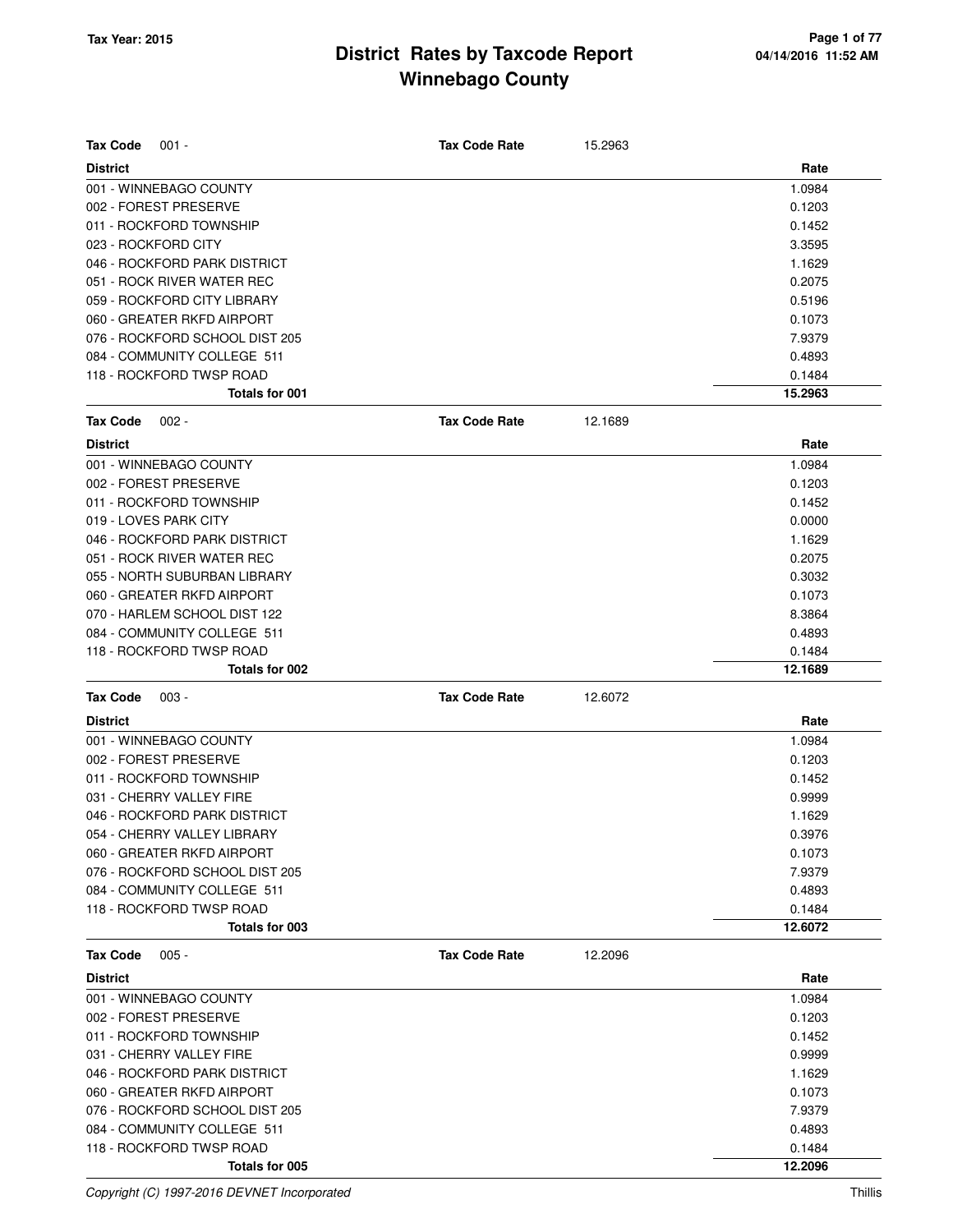| <b>Tax Code</b><br>$001 -$     | <b>Tax Code Rate</b> | 15.2963 |         |
|--------------------------------|----------------------|---------|---------|
| <b>District</b>                |                      |         | Rate    |
| 001 - WINNEBAGO COUNTY         |                      |         | 1.0984  |
| 002 - FOREST PRESERVE          |                      |         | 0.1203  |
| 011 - ROCKFORD TOWNSHIP        |                      |         | 0.1452  |
| 023 - ROCKFORD CITY            |                      |         | 3.3595  |
| 046 - ROCKFORD PARK DISTRICT   |                      |         | 1.1629  |
| 051 - ROCK RIVER WATER REC     |                      |         | 0.2075  |
| 059 - ROCKFORD CITY LIBRARY    |                      |         | 0.5196  |
| 060 - GREATER RKFD AIRPORT     |                      |         | 0.1073  |
| 076 - ROCKFORD SCHOOL DIST 205 |                      |         | 7.9379  |
| 084 - COMMUNITY COLLEGE 511    |                      |         | 0.4893  |
| 118 - ROCKFORD TWSP ROAD       |                      |         | 0.1484  |
| Totals for 001                 |                      |         | 15.2963 |
| <b>Tax Code</b><br>$002 -$     | <b>Tax Code Rate</b> | 12.1689 |         |
| <b>District</b>                |                      |         | Rate    |
| 001 - WINNEBAGO COUNTY         |                      |         | 1.0984  |
| 002 - FOREST PRESERVE          |                      |         | 0.1203  |
| 011 - ROCKFORD TOWNSHIP        |                      |         | 0.1452  |
| 019 - LOVES PARK CITY          |                      |         | 0.0000  |
| 046 - ROCKFORD PARK DISTRICT   |                      |         | 1.1629  |
| 051 - ROCK RIVER WATER REC     |                      |         | 0.2075  |
| 055 - NORTH SUBURBAN LIBRARY   |                      |         | 0.3032  |
| 060 - GREATER RKFD AIRPORT     |                      |         | 0.1073  |
| 070 - HARLEM SCHOOL DIST 122   |                      |         | 8.3864  |
| 084 - COMMUNITY COLLEGE 511    |                      |         | 0.4893  |
| 118 - ROCKFORD TWSP ROAD       |                      |         | 0.1484  |
| Totals for 002                 |                      |         | 12.1689 |
| <b>Tax Code</b><br>$003 -$     | <b>Tax Code Rate</b> | 12.6072 |         |
| <b>District</b>                |                      |         | Rate    |
| 001 - WINNEBAGO COUNTY         |                      |         | 1.0984  |
| 002 - FOREST PRESERVE          |                      |         | 0.1203  |
| 011 - ROCKFORD TOWNSHIP        |                      |         | 0.1452  |
| 031 - CHERRY VALLEY FIRE       |                      |         | 0.9999  |
| 046 - ROCKFORD PARK DISTRICT   |                      |         | 1.1629  |
| 054 - CHERRY VALLEY LIBRARY    |                      |         | 0.3976  |
| 060 - GREATER RKFD AIRPORT     |                      |         | 0.1073  |
| 076 - ROCKFORD SCHOOL DIST 205 |                      |         | 7.9379  |
| 084 - COMMUNITY COLLEGE 511    |                      |         | 0.4893  |
| 118 - ROCKFORD TWSP ROAD       |                      |         | 0.1484  |
| Totals for 003                 |                      |         | 12.6072 |
| <b>Tax Code</b><br>$005 -$     | <b>Tax Code Rate</b> | 12.2096 |         |
| <b>District</b>                |                      |         | Rate    |
| 001 - WINNEBAGO COUNTY         |                      |         | 1.0984  |
| 002 - FOREST PRESERVE          |                      |         | 0.1203  |
| 011 - ROCKFORD TOWNSHIP        |                      |         | 0.1452  |
| 031 - CHERRY VALLEY FIRE       |                      |         | 0.9999  |
| 046 - ROCKFORD PARK DISTRICT   |                      |         | 1.1629  |
| 060 - GREATER RKFD AIRPORT     |                      |         | 0.1073  |
| 076 - ROCKFORD SCHOOL DIST 205 |                      |         | 7.9379  |
| 084 - COMMUNITY COLLEGE 511    |                      |         | 0.4893  |
| 118 - ROCKFORD TWSP ROAD       |                      |         | 0.1484  |
| Totals for 005                 |                      |         | 12.2096 |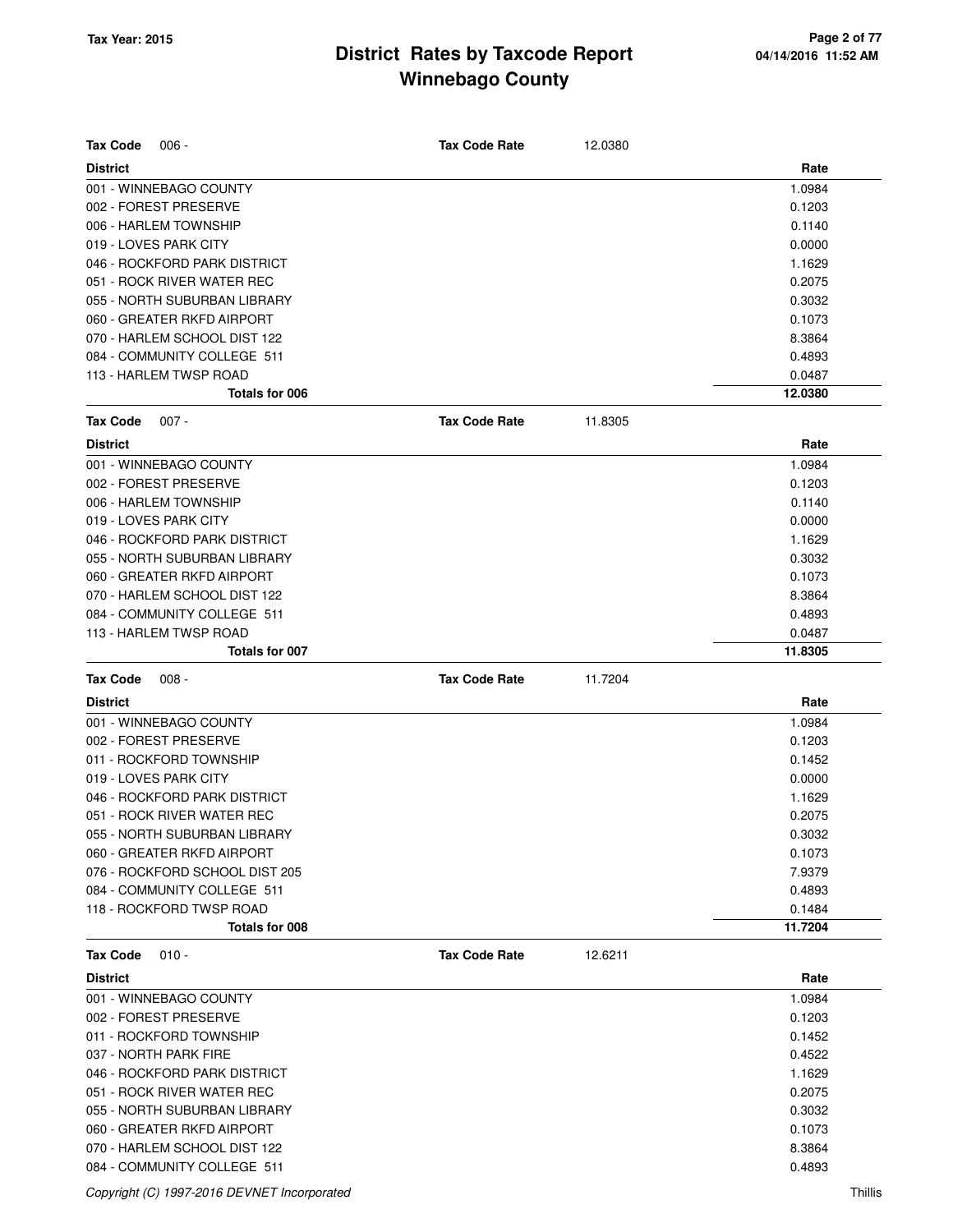| <b>Tax Code</b><br>$006 -$     | <b>Tax Code Rate</b> | 12.0380 |         |
|--------------------------------|----------------------|---------|---------|
| <b>District</b>                |                      |         | Rate    |
| 001 - WINNEBAGO COUNTY         |                      |         | 1.0984  |
| 002 - FOREST PRESERVE          |                      |         | 0.1203  |
| 006 - HARLEM TOWNSHIP          |                      |         | 0.1140  |
| 019 - LOVES PARK CITY          |                      |         | 0.0000  |
| 046 - ROCKFORD PARK DISTRICT   |                      |         | 1.1629  |
| 051 - ROCK RIVER WATER REC     |                      |         | 0.2075  |
| 055 - NORTH SUBURBAN LIBRARY   |                      |         | 0.3032  |
| 060 - GREATER RKFD AIRPORT     |                      |         | 0.1073  |
| 070 - HARLEM SCHOOL DIST 122   |                      |         | 8.3864  |
| 084 - COMMUNITY COLLEGE 511    |                      |         | 0.4893  |
| 113 - HARLEM TWSP ROAD         |                      |         | 0.0487  |
| Totals for 006                 |                      |         | 12.0380 |
| <b>Tax Code</b><br>$007 -$     | <b>Tax Code Rate</b> | 11.8305 |         |
| <b>District</b>                |                      |         | Rate    |
| 001 - WINNEBAGO COUNTY         |                      |         | 1.0984  |
| 002 - FOREST PRESERVE          |                      |         | 0.1203  |
| 006 - HARLEM TOWNSHIP          |                      |         | 0.1140  |
| 019 - LOVES PARK CITY          |                      |         | 0.0000  |
| 046 - ROCKFORD PARK DISTRICT   |                      |         | 1.1629  |
| 055 - NORTH SUBURBAN LIBRARY   |                      |         | 0.3032  |
| 060 - GREATER RKFD AIRPORT     |                      |         | 0.1073  |
| 070 - HARLEM SCHOOL DIST 122   |                      |         | 8.3864  |
| 084 - COMMUNITY COLLEGE 511    |                      |         | 0.4893  |
| 113 - HARLEM TWSP ROAD         |                      |         | 0.0487  |
| <b>Totals for 007</b>          |                      |         | 11.8305 |
| <b>Tax Code</b><br>$008 -$     | <b>Tax Code Rate</b> | 11.7204 |         |
| <b>District</b>                |                      |         | Rate    |
| 001 - WINNEBAGO COUNTY         |                      |         | 1.0984  |
| 002 - FOREST PRESERVE          |                      |         | 0.1203  |
| 011 - ROCKFORD TOWNSHIP        |                      |         | 0.1452  |
| 019 - LOVES PARK CITY          |                      |         | 0.0000  |
| 046 - ROCKFORD PARK DISTRICT   |                      |         | 1.1629  |
| 051 - ROCK RIVER WATER REC     |                      |         | 0.2075  |
| 055 - NORTH SUBURBAN LIBRARY   |                      |         | 0.3032  |
| 060 - GREATER RKFD AIRPORT     |                      |         | 0.1073  |
| 076 - ROCKFORD SCHOOL DIST 205 |                      |         | 7.9379  |
| 084 - COMMUNITY COLLEGE 511    |                      |         | 0.4893  |
| 118 - ROCKFORD TWSP ROAD       |                      |         | 0.1484  |
| Totals for 008                 |                      |         | 11.7204 |
| $010 -$<br><b>Tax Code</b>     | <b>Tax Code Rate</b> | 12.6211 |         |
| <b>District</b>                |                      |         | Rate    |
| 001 - WINNEBAGO COUNTY         |                      |         | 1.0984  |
| 002 - FOREST PRESERVE          |                      |         | 0.1203  |
| 011 - ROCKFORD TOWNSHIP        |                      |         | 0.1452  |
| 037 - NORTH PARK FIRE          |                      |         | 0.4522  |
| 046 - ROCKFORD PARK DISTRICT   |                      |         | 1.1629  |
| 051 - ROCK RIVER WATER REC     |                      |         | 0.2075  |
| 055 - NORTH SUBURBAN LIBRARY   |                      |         | 0.3032  |
| 060 - GREATER RKFD AIRPORT     |                      |         | 0.1073  |
| 070 - HARLEM SCHOOL DIST 122   |                      |         | 8.3864  |

084 - COMMUNITY COLLEGE 511 **0.4893**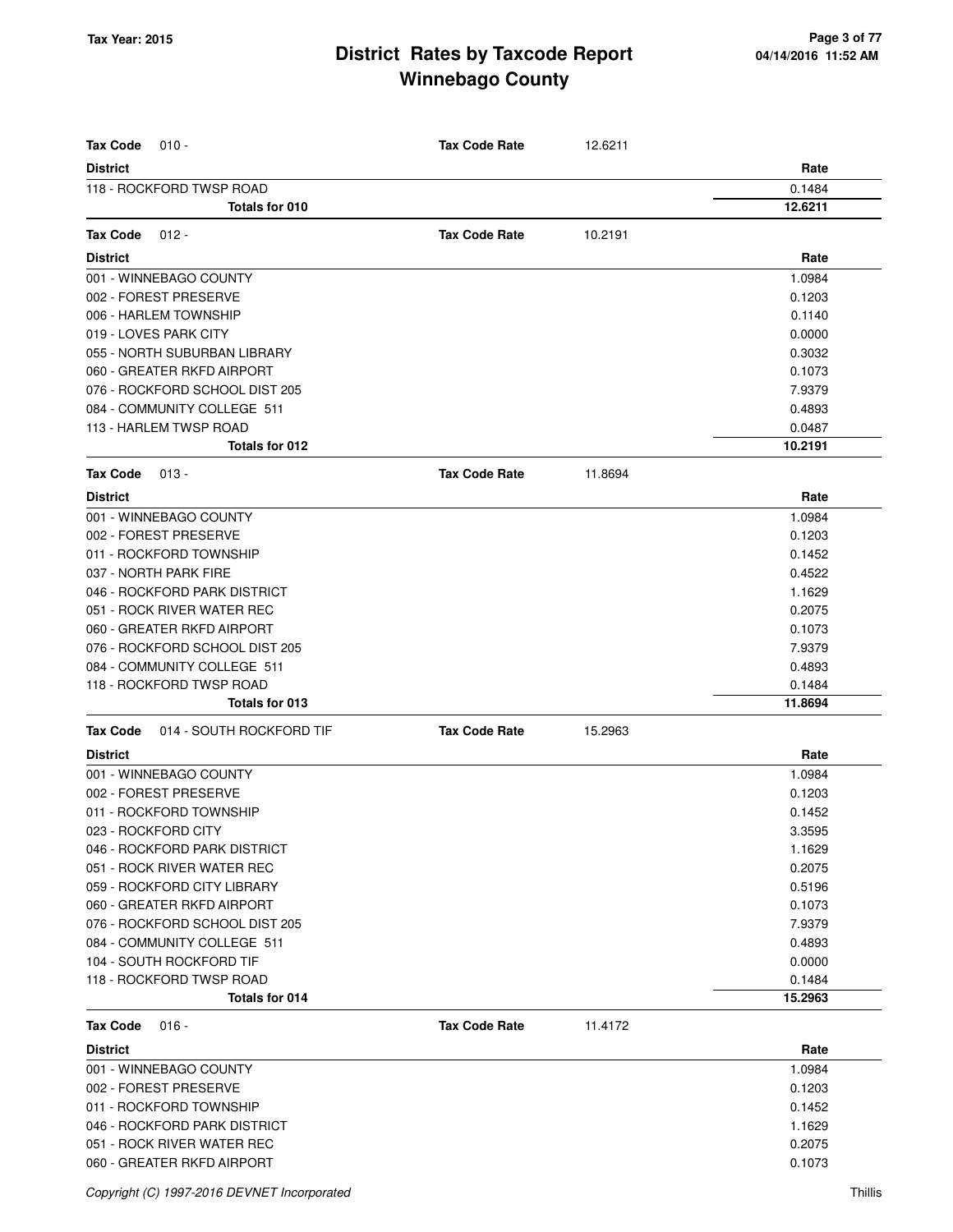| <b>Tax Code</b><br>$010 -$                  | <b>Tax Code Rate</b> | 12.6211 |                   |
|---------------------------------------------|----------------------|---------|-------------------|
| <b>District</b>                             |                      |         | Rate              |
| 118 - ROCKFORD TWSP ROAD                    |                      |         | 0.1484            |
| Totals for 010                              |                      |         | 12.6211           |
| <b>Tax Code</b><br>$012 -$                  | <b>Tax Code Rate</b> | 10.2191 |                   |
| <b>District</b>                             |                      |         | Rate              |
| 001 - WINNEBAGO COUNTY                      |                      |         | 1.0984            |
| 002 - FOREST PRESERVE                       |                      |         | 0.1203            |
| 006 - HARLEM TOWNSHIP                       |                      |         | 0.1140            |
| 019 - LOVES PARK CITY                       |                      |         | 0.0000            |
| 055 - NORTH SUBURBAN LIBRARY                |                      |         | 0.3032            |
| 060 - GREATER RKFD AIRPORT                  |                      |         | 0.1073            |
| 076 - ROCKFORD SCHOOL DIST 205              |                      |         | 7.9379            |
| 084 - COMMUNITY COLLEGE 511                 |                      |         | 0.4893            |
| 113 - HARLEM TWSP ROAD                      |                      |         | 0.0487            |
| Totals for 012                              |                      |         | 10.2191           |
| <b>Tax Code</b><br>$013 -$                  | <b>Tax Code Rate</b> | 11.8694 |                   |
| <b>District</b>                             |                      |         | Rate              |
| 001 - WINNEBAGO COUNTY                      |                      |         | 1.0984            |
| 002 - FOREST PRESERVE                       |                      |         | 0.1203            |
| 011 - ROCKFORD TOWNSHIP                     |                      |         | 0.1452            |
| 037 - NORTH PARK FIRE                       |                      |         | 0.4522            |
| 046 - ROCKFORD PARK DISTRICT                |                      |         | 1.1629            |
| 051 - ROCK RIVER WATER REC                  |                      |         | 0.2075            |
| 060 - GREATER RKFD AIRPORT                  |                      |         | 0.1073            |
| 076 - ROCKFORD SCHOOL DIST 205              |                      |         | 7.9379            |
| 084 - COMMUNITY COLLEGE 511                 |                      |         | 0.4893            |
| 118 - ROCKFORD TWSP ROAD<br>Totals for 013  |                      |         | 0.1484<br>11.8694 |
| <b>Tax Code</b><br>014 - SOUTH ROCKFORD TIF | <b>Tax Code Rate</b> | 15.2963 |                   |
|                                             |                      |         |                   |
| <b>District</b><br>001 - WINNEBAGO COUNTY   |                      |         | Rate              |
| 002 - FOREST PRESERVE                       |                      |         | 1.0984<br>0.1203  |
| 011 - ROCKFORD TOWNSHIP                     |                      |         | 0.1452            |
| 023 - ROCKFORD CITY                         |                      |         | 3.3595            |
| 046 - ROCKFORD PARK DISTRICT                |                      |         | 1.1629            |
| 051 - ROCK RIVER WATER REC                  |                      |         | 0.2075            |
| 059 - ROCKFORD CITY LIBRARY                 |                      |         | 0.5196            |
| 060 - GREATER RKFD AIRPORT                  |                      |         | 0.1073            |
| 076 - ROCKFORD SCHOOL DIST 205              |                      |         | 7.9379            |
| 084 - COMMUNITY COLLEGE 511                 |                      |         | 0.4893            |
| 104 - SOUTH ROCKFORD TIF                    |                      |         | 0.0000            |
| 118 - ROCKFORD TWSP ROAD                    |                      |         | 0.1484            |
| Totals for 014                              |                      |         | 15.2963           |
| <b>Tax Code</b><br>$016 -$                  | <b>Tax Code Rate</b> | 11.4172 |                   |
| <b>District</b>                             |                      |         | Rate              |
| 001 - WINNEBAGO COUNTY                      |                      |         | 1.0984            |
| 002 - FOREST PRESERVE                       |                      |         | 0.1203            |
| 011 - ROCKFORD TOWNSHIP                     |                      |         | 0.1452            |
| 046 - ROCKFORD PARK DISTRICT                |                      |         | 1.1629            |
| 051 - ROCK RIVER WATER REC                  |                      |         | 0.2075            |
| 060 - GREATER RKFD AIRPORT                  |                      |         | 0.1073            |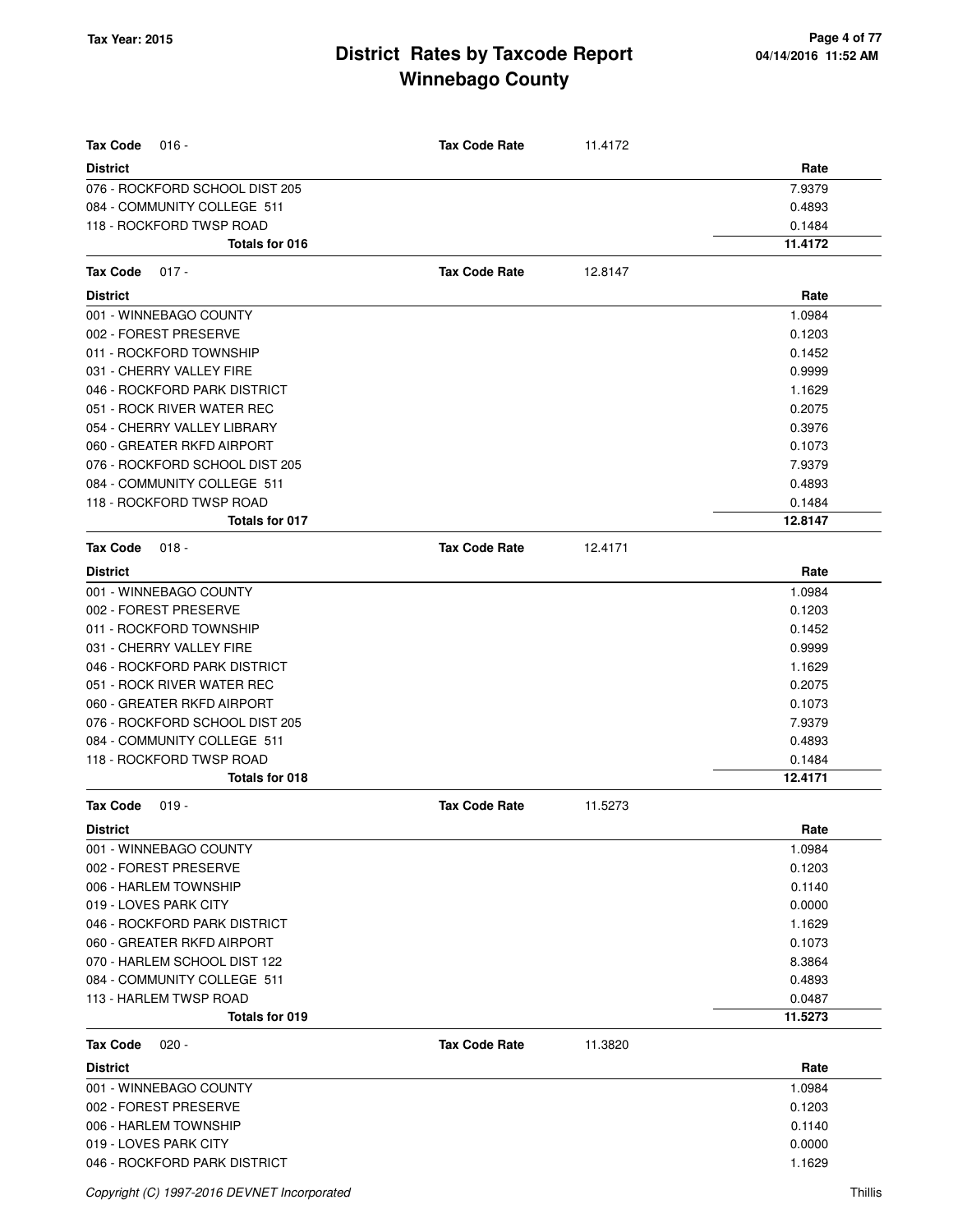| <b>Tax Code</b><br>$016 -$                                    | <b>Tax Code Rate</b> | 11.4172 |                  |
|---------------------------------------------------------------|----------------------|---------|------------------|
|                                                               |                      |         |                  |
| <b>District</b><br>076 - ROCKFORD SCHOOL DIST 205             |                      |         | Rate<br>7.9379   |
| 084 - COMMUNITY COLLEGE 511                                   |                      |         | 0.4893           |
| 118 - ROCKFORD TWSP ROAD                                      |                      |         | 0.1484           |
| Totals for 016                                                |                      |         | 11.4172          |
|                                                               |                      |         |                  |
| <b>Tax Code</b><br>$017 -$                                    | <b>Tax Code Rate</b> | 12.8147 |                  |
| <b>District</b>                                               |                      |         | Rate             |
| 001 - WINNEBAGO COUNTY                                        |                      |         | 1.0984           |
| 002 - FOREST PRESERVE                                         |                      |         | 0.1203           |
| 011 - ROCKFORD TOWNSHIP                                       |                      |         | 0.1452           |
| 031 - CHERRY VALLEY FIRE                                      |                      |         | 0.9999           |
| 046 - ROCKFORD PARK DISTRICT                                  |                      |         | 1.1629           |
| 051 - ROCK RIVER WATER REC<br>054 - CHERRY VALLEY LIBRARY     |                      |         | 0.2075<br>0.3976 |
|                                                               |                      |         |                  |
| 060 - GREATER RKFD AIRPORT                                    |                      |         | 0.1073           |
| 076 - ROCKFORD SCHOOL DIST 205<br>084 - COMMUNITY COLLEGE 511 |                      |         | 7.9379<br>0.4893 |
| 118 - ROCKFORD TWSP ROAD                                      |                      |         | 0.1484           |
| Totals for 017                                                |                      |         | 12.8147          |
| <b>Tax Code</b><br>$018 -$                                    | <b>Tax Code Rate</b> | 12.4171 |                  |
| <b>District</b>                                               |                      |         | Rate             |
| 001 - WINNEBAGO COUNTY                                        |                      |         | 1.0984           |
| 002 - FOREST PRESERVE                                         |                      |         | 0.1203           |
| 011 - ROCKFORD TOWNSHIP                                       |                      |         | 0.1452           |
| 031 - CHERRY VALLEY FIRE                                      |                      |         | 0.9999           |
| 046 - ROCKFORD PARK DISTRICT                                  |                      |         | 1.1629           |
| 051 - ROCK RIVER WATER REC                                    |                      |         | 0.2075           |
| 060 - GREATER RKFD AIRPORT                                    |                      |         | 0.1073           |
| 076 - ROCKFORD SCHOOL DIST 205                                |                      |         | 7.9379           |
| 084 - COMMUNITY COLLEGE 511                                   |                      |         | 0.4893           |
| 118 - ROCKFORD TWSP ROAD                                      |                      |         | 0.1484           |
| Totals for 018                                                |                      |         | 12.4171          |
| Tax Code<br>$019 -$                                           | <b>Tax Code Rate</b> | 11.5273 |                  |
| <b>District</b>                                               |                      |         | Rate             |
| 001 - WINNEBAGO COUNTY                                        |                      |         | 1.0984           |
| 002 - FOREST PRESERVE                                         |                      |         | 0.1203           |
| 006 - HARLEM TOWNSHIP                                         |                      |         | 0.1140           |
| 019 - LOVES PARK CITY                                         |                      |         | 0.0000           |
| 046 - ROCKFORD PARK DISTRICT                                  |                      |         | 1.1629           |
| 060 - GREATER RKFD AIRPORT                                    |                      |         | 0.1073           |
| 070 - HARLEM SCHOOL DIST 122                                  |                      |         | 8.3864           |
| 084 - COMMUNITY COLLEGE 511                                   |                      |         | 0.4893           |
| 113 - HARLEM TWSP ROAD                                        |                      |         | 0.0487           |
| Totals for 019                                                |                      |         | 11.5273          |
| <b>Tax Code</b><br>$020 -$                                    | <b>Tax Code Rate</b> | 11.3820 |                  |
| <b>District</b>                                               |                      |         | Rate             |
| 001 - WINNEBAGO COUNTY                                        |                      |         | 1.0984           |
| 002 - FOREST PRESERVE                                         |                      |         | 0.1203           |
| 006 - HARLEM TOWNSHIP                                         |                      |         | 0.1140           |
| 019 - LOVES PARK CITY                                         |                      |         | 0.0000           |
| 046 - ROCKFORD PARK DISTRICT                                  |                      |         | 1.1629           |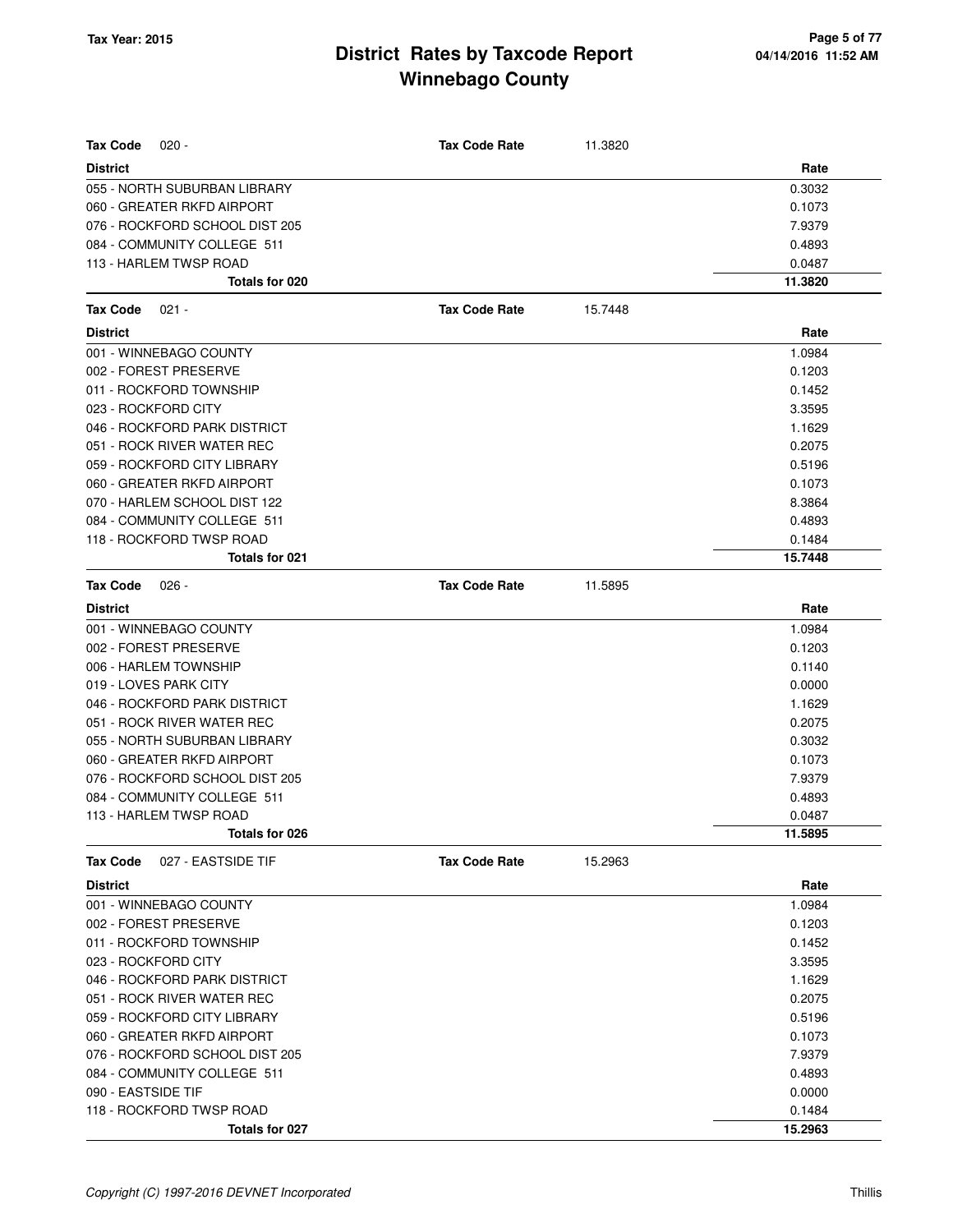| Tax Code<br>$020 -$                   | <b>Tax Code Rate</b> | 11.3820 |         |
|---------------------------------------|----------------------|---------|---------|
| <b>District</b>                       |                      |         | Rate    |
| 055 - NORTH SUBURBAN LIBRARY          |                      |         | 0.3032  |
| 060 - GREATER RKFD AIRPORT            |                      |         | 0.1073  |
| 076 - ROCKFORD SCHOOL DIST 205        |                      |         | 7.9379  |
| 084 - COMMUNITY COLLEGE 511           |                      |         | 0.4893  |
| 113 - HARLEM TWSP ROAD                |                      |         | 0.0487  |
| Totals for 020                        |                      |         | 11.3820 |
| $021 -$<br><b>Tax Code</b>            | <b>Tax Code Rate</b> | 15.7448 |         |
| <b>District</b>                       |                      |         | Rate    |
| 001 - WINNEBAGO COUNTY                |                      |         | 1.0984  |
| 002 - FOREST PRESERVE                 |                      |         | 0.1203  |
| 011 - ROCKFORD TOWNSHIP               |                      |         | 0.1452  |
| 023 - ROCKFORD CITY                   |                      |         | 3.3595  |
| 046 - ROCKFORD PARK DISTRICT          |                      |         | 1.1629  |
| 051 - ROCK RIVER WATER REC            |                      |         | 0.2075  |
| 059 - ROCKFORD CITY LIBRARY           |                      |         | 0.5196  |
| 060 - GREATER RKFD AIRPORT            |                      |         | 0.1073  |
| 070 - HARLEM SCHOOL DIST 122          |                      |         | 8.3864  |
| 084 - COMMUNITY COLLEGE 511           |                      |         | 0.4893  |
| 118 - ROCKFORD TWSP ROAD              |                      |         | 0.1484  |
| Totals for 021                        |                      |         | 15.7448 |
| <b>Tax Code</b><br>$026 -$            | <b>Tax Code Rate</b> | 11.5895 |         |
| <b>District</b>                       |                      |         | Rate    |
| 001 - WINNEBAGO COUNTY                |                      |         | 1.0984  |
| 002 - FOREST PRESERVE                 |                      |         | 0.1203  |
| 006 - HARLEM TOWNSHIP                 |                      |         | 0.1140  |
| 019 - LOVES PARK CITY                 |                      |         | 0.0000  |
| 046 - ROCKFORD PARK DISTRICT          |                      |         | 1.1629  |
| 051 - ROCK RIVER WATER REC            |                      |         | 0.2075  |
| 055 - NORTH SUBURBAN LIBRARY          |                      |         | 0.3032  |
| 060 - GREATER RKFD AIRPORT            |                      |         | 0.1073  |
| 076 - ROCKFORD SCHOOL DIST 205        |                      |         | 7.9379  |
| 084 - COMMUNITY COLLEGE 511           |                      |         | 0.4893  |
| 113 - HARLEM TWSP ROAD                |                      |         | 0.0487  |
| Totals for 026                        |                      |         | 11.5895 |
| <b>Tax Code</b><br>027 - EASTSIDE TIF | <b>Tax Code Rate</b> | 15.2963 |         |
| <b>District</b>                       |                      |         | Rate    |
| 001 - WINNEBAGO COUNTY                |                      |         | 1.0984  |
| 002 - FOREST PRESERVE                 |                      |         | 0.1203  |
| 011 - ROCKFORD TOWNSHIP               |                      |         | 0.1452  |
| 023 - ROCKFORD CITY                   |                      |         | 3.3595  |
| 046 - ROCKFORD PARK DISTRICT          |                      |         | 1.1629  |
| 051 - ROCK RIVER WATER REC            |                      |         | 0.2075  |
| 059 - ROCKFORD CITY LIBRARY           |                      |         | 0.5196  |
| 060 - GREATER RKFD AIRPORT            |                      |         | 0.1073  |
| 076 - ROCKFORD SCHOOL DIST 205        |                      |         | 7.9379  |
| 084 - COMMUNITY COLLEGE 511           |                      |         | 0.4893  |
| 090 - EASTSIDE TIF                    |                      |         | 0.0000  |
| 118 - ROCKFORD TWSP ROAD              |                      |         | 0.1484  |
| Totals for 027                        |                      |         | 15.2963 |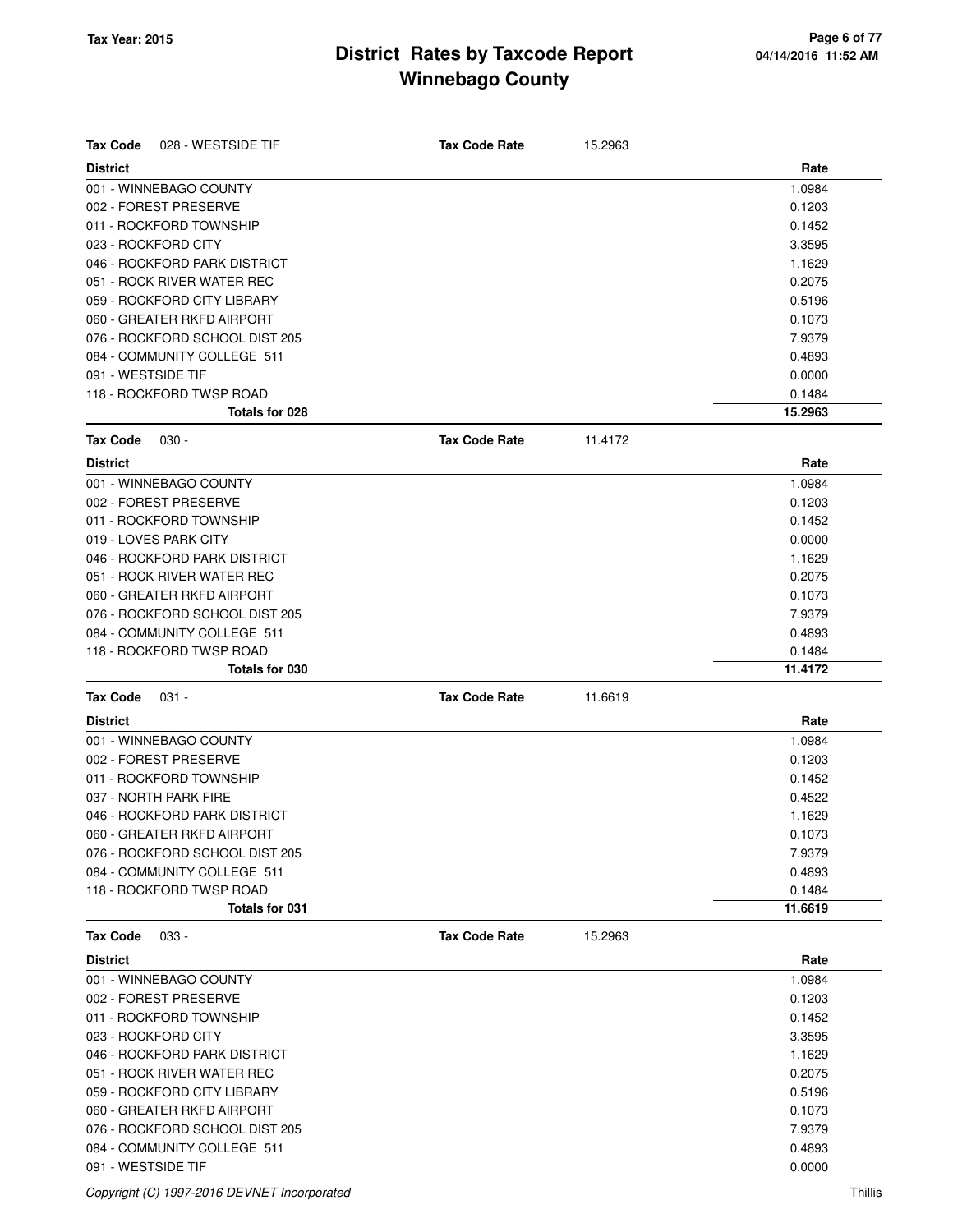| <b>Tax Code</b><br>028 - WESTSIDE TIF | <b>Tax Code Rate</b> | 15.2963 |         |
|---------------------------------------|----------------------|---------|---------|
| <b>District</b>                       |                      |         | Rate    |
| 001 - WINNEBAGO COUNTY                |                      |         | 1.0984  |
| 002 - FOREST PRESERVE                 |                      |         | 0.1203  |
| 011 - ROCKFORD TOWNSHIP               |                      |         | 0.1452  |
| 023 - ROCKFORD CITY                   |                      |         | 3.3595  |
| 046 - ROCKFORD PARK DISTRICT          |                      |         | 1.1629  |
| 051 - ROCK RIVER WATER REC            |                      |         | 0.2075  |
| 059 - ROCKFORD CITY LIBRARY           |                      |         | 0.5196  |
| 060 - GREATER RKFD AIRPORT            |                      |         | 0.1073  |
| 076 - ROCKFORD SCHOOL DIST 205        |                      |         | 7.9379  |
| 084 - COMMUNITY COLLEGE 511           |                      |         | 0.4893  |
| 091 - WESTSIDE TIF                    |                      |         | 0.0000  |
| 118 - ROCKFORD TWSP ROAD              |                      |         | 0.1484  |
| <b>Totals for 028</b>                 |                      |         | 15.2963 |
| Tax Code<br>$030 -$                   | <b>Tax Code Rate</b> | 11.4172 |         |
| <b>District</b>                       |                      |         | Rate    |
| 001 - WINNEBAGO COUNTY                |                      |         | 1.0984  |
| 002 - FOREST PRESERVE                 |                      |         | 0.1203  |
| 011 - ROCKFORD TOWNSHIP               |                      |         | 0.1452  |
| 019 - LOVES PARK CITY                 |                      |         | 0.0000  |
| 046 - ROCKFORD PARK DISTRICT          |                      |         | 1.1629  |
| 051 - ROCK RIVER WATER REC            |                      |         | 0.2075  |
| 060 - GREATER RKFD AIRPORT            |                      |         | 0.1073  |
| 076 - ROCKFORD SCHOOL DIST 205        |                      |         | 7.9379  |
| 084 - COMMUNITY COLLEGE 511           |                      |         | 0.4893  |
| 118 - ROCKFORD TWSP ROAD              |                      |         | 0.1484  |
| Totals for 030                        |                      |         | 11.4172 |
| Tax Code<br>$031 -$                   | <b>Tax Code Rate</b> | 11.6619 |         |
|                                       |                      |         |         |
| District                              |                      |         | Rate    |
| 001 - WINNEBAGO COUNTY                |                      |         | 1.0984  |
| 002 - FOREST PRESERVE                 |                      |         | 0.1203  |
| 011 - ROCKFORD TOWNSHIP               |                      |         | 0.1452  |
| 037 - NORTH PARK FIRE                 |                      |         | 0.4522  |
| 046 - ROCKFORD PARK DISTRICT          |                      |         | 1.1629  |
| 060 - GREATER RKFD AIRPORT            |                      |         | 0.1073  |
| 076 - ROCKFORD SCHOOL DIST 205        |                      |         | 7.9379  |
| 084 - COMMUNITY COLLEGE 511           |                      |         | 0.4893  |
| 118 - ROCKFORD TWSP ROAD              |                      |         | 0.1484  |
| Totals for 031                        |                      |         | 11.6619 |
| Tax Code<br>033 -                     | <b>Tax Code Rate</b> | 15.2963 |         |
| District                              |                      |         | Rate    |
| 001 - WINNEBAGO COUNTY                |                      |         | 1.0984  |
| 002 - FOREST PRESERVE                 |                      |         | 0.1203  |
| 011 - ROCKFORD TOWNSHIP               |                      |         | 0.1452  |
| 023 - ROCKFORD CITY                   |                      |         | 3.3595  |
| 046 - ROCKFORD PARK DISTRICT          |                      |         | 1.1629  |
| 051 - ROCK RIVER WATER REC            |                      |         | 0.2075  |
| 059 - ROCKFORD CITY LIBRARY           |                      |         | 0.5196  |
| 060 - GREATER RKFD AIRPORT            |                      |         | 0.1073  |
| 076 - ROCKFORD SCHOOL DIST 205        |                      |         | 7.9379  |
| 084 - COMMUNITY COLLEGE 511           |                      |         | 0.4893  |

Copyright (C) 1997-2016 DEVNET Incorporated Thillis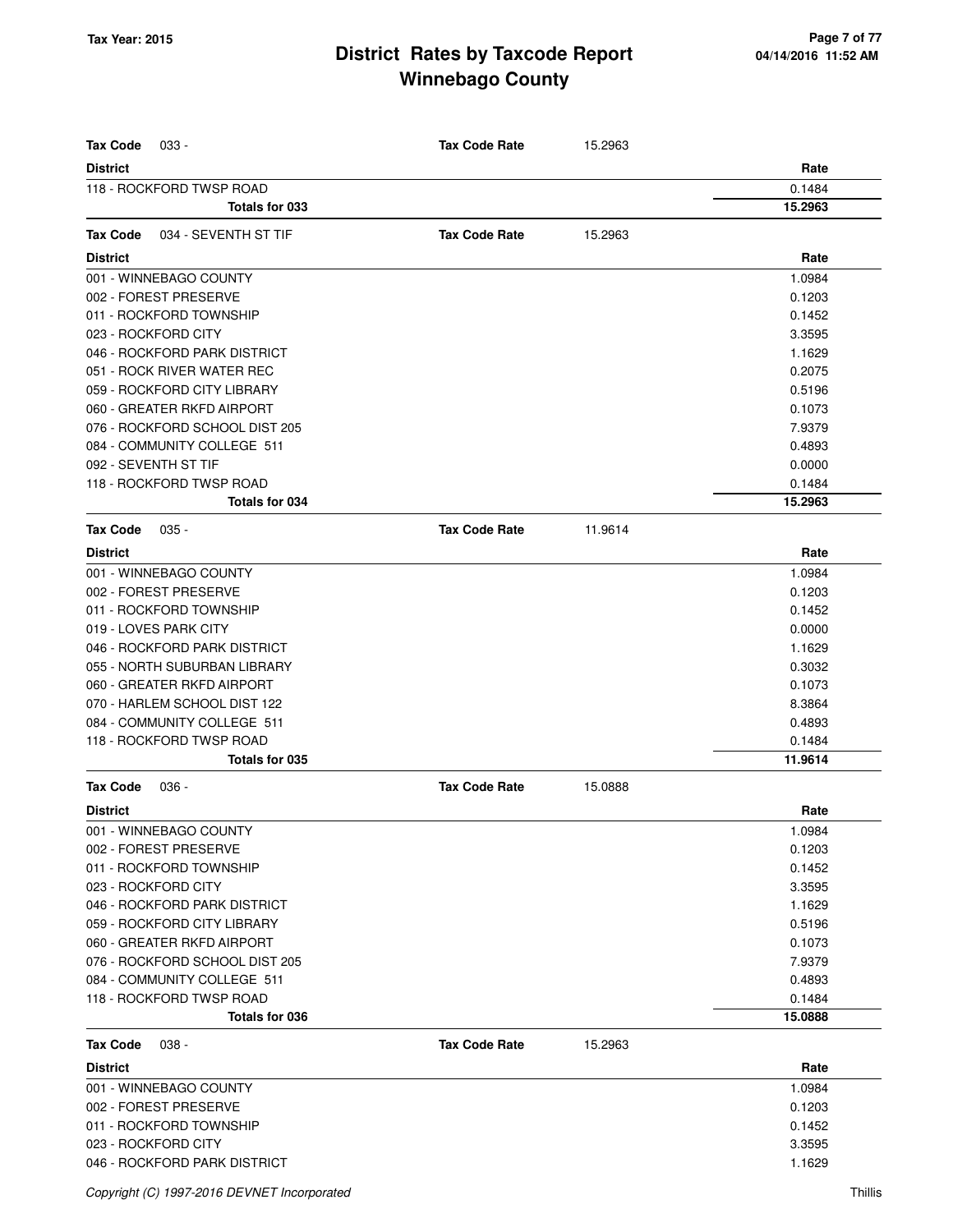| <b>Tax Code</b><br>033 -                  | <b>Tax Code Rate</b> | 15.2963 |                |
|-------------------------------------------|----------------------|---------|----------------|
| <b>District</b>                           |                      |         | Rate           |
| 118 - ROCKFORD TWSP ROAD                  |                      |         | 0.1484         |
| Totals for 033                            |                      |         | 15.2963        |
|                                           |                      |         |                |
| <b>Tax Code</b><br>034 - SEVENTH ST TIF   | <b>Tax Code Rate</b> | 15.2963 |                |
| <b>District</b>                           |                      |         | Rate           |
| 001 - WINNEBAGO COUNTY                    |                      |         | 1.0984         |
| 002 - FOREST PRESERVE                     |                      |         | 0.1203         |
| 011 - ROCKFORD TOWNSHIP                   |                      |         | 0.1452         |
| 023 - ROCKFORD CITY                       |                      |         | 3.3595         |
| 046 - ROCKFORD PARK DISTRICT              |                      |         | 1.1629         |
| 051 - ROCK RIVER WATER REC                |                      |         | 0.2075         |
| 059 - ROCKFORD CITY LIBRARY               |                      |         | 0.5196         |
| 060 - GREATER RKFD AIRPORT                |                      |         | 0.1073         |
| 076 - ROCKFORD SCHOOL DIST 205            |                      |         | 7.9379         |
| 084 - COMMUNITY COLLEGE 511               |                      |         | 0.4893         |
| 092 - SEVENTH ST TIF                      |                      |         | 0.0000         |
| 118 - ROCKFORD TWSP ROAD                  |                      |         | 0.1484         |
| Totals for 034                            |                      |         | 15.2963        |
| <b>Tax Code</b><br>$035 -$                | <b>Tax Code Rate</b> | 11.9614 |                |
| <b>District</b>                           |                      |         | Rate           |
| 001 - WINNEBAGO COUNTY                    |                      |         | 1.0984         |
| 002 - FOREST PRESERVE                     |                      |         | 0.1203         |
| 011 - ROCKFORD TOWNSHIP                   |                      |         | 0.1452         |
| 019 - LOVES PARK CITY                     |                      |         | 0.0000         |
| 046 - ROCKFORD PARK DISTRICT              |                      |         | 1.1629         |
| 055 - NORTH SUBURBAN LIBRARY              |                      |         | 0.3032         |
| 060 - GREATER RKFD AIRPORT                |                      |         | 0.1073         |
| 070 - HARLEM SCHOOL DIST 122              |                      |         | 8.3864         |
| 084 - COMMUNITY COLLEGE 511               |                      |         | 0.4893         |
| 118 - ROCKFORD TWSP ROAD                  |                      |         | 0.1484         |
| Totals for 035                            |                      |         | 11.9614        |
| <b>Tax Code</b><br>$036 -$                | <b>Tax Code Rate</b> | 15.0888 |                |
| <b>District</b>                           |                      |         | Rate           |
| 001 - WINNEBAGO COUNTY                    |                      |         | 1.0984         |
| 002 - FOREST PRESERVE                     |                      |         | 0.1203         |
| 011 - ROCKFORD TOWNSHIP                   |                      |         | 0.1452         |
| 023 - ROCKFORD CITY                       |                      |         | 3.3595         |
| 046 - ROCKFORD PARK DISTRICT              |                      |         | 1.1629         |
| 059 - ROCKFORD CITY LIBRARY               |                      |         | 0.5196         |
| 060 - GREATER RKFD AIRPORT                |                      |         | 0.1073         |
| 076 - ROCKFORD SCHOOL DIST 205            |                      |         | 7.9379         |
| 084 - COMMUNITY COLLEGE 511               |                      |         | 0.4893         |
| 118 - ROCKFORD TWSP ROAD                  |                      |         | 0.1484         |
| Totals for 036                            |                      |         | 15.0888        |
| <b>Tax Code</b><br>$038 -$                | <b>Tax Code Rate</b> | 15.2963 |                |
|                                           |                      |         |                |
| <b>District</b><br>001 - WINNEBAGO COUNTY |                      |         | Rate<br>1.0984 |
| 002 - FOREST PRESERVE                     |                      |         | 0.1203         |
| 011 - ROCKFORD TOWNSHIP                   |                      |         |                |
|                                           |                      |         | 0.1452         |
| 023 - ROCKFORD CITY                       |                      |         | 3.3595         |
| 046 - ROCKFORD PARK DISTRICT              |                      |         | 1.1629         |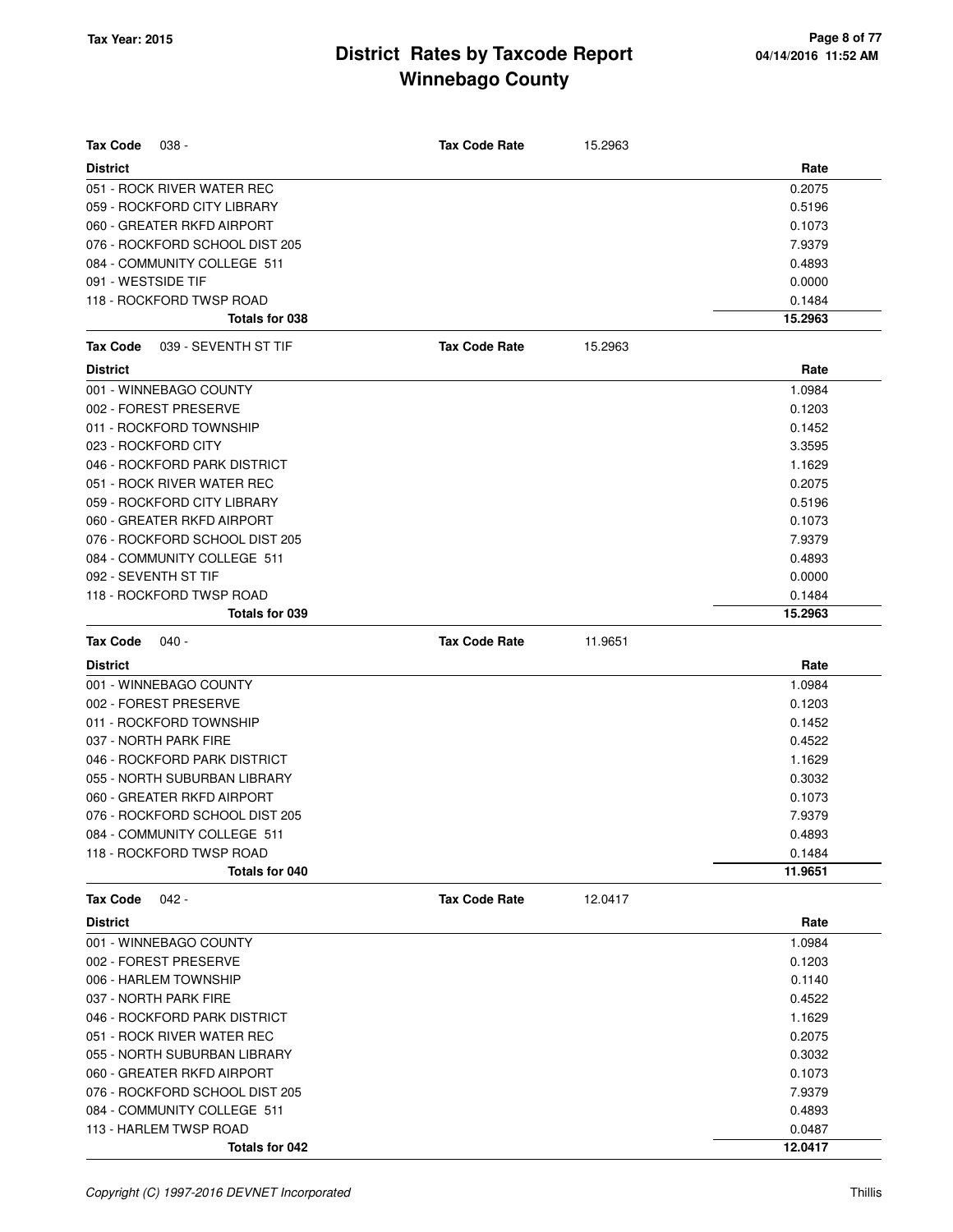| Tax Code<br>038 -                | <b>Tax Code Rate</b> | 15.2963 |         |
|----------------------------------|----------------------|---------|---------|
| <b>District</b>                  |                      |         | Rate    |
| 051 - ROCK RIVER WATER REC       |                      |         | 0.2075  |
| 059 - ROCKFORD CITY LIBRARY      |                      |         | 0.5196  |
| 060 - GREATER RKFD AIRPORT       |                      |         | 0.1073  |
| 076 - ROCKFORD SCHOOL DIST 205   |                      |         | 7.9379  |
| 084 - COMMUNITY COLLEGE 511      |                      |         | 0.4893  |
| 091 - WESTSIDE TIF               |                      |         | 0.0000  |
| 118 - ROCKFORD TWSP ROAD         |                      |         | 0.1484  |
| Totals for 038                   |                      |         | 15.2963 |
| 039 - SEVENTH ST TIF<br>Tax Code | <b>Tax Code Rate</b> | 15.2963 |         |
| <b>District</b>                  |                      |         | Rate    |
| 001 - WINNEBAGO COUNTY           |                      |         | 1.0984  |
| 002 - FOREST PRESERVE            |                      |         | 0.1203  |
| 011 - ROCKFORD TOWNSHIP          |                      |         | 0.1452  |
| 023 - ROCKFORD CITY              |                      |         | 3.3595  |
| 046 - ROCKFORD PARK DISTRICT     |                      |         | 1.1629  |
| 051 - ROCK RIVER WATER REC       |                      |         | 0.2075  |
| 059 - ROCKFORD CITY LIBRARY      |                      |         | 0.5196  |
| 060 - GREATER RKFD AIRPORT       |                      |         | 0.1073  |
| 076 - ROCKFORD SCHOOL DIST 205   |                      |         | 7.9379  |
| 084 - COMMUNITY COLLEGE 511      |                      |         | 0.4893  |
| 092 - SEVENTH ST TIF             |                      |         | 0.0000  |
| 118 - ROCKFORD TWSP ROAD         |                      |         | 0.1484  |
| Totals for 039                   |                      |         | 15.2963 |
| <b>Tax Code</b><br>$040 -$       | <b>Tax Code Rate</b> | 11.9651 |         |
| <b>District</b>                  |                      |         | Rate    |
| 001 - WINNEBAGO COUNTY           |                      |         | 1.0984  |
| 002 - FOREST PRESERVE            |                      |         | 0.1203  |
| 011 - ROCKFORD TOWNSHIP          |                      |         | 0.1452  |
| 037 - NORTH PARK FIRE            |                      |         | 0.4522  |
| 046 - ROCKFORD PARK DISTRICT     |                      |         | 1.1629  |
| 055 - NORTH SUBURBAN LIBRARY     |                      |         | 0.3032  |
| 060 - GREATER RKFD AIRPORT       |                      |         | 0.1073  |
| 076 - ROCKFORD SCHOOL DIST 205   |                      |         | 7.9379  |
| 084 - COMMUNITY COLLEGE 511      |                      |         | 0.4893  |
| 118 - ROCKFORD TWSP ROAD         |                      |         | 0.1484  |
| Totals for 040                   |                      |         | 11.9651 |
| <b>Tax Code</b><br>042 -         | <b>Tax Code Rate</b> | 12.0417 |         |
| <b>District</b>                  |                      |         | Rate    |
| 001 - WINNEBAGO COUNTY           |                      |         | 1.0984  |
| 002 - FOREST PRESERVE            |                      |         | 0.1203  |
| 006 - HARLEM TOWNSHIP            |                      |         | 0.1140  |
| 037 - NORTH PARK FIRE            |                      |         | 0.4522  |
| 046 - ROCKFORD PARK DISTRICT     |                      |         | 1.1629  |
| 051 - ROCK RIVER WATER REC       |                      |         | 0.2075  |
| 055 - NORTH SUBURBAN LIBRARY     |                      |         | 0.3032  |
| 060 - GREATER RKFD AIRPORT       |                      |         | 0.1073  |
| 076 - ROCKFORD SCHOOL DIST 205   |                      |         | 7.9379  |
| 084 - COMMUNITY COLLEGE 511      |                      |         | 0.4893  |
| 113 - HARLEM TWSP ROAD           |                      |         | 0.0487  |
| Totals for 042                   |                      |         | 12.0417 |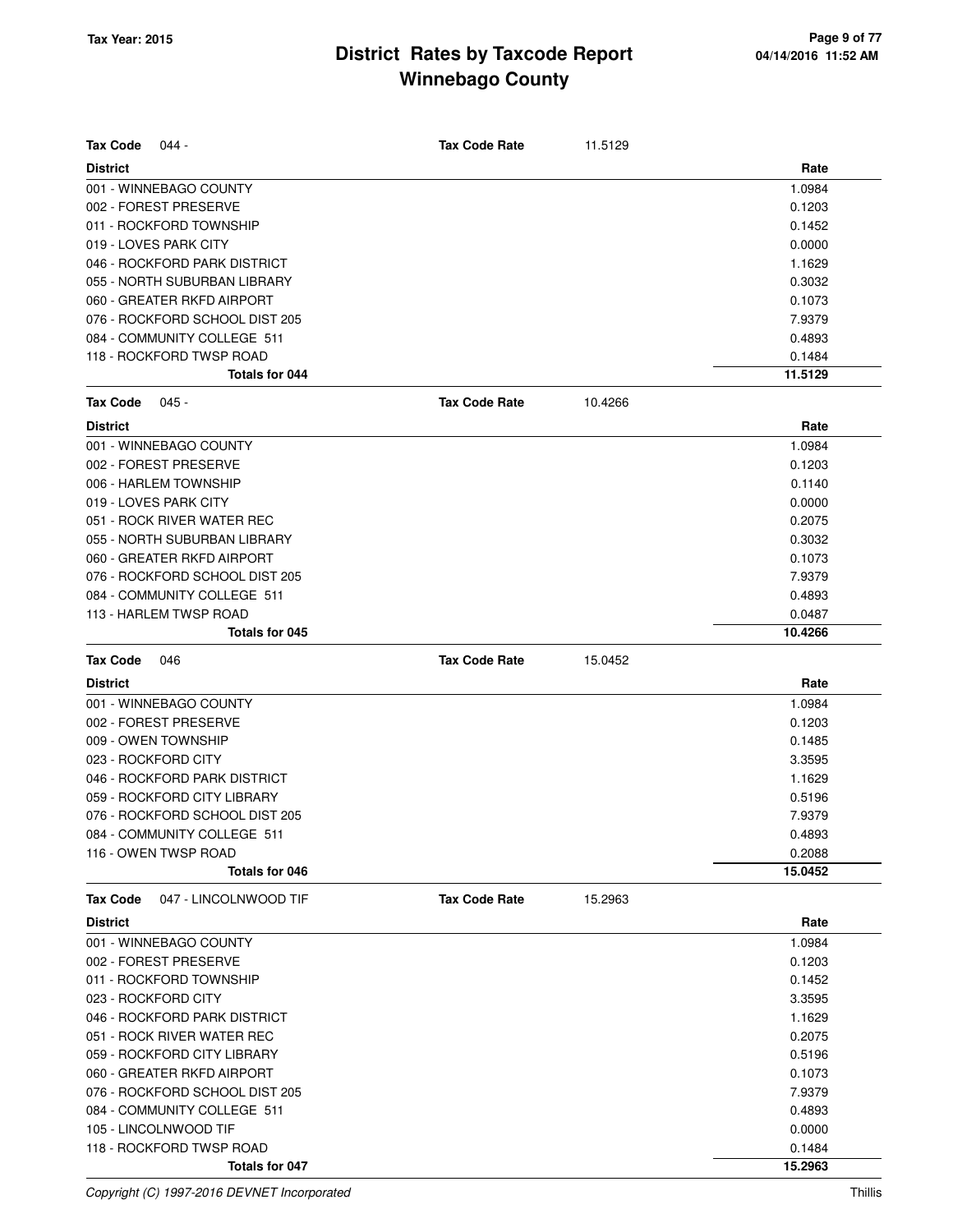| <b>Tax Code</b><br>$044 -$                 | <b>Tax Code Rate</b> | 11.5129 |                   |
|--------------------------------------------|----------------------|---------|-------------------|
| <b>District</b>                            |                      |         | Rate              |
| 001 - WINNEBAGO COUNTY                     |                      |         | 1.0984            |
| 002 - FOREST PRESERVE                      |                      |         | 0.1203            |
| 011 - ROCKFORD TOWNSHIP                    |                      |         | 0.1452            |
| 019 - LOVES PARK CITY                      |                      |         | 0.0000            |
| 046 - ROCKFORD PARK DISTRICT               |                      |         | 1.1629            |
| 055 - NORTH SUBURBAN LIBRARY               |                      |         | 0.3032            |
| 060 - GREATER RKFD AIRPORT                 |                      |         | 0.1073            |
| 076 - ROCKFORD SCHOOL DIST 205             |                      |         | 7.9379            |
| 084 - COMMUNITY COLLEGE 511                |                      |         | 0.4893            |
| 118 - ROCKFORD TWSP ROAD                   |                      |         | 0.1484            |
| Totals for 044                             |                      |         | 11.5129           |
| <b>Tax Code</b><br>$045 -$                 | <b>Tax Code Rate</b> | 10.4266 |                   |
| <b>District</b>                            |                      |         | Rate              |
| 001 - WINNEBAGO COUNTY                     |                      |         | 1.0984            |
| 002 - FOREST PRESERVE                      |                      |         | 0.1203            |
| 006 - HARLEM TOWNSHIP                      |                      |         | 0.1140            |
| 019 - LOVES PARK CITY                      |                      |         | 0.0000            |
| 051 - ROCK RIVER WATER REC                 |                      |         | 0.2075            |
| 055 - NORTH SUBURBAN LIBRARY               |                      |         | 0.3032            |
| 060 - GREATER RKFD AIRPORT                 |                      |         | 0.1073            |
| 076 - ROCKFORD SCHOOL DIST 205             |                      |         | 7.9379            |
| 084 - COMMUNITY COLLEGE 511                |                      |         | 0.4893            |
| 113 - HARLEM TWSP ROAD                     |                      |         | 0.0487            |
| Totals for 045                             |                      |         | 10.4266           |
| <b>Tax Code</b><br>046                     | <b>Tax Code Rate</b> | 15.0452 |                   |
|                                            |                      |         |                   |
| <b>District</b>                            |                      |         | Rate              |
| 001 - WINNEBAGO COUNTY                     |                      |         | 1.0984            |
| 002 - FOREST PRESERVE                      |                      |         | 0.1203            |
| 009 - OWEN TOWNSHIP                        |                      |         | 0.1485            |
| 023 - ROCKFORD CITY                        |                      |         | 3.3595            |
| 046 - ROCKFORD PARK DISTRICT               |                      |         | 1.1629            |
| 059 - ROCKFORD CITY LIBRARY                |                      |         | 0.5196            |
| 076 - ROCKFORD SCHOOL DIST 205             |                      |         | 7.9379            |
| 084 - COMMUNITY COLLEGE 511                |                      |         | 0.4893            |
| 116 - OWEN TWSP ROAD                       |                      |         | 0.2088            |
| Totals for 046                             |                      |         | 15.0452           |
| <b>Tax Code</b><br>047 - LINCOLNWOOD TIF   | <b>Tax Code Rate</b> | 15.2963 |                   |
| <b>District</b>                            |                      |         | Rate              |
| 001 - WINNEBAGO COUNTY                     |                      |         | 1.0984            |
| 002 - FOREST PRESERVE                      |                      |         | 0.1203            |
| 011 - ROCKFORD TOWNSHIP                    |                      |         | 0.1452            |
| 023 - ROCKFORD CITY                        |                      |         | 3.3595            |
| 046 - ROCKFORD PARK DISTRICT               |                      |         | 1.1629            |
| 051 - ROCK RIVER WATER REC                 |                      |         | 0.2075            |
| 059 - ROCKFORD CITY LIBRARY                |                      |         | 0.5196            |
| 060 - GREATER RKFD AIRPORT                 |                      |         | 0.1073            |
| 076 - ROCKFORD SCHOOL DIST 205             |                      |         | 7.9379            |
| 084 - COMMUNITY COLLEGE 511                |                      |         | 0.4893            |
| 105 - LINCOLNWOOD TIF                      |                      |         | 0.0000            |
| 118 - ROCKFORD TWSP ROAD<br>Totals for 047 |                      |         | 0.1484<br>15.2963 |

Copyright (C) 1997-2016 DEVNET Incorporated Thillis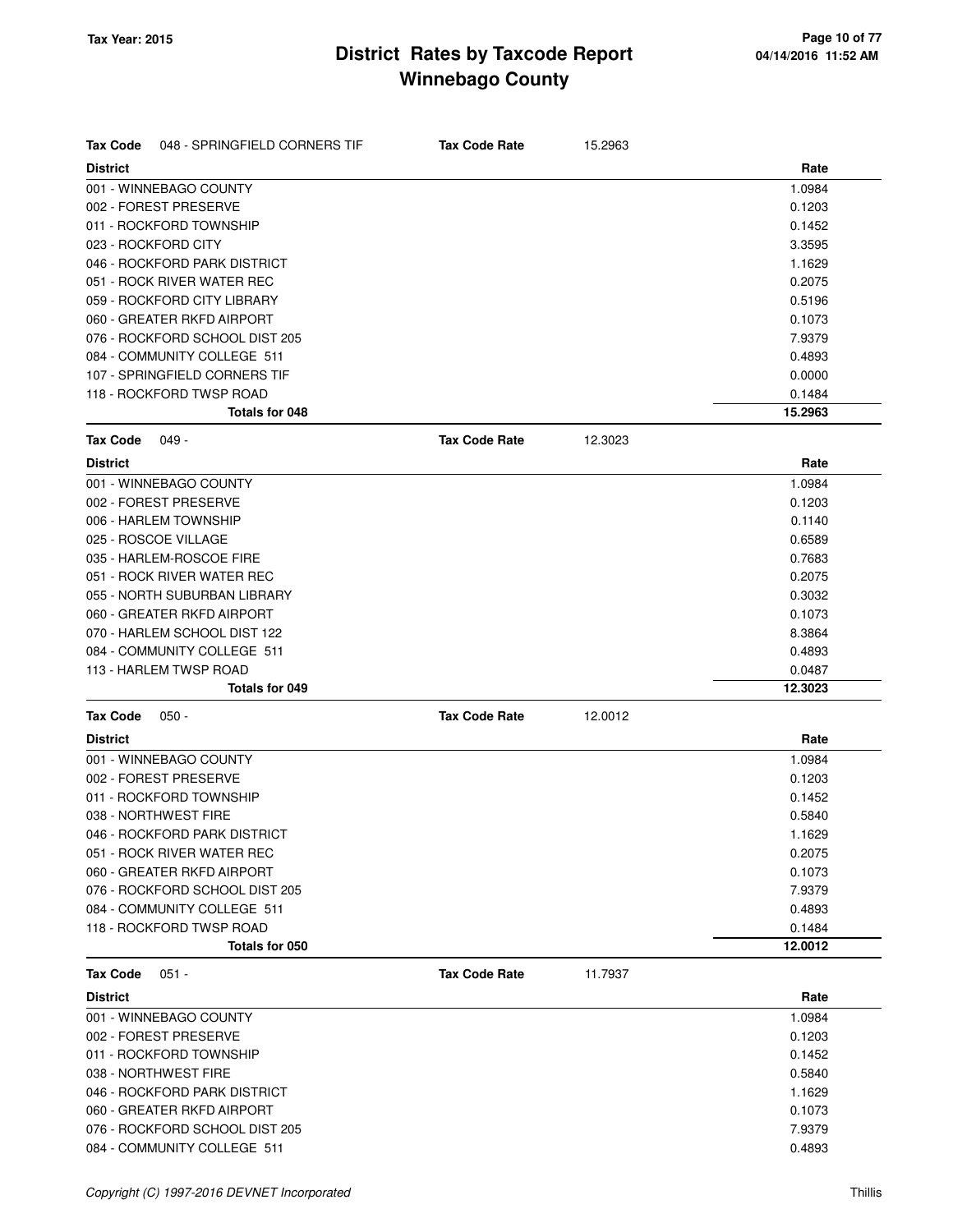| <b>Tax Code</b> | 048 - SPRINGFIELD CORNERS TIF  | <b>Tax Code Rate</b> | 15.2963 |         |
|-----------------|--------------------------------|----------------------|---------|---------|
| <b>District</b> |                                |                      |         | Rate    |
|                 | 001 - WINNEBAGO COUNTY         |                      |         | 1.0984  |
|                 | 002 - FOREST PRESERVE          |                      |         | 0.1203  |
|                 | 011 - ROCKFORD TOWNSHIP        |                      |         | 0.1452  |
|                 | 023 - ROCKFORD CITY            |                      |         | 3.3595  |
|                 | 046 - ROCKFORD PARK DISTRICT   |                      |         | 1.1629  |
|                 | 051 - ROCK RIVER WATER REC     |                      |         | 0.2075  |
|                 | 059 - ROCKFORD CITY LIBRARY    |                      |         | 0.5196  |
|                 | 060 - GREATER RKFD AIRPORT     |                      |         | 0.1073  |
|                 | 076 - ROCKFORD SCHOOL DIST 205 |                      |         | 7.9379  |
|                 | 084 - COMMUNITY COLLEGE 511    |                      |         | 0.4893  |
|                 | 107 - SPRINGFIELD CORNERS TIF  |                      |         | 0.0000  |
|                 | 118 - ROCKFORD TWSP ROAD       |                      |         | 0.1484  |
|                 | Totals for 048                 |                      |         | 15.2963 |
| <b>Tax Code</b> | 049 -                          | <b>Tax Code Rate</b> | 12.3023 |         |
| <b>District</b> |                                |                      |         | Rate    |
|                 | 001 - WINNEBAGO COUNTY         |                      |         | 1.0984  |
|                 | 002 - FOREST PRESERVE          |                      |         | 0.1203  |
|                 | 006 - HARLEM TOWNSHIP          |                      |         | 0.1140  |
|                 | 025 - ROSCOE VILLAGE           |                      |         | 0.6589  |
|                 | 035 - HARLEM-ROSCOE FIRE       |                      |         | 0.7683  |
|                 | 051 - ROCK RIVER WATER REC     |                      |         | 0.2075  |
|                 | 055 - NORTH SUBURBAN LIBRARY   |                      |         | 0.3032  |
|                 | 060 - GREATER RKFD AIRPORT     |                      |         | 0.1073  |
|                 | 070 - HARLEM SCHOOL DIST 122   |                      |         | 8.3864  |
|                 | 084 - COMMUNITY COLLEGE 511    |                      |         | 0.4893  |
|                 | 113 - HARLEM TWSP ROAD         |                      |         | 0.0487  |
|                 | <b>Totals for 049</b>          |                      |         | 12.3023 |
| <b>Tax Code</b> | $050 -$                        | <b>Tax Code Rate</b> | 12.0012 |         |
| <b>District</b> |                                |                      |         | Rate    |
|                 | 001 - WINNEBAGO COUNTY         |                      |         | 1.0984  |
|                 | 002 - FOREST PRESERVE          |                      |         | 0.1203  |
|                 | 011 - ROCKFORD TOWNSHIP        |                      |         | 0.1452  |
|                 | 038 - NORTHWEST FIRE           |                      |         | 0.5840  |
|                 | 046 - ROCKFORD PARK DISTRICT   |                      |         | 1.1629  |
|                 | 051 - ROCK RIVER WATER REC     |                      |         | 0.2075  |
|                 | 060 - GREATER RKFD AIRPORT     |                      |         | 0.1073  |
|                 | 076 - ROCKFORD SCHOOL DIST 205 |                      |         | 7.9379  |
|                 | 084 - COMMUNITY COLLEGE 511    |                      |         | 0.4893  |
|                 | 118 - ROCKFORD TWSP ROAD       |                      |         | 0.1484  |
|                 | Totals for 050                 |                      |         | 12.0012 |
| <b>Tax Code</b> | $051 -$                        | <b>Tax Code Rate</b> | 11.7937 |         |
| <b>District</b> |                                |                      |         | Rate    |
|                 | 001 - WINNEBAGO COUNTY         |                      |         | 1.0984  |
|                 | 002 - FOREST PRESERVE          |                      |         | 0.1203  |
|                 | 011 - ROCKFORD TOWNSHIP        |                      |         | 0.1452  |
|                 | 038 - NORTHWEST FIRE           |                      |         | 0.5840  |
|                 | 046 - ROCKFORD PARK DISTRICT   |                      |         | 1.1629  |
|                 | 060 - GREATER RKFD AIRPORT     |                      |         | 0.1073  |
|                 | 076 - ROCKFORD SCHOOL DIST 205 |                      |         | 7.9379  |
|                 | 084 - COMMUNITY COLLEGE 511    |                      |         | 0.4893  |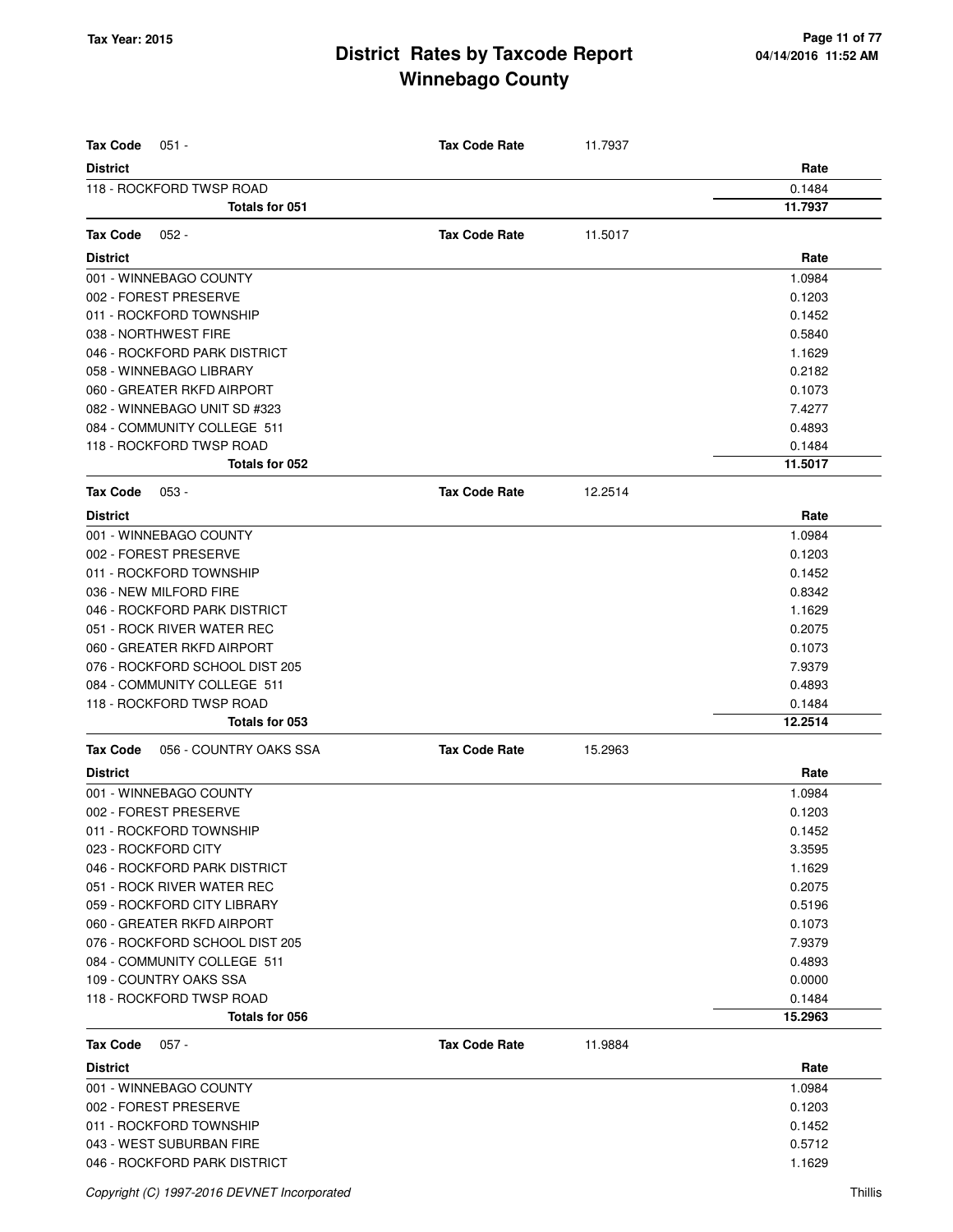| <b>Tax Code</b><br>$051 -$                 | <b>Tax Code Rate</b> | 11.7937 |                   |
|--------------------------------------------|----------------------|---------|-------------------|
| <b>District</b>                            |                      |         | Rate              |
| 118 - ROCKFORD TWSP ROAD<br>Totals for 051 |                      |         | 0.1484<br>11.7937 |
|                                            |                      |         |                   |
| <b>Tax Code</b><br>$052 -$                 | <b>Tax Code Rate</b> | 11.5017 |                   |
| <b>District</b>                            |                      |         | Rate              |
| 001 - WINNEBAGO COUNTY                     |                      |         | 1.0984            |
| 002 - FOREST PRESERVE                      |                      |         | 0.1203            |
| 011 - ROCKFORD TOWNSHIP                    |                      |         | 0.1452            |
| 038 - NORTHWEST FIRE                       |                      |         | 0.5840            |
| 046 - ROCKFORD PARK DISTRICT               |                      |         | 1.1629            |
| 058 - WINNEBAGO LIBRARY                    |                      |         | 0.2182            |
| 060 - GREATER RKFD AIRPORT                 |                      |         | 0.1073            |
| 082 - WINNEBAGO UNIT SD #323               |                      |         | 7.4277            |
| 084 - COMMUNITY COLLEGE 511                |                      |         | 0.4893            |
| 118 - ROCKFORD TWSP ROAD                   |                      |         | 0.1484            |
| Totals for 052                             |                      |         | 11.5017           |
| Tax Code<br>$053 -$                        | <b>Tax Code Rate</b> | 12.2514 |                   |
| <b>District</b>                            |                      |         | Rate              |
| 001 - WINNEBAGO COUNTY                     |                      |         | 1.0984            |
| 002 - FOREST PRESERVE                      |                      |         | 0.1203            |
| 011 - ROCKFORD TOWNSHIP                    |                      |         | 0.1452            |
| 036 - NEW MILFORD FIRE                     |                      |         | 0.8342            |
| 046 - ROCKFORD PARK DISTRICT               |                      |         | 1.1629            |
| 051 - ROCK RIVER WATER REC                 |                      |         | 0.2075            |
| 060 - GREATER RKFD AIRPORT                 |                      |         | 0.1073            |
| 076 - ROCKFORD SCHOOL DIST 205             |                      |         | 7.9379            |
| 084 - COMMUNITY COLLEGE 511                |                      |         | 0.4893            |
| 118 - ROCKFORD TWSP ROAD                   |                      |         | 0.1484            |
| Totals for 053                             |                      |         | 12.2514           |
| 056 - COUNTRY OAKS SSA<br>Tax Code         | <b>Tax Code Rate</b> | 15.2963 |                   |
| <b>District</b>                            |                      |         | Rate              |
| 001 - WINNEBAGO COUNTY                     |                      |         | 1.0984            |
| 002 - FOREST PRESERVE                      |                      |         | 0.1203            |
| 011 - ROCKFORD TOWNSHIP                    |                      |         | 0.1452            |
| 023 - ROCKFORD CITY                        |                      |         | 3.3595            |
| 046 - ROCKFORD PARK DISTRICT               |                      |         | 1.1629            |
| 051 - ROCK RIVER WATER REC                 |                      |         | 0.2075            |
| 059 - ROCKFORD CITY LIBRARY                |                      |         | 0.5196            |
| 060 - GREATER RKFD AIRPORT                 |                      |         | 0.1073            |
| 076 - ROCKFORD SCHOOL DIST 205             |                      |         | 7.9379            |
| 084 - COMMUNITY COLLEGE 511                |                      |         | 0.4893            |
| 109 - COUNTRY OAKS SSA                     |                      |         | 0.0000            |
| 118 - ROCKFORD TWSP ROAD                   |                      |         | 0.1484            |
| Totals for 056                             |                      |         | 15.2963           |
| <b>Tax Code</b><br>$057 -$                 | <b>Tax Code Rate</b> | 11.9884 |                   |
| <b>District</b>                            |                      |         | Rate              |
| 001 - WINNEBAGO COUNTY                     |                      |         | 1.0984            |
| 002 - FOREST PRESERVE                      |                      |         | 0.1203            |
| 011 - ROCKFORD TOWNSHIP                    |                      |         | 0.1452            |
| 043 - WEST SUBURBAN FIRE                   |                      |         | 0.5712            |
| 046 - ROCKFORD PARK DISTRICT               |                      |         | 1.1629            |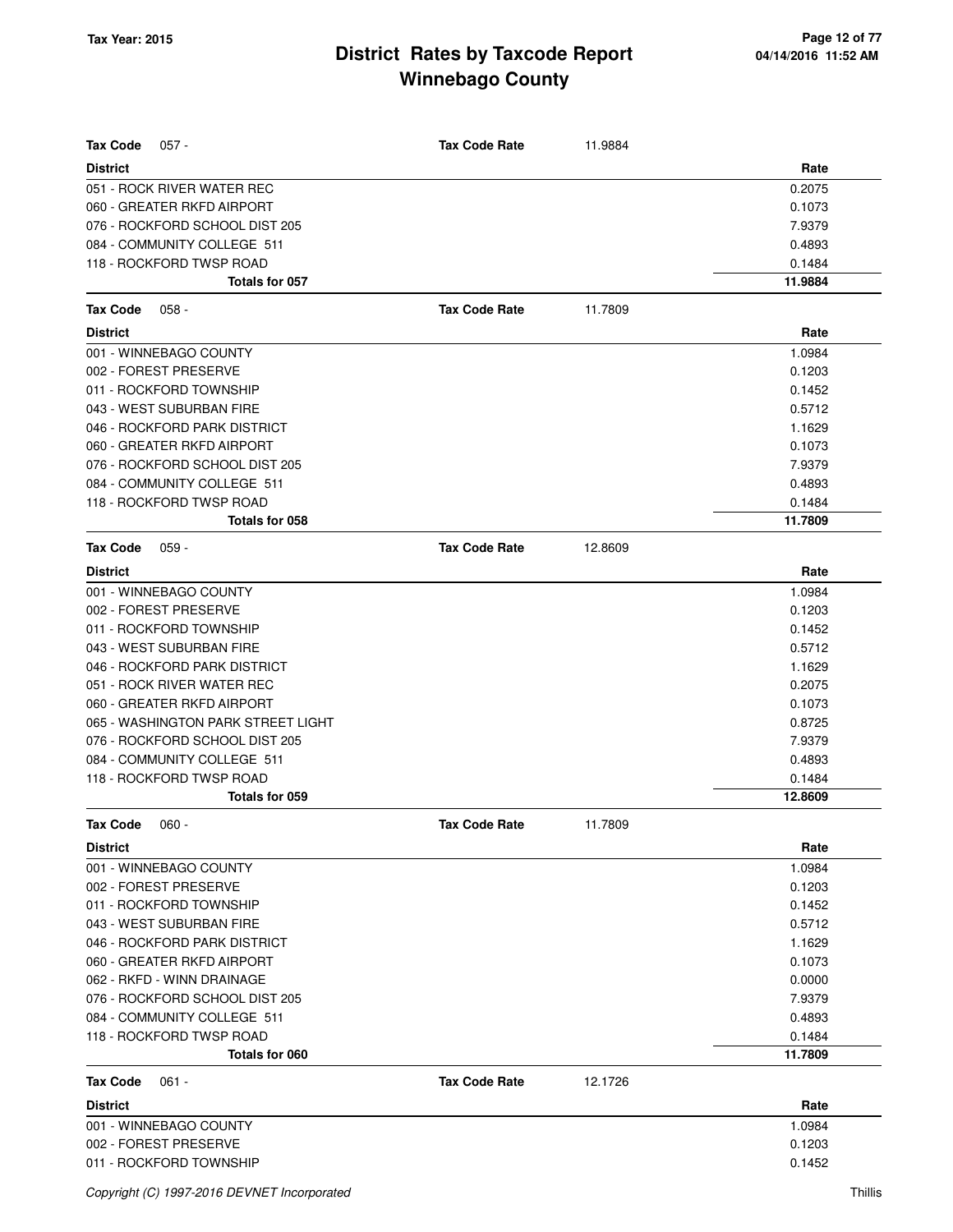| <b>Tax Code</b><br>$057 -$         | <b>Tax Code Rate</b> | 11.9884 |         |
|------------------------------------|----------------------|---------|---------|
| <b>District</b>                    |                      |         | Rate    |
| 051 - ROCK RIVER WATER REC         |                      |         | 0.2075  |
| 060 - GREATER RKFD AIRPORT         |                      |         | 0.1073  |
| 076 - ROCKFORD SCHOOL DIST 205     |                      |         | 7.9379  |
| 084 - COMMUNITY COLLEGE 511        |                      |         | 0.4893  |
| 118 - ROCKFORD TWSP ROAD           |                      |         | 0.1484  |
| Totals for 057                     |                      |         | 11.9884 |
| <b>Tax Code</b><br>$058 -$         | <b>Tax Code Rate</b> | 11.7809 |         |
| <b>District</b>                    |                      |         | Rate    |
| 001 - WINNEBAGO COUNTY             |                      |         | 1.0984  |
| 002 - FOREST PRESERVE              |                      |         | 0.1203  |
| 011 - ROCKFORD TOWNSHIP            |                      |         | 0.1452  |
| 043 - WEST SUBURBAN FIRE           |                      |         | 0.5712  |
| 046 - ROCKFORD PARK DISTRICT       |                      |         | 1.1629  |
| 060 - GREATER RKFD AIRPORT         |                      |         | 0.1073  |
| 076 - ROCKFORD SCHOOL DIST 205     |                      |         | 7.9379  |
| 084 - COMMUNITY COLLEGE 511        |                      |         | 0.4893  |
| 118 - ROCKFORD TWSP ROAD           |                      |         | 0.1484  |
| Totals for 058                     |                      |         | 11.7809 |
| <b>Tax Code</b><br>$059 -$         | <b>Tax Code Rate</b> | 12.8609 |         |
| <b>District</b>                    |                      |         | Rate    |
| 001 - WINNEBAGO COUNTY             |                      |         | 1.0984  |
| 002 - FOREST PRESERVE              |                      |         | 0.1203  |
| 011 - ROCKFORD TOWNSHIP            |                      |         | 0.1452  |
| 043 - WEST SUBURBAN FIRE           |                      |         | 0.5712  |
| 046 - ROCKFORD PARK DISTRICT       |                      |         | 1.1629  |
| 051 - ROCK RIVER WATER REC         |                      |         | 0.2075  |
| 060 - GREATER RKFD AIRPORT         |                      |         | 0.1073  |
| 065 - WASHINGTON PARK STREET LIGHT |                      |         | 0.8725  |
| 076 - ROCKFORD SCHOOL DIST 205     |                      |         | 7.9379  |
| 084 - COMMUNITY COLLEGE 511        |                      |         | 0.4893  |
| 118 - ROCKFORD TWSP ROAD           |                      |         | 0.1484  |
| Totals for 059                     |                      |         | 12.8609 |
| Tax Code<br>$060 -$                | <b>Tax Code Rate</b> | 11.7809 |         |
| <b>District</b>                    |                      |         | Rate    |
| 001 - WINNEBAGO COUNTY             |                      |         | 1.0984  |
| 002 - FOREST PRESERVE              |                      |         | 0.1203  |
| 011 - ROCKFORD TOWNSHIP            |                      |         | 0.1452  |
| 043 - WEST SUBURBAN FIRE           |                      |         | 0.5712  |
| 046 - ROCKFORD PARK DISTRICT       |                      |         | 1.1629  |
| 060 - GREATER RKFD AIRPORT         |                      |         | 0.1073  |
| 062 - RKFD - WINN DRAINAGE         |                      |         | 0.0000  |
| 076 - ROCKFORD SCHOOL DIST 205     |                      |         | 7.9379  |
| 084 - COMMUNITY COLLEGE 511        |                      |         | 0.4893  |
| 118 - ROCKFORD TWSP ROAD           |                      |         | 0.1484  |
| Totals for 060                     |                      |         | 11.7809 |
| <b>Tax Code</b><br>$061 -$         | <b>Tax Code Rate</b> | 12.1726 |         |
| <b>District</b>                    |                      |         | Rate    |
| 001 - WINNEBAGO COUNTY             |                      |         | 1.0984  |
| 002 - FOREST PRESERVE              |                      |         | 0.1203  |
| 011 - ROCKFORD TOWNSHIP            |                      |         | 0.1452  |
|                                    |                      |         |         |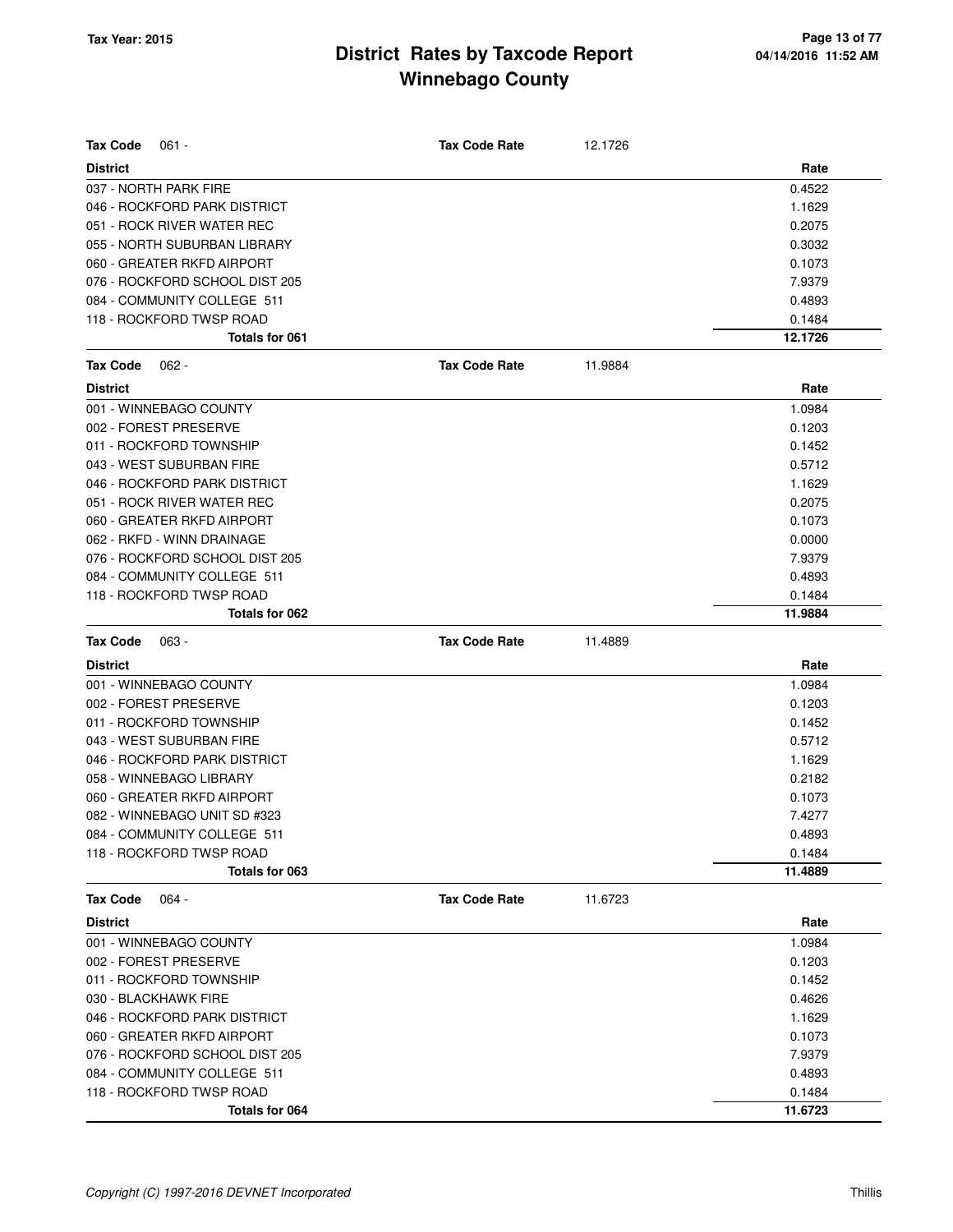| <b>Tax Code</b><br>$061 -$     | <b>Tax Code Rate</b> | 12.1726 |         |
|--------------------------------|----------------------|---------|---------|
| <b>District</b>                |                      |         | Rate    |
| 037 - NORTH PARK FIRE          |                      |         | 0.4522  |
| 046 - ROCKFORD PARK DISTRICT   |                      |         | 1.1629  |
| 051 - ROCK RIVER WATER REC     |                      |         | 0.2075  |
| 055 - NORTH SUBURBAN LIBRARY   |                      |         | 0.3032  |
| 060 - GREATER RKFD AIRPORT     |                      |         | 0.1073  |
| 076 - ROCKFORD SCHOOL DIST 205 |                      |         | 7.9379  |
| 084 - COMMUNITY COLLEGE 511    |                      |         | 0.4893  |
| 118 - ROCKFORD TWSP ROAD       |                      |         | 0.1484  |
| <b>Totals for 061</b>          |                      |         | 12.1726 |
| <b>Tax Code</b><br>$062 -$     | <b>Tax Code Rate</b> | 11.9884 |         |
| <b>District</b>                |                      |         | Rate    |
| 001 - WINNEBAGO COUNTY         |                      |         | 1.0984  |
| 002 - FOREST PRESERVE          |                      |         | 0.1203  |
| 011 - ROCKFORD TOWNSHIP        |                      |         | 0.1452  |
| 043 - WEST SUBURBAN FIRE       |                      |         | 0.5712  |
| 046 - ROCKFORD PARK DISTRICT   |                      |         | 1.1629  |
| 051 - ROCK RIVER WATER REC     |                      |         | 0.2075  |
| 060 - GREATER RKFD AIRPORT     |                      |         | 0.1073  |
| 062 - RKFD - WINN DRAINAGE     |                      |         | 0.0000  |
| 076 - ROCKFORD SCHOOL DIST 205 |                      |         | 7.9379  |
| 084 - COMMUNITY COLLEGE 511    |                      |         | 0.4893  |
| 118 - ROCKFORD TWSP ROAD       |                      |         | 0.1484  |
| Totals for 062                 |                      |         | 11.9884 |
|                                |                      |         |         |
| <b>Tax Code</b><br>$063 -$     | <b>Tax Code Rate</b> | 11.4889 |         |
| <b>District</b>                |                      |         | Rate    |
| 001 - WINNEBAGO COUNTY         |                      |         | 1.0984  |
| 002 - FOREST PRESERVE          |                      |         | 0.1203  |
| 011 - ROCKFORD TOWNSHIP        |                      |         | 0.1452  |
| 043 - WEST SUBURBAN FIRE       |                      |         | 0.5712  |
| 046 - ROCKFORD PARK DISTRICT   |                      |         | 1.1629  |
| 058 - WINNEBAGO LIBRARY        |                      |         | 0.2182  |
| 060 - GREATER RKFD AIRPORT     |                      |         | 0.1073  |
| 082 - WINNEBAGO UNIT SD #323   |                      |         | 7.4277  |
| 084 - COMMUNITY COLLEGE 511    |                      |         | 0.4893  |
| 118 - ROCKFORD TWSP ROAD       |                      |         | 0.1484  |
| Totals for 063                 |                      |         | 11.4889 |
| <b>Tax Code</b><br>$064 -$     | <b>Tax Code Rate</b> | 11.6723 |         |
| <b>District</b>                |                      |         | Rate    |
| 001 - WINNEBAGO COUNTY         |                      |         | 1.0984  |
| 002 - FOREST PRESERVE          |                      |         | 0.1203  |
| 011 - ROCKFORD TOWNSHIP        |                      |         | 0.1452  |
| 030 - BLACKHAWK FIRE           |                      |         | 0.4626  |
| 046 - ROCKFORD PARK DISTRICT   |                      |         | 1.1629  |
| 060 - GREATER RKFD AIRPORT     |                      |         | 0.1073  |
| 076 - ROCKFORD SCHOOL DIST 205 |                      |         | 7.9379  |
| 084 - COMMUNITY COLLEGE 511    |                      |         | 0.4893  |
| 118 - ROCKFORD TWSP ROAD       |                      |         | 0.1484  |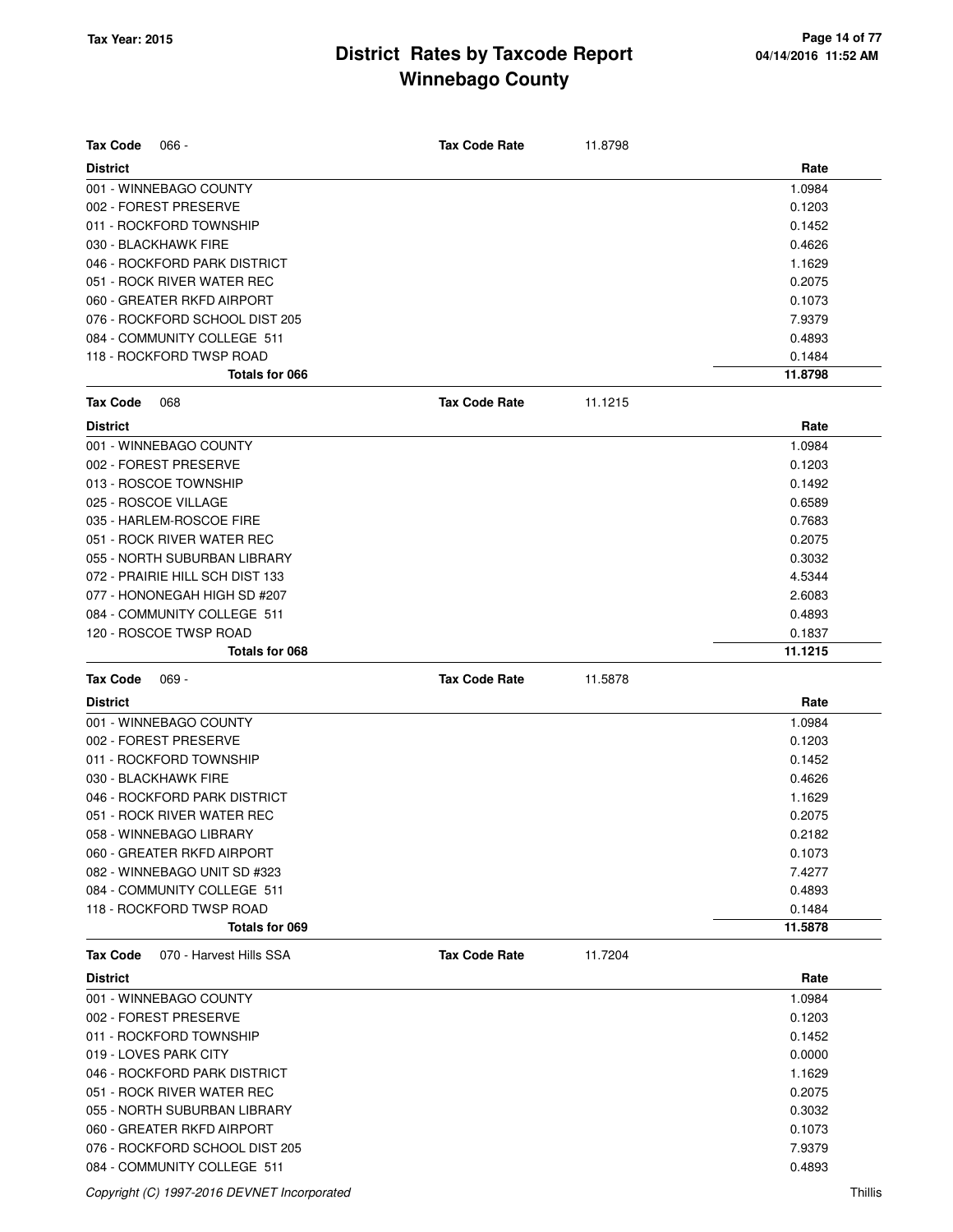| <b>Tax Code</b> | $066 -$                         | <b>Tax Code Rate</b> | 11.8798 |         |
|-----------------|---------------------------------|----------------------|---------|---------|
| <b>District</b> |                                 |                      |         | Rate    |
|                 | 001 - WINNEBAGO COUNTY          |                      |         | 1.0984  |
|                 | 002 - FOREST PRESERVE           |                      |         | 0.1203  |
|                 | 011 - ROCKFORD TOWNSHIP         |                      |         | 0.1452  |
|                 | 030 - BLACKHAWK FIRE            |                      |         | 0.4626  |
|                 | 046 - ROCKFORD PARK DISTRICT    |                      |         | 1.1629  |
|                 | 051 - ROCK RIVER WATER REC      |                      |         | 0.2075  |
|                 | 060 - GREATER RKFD AIRPORT      |                      |         | 0.1073  |
|                 | 076 - ROCKFORD SCHOOL DIST 205  |                      |         | 7.9379  |
|                 | 084 - COMMUNITY COLLEGE 511     |                      |         | 0.4893  |
|                 | 118 - ROCKFORD TWSP ROAD        |                      |         | 0.1484  |
|                 | Totals for 066                  |                      |         | 11.8798 |
| <b>Tax Code</b> | 068                             | <b>Tax Code Rate</b> | 11.1215 |         |
| <b>District</b> |                                 |                      |         | Rate    |
|                 | 001 - WINNEBAGO COUNTY          |                      |         | 1.0984  |
|                 | 002 - FOREST PRESERVE           |                      |         | 0.1203  |
|                 | 013 - ROSCOE TOWNSHIP           |                      |         | 0.1492  |
|                 | 025 - ROSCOE VILLAGE            |                      |         | 0.6589  |
|                 | 035 - HARLEM-ROSCOE FIRE        |                      |         | 0.7683  |
|                 | 051 - ROCK RIVER WATER REC      |                      |         | 0.2075  |
|                 | 055 - NORTH SUBURBAN LIBRARY    |                      |         | 0.3032  |
|                 | 072 - PRAIRIE HILL SCH DIST 133 |                      |         | 4.5344  |
|                 | 077 - HONONEGAH HIGH SD #207    |                      |         | 2.6083  |
|                 | 084 - COMMUNITY COLLEGE 511     |                      |         | 0.4893  |
|                 | 120 - ROSCOE TWSP ROAD          |                      |         | 0.1837  |
|                 | <b>Totals for 068</b>           |                      |         | 11.1215 |
| <b>Tax Code</b> | $069 -$                         | <b>Tax Code Rate</b> | 11.5878 |         |
| <b>District</b> |                                 |                      |         | Rate    |
|                 | 001 - WINNEBAGO COUNTY          |                      |         | 1.0984  |
|                 | 002 - FOREST PRESERVE           |                      |         | 0.1203  |
|                 | 011 - ROCKFORD TOWNSHIP         |                      |         | 0.1452  |
|                 | 030 - BLACKHAWK FIRE            |                      |         | 0.4626  |
|                 | 046 - ROCKFORD PARK DISTRICT    |                      |         | 1.1629  |
|                 | 051 - ROCK RIVER WATER REC      |                      |         | 0.2075  |
|                 | 058 - WINNEBAGO LIBRARY         |                      |         | 0.2182  |
|                 | 060 - GREATER RKFD AIRPORT      |                      |         | 0.1073  |
|                 | 082 - WINNEBAGO UNIT SD #323    |                      |         | 7.4277  |
|                 |                                 |                      |         |         |
|                 | 084 - COMMUNITY COLLEGE 511     |                      |         | 0.4893  |
|                 | 118 - ROCKFORD TWSP ROAD        |                      |         | 0.1484  |
|                 | Totals for 069                  |                      |         | 11.5878 |
| <b>Tax Code</b> | 070 - Harvest Hills SSA         | <b>Tax Code Rate</b> | 11.7204 |         |
| <b>District</b> |                                 |                      |         | Rate    |
|                 | 001 - WINNEBAGO COUNTY          |                      |         | 1.0984  |
|                 | 002 - FOREST PRESERVE           |                      |         | 0.1203  |
|                 | 011 - ROCKFORD TOWNSHIP         |                      |         | 0.1452  |
|                 | 019 - LOVES PARK CITY           |                      |         | 0.0000  |
|                 | 046 - ROCKFORD PARK DISTRICT    |                      |         | 1.1629  |
|                 | 051 - ROCK RIVER WATER REC      |                      |         | 0.2075  |
|                 | 055 - NORTH SUBURBAN LIBRARY    |                      |         | 0.3032  |
|                 | 060 - GREATER RKFD AIRPORT      |                      |         | 0.1073  |
|                 | 076 - ROCKFORD SCHOOL DIST 205  |                      |         | 7.9379  |

Copyright (C) 1997-2016 DEVNET Incorporated Thillis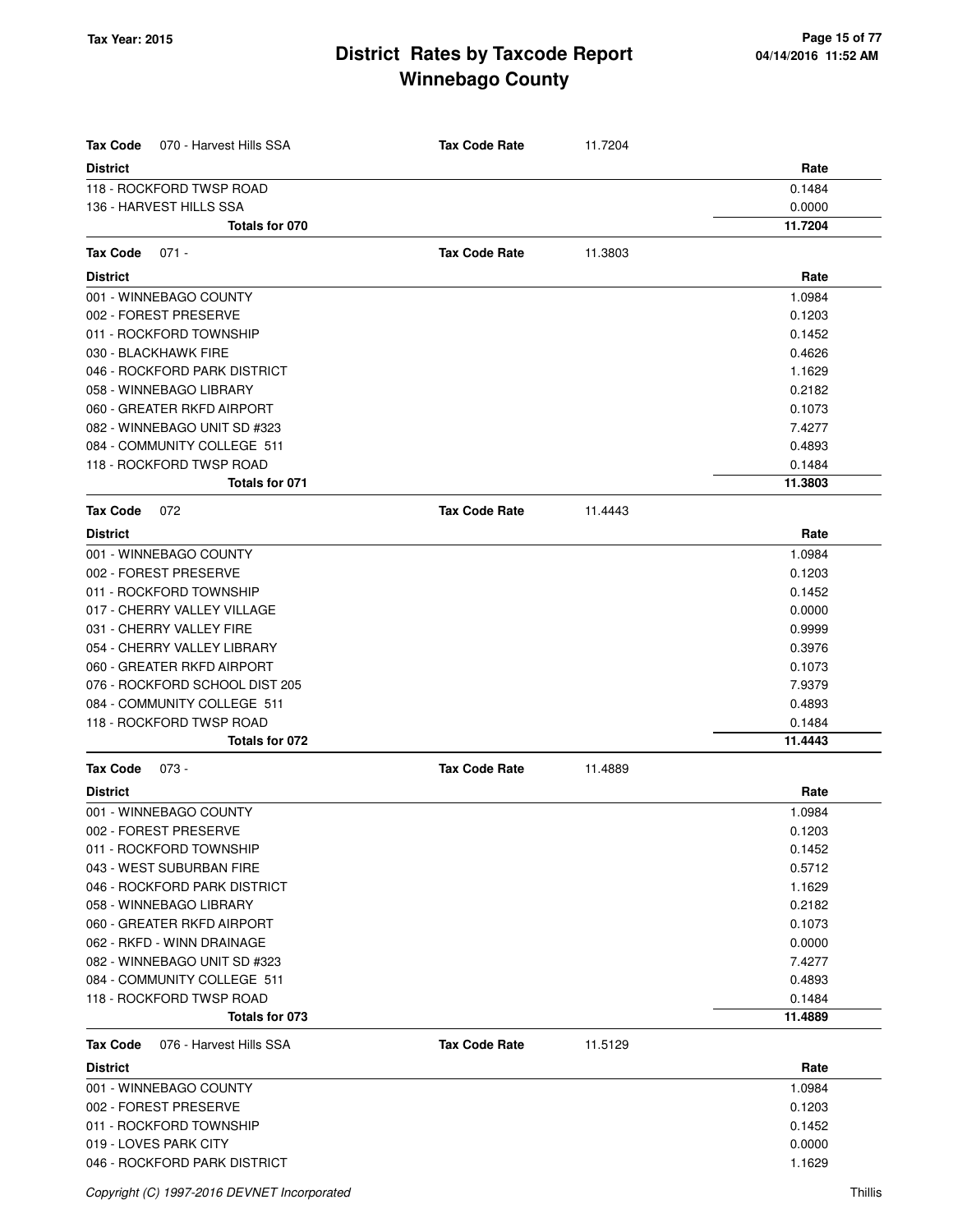| <b>Tax Code</b><br>070 - Harvest Hills SSA | <b>Tax Code Rate</b> | 11.7204 |                   |
|--------------------------------------------|----------------------|---------|-------------------|
| <b>District</b>                            |                      |         | Rate              |
| 118 - ROCKFORD TWSP ROAD                   |                      |         | 0.1484            |
| 136 - HARVEST HILLS SSA                    |                      |         | 0.0000            |
| Totals for 070                             |                      |         | 11.7204           |
| Tax Code<br>$071 -$                        | <b>Tax Code Rate</b> | 11.3803 |                   |
| <b>District</b>                            |                      |         | Rate              |
| 001 - WINNEBAGO COUNTY                     |                      |         | 1.0984            |
| 002 - FOREST PRESERVE                      |                      |         | 0.1203            |
| 011 - ROCKFORD TOWNSHIP                    |                      |         | 0.1452            |
| 030 - BLACKHAWK FIRE                       |                      |         | 0.4626            |
| 046 - ROCKFORD PARK DISTRICT               |                      |         | 1.1629            |
| 058 - WINNEBAGO LIBRARY                    |                      |         | 0.2182            |
| 060 - GREATER RKFD AIRPORT                 |                      |         | 0.1073            |
| 082 - WINNEBAGO UNIT SD #323               |                      |         | 7.4277            |
| 084 - COMMUNITY COLLEGE 511                |                      |         | 0.4893            |
| 118 - ROCKFORD TWSP ROAD                   |                      |         | 0.1484            |
| Totals for 071                             |                      |         | 11.3803           |
| <b>Tax Code</b><br>072                     | <b>Tax Code Rate</b> | 11.4443 |                   |
| <b>District</b>                            |                      |         | Rate              |
| 001 - WINNEBAGO COUNTY                     |                      |         | 1.0984            |
| 002 - FOREST PRESERVE                      |                      |         | 0.1203            |
| 011 - ROCKFORD TOWNSHIP                    |                      |         | 0.1452            |
| 017 - CHERRY VALLEY VILLAGE                |                      |         | 0.0000            |
| 031 - CHERRY VALLEY FIRE                   |                      |         | 0.9999            |
| 054 - CHERRY VALLEY LIBRARY                |                      |         | 0.3976            |
| 060 - GREATER RKFD AIRPORT                 |                      |         | 0.1073            |
| 076 - ROCKFORD SCHOOL DIST 205             |                      |         | 7.9379            |
| 084 - COMMUNITY COLLEGE 511                |                      |         | 0.4893            |
| 118 - ROCKFORD TWSP ROAD                   |                      |         | 0.1484            |
| Totals for 072                             |                      |         | 11.4443           |
| <b>Tax Code</b><br>073 -                   | <b>Tax Code Rate</b> | 11.4889 |                   |
| <b>District</b>                            |                      |         | Rate              |
| 001 - WINNEBAGO COUNTY                     |                      |         | 1.0984            |
| 002 - FOREST PRESERVE                      |                      |         | 0.1203            |
| 011 - ROCKFORD TOWNSHIP                    |                      |         | 0.1452            |
| 043 - WEST SUBURBAN FIRE                   |                      |         | 0.5712            |
| 046 - ROCKFORD PARK DISTRICT               |                      |         | 1.1629            |
| 058 - WINNEBAGO LIBRARY                    |                      |         | 0.2182            |
| 060 - GREATER RKFD AIRPORT                 |                      |         | 0.1073            |
| 062 - RKFD - WINN DRAINAGE                 |                      |         | 0.0000            |
| 082 - WINNEBAGO UNIT SD #323               |                      |         | 7.4277            |
| 084 - COMMUNITY COLLEGE 511                |                      |         | 0.4893            |
| 118 - ROCKFORD TWSP ROAD<br>Totals for 073 |                      |         | 0.1484<br>11.4889 |
|                                            |                      |         |                   |
| 076 - Harvest Hills SSA<br>Tax Code        | <b>Tax Code Rate</b> | 11.5129 |                   |
| <b>District</b>                            |                      |         | Rate              |
| 001 - WINNEBAGO COUNTY                     |                      |         | 1.0984            |
| 002 - FOREST PRESERVE                      |                      |         | 0.1203            |
| 011 - ROCKFORD TOWNSHIP                    |                      |         | 0.1452            |
| 019 - LOVES PARK CITY                      |                      |         | 0.0000            |
| 046 - ROCKFORD PARK DISTRICT               |                      |         | 1.1629            |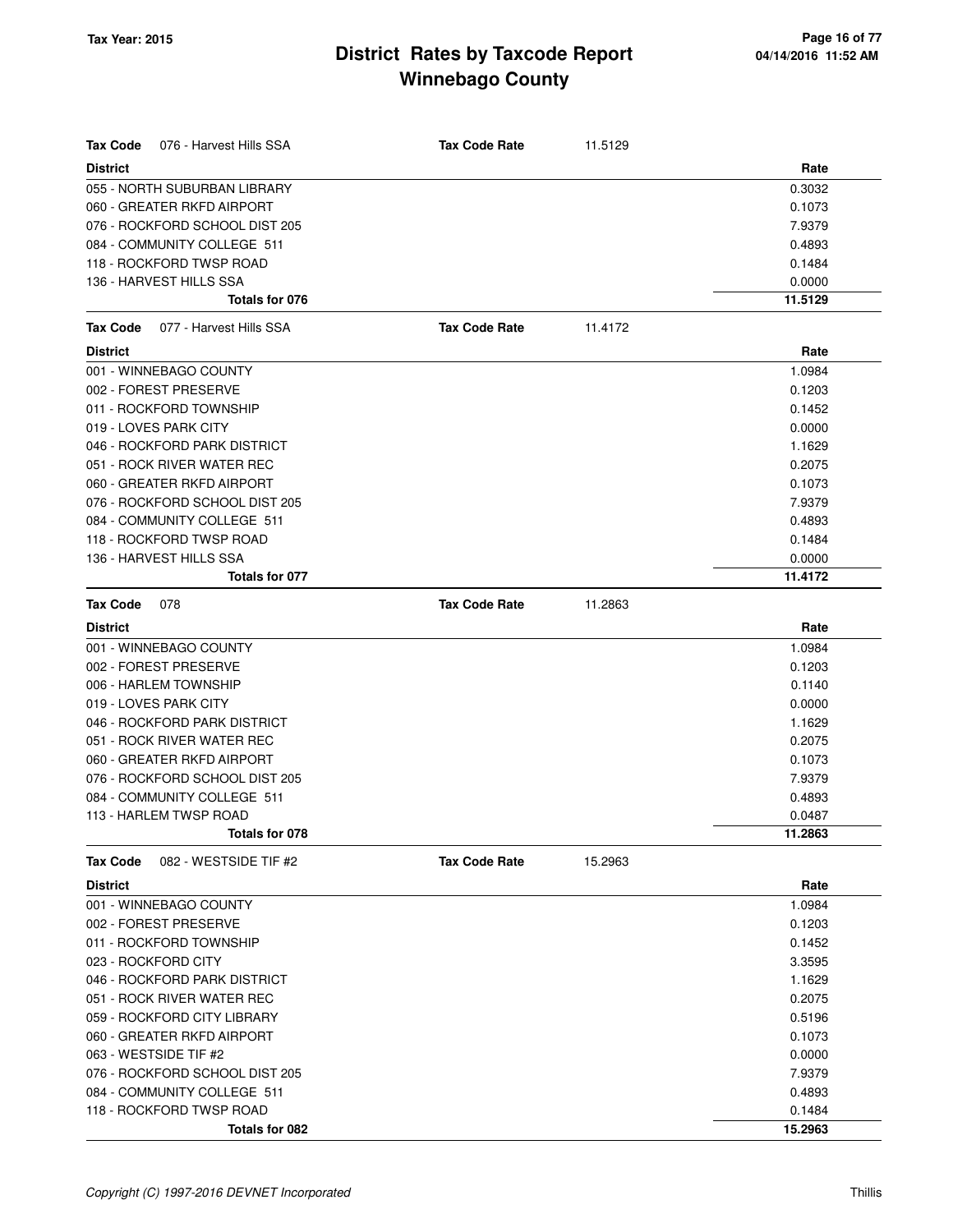| Tax Code<br>076 - Harvest Hills SSA        | <b>Tax Code Rate</b> | 11.5129 |         |
|--------------------------------------------|----------------------|---------|---------|
| <b>District</b>                            |                      |         | Rate    |
| 055 - NORTH SUBURBAN LIBRARY               |                      |         | 0.3032  |
| 060 - GREATER RKFD AIRPORT                 |                      |         | 0.1073  |
| 076 - ROCKFORD SCHOOL DIST 205             |                      |         | 7.9379  |
| 084 - COMMUNITY COLLEGE 511                |                      |         | 0.4893  |
| 118 - ROCKFORD TWSP ROAD                   |                      |         | 0.1484  |
| 136 - HARVEST HILLS SSA                    |                      |         | 0.0000  |
| Totals for 076                             |                      |         | 11.5129 |
| <b>Tax Code</b><br>077 - Harvest Hills SSA | <b>Tax Code Rate</b> | 11.4172 |         |
| <b>District</b>                            |                      |         | Rate    |
| 001 - WINNEBAGO COUNTY                     |                      |         | 1.0984  |
| 002 - FOREST PRESERVE                      |                      |         | 0.1203  |
| 011 - ROCKFORD TOWNSHIP                    |                      |         | 0.1452  |
| 019 - LOVES PARK CITY                      |                      |         | 0.0000  |
| 046 - ROCKFORD PARK DISTRICT               |                      |         | 1.1629  |
| 051 - ROCK RIVER WATER REC                 |                      |         | 0.2075  |
| 060 - GREATER RKFD AIRPORT                 |                      |         | 0.1073  |
| 076 - ROCKFORD SCHOOL DIST 205             |                      |         | 7.9379  |
| 084 - COMMUNITY COLLEGE 511                |                      |         | 0.4893  |
| 118 - ROCKFORD TWSP ROAD                   |                      |         | 0.1484  |
| 136 - HARVEST HILLS SSA                    |                      |         | 0.0000  |
| Totals for 077                             |                      |         | 11.4172 |
| <b>Tax Code</b><br>078                     | <b>Tax Code Rate</b> | 11.2863 |         |
| <b>District</b>                            |                      |         | Rate    |
| 001 - WINNEBAGO COUNTY                     |                      |         | 1.0984  |
| 002 - FOREST PRESERVE                      |                      |         | 0.1203  |
| 006 - HARLEM TOWNSHIP                      |                      |         | 0.1140  |
| 019 - LOVES PARK CITY                      |                      |         | 0.0000  |
| 046 - ROCKFORD PARK DISTRICT               |                      |         | 1.1629  |
| 051 - ROCK RIVER WATER REC                 |                      |         | 0.2075  |
| 060 - GREATER RKFD AIRPORT                 |                      |         | 0.1073  |
| 076 - ROCKFORD SCHOOL DIST 205             |                      |         | 7.9379  |
| 084 - COMMUNITY COLLEGE 511                |                      |         | 0.4893  |
| 113 - HARLEM TWSP ROAD                     |                      |         | 0.0487  |
| Totals for 078                             |                      |         | 11.2863 |
| <b>Tax Code</b><br>082 - WESTSIDE TIF #2   | <b>Tax Code Rate</b> | 15.2963 |         |
| <b>District</b>                            |                      |         | Rate    |
| 001 - WINNEBAGO COUNTY                     |                      |         | 1.0984  |
| 002 - FOREST PRESERVE                      |                      |         | 0.1203  |
| 011 - ROCKFORD TOWNSHIP                    |                      |         | 0.1452  |
| 023 - ROCKFORD CITY                        |                      |         | 3.3595  |
| 046 - ROCKFORD PARK DISTRICT               |                      |         | 1.1629  |
| 051 - ROCK RIVER WATER REC                 |                      |         | 0.2075  |
| 059 - ROCKFORD CITY LIBRARY                |                      |         | 0.5196  |
| 060 - GREATER RKFD AIRPORT                 |                      |         | 0.1073  |
| 063 - WESTSIDE TIF #2                      |                      |         | 0.0000  |
| 076 - ROCKFORD SCHOOL DIST 205             |                      |         | 7.9379  |
| 084 - COMMUNITY COLLEGE 511                |                      |         | 0.4893  |
| 118 - ROCKFORD TWSP ROAD                   |                      |         | 0.1484  |
| Totals for 082                             |                      |         | 15.2963 |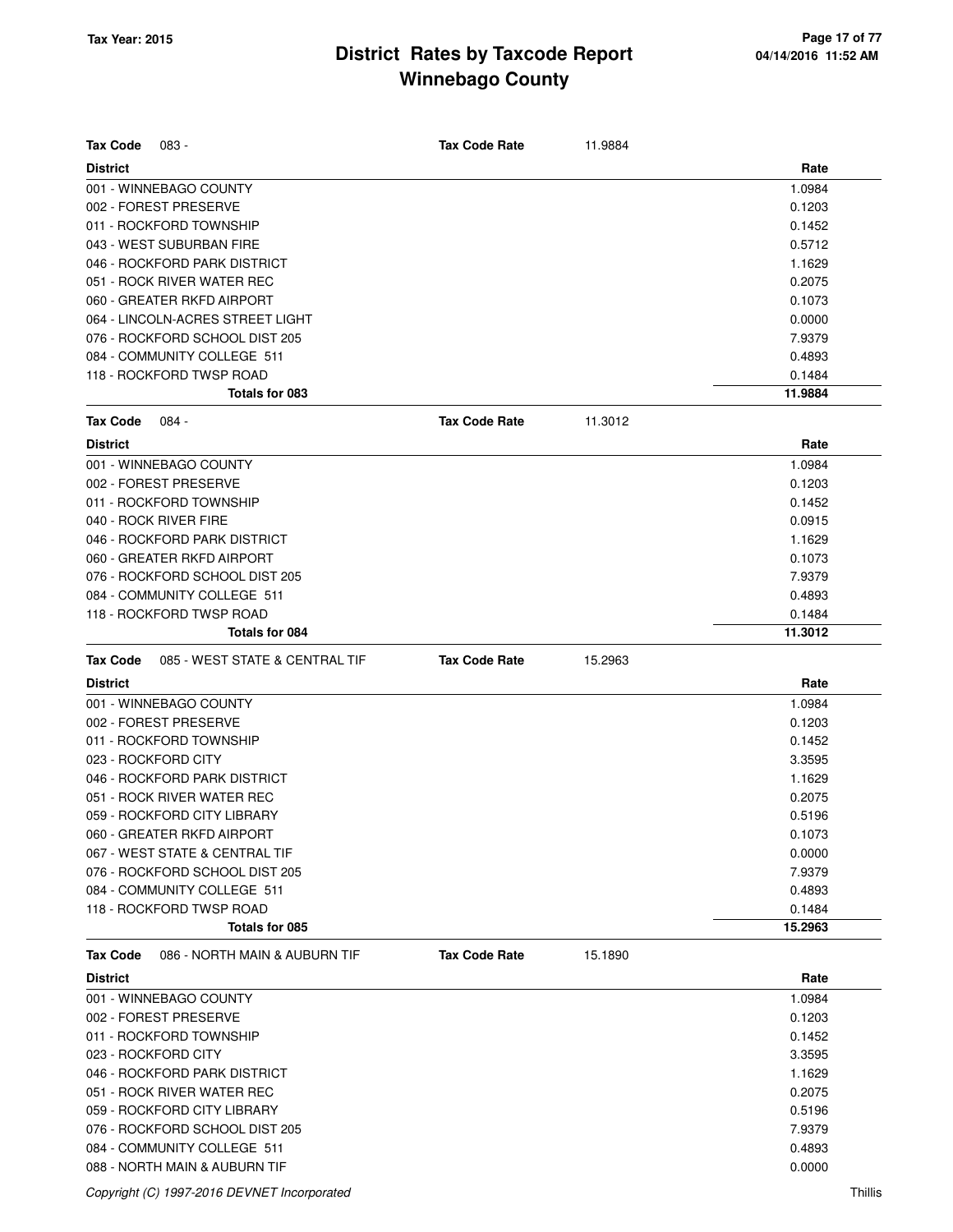| <b>Tax Code</b> | 083 -                                                         | <b>Tax Code Rate</b> | 11.9884 |                   |
|-----------------|---------------------------------------------------------------|----------------------|---------|-------------------|
| <b>District</b> |                                                               |                      |         | Rate              |
|                 | 001 - WINNEBAGO COUNTY                                        |                      |         | 1.0984            |
|                 | 002 - FOREST PRESERVE                                         |                      |         | 0.1203            |
|                 | 011 - ROCKFORD TOWNSHIP                                       |                      |         | 0.1452            |
|                 | 043 - WEST SUBURBAN FIRE                                      |                      |         | 0.5712            |
|                 | 046 - ROCKFORD PARK DISTRICT                                  |                      |         | 1.1629            |
|                 | 051 - ROCK RIVER WATER REC                                    |                      |         | 0.2075            |
|                 | 060 - GREATER RKFD AIRPORT                                    |                      |         | 0.1073            |
|                 | 064 - LINCOLN-ACRES STREET LIGHT                              |                      |         | 0.0000            |
|                 | 076 - ROCKFORD SCHOOL DIST 205                                |                      |         | 7.9379            |
|                 | 084 - COMMUNITY COLLEGE 511                                   |                      |         | 0.4893            |
|                 | 118 - ROCKFORD TWSP ROAD<br>Totals for 083                    |                      |         | 0.1484<br>11.9884 |
|                 |                                                               |                      |         |                   |
| <b>Tax Code</b> | 084 -                                                         | <b>Tax Code Rate</b> | 11.3012 |                   |
| <b>District</b> |                                                               |                      |         | Rate              |
|                 | 001 - WINNEBAGO COUNTY                                        |                      |         | 1.0984            |
|                 | 002 - FOREST PRESERVE                                         |                      |         | 0.1203            |
|                 | 011 - ROCKFORD TOWNSHIP                                       |                      |         | 0.1452            |
|                 | 040 - ROCK RIVER FIRE                                         |                      |         | 0.0915            |
|                 | 046 - ROCKFORD PARK DISTRICT                                  |                      |         | 1.1629            |
|                 | 060 - GREATER RKFD AIRPORT                                    |                      |         | 0.1073            |
|                 | 076 - ROCKFORD SCHOOL DIST 205                                |                      |         | 7.9379            |
|                 | 084 - COMMUNITY COLLEGE 511                                   |                      |         | 0.4893            |
|                 | 118 - ROCKFORD TWSP ROAD                                      |                      |         | 0.1484            |
|                 | Totals for 084                                                |                      |         | 11.3012           |
|                 |                                                               |                      |         |                   |
| <b>Tax Code</b> | 085 - WEST STATE & CENTRAL TIF                                | <b>Tax Code Rate</b> | 15.2963 |                   |
| <b>District</b> |                                                               |                      |         | Rate              |
|                 | 001 - WINNEBAGO COUNTY                                        |                      |         | 1.0984            |
|                 | 002 - FOREST PRESERVE                                         |                      |         | 0.1203            |
|                 | 011 - ROCKFORD TOWNSHIP                                       |                      |         | 0.1452            |
|                 | 023 - ROCKFORD CITY                                           |                      |         | 3.3595            |
|                 | 046 - ROCKFORD PARK DISTRICT                                  |                      |         | 1.1629            |
|                 | 051 - ROCK RIVER WATER REC                                    |                      |         | 0.2075            |
|                 |                                                               |                      |         |                   |
|                 | 059 - ROCKFORD CITY LIBRARY<br>060 - GREATER RKFD AIRPORT     |                      |         | 0.5196<br>0.1073  |
|                 | 067 - WEST STATE & CENTRAL TIF                                |                      |         | 0.0000            |
|                 | 076 - ROCKFORD SCHOOL DIST 205                                |                      |         | 7.9379            |
|                 | 084 - COMMUNITY COLLEGE 511                                   |                      |         | 0.4893            |
|                 | 118 - ROCKFORD TWSP ROAD                                      |                      |         | 0.1484            |
|                 | Totals for 085                                                |                      |         | 15.2963           |
|                 | 086 - NORTH MAIN & AUBURN TIF                                 |                      |         |                   |
| <b>Tax Code</b> |                                                               | <b>Tax Code Rate</b> | 15.1890 |                   |
| <b>District</b> |                                                               |                      |         | Rate              |
|                 | 001 - WINNEBAGO COUNTY<br>002 - FOREST PRESERVE               |                      |         | 1.0984            |
|                 |                                                               |                      |         | 0.1203            |
|                 | 011 - ROCKFORD TOWNSHIP                                       |                      |         | 0.1452            |
|                 | 023 - ROCKFORD CITY                                           |                      |         | 3.3595            |
|                 | 046 - ROCKFORD PARK DISTRICT                                  |                      |         | 1.1629            |
|                 | 051 - ROCK RIVER WATER REC                                    |                      |         | 0.2075            |
|                 | 059 - ROCKFORD CITY LIBRARY                                   |                      |         | 0.5196            |
|                 | 076 - ROCKFORD SCHOOL DIST 205<br>084 - COMMUNITY COLLEGE 511 |                      |         | 7.9379<br>0.4893  |

Copyright (C) 1997-2016 DEVNET Incorporated Thillis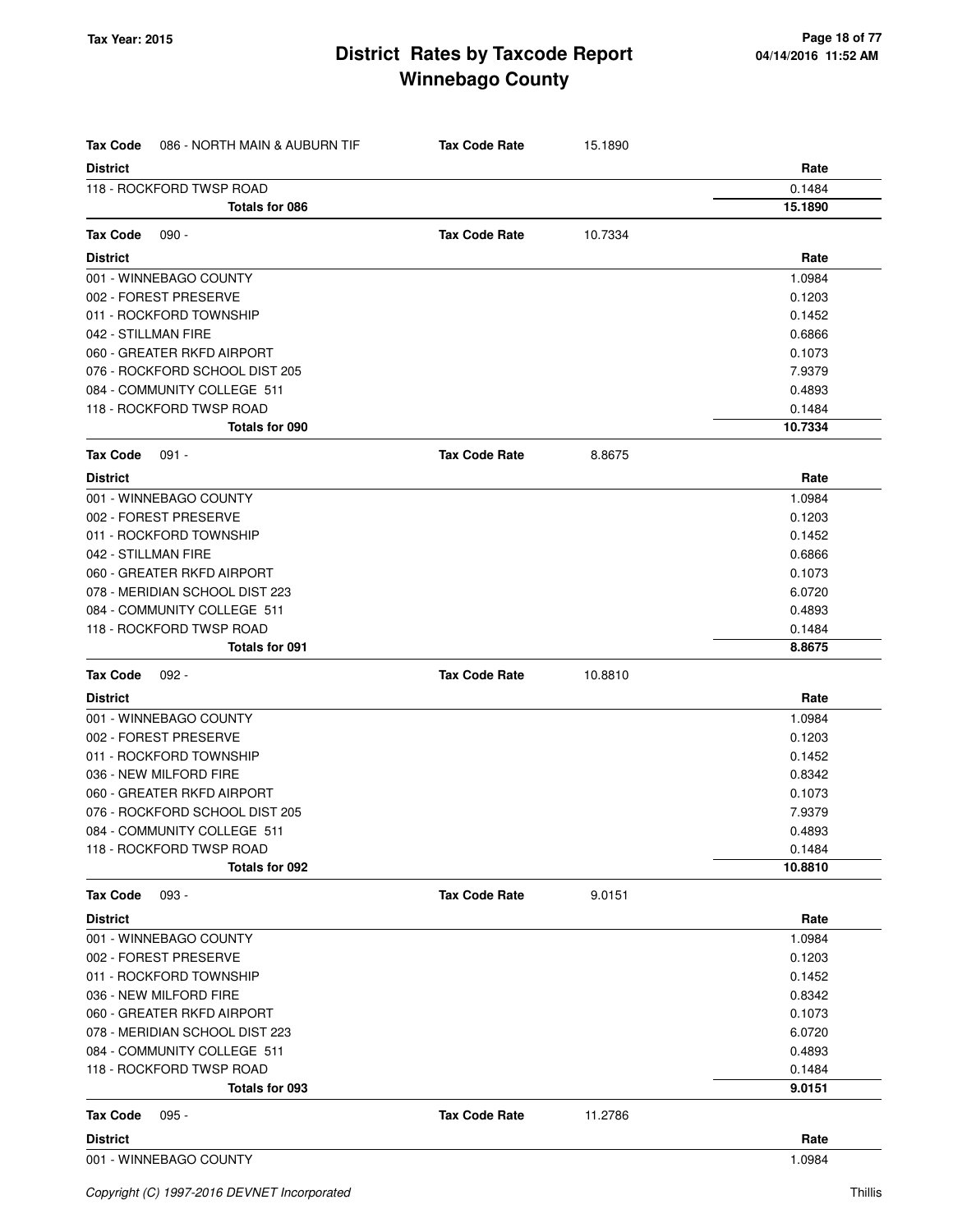| Tax Code        | 086 - NORTH MAIN & AUBURN TIF  | <b>Tax Code Rate</b> | 15.1890 |         |
|-----------------|--------------------------------|----------------------|---------|---------|
| <b>District</b> |                                |                      |         | Rate    |
|                 | 118 - ROCKFORD TWSP ROAD       |                      |         | 0.1484  |
|                 | Totals for 086                 |                      |         | 15.1890 |
| <b>Tax Code</b> | $090 -$                        | <b>Tax Code Rate</b> | 10.7334 |         |
| <b>District</b> |                                |                      |         | Rate    |
|                 | 001 - WINNEBAGO COUNTY         |                      |         | 1.0984  |
|                 | 002 - FOREST PRESERVE          |                      |         | 0.1203  |
|                 | 011 - ROCKFORD TOWNSHIP        |                      |         | 0.1452  |
|                 | 042 - STILLMAN FIRE            |                      |         | 0.6866  |
|                 | 060 - GREATER RKFD AIRPORT     |                      |         | 0.1073  |
|                 | 076 - ROCKFORD SCHOOL DIST 205 |                      |         | 7.9379  |
|                 | 084 - COMMUNITY COLLEGE 511    |                      |         | 0.4893  |
|                 | 118 - ROCKFORD TWSP ROAD       |                      |         | 0.1484  |
|                 | Totals for 090                 |                      |         | 10.7334 |
| Tax Code        | 091 -                          | <b>Tax Code Rate</b> | 8.8675  |         |
| <b>District</b> |                                |                      |         | Rate    |
|                 | 001 - WINNEBAGO COUNTY         |                      |         | 1.0984  |
|                 | 002 - FOREST PRESERVE          |                      |         | 0.1203  |
|                 | 011 - ROCKFORD TOWNSHIP        |                      |         | 0.1452  |
|                 | 042 - STILLMAN FIRE            |                      |         | 0.6866  |
|                 | 060 - GREATER RKFD AIRPORT     |                      |         | 0.1073  |
|                 | 078 - MERIDIAN SCHOOL DIST 223 |                      |         | 6.0720  |
|                 | 084 - COMMUNITY COLLEGE 511    |                      |         | 0.4893  |
|                 | 118 - ROCKFORD TWSP ROAD       |                      |         | 0.1484  |
|                 | <b>Totals for 091</b>          |                      |         | 8.8675  |
| <b>Tax Code</b> | 092 -                          | <b>Tax Code Rate</b> | 10.8810 |         |
| <b>District</b> |                                |                      |         | Rate    |
|                 | 001 - WINNEBAGO COUNTY         |                      |         | 1.0984  |
|                 | 002 - FOREST PRESERVE          |                      |         | 0.1203  |
|                 | 011 - ROCKFORD TOWNSHIP        |                      |         | 0.1452  |
|                 | 036 - NEW MILFORD FIRE         |                      |         | 0.8342  |
|                 | 060 - GREATER RKFD AIRPORT     |                      |         | 0.1073  |
|                 | 076 - ROCKFORD SCHOOL DIST 205 |                      |         | 7.9379  |
|                 | 084 - COMMUNITY COLLEGE 511    |                      |         | 0.4893  |
|                 | 118 - ROCKFORD TWSP ROAD       |                      |         | 0.1484  |
|                 | Totals for 092                 |                      |         | 10.8810 |
| <b>Tax Code</b> | $093 -$                        | <b>Tax Code Rate</b> | 9.0151  |         |
| <b>District</b> |                                |                      |         | Rate    |
|                 | 001 - WINNEBAGO COUNTY         |                      |         | 1.0984  |
|                 | 002 - FOREST PRESERVE          |                      |         | 0.1203  |
|                 | 011 - ROCKFORD TOWNSHIP        |                      |         | 0.1452  |
|                 | 036 - NEW MILFORD FIRE         |                      |         | 0.8342  |
|                 | 060 - GREATER RKFD AIRPORT     |                      |         | 0.1073  |
|                 | 078 - MERIDIAN SCHOOL DIST 223 |                      |         | 6.0720  |
|                 | 084 - COMMUNITY COLLEGE 511    |                      |         | 0.4893  |
|                 | 118 - ROCKFORD TWSP ROAD       |                      |         | 0.1484  |
|                 | Totals for 093                 |                      |         | 9.0151  |
| <b>Tax Code</b> | $095 -$                        | <b>Tax Code Rate</b> | 11.2786 |         |
| <b>District</b> |                                |                      |         | Rate    |
|                 | 001 - WINNEBAGO COUNTY         |                      |         | 1.0984  |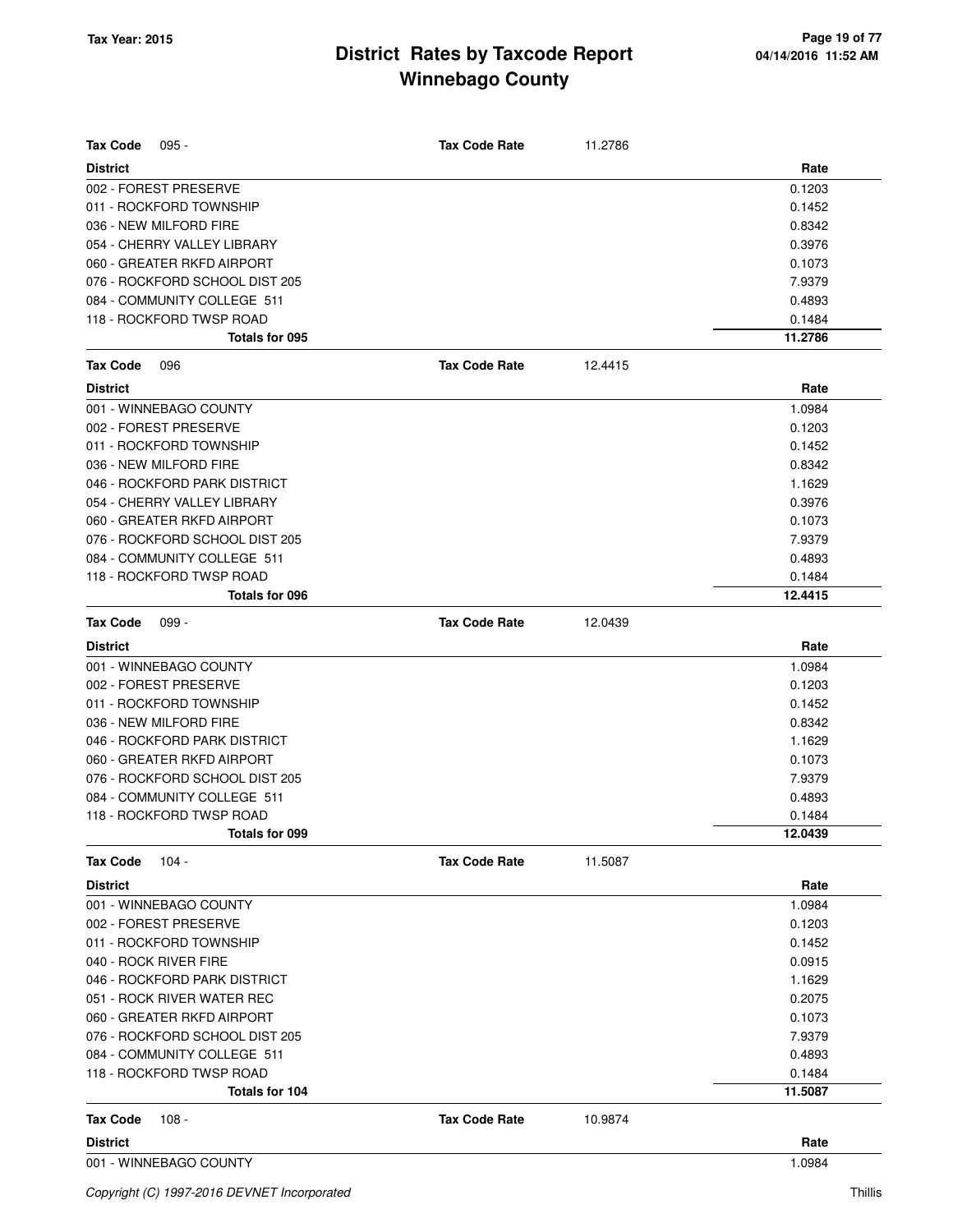| <b>Tax Code</b><br>$095 -$     | <b>Tax Code Rate</b> | 11.2786 |         |
|--------------------------------|----------------------|---------|---------|
| <b>District</b>                |                      |         | Rate    |
| 002 - FOREST PRESERVE          |                      |         | 0.1203  |
| 011 - ROCKFORD TOWNSHIP        |                      |         | 0.1452  |
| 036 - NEW MILFORD FIRE         |                      |         | 0.8342  |
| 054 - CHERRY VALLEY LIBRARY    |                      |         | 0.3976  |
| 060 - GREATER RKFD AIRPORT     |                      |         | 0.1073  |
| 076 - ROCKFORD SCHOOL DIST 205 |                      |         | 7.9379  |
| 084 - COMMUNITY COLLEGE 511    |                      |         | 0.4893  |
| 118 - ROCKFORD TWSP ROAD       |                      |         | 0.1484  |
| Totals for 095                 |                      |         | 11.2786 |
| <b>Tax Code</b><br>096         | <b>Tax Code Rate</b> | 12.4415 |         |
| <b>District</b>                |                      |         | Rate    |
| 001 - WINNEBAGO COUNTY         |                      |         | 1.0984  |
| 002 - FOREST PRESERVE          |                      |         | 0.1203  |
| 011 - ROCKFORD TOWNSHIP        |                      |         | 0.1452  |
| 036 - NEW MILFORD FIRE         |                      |         | 0.8342  |
| 046 - ROCKFORD PARK DISTRICT   |                      |         | 1.1629  |
| 054 - CHERRY VALLEY LIBRARY    |                      |         | 0.3976  |
| 060 - GREATER RKFD AIRPORT     |                      |         | 0.1073  |
| 076 - ROCKFORD SCHOOL DIST 205 |                      |         | 7.9379  |
| 084 - COMMUNITY COLLEGE 511    |                      |         | 0.4893  |
| 118 - ROCKFORD TWSP ROAD       |                      |         | 0.1484  |
| Totals for 096                 |                      |         | 12.4415 |
| <b>Tax Code</b><br>$099 -$     | <b>Tax Code Rate</b> | 12.0439 |         |
| <b>District</b>                |                      |         | Rate    |
| 001 - WINNEBAGO COUNTY         |                      |         | 1.0984  |
| 002 - FOREST PRESERVE          |                      |         | 0.1203  |
| 011 - ROCKFORD TOWNSHIP        |                      |         | 0.1452  |
| 036 - NEW MILFORD FIRE         |                      |         | 0.8342  |
| 046 - ROCKFORD PARK DISTRICT   |                      |         | 1.1629  |
| 060 - GREATER RKFD AIRPORT     |                      |         | 0.1073  |
| 076 - ROCKFORD SCHOOL DIST 205 |                      |         | 7.9379  |
| 084 - COMMUNITY COLLEGE 511    |                      |         | 0.4893  |
| 118 - ROCKFORD TWSP ROAD       |                      |         | 0.1484  |
| Totals for 099                 |                      |         | 12.0439 |
| <b>Tax Code</b><br>$104 -$     | <b>Tax Code Rate</b> | 11.5087 |         |
| <b>District</b>                |                      |         | Rate    |
| 001 - WINNEBAGO COUNTY         |                      |         | 1.0984  |
| 002 - FOREST PRESERVE          |                      |         | 0.1203  |
| 011 - ROCKFORD TOWNSHIP        |                      |         | 0.1452  |
| 040 - ROCK RIVER FIRE          |                      |         | 0.0915  |
| 046 - ROCKFORD PARK DISTRICT   |                      |         | 1.1629  |
| 051 - ROCK RIVER WATER REC     |                      |         | 0.2075  |
| 060 - GREATER RKFD AIRPORT     |                      |         | 0.1073  |
| 076 - ROCKFORD SCHOOL DIST 205 |                      |         | 7.9379  |
| 084 - COMMUNITY COLLEGE 511    |                      |         | 0.4893  |
| 118 - ROCKFORD TWSP ROAD       |                      |         | 0.1484  |
| Totals for 104                 |                      |         | 11.5087 |
| <b>Tax Code</b><br>108 -       | <b>Tax Code Rate</b> | 10.9874 |         |
| <b>District</b>                |                      |         | Rate    |
| 001 - WINNEBAGO COUNTY         |                      |         | 1.0984  |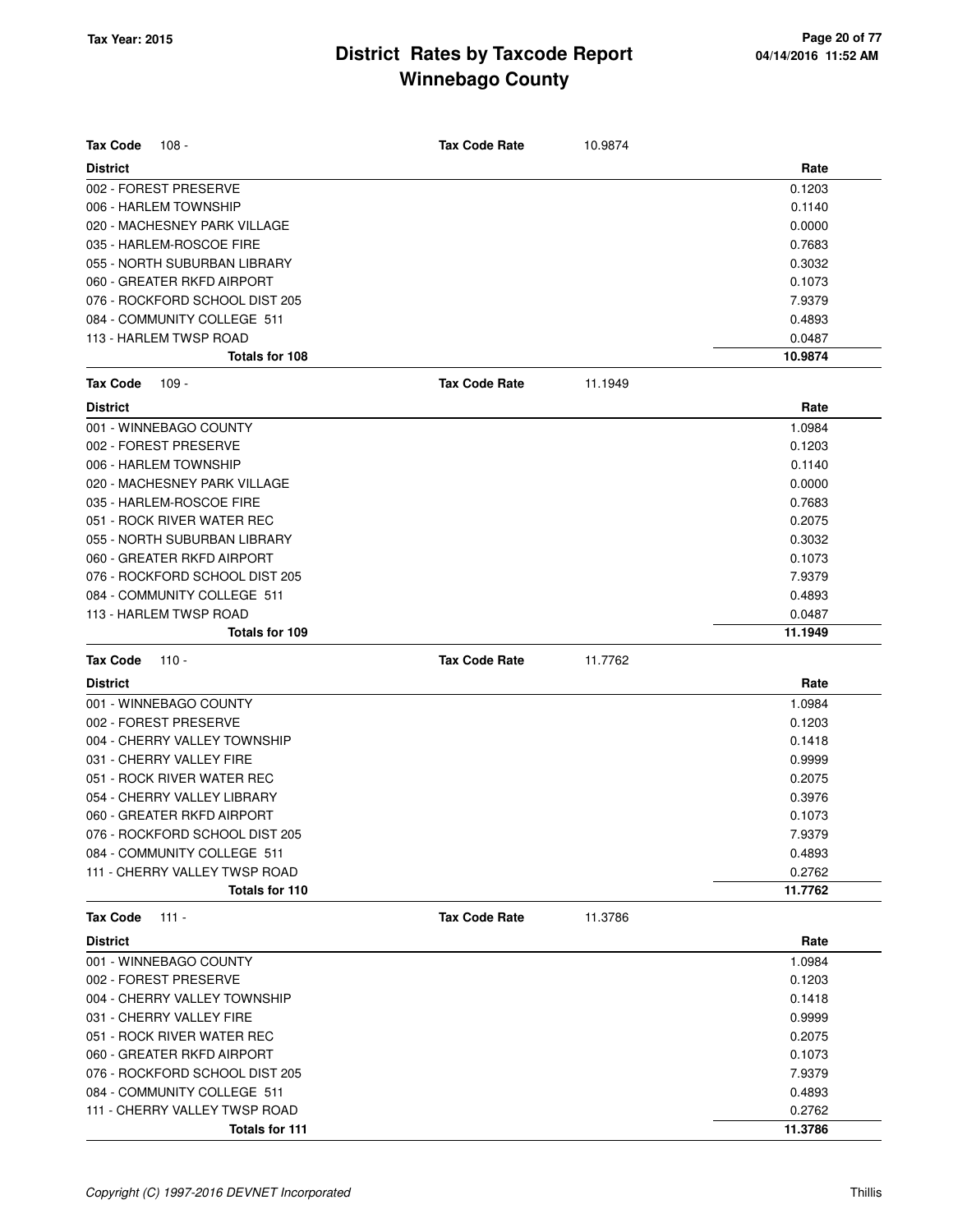| <b>Tax Code</b><br>$108 -$     | <b>Tax Code Rate</b> | 10.9874 |         |
|--------------------------------|----------------------|---------|---------|
| <b>District</b>                |                      |         | Rate    |
| 002 - FOREST PRESERVE          |                      |         | 0.1203  |
| 006 - HARLEM TOWNSHIP          |                      |         | 0.1140  |
| 020 - MACHESNEY PARK VILLAGE   |                      |         | 0.0000  |
| 035 - HARLEM-ROSCOE FIRE       |                      |         | 0.7683  |
| 055 - NORTH SUBURBAN LIBRARY   |                      |         | 0.3032  |
| 060 - GREATER RKFD AIRPORT     |                      |         | 0.1073  |
| 076 - ROCKFORD SCHOOL DIST 205 |                      |         | 7.9379  |
| 084 - COMMUNITY COLLEGE 511    |                      |         | 0.4893  |
| 113 - HARLEM TWSP ROAD         |                      |         | 0.0487  |
| Totals for 108                 |                      |         | 10.9874 |
| <b>Tax Code</b><br>$109 -$     | <b>Tax Code Rate</b> | 11.1949 |         |
| <b>District</b>                |                      |         | Rate    |
| 001 - WINNEBAGO COUNTY         |                      |         | 1.0984  |
| 002 - FOREST PRESERVE          |                      |         | 0.1203  |
| 006 - HARLEM TOWNSHIP          |                      |         | 0.1140  |
| 020 - MACHESNEY PARK VILLAGE   |                      |         | 0.0000  |
| 035 - HARLEM-ROSCOE FIRE       |                      |         | 0.7683  |
| 051 - ROCK RIVER WATER REC     |                      |         | 0.2075  |
| 055 - NORTH SUBURBAN LIBRARY   |                      |         | 0.3032  |
| 060 - GREATER RKFD AIRPORT     |                      |         | 0.1073  |
| 076 - ROCKFORD SCHOOL DIST 205 |                      |         | 7.9379  |
| 084 - COMMUNITY COLLEGE 511    |                      |         | 0.4893  |
| 113 - HARLEM TWSP ROAD         |                      |         | 0.0487  |
| Totals for 109                 |                      |         | 11.1949 |
| <b>Tax Code</b><br>$110 -$     | <b>Tax Code Rate</b> | 11.7762 |         |
| <b>District</b>                |                      |         | Rate    |
| 001 - WINNEBAGO COUNTY         |                      |         | 1.0984  |
| 002 - FOREST PRESERVE          |                      |         | 0.1203  |
| 004 - CHERRY VALLEY TOWNSHIP   |                      |         | 0.1418  |
| 031 - CHERRY VALLEY FIRE       |                      |         | 0.9999  |
| 051 - ROCK RIVER WATER REC     |                      |         | 0.2075  |
| 054 - CHERRY VALLEY LIBRARY    |                      |         | 0.3976  |
| 060 - GREATER RKFD AIRPORT     |                      |         | 0.1073  |
| 076 - ROCKFORD SCHOOL DIST 205 |                      |         | 7.9379  |
| 084 - COMMUNITY COLLEGE 511    |                      |         | 0.4893  |
| 111 - CHERRY VALLEY TWSP ROAD  |                      |         | 0.2762  |
| Totals for 110                 |                      |         | 11.7762 |
| <b>Tax Code</b><br>$111 -$     | <b>Tax Code Rate</b> | 11.3786 |         |
| <b>District</b>                |                      |         | Rate    |
| 001 - WINNEBAGO COUNTY         |                      |         | 1.0984  |
| 002 - FOREST PRESERVE          |                      |         | 0.1203  |
| 004 - CHERRY VALLEY TOWNSHIP   |                      |         | 0.1418  |
| 031 - CHERRY VALLEY FIRE       |                      |         | 0.9999  |
| 051 - ROCK RIVER WATER REC     |                      |         | 0.2075  |
| 060 - GREATER RKFD AIRPORT     |                      |         | 0.1073  |
| 076 - ROCKFORD SCHOOL DIST 205 |                      |         | 7.9379  |
| 084 - COMMUNITY COLLEGE 511    |                      |         | 0.4893  |
| 111 - CHERRY VALLEY TWSP ROAD  |                      |         | 0.2762  |
| Totals for 111                 |                      |         | 11.3786 |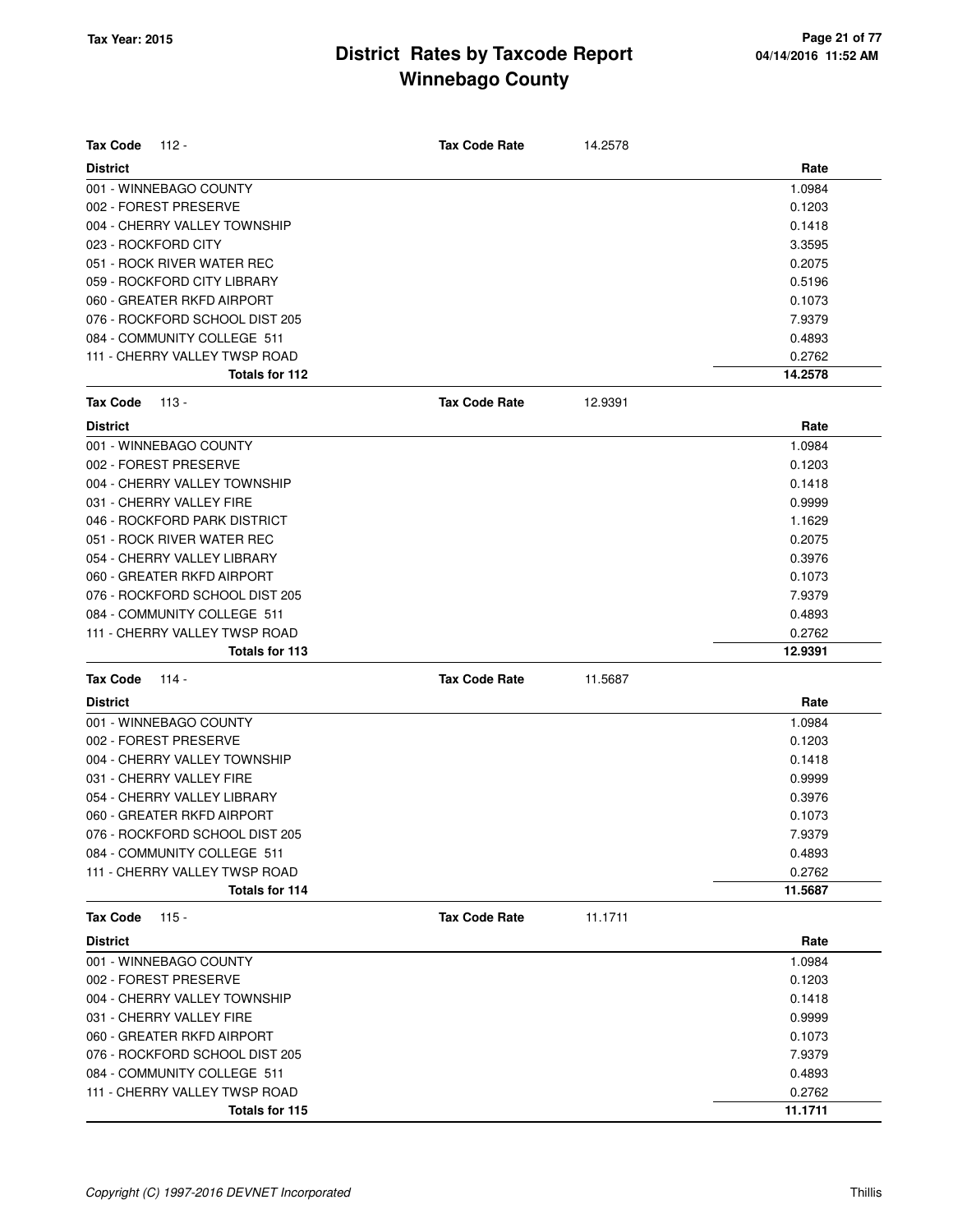| <b>Tax Code</b><br>112 -   |                                | <b>Tax Code Rate</b> | 14.2578 |         |
|----------------------------|--------------------------------|----------------------|---------|---------|
| <b>District</b>            |                                |                      |         | Rate    |
| 001 - WINNEBAGO COUNTY     |                                |                      |         | 1.0984  |
| 002 - FOREST PRESERVE      |                                |                      |         | 0.1203  |
|                            | 004 - CHERRY VALLEY TOWNSHIP   |                      |         | 0.1418  |
| 023 - ROCKFORD CITY        |                                |                      |         | 3.3595  |
|                            | 051 - ROCK RIVER WATER REC     |                      |         | 0.2075  |
|                            | 059 - ROCKFORD CITY LIBRARY    |                      |         | 0.5196  |
|                            | 060 - GREATER RKFD AIRPORT     |                      |         | 0.1073  |
|                            | 076 - ROCKFORD SCHOOL DIST 205 |                      |         | 7.9379  |
|                            | 084 - COMMUNITY COLLEGE 511    |                      |         | 0.4893  |
|                            | 111 - CHERRY VALLEY TWSP ROAD  |                      |         | 0.2762  |
|                            | Totals for 112                 |                      |         | 14.2578 |
| <b>Tax Code</b><br>113 -   |                                | <b>Tax Code Rate</b> | 12.9391 |         |
| <b>District</b>            |                                |                      |         | Rate    |
| 001 - WINNEBAGO COUNTY     |                                |                      |         | 1.0984  |
| 002 - FOREST PRESERVE      |                                |                      |         | 0.1203  |
|                            | 004 - CHERRY VALLEY TOWNSHIP   |                      |         | 0.1418  |
| 031 - CHERRY VALLEY FIRE   |                                |                      |         | 0.9999  |
|                            | 046 - ROCKFORD PARK DISTRICT   |                      |         | 1.1629  |
|                            | 051 - ROCK RIVER WATER REC     |                      |         | 0.2075  |
|                            | 054 - CHERRY VALLEY LIBRARY    |                      |         | 0.3976  |
|                            | 060 - GREATER RKFD AIRPORT     |                      |         | 0.1073  |
|                            | 076 - ROCKFORD SCHOOL DIST 205 |                      |         | 7.9379  |
|                            | 084 - COMMUNITY COLLEGE 511    |                      |         | 0.4893  |
|                            | 111 - CHERRY VALLEY TWSP ROAD  |                      |         | 0.2762  |
|                            | Totals for 113                 |                      |         | 12.9391 |
| <b>Tax Code</b><br>114 -   |                                | <b>Tax Code Rate</b> | 11.5687 |         |
| <b>District</b>            |                                |                      |         | Rate    |
| 001 - WINNEBAGO COUNTY     |                                |                      |         | 1.0984  |
| 002 - FOREST PRESERVE      |                                |                      |         | 0.1203  |
|                            | 004 - CHERRY VALLEY TOWNSHIP   |                      |         | 0.1418  |
| 031 - CHERRY VALLEY FIRE   |                                |                      |         | 0.9999  |
|                            | 054 - CHERRY VALLEY LIBRARY    |                      |         | 0.3976  |
|                            | 060 - GREATER RKFD AIRPORT     |                      |         | 0.1073  |
|                            | 076 - ROCKFORD SCHOOL DIST 205 |                      |         | 7.9379  |
|                            | 084 - COMMUNITY COLLEGE 511    |                      |         | 0.4893  |
|                            | 111 - CHERRY VALLEY TWSP ROAD  |                      |         | 0.2762  |
|                            | Totals for 114                 |                      |         | 11.5687 |
| $115 -$<br><b>Tax Code</b> |                                | <b>Tax Code Rate</b> | 11.1711 |         |
| <b>District</b>            |                                |                      |         | Rate    |
| 001 - WINNEBAGO COUNTY     |                                |                      |         | 1.0984  |
| 002 - FOREST PRESERVE      |                                |                      |         | 0.1203  |
|                            | 004 - CHERRY VALLEY TOWNSHIP   |                      |         | 0.1418  |
| 031 - CHERRY VALLEY FIRE   |                                |                      |         | 0.9999  |
|                            | 060 - GREATER RKFD AIRPORT     |                      |         | 0.1073  |
|                            | 076 - ROCKFORD SCHOOL DIST 205 |                      |         | 7.9379  |
|                            | 084 - COMMUNITY COLLEGE 511    |                      |         | 0.4893  |
|                            | 111 - CHERRY VALLEY TWSP ROAD  |                      |         | 0.2762  |
|                            | Totals for 115                 |                      |         | 11.1711 |
|                            |                                |                      |         |         |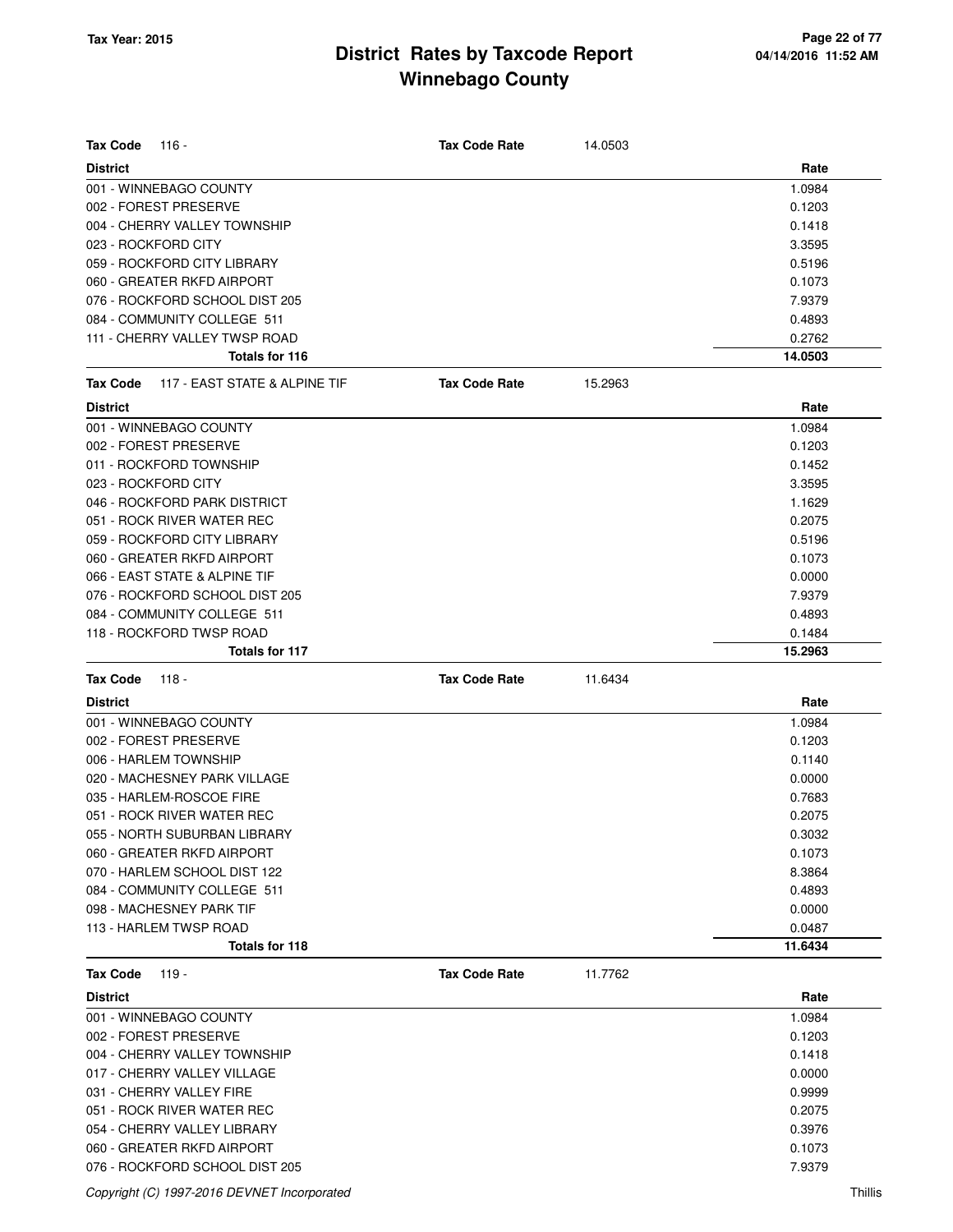| <b>Tax Code</b><br>116 -                                  | <b>Tax Code Rate</b> | 14.0503 |                  |
|-----------------------------------------------------------|----------------------|---------|------------------|
| <b>District</b>                                           |                      |         | Rate             |
| 001 - WINNEBAGO COUNTY                                    |                      |         | 1.0984           |
| 002 - FOREST PRESERVE                                     |                      |         | 0.1203           |
| 004 - CHERRY VALLEY TOWNSHIP                              |                      |         | 0.1418           |
| 023 - ROCKFORD CITY                                       |                      |         | 3.3595           |
| 059 - ROCKFORD CITY LIBRARY                               |                      |         | 0.5196           |
| 060 - GREATER RKFD AIRPORT                                |                      |         | 0.1073           |
| 076 - ROCKFORD SCHOOL DIST 205                            |                      |         | 7.9379           |
| 084 - COMMUNITY COLLEGE 511                               |                      |         | 0.4893           |
| 111 - CHERRY VALLEY TWSP ROAD                             |                      |         | 0.2762           |
| Totals for 116                                            |                      |         | 14.0503          |
| 117 - EAST STATE & ALPINE TIF<br><b>Tax Code</b>          | <b>Tax Code Rate</b> | 15.2963 |                  |
| <b>District</b>                                           |                      |         | Rate             |
| 001 - WINNEBAGO COUNTY                                    |                      |         | 1.0984           |
| 002 - FOREST PRESERVE                                     |                      |         | 0.1203           |
| 011 - ROCKFORD TOWNSHIP                                   |                      |         | 0.1452           |
| 023 - ROCKFORD CITY                                       |                      |         | 3.3595           |
| 046 - ROCKFORD PARK DISTRICT                              |                      |         | 1.1629           |
| 051 - ROCK RIVER WATER REC                                |                      |         | 0.2075           |
| 059 - ROCKFORD CITY LIBRARY                               |                      |         | 0.5196           |
| 060 - GREATER RKFD AIRPORT                                |                      |         | 0.1073           |
| 066 - EAST STATE & ALPINE TIF                             |                      |         | 0.0000           |
| 076 - ROCKFORD SCHOOL DIST 205                            |                      |         | 7.9379           |
| 084 - COMMUNITY COLLEGE 511                               |                      |         | 0.4893           |
| 118 - ROCKFORD TWSP ROAD                                  |                      |         | 0.1484           |
| <b>Totals for 117</b>                                     |                      |         | 15.2963          |
| <b>Tax Code</b><br>118 -                                  | <b>Tax Code Rate</b> | 11.6434 |                  |
| <b>District</b>                                           |                      |         | Rate             |
| 001 - WINNEBAGO COUNTY                                    |                      |         | 1.0984           |
| 002 - FOREST PRESERVE                                     |                      |         | 0.1203           |
| 006 - HARLEM TOWNSHIP                                     |                      |         | 0.1140           |
| 020 - MACHESNEY PARK VILLAGE                              |                      |         | 0.0000           |
| 035 - HARLEM-ROSCOE FIRE                                  |                      |         | 0.7683           |
| 051 - ROCK RIVER WATER REC                                |                      |         | 0.2075           |
| 055 - NORTH SUBURBAN LIBRARY                              |                      |         | 0.3032           |
| 060 - GREATER RKFD AIRPORT                                |                      |         | 0.1073           |
| 070 - HARLEM SCHOOL DIST 122                              |                      |         | 8.3864           |
| 084 - COMMUNITY COLLEGE 511                               |                      |         | 0.4893           |
| 098 - MACHESNEY PARK TIF                                  |                      |         | 0.0000           |
| 113 - HARLEM TWSP ROAD                                    |                      |         | 0.0487           |
| Totals for 118                                            |                      |         | 11.6434          |
| <b>Tax Code</b><br>119 -                                  | <b>Tax Code Rate</b> | 11.7762 |                  |
| <b>District</b>                                           |                      |         | Rate             |
| 001 - WINNEBAGO COUNTY                                    |                      |         | 1.0984           |
| 002 - FOREST PRESERVE                                     |                      |         | 0.1203           |
| 004 - CHERRY VALLEY TOWNSHIP                              |                      |         | 0.1418           |
| 017 - CHERRY VALLEY VILLAGE                               |                      |         |                  |
|                                                           |                      |         | 0.0000           |
| 031 - CHERRY VALLEY FIRE                                  |                      |         |                  |
|                                                           |                      |         | 0.9999           |
| 051 - ROCK RIVER WATER REC                                |                      |         | 0.2075           |
| 054 - CHERRY VALLEY LIBRARY<br>060 - GREATER RKFD AIRPORT |                      |         | 0.3976<br>0.1073 |

Copyright (C) 1997-2016 DEVNET Incorporated Thillis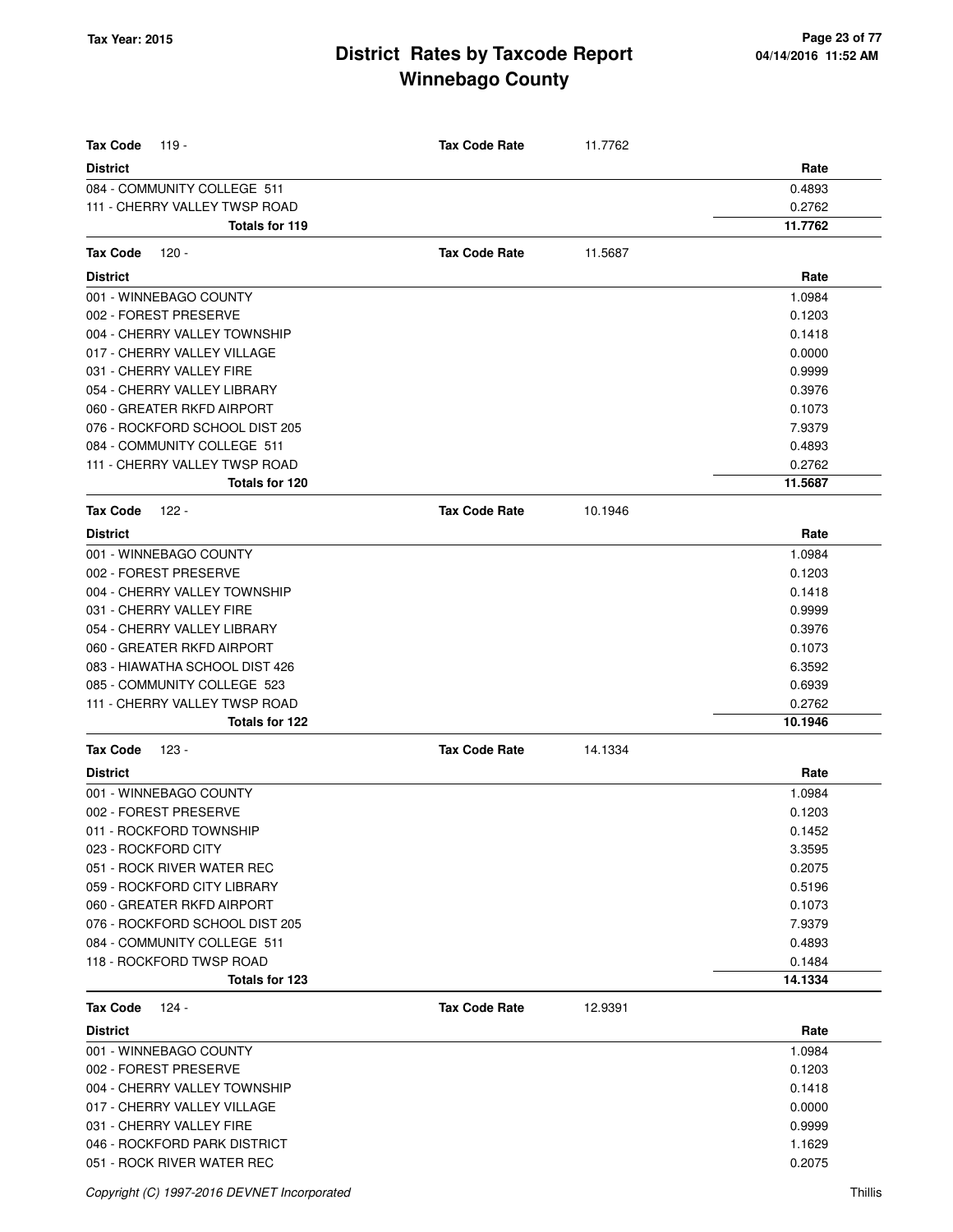| <b>Tax Code</b><br>119 -       | <b>Tax Code Rate</b> | 11.7762 |         |
|--------------------------------|----------------------|---------|---------|
| <b>District</b>                |                      |         | Rate    |
| 084 - COMMUNITY COLLEGE 511    |                      |         | 0.4893  |
| 111 - CHERRY VALLEY TWSP ROAD  |                      |         | 0.2762  |
| <b>Totals for 119</b>          |                      |         | 11.7762 |
| <b>Tax Code</b><br>120 -       | <b>Tax Code Rate</b> | 11.5687 |         |
| <b>District</b>                |                      |         | Rate    |
| 001 - WINNEBAGO COUNTY         |                      |         | 1.0984  |
| 002 - FOREST PRESERVE          |                      |         | 0.1203  |
| 004 - CHERRY VALLEY TOWNSHIP   |                      |         | 0.1418  |
| 017 - CHERRY VALLEY VILLAGE    |                      |         | 0.0000  |
| 031 - CHERRY VALLEY FIRE       |                      |         | 0.9999  |
| 054 - CHERRY VALLEY LIBRARY    |                      |         | 0.3976  |
| 060 - GREATER RKFD AIRPORT     |                      |         | 0.1073  |
| 076 - ROCKFORD SCHOOL DIST 205 |                      |         | 7.9379  |
| 084 - COMMUNITY COLLEGE 511    |                      |         | 0.4893  |
| 111 - CHERRY VALLEY TWSP ROAD  |                      |         | 0.2762  |
| Totals for 120                 |                      |         | 11.5687 |
| <b>Tax Code</b><br>122 -       | <b>Tax Code Rate</b> | 10.1946 |         |
| <b>District</b>                |                      |         | Rate    |
| 001 - WINNEBAGO COUNTY         |                      |         | 1.0984  |
| 002 - FOREST PRESERVE          |                      |         | 0.1203  |
| 004 - CHERRY VALLEY TOWNSHIP   |                      |         | 0.1418  |
| 031 - CHERRY VALLEY FIRE       |                      |         | 0.9999  |
| 054 - CHERRY VALLEY LIBRARY    |                      |         | 0.3976  |
| 060 - GREATER RKFD AIRPORT     |                      |         | 0.1073  |
| 083 - HIAWATHA SCHOOL DIST 426 |                      |         | 6.3592  |
| 085 - COMMUNITY COLLEGE 523    |                      |         | 0.6939  |
| 111 - CHERRY VALLEY TWSP ROAD  |                      |         | 0.2762  |
| Totals for 122                 |                      |         | 10.1946 |
| <b>Tax Code</b><br>123 -       | <b>Tax Code Rate</b> | 14.1334 |         |
|                                |                      |         |         |
| <b>District</b>                |                      |         | Rate    |
| 001 - WINNEBAGO COUNTY         |                      |         | 1.0984  |
| 002 - FOREST PRESERVE          |                      |         | 0.1203  |
| 011 - ROCKFORD TOWNSHIP        |                      |         | 0.1452  |
| 023 - ROCKFORD CITY            |                      |         | 3.3595  |
| 051 - ROCK RIVER WATER REC     |                      |         | 0.2075  |
| 059 - ROCKFORD CITY LIBRARY    |                      |         | 0.5196  |
| 060 - GREATER RKFD AIRPORT     |                      |         | 0.1073  |
| 076 - ROCKFORD SCHOOL DIST 205 |                      |         | 7.9379  |
| 084 - COMMUNITY COLLEGE 511    |                      |         | 0.4893  |
| 118 - ROCKFORD TWSP ROAD       |                      |         | 0.1484  |
| Totals for 123                 |                      |         | 14.1334 |
| <b>Tax Code</b><br>124 -       | <b>Tax Code Rate</b> | 12.9391 |         |
| <b>District</b>                |                      |         | Rate    |
| 001 - WINNEBAGO COUNTY         |                      |         | 1.0984  |
| 002 - FOREST PRESERVE          |                      |         | 0.1203  |
| 004 - CHERRY VALLEY TOWNSHIP   |                      |         | 0.1418  |
| 017 - CHERRY VALLEY VILLAGE    |                      |         | 0.0000  |
| 031 - CHERRY VALLEY FIRE       |                      |         | 0.9999  |
| 046 - ROCKFORD PARK DISTRICT   |                      |         | 1.1629  |
| 051 - ROCK RIVER WATER REC     |                      |         | 0.2075  |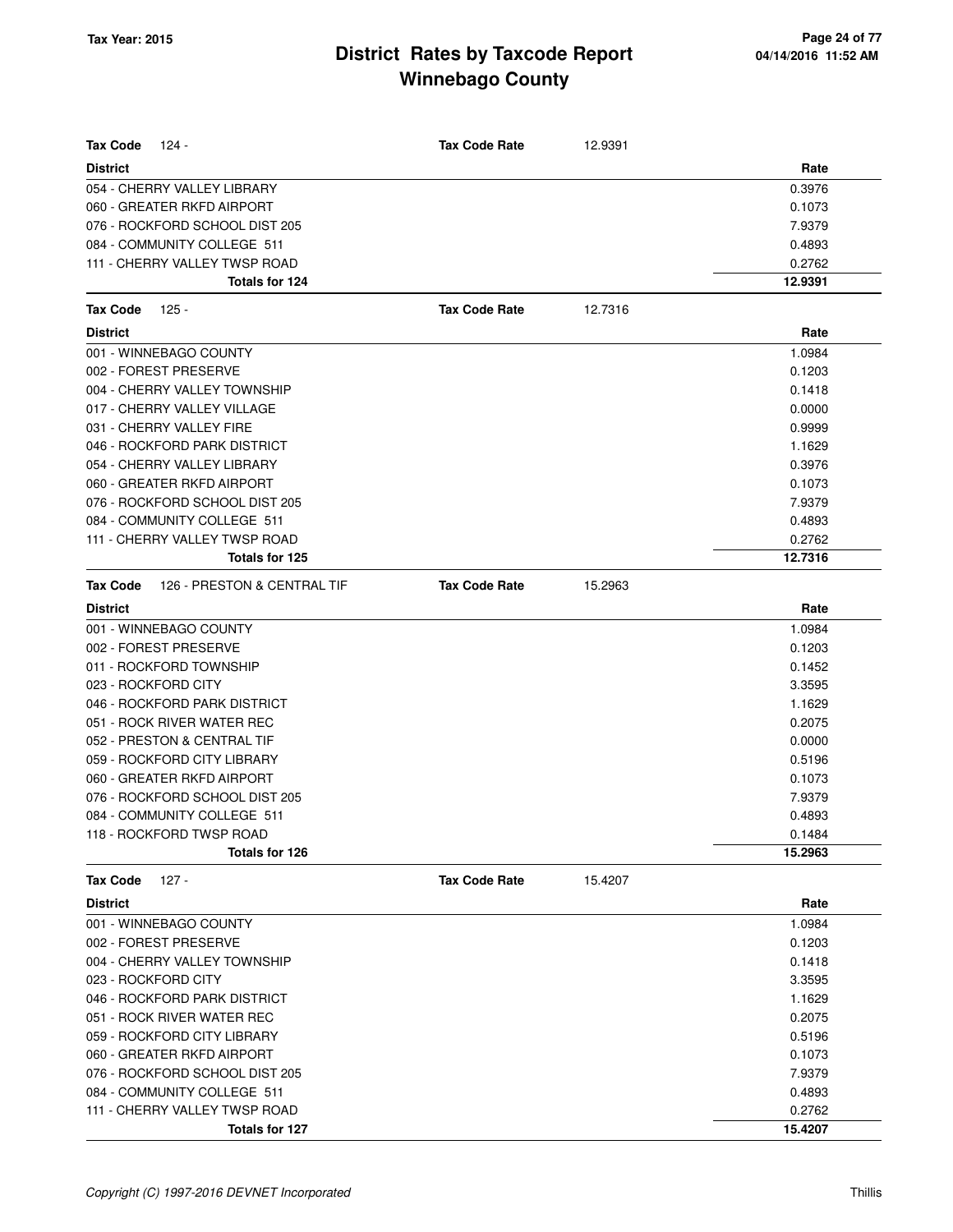| <b>Tax Code</b><br>124 -                       | <b>Tax Code Rate</b> | 12.9391 |         |
|------------------------------------------------|----------------------|---------|---------|
| <b>District</b>                                |                      |         | Rate    |
| 054 - CHERRY VALLEY LIBRARY                    |                      |         | 0.3976  |
| 060 - GREATER RKFD AIRPORT                     |                      |         | 0.1073  |
| 076 - ROCKFORD SCHOOL DIST 205                 |                      |         | 7.9379  |
| 084 - COMMUNITY COLLEGE 511                    |                      |         | 0.4893  |
| 111 - CHERRY VALLEY TWSP ROAD                  |                      |         | 0.2762  |
| Totals for 124                                 |                      |         | 12.9391 |
| 125 -<br><b>Tax Code</b>                       | <b>Tax Code Rate</b> | 12.7316 |         |
| <b>District</b>                                |                      |         | Rate    |
| 001 - WINNEBAGO COUNTY                         |                      |         | 1.0984  |
| 002 - FOREST PRESERVE                          |                      |         | 0.1203  |
| 004 - CHERRY VALLEY TOWNSHIP                   |                      |         | 0.1418  |
| 017 - CHERRY VALLEY VILLAGE                    |                      |         | 0.0000  |
| 031 - CHERRY VALLEY FIRE                       |                      |         | 0.9999  |
| 046 - ROCKFORD PARK DISTRICT                   |                      |         | 1.1629  |
| 054 - CHERRY VALLEY LIBRARY                    |                      |         | 0.3976  |
| 060 - GREATER RKFD AIRPORT                     |                      |         | 0.1073  |
| 076 - ROCKFORD SCHOOL DIST 205                 |                      |         | 7.9379  |
| 084 - COMMUNITY COLLEGE 511                    |                      |         | 0.4893  |
| 111 - CHERRY VALLEY TWSP ROAD                  |                      |         | 0.2762  |
| Totals for 125                                 |                      |         | 12.7316 |
| <b>Tax Code</b><br>126 - PRESTON & CENTRAL TIF | <b>Tax Code Rate</b> | 15.2963 |         |
| <b>District</b>                                |                      |         | Rate    |
| 001 - WINNEBAGO COUNTY                         |                      |         | 1.0984  |
| 002 - FOREST PRESERVE                          |                      |         | 0.1203  |
| 011 - ROCKFORD TOWNSHIP                        |                      |         | 0.1452  |
| 023 - ROCKFORD CITY                            |                      |         | 3.3595  |
| 046 - ROCKFORD PARK DISTRICT                   |                      |         | 1.1629  |
| 051 - ROCK RIVER WATER REC                     |                      |         | 0.2075  |
| 052 - PRESTON & CENTRAL TIF                    |                      |         | 0.0000  |
| 059 - ROCKFORD CITY LIBRARY                    |                      |         | 0.5196  |
| 060 - GREATER RKFD AIRPORT                     |                      |         | 0.1073  |
| 076 - ROCKFORD SCHOOL DIST 205                 |                      |         | 7.9379  |
| 084 - COMMUNITY COLLEGE 511                    |                      |         | 0.4893  |
| 118 - ROCKFORD TWSP ROAD                       |                      |         | 0.1484  |
| Totals for 126                                 |                      |         | 15.2963 |
| <b>Tax Code</b><br>127 -                       | <b>Tax Code Rate</b> | 15.4207 |         |
| <b>District</b>                                |                      |         | Rate    |
| 001 - WINNEBAGO COUNTY                         |                      |         | 1.0984  |
| 002 - FOREST PRESERVE                          |                      |         | 0.1203  |
| 004 - CHERRY VALLEY TOWNSHIP                   |                      |         | 0.1418  |
| 023 - ROCKFORD CITY                            |                      |         | 3.3595  |
| 046 - ROCKFORD PARK DISTRICT                   |                      |         | 1.1629  |
| 051 - ROCK RIVER WATER REC                     |                      |         | 0.2075  |
| 059 - ROCKFORD CITY LIBRARY                    |                      |         | 0.5196  |
| 060 - GREATER RKFD AIRPORT                     |                      |         | 0.1073  |
| 076 - ROCKFORD SCHOOL DIST 205                 |                      |         | 7.9379  |
| 084 - COMMUNITY COLLEGE 511                    |                      |         | 0.4893  |
| 111 - CHERRY VALLEY TWSP ROAD                  |                      |         | 0.2762  |
| Totals for 127                                 |                      |         | 15.4207 |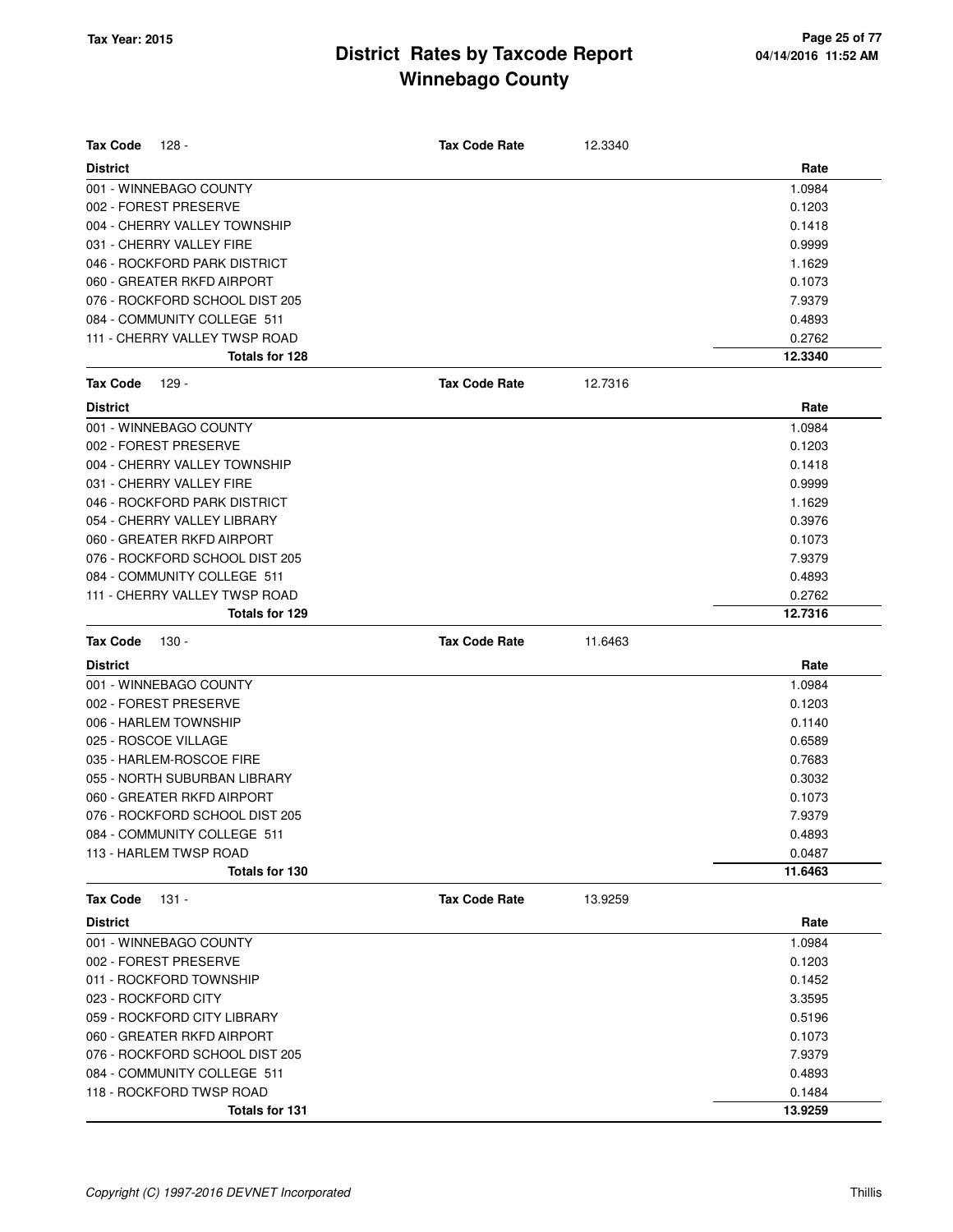| Tax Code<br>128 -                               | <b>Tax Code Rate</b> | 12.3340 |         |
|-------------------------------------------------|----------------------|---------|---------|
| <b>District</b>                                 |                      |         | Rate    |
| 001 - WINNEBAGO COUNTY                          |                      |         | 1.0984  |
| 002 - FOREST PRESERVE                           |                      |         | 0.1203  |
| 004 - CHERRY VALLEY TOWNSHIP                    |                      |         | 0.1418  |
| 031 - CHERRY VALLEY FIRE                        |                      |         | 0.9999  |
| 046 - ROCKFORD PARK DISTRICT                    |                      |         | 1.1629  |
| 060 - GREATER RKFD AIRPORT                      |                      |         | 0.1073  |
| 076 - ROCKFORD SCHOOL DIST 205                  |                      |         | 7.9379  |
| 084 - COMMUNITY COLLEGE 511                     |                      |         | 0.4893  |
| 111 - CHERRY VALLEY TWSP ROAD                   |                      |         | 0.2762  |
| Totals for 128                                  |                      |         | 12.3340 |
| <b>Tax Code</b><br>129 -                        | <b>Tax Code Rate</b> | 12.7316 |         |
| <b>District</b>                                 |                      |         | Rate    |
| 001 - WINNEBAGO COUNTY                          |                      |         | 1.0984  |
| 002 - FOREST PRESERVE                           |                      |         | 0.1203  |
| 004 - CHERRY VALLEY TOWNSHIP                    |                      |         | 0.1418  |
| 031 - CHERRY VALLEY FIRE                        |                      |         | 0.9999  |
| 046 - ROCKFORD PARK DISTRICT                    |                      |         | 1.1629  |
| 054 - CHERRY VALLEY LIBRARY                     |                      |         | 0.3976  |
| 060 - GREATER RKFD AIRPORT                      |                      |         | 0.1073  |
| 076 - ROCKFORD SCHOOL DIST 205                  |                      |         | 7.9379  |
| 084 - COMMUNITY COLLEGE 511                     |                      |         | 0.4893  |
| 111 - CHERRY VALLEY TWSP ROAD                   |                      |         | 0.2762  |
| Totals for 129                                  |                      |         | 12.7316 |
| <b>Tax Code</b><br>130 -                        | <b>Tax Code Rate</b> | 11.6463 |         |
| <b>District</b>                                 |                      |         | Rate    |
|                                                 |                      |         |         |
| 001 - WINNEBAGO COUNTY                          |                      |         | 1.0984  |
| 002 - FOREST PRESERVE                           |                      |         | 0.1203  |
| 006 - HARLEM TOWNSHIP                           |                      |         | 0.1140  |
| 025 - ROSCOE VILLAGE                            |                      |         | 0.6589  |
| 035 - HARLEM-ROSCOE FIRE                        |                      |         | 0.7683  |
| 055 - NORTH SUBURBAN LIBRARY                    |                      |         | 0.3032  |
| 060 - GREATER RKFD AIRPORT                      |                      |         | 0.1073  |
| 076 - ROCKFORD SCHOOL DIST 205                  |                      |         | 7.9379  |
| 084 - COMMUNITY COLLEGE 511                     |                      |         | 0.4893  |
| 113 - HARLEM TWSP ROAD                          |                      |         | 0.0487  |
| Totals for 130                                  |                      |         | 11.6463 |
| <b>Tax Code</b><br>$131 -$                      | <b>Tax Code Rate</b> | 13.9259 |         |
| <b>District</b>                                 |                      |         | Rate    |
|                                                 |                      |         | 1.0984  |
| 001 - WINNEBAGO COUNTY<br>002 - FOREST PRESERVE |                      |         | 0.1203  |
| 011 - ROCKFORD TOWNSHIP                         |                      |         | 0.1452  |
| 023 - ROCKFORD CITY                             |                      |         | 3.3595  |
| 059 - ROCKFORD CITY LIBRARY                     |                      |         | 0.5196  |
| 060 - GREATER RKFD AIRPORT                      |                      |         | 0.1073  |
| 076 - ROCKFORD SCHOOL DIST 205                  |                      |         | 7.9379  |
| 084 - COMMUNITY COLLEGE 511                     |                      |         | 0.4893  |
| 118 - ROCKFORD TWSP ROAD                        |                      |         | 0.1484  |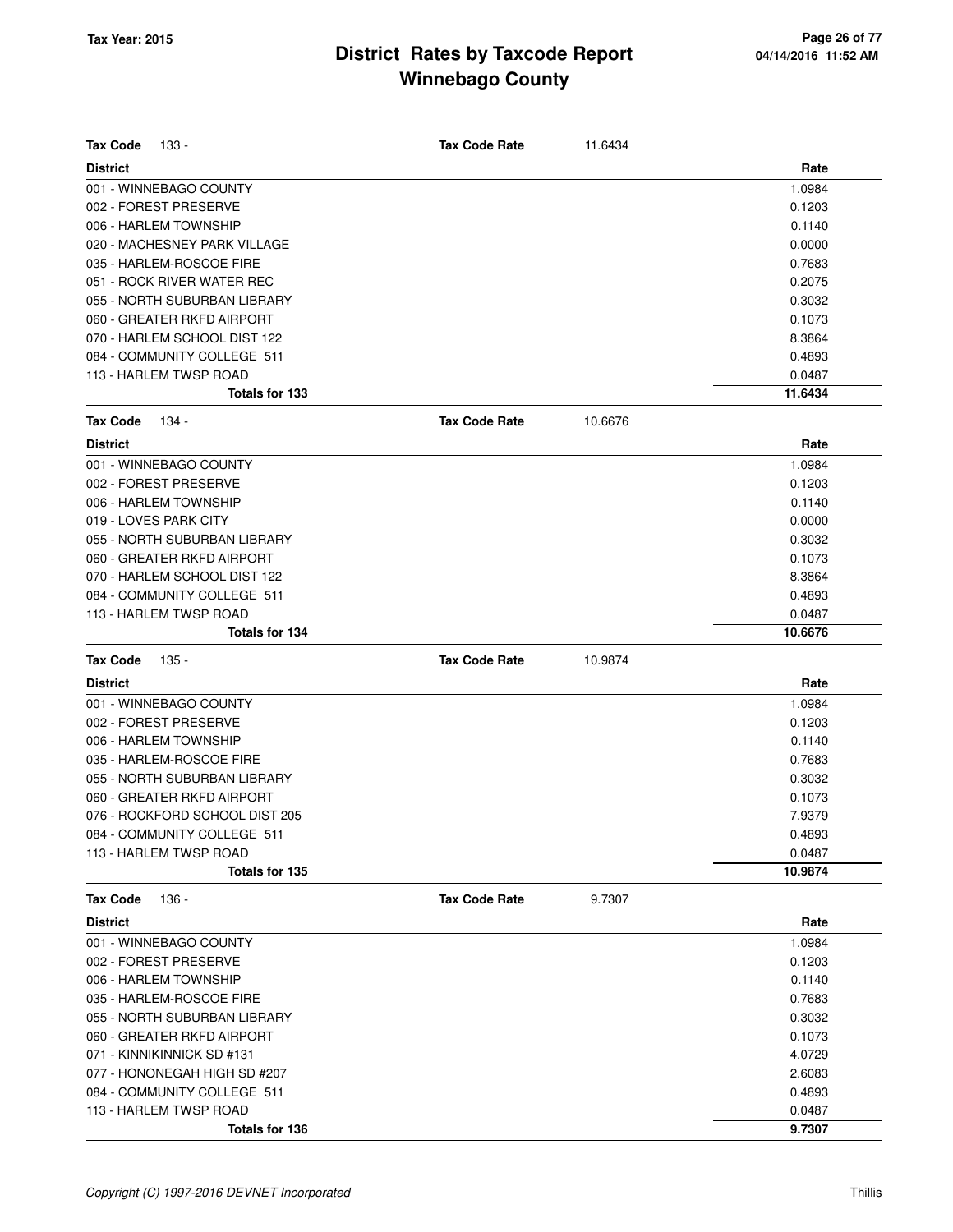| <b>Tax Code</b><br>133 -       | <b>Tax Code Rate</b> | 11.6434 |         |
|--------------------------------|----------------------|---------|---------|
| <b>District</b>                |                      |         | Rate    |
| 001 - WINNEBAGO COUNTY         |                      |         | 1.0984  |
| 002 - FOREST PRESERVE          |                      |         | 0.1203  |
| 006 - HARLEM TOWNSHIP          |                      |         | 0.1140  |
| 020 - MACHESNEY PARK VILLAGE   |                      |         | 0.0000  |
| 035 - HARLEM-ROSCOE FIRE       |                      |         | 0.7683  |
| 051 - ROCK RIVER WATER REC     |                      |         | 0.2075  |
| 055 - NORTH SUBURBAN LIBRARY   |                      |         | 0.3032  |
| 060 - GREATER RKFD AIRPORT     |                      |         | 0.1073  |
| 070 - HARLEM SCHOOL DIST 122   |                      |         | 8.3864  |
| 084 - COMMUNITY COLLEGE 511    |                      |         | 0.4893  |
| 113 - HARLEM TWSP ROAD         |                      |         | 0.0487  |
| Totals for 133                 |                      |         | 11.6434 |
| <b>Tax Code</b><br>134 -       | <b>Tax Code Rate</b> | 10.6676 |         |
| <b>District</b>                |                      |         | Rate    |
| 001 - WINNEBAGO COUNTY         |                      |         | 1.0984  |
| 002 - FOREST PRESERVE          |                      |         | 0.1203  |
| 006 - HARLEM TOWNSHIP          |                      |         | 0.1140  |
| 019 - LOVES PARK CITY          |                      |         | 0.0000  |
| 055 - NORTH SUBURBAN LIBRARY   |                      |         | 0.3032  |
| 060 - GREATER RKFD AIRPORT     |                      |         | 0.1073  |
| 070 - HARLEM SCHOOL DIST 122   |                      |         | 8.3864  |
| 084 - COMMUNITY COLLEGE 511    |                      |         | 0.4893  |
| 113 - HARLEM TWSP ROAD         |                      |         | 0.0487  |
| <b>Totals for 134</b>          |                      |         | 10.6676 |
| <b>Tax Code</b><br>$135 -$     | <b>Tax Code Rate</b> | 10.9874 |         |
| <b>District</b>                |                      |         | Rate    |
| 001 - WINNEBAGO COUNTY         |                      |         | 1.0984  |
| 002 - FOREST PRESERVE          |                      |         | 0.1203  |
| 006 - HARLEM TOWNSHIP          |                      |         | 0.1140  |
| 035 - HARLEM-ROSCOE FIRE       |                      |         | 0.7683  |
| 055 - NORTH SUBURBAN LIBRARY   |                      |         | 0.3032  |
| 060 - GREATER RKFD AIRPORT     |                      |         | 0.1073  |
| 076 - ROCKFORD SCHOOL DIST 205 |                      |         | 7.9379  |
| 084 - COMMUNITY COLLEGE 511    |                      |         | 0.4893  |
| 113 - HARLEM TWSP ROAD         |                      |         | 0.0487  |
| Totals for 135                 |                      |         | 10.9874 |
| <b>Tax Code</b><br>136 -       | <b>Tax Code Rate</b> | 9.7307  |         |
| <b>District</b>                |                      |         | Rate    |
| 001 - WINNEBAGO COUNTY         |                      |         | 1.0984  |
| 002 - FOREST PRESERVE          |                      |         | 0.1203  |
| 006 - HARLEM TOWNSHIP          |                      |         | 0.1140  |
| 035 - HARLEM-ROSCOE FIRE       |                      |         | 0.7683  |
| 055 - NORTH SUBURBAN LIBRARY   |                      |         | 0.3032  |
| 060 - GREATER RKFD AIRPORT     |                      |         | 0.1073  |
| 071 - KINNIKINNICK SD #131     |                      |         | 4.0729  |
| 077 - HONONEGAH HIGH SD #207   |                      |         | 2.6083  |
| 084 - COMMUNITY COLLEGE 511    |                      |         | 0.4893  |
| 113 - HARLEM TWSP ROAD         |                      |         | 0.0487  |
| Totals for 136                 |                      |         | 9.7307  |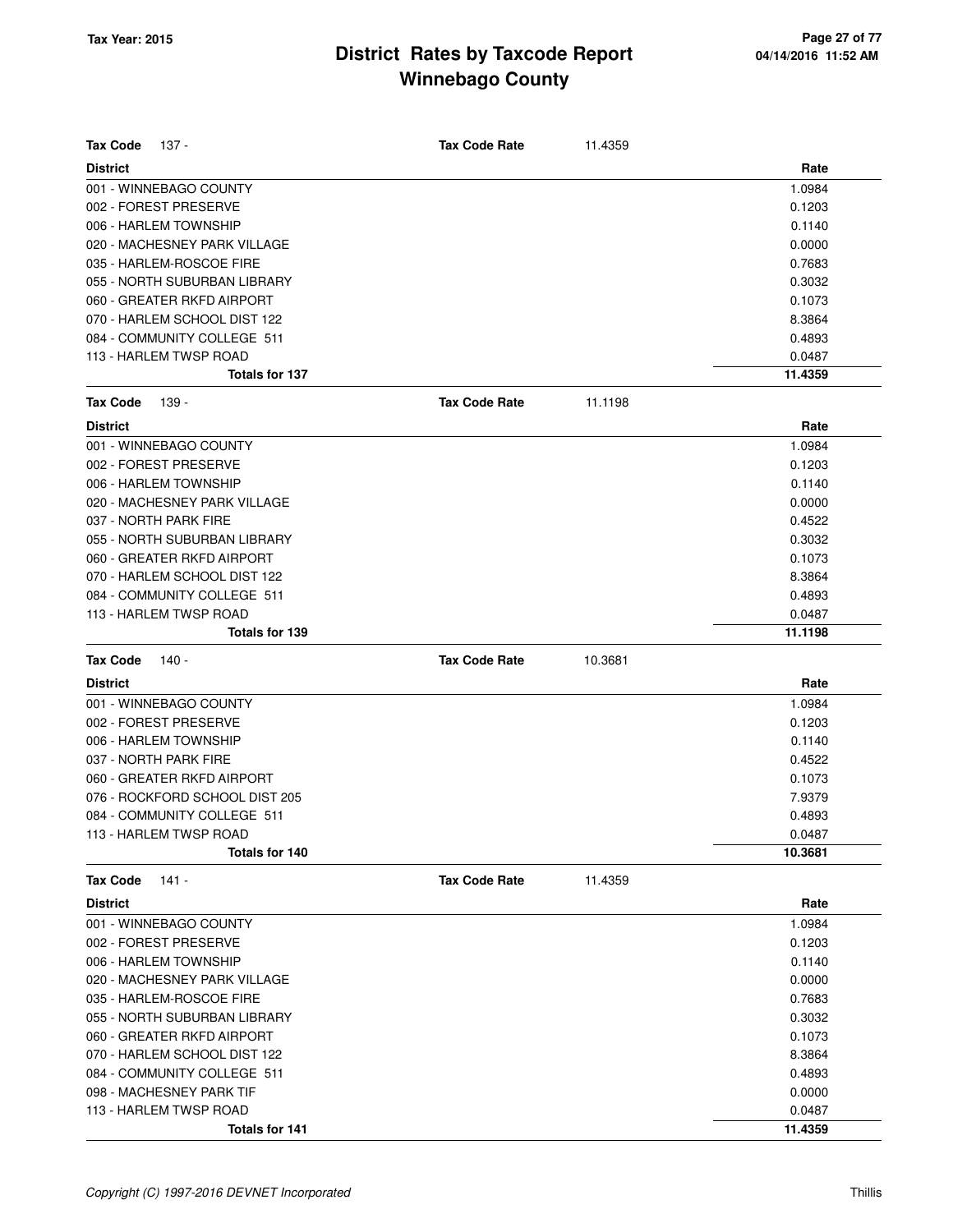| <b>Tax Code</b> | 137 -                          | <b>Tax Code Rate</b> | 11.4359 |         |
|-----------------|--------------------------------|----------------------|---------|---------|
| <b>District</b> |                                |                      |         | Rate    |
|                 | 001 - WINNEBAGO COUNTY         |                      |         | 1.0984  |
|                 | 002 - FOREST PRESERVE          |                      |         | 0.1203  |
|                 | 006 - HARLEM TOWNSHIP          |                      |         | 0.1140  |
|                 | 020 - MACHESNEY PARK VILLAGE   |                      |         | 0.0000  |
|                 | 035 - HARLEM-ROSCOE FIRE       |                      |         | 0.7683  |
|                 | 055 - NORTH SUBURBAN LIBRARY   |                      |         | 0.3032  |
|                 | 060 - GREATER RKFD AIRPORT     |                      |         | 0.1073  |
|                 | 070 - HARLEM SCHOOL DIST 122   |                      |         | 8.3864  |
|                 | 084 - COMMUNITY COLLEGE 511    |                      |         | 0.4893  |
|                 | 113 - HARLEM TWSP ROAD         |                      |         | 0.0487  |
|                 | <b>Totals for 137</b>          |                      |         | 11.4359 |
| <b>Tax Code</b> | 139 -                          | <b>Tax Code Rate</b> | 11.1198 |         |
| <b>District</b> |                                |                      |         | Rate    |
|                 | 001 - WINNEBAGO COUNTY         |                      |         | 1.0984  |
|                 | 002 - FOREST PRESERVE          |                      |         | 0.1203  |
|                 | 006 - HARLEM TOWNSHIP          |                      |         | 0.1140  |
|                 | 020 - MACHESNEY PARK VILLAGE   |                      |         | 0.0000  |
|                 | 037 - NORTH PARK FIRE          |                      |         | 0.4522  |
|                 | 055 - NORTH SUBURBAN LIBRARY   |                      |         | 0.3032  |
|                 | 060 - GREATER RKFD AIRPORT     |                      |         | 0.1073  |
|                 | 070 - HARLEM SCHOOL DIST 122   |                      |         | 8.3864  |
|                 | 084 - COMMUNITY COLLEGE 511    |                      |         | 0.4893  |
|                 | 113 - HARLEM TWSP ROAD         |                      |         | 0.0487  |
|                 | Totals for 139                 |                      |         | 11.1198 |
| <b>Tax Code</b> | 140 -                          | <b>Tax Code Rate</b> | 10.3681 |         |
| <b>District</b> |                                |                      |         | Rate    |
|                 | 001 - WINNEBAGO COUNTY         |                      |         | 1.0984  |
|                 | 002 - FOREST PRESERVE          |                      |         | 0.1203  |
|                 | 006 - HARLEM TOWNSHIP          |                      |         | 0.1140  |
|                 | 037 - NORTH PARK FIRE          |                      |         |         |
|                 |                                |                      |         | 0.4522  |
|                 | 060 - GREATER RKFD AIRPORT     |                      |         | 0.1073  |
|                 | 076 - ROCKFORD SCHOOL DIST 205 |                      |         | 7.9379  |
|                 | 084 - COMMUNITY COLLEGE 511    |                      |         | 0.4893  |
|                 | 113 - HARLEM TWSP ROAD         |                      |         | 0.0487  |
|                 | Totals for 140                 |                      |         | 10.3681 |
| <b>Tax Code</b> | 141 -                          | <b>Tax Code Rate</b> | 11.4359 |         |
| <b>District</b> |                                |                      |         | Rate    |
|                 | 001 - WINNEBAGO COUNTY         |                      |         | 1.0984  |
|                 | 002 - FOREST PRESERVE          |                      |         | 0.1203  |
|                 | 006 - HARLEM TOWNSHIP          |                      |         | 0.1140  |
|                 | 020 - MACHESNEY PARK VILLAGE   |                      |         | 0.0000  |
|                 | 035 - HARLEM-ROSCOE FIRE       |                      |         | 0.7683  |
|                 | 055 - NORTH SUBURBAN LIBRARY   |                      |         | 0.3032  |
|                 | 060 - GREATER RKFD AIRPORT     |                      |         | 0.1073  |
|                 | 070 - HARLEM SCHOOL DIST 122   |                      |         | 8.3864  |
|                 | 084 - COMMUNITY COLLEGE 511    |                      |         | 0.4893  |
|                 | 098 - MACHESNEY PARK TIF       |                      |         | 0.0000  |
|                 | 113 - HARLEM TWSP ROAD         |                      |         | 0.0487  |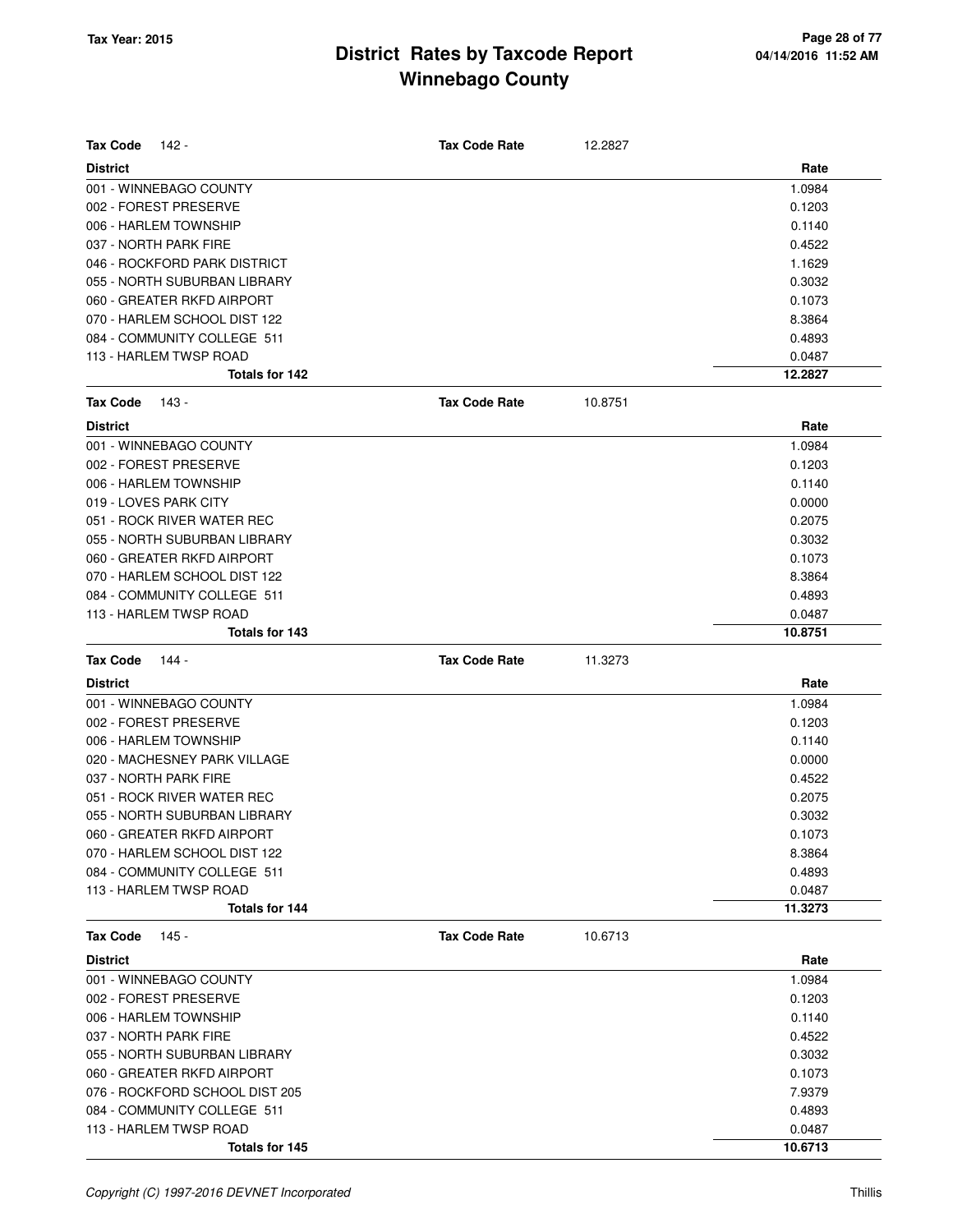| <b>Tax Code</b><br>142 -                 | <b>Tax Code Rate</b> | 12.2827 |                   |
|------------------------------------------|----------------------|---------|-------------------|
| <b>District</b>                          |                      |         | Rate              |
| 001 - WINNEBAGO COUNTY                   |                      |         | 1.0984            |
| 002 - FOREST PRESERVE                    |                      |         | 0.1203            |
| 006 - HARLEM TOWNSHIP                    |                      |         | 0.1140            |
| 037 - NORTH PARK FIRE                    |                      |         | 0.4522            |
| 046 - ROCKFORD PARK DISTRICT             |                      |         | 1.1629            |
| 055 - NORTH SUBURBAN LIBRARY             |                      |         | 0.3032            |
| 060 - GREATER RKFD AIRPORT               |                      |         | 0.1073            |
| 070 - HARLEM SCHOOL DIST 122             |                      |         | 8.3864            |
| 084 - COMMUNITY COLLEGE 511              |                      |         | 0.4893            |
| 113 - HARLEM TWSP ROAD                   |                      |         | 0.0487            |
| <b>Totals for 142</b>                    |                      |         | 12.2827           |
| <b>Tax Code</b><br>143 -                 | <b>Tax Code Rate</b> | 10.8751 |                   |
| <b>District</b>                          |                      |         | Rate              |
| 001 - WINNEBAGO COUNTY                   |                      |         | 1.0984            |
| 002 - FOREST PRESERVE                    |                      |         | 0.1203            |
| 006 - HARLEM TOWNSHIP                    |                      |         | 0.1140            |
| 019 - LOVES PARK CITY                    |                      |         | 0.0000            |
| 051 - ROCK RIVER WATER REC               |                      |         | 0.2075            |
| 055 - NORTH SUBURBAN LIBRARY             |                      |         | 0.3032            |
| 060 - GREATER RKFD AIRPORT               |                      |         | 0.1073            |
| 070 - HARLEM SCHOOL DIST 122             |                      |         | 8.3864            |
| 084 - COMMUNITY COLLEGE 511              |                      |         | 0.4893            |
| 113 - HARLEM TWSP ROAD                   |                      |         | 0.0487            |
| Totals for 143                           |                      |         | 10.8751           |
| <b>Tax Code</b><br>144 -                 | <b>Tax Code Rate</b> | 11.3273 |                   |
|                                          |                      |         |                   |
| <b>District</b>                          |                      |         | Rate              |
| 001 - WINNEBAGO COUNTY                   |                      |         | 1.0984            |
| 002 - FOREST PRESERVE                    |                      |         | 0.1203            |
| 006 - HARLEM TOWNSHIP                    |                      |         | 0.1140            |
| 020 - MACHESNEY PARK VILLAGE             |                      |         | 0.0000            |
| 037 - NORTH PARK FIRE                    |                      |         | 0.4522            |
| 051 - ROCK RIVER WATER REC               |                      |         | 0.2075            |
| 055 - NORTH SUBURBAN LIBRARY             |                      |         | 0.3032            |
| 060 - GREATER RKFD AIRPORT               |                      |         | 0.1073            |
| 070 - HARLEM SCHOOL DIST 122             |                      |         | 8.3864            |
| 084 - COMMUNITY COLLEGE 511              |                      |         | 0.4893            |
| 113 - HARLEM TWSP ROAD                   |                      |         | 0.0487            |
| Totals for 144                           |                      |         | 11.3273           |
| <b>Tax Code</b><br>$145 -$               | <b>Tax Code Rate</b> | 10.6713 |                   |
| <b>District</b>                          |                      |         | Rate              |
| 001 - WINNEBAGO COUNTY                   |                      |         | 1.0984            |
| 002 - FOREST PRESERVE                    |                      |         | 0.1203            |
| 006 - HARLEM TOWNSHIP                    |                      |         | 0.1140            |
| 037 - NORTH PARK FIRE                    |                      |         | 0.4522            |
| 055 - NORTH SUBURBAN LIBRARY             |                      |         | 0.3032            |
| 060 - GREATER RKFD AIRPORT               |                      |         | 0.1073            |
| 076 - ROCKFORD SCHOOL DIST 205           |                      |         | 7.9379            |
| 084 - COMMUNITY COLLEGE 511              |                      |         | 0.4893            |
| 113 - HARLEM TWSP ROAD<br>Totals for 145 |                      |         | 0.0487<br>10.6713 |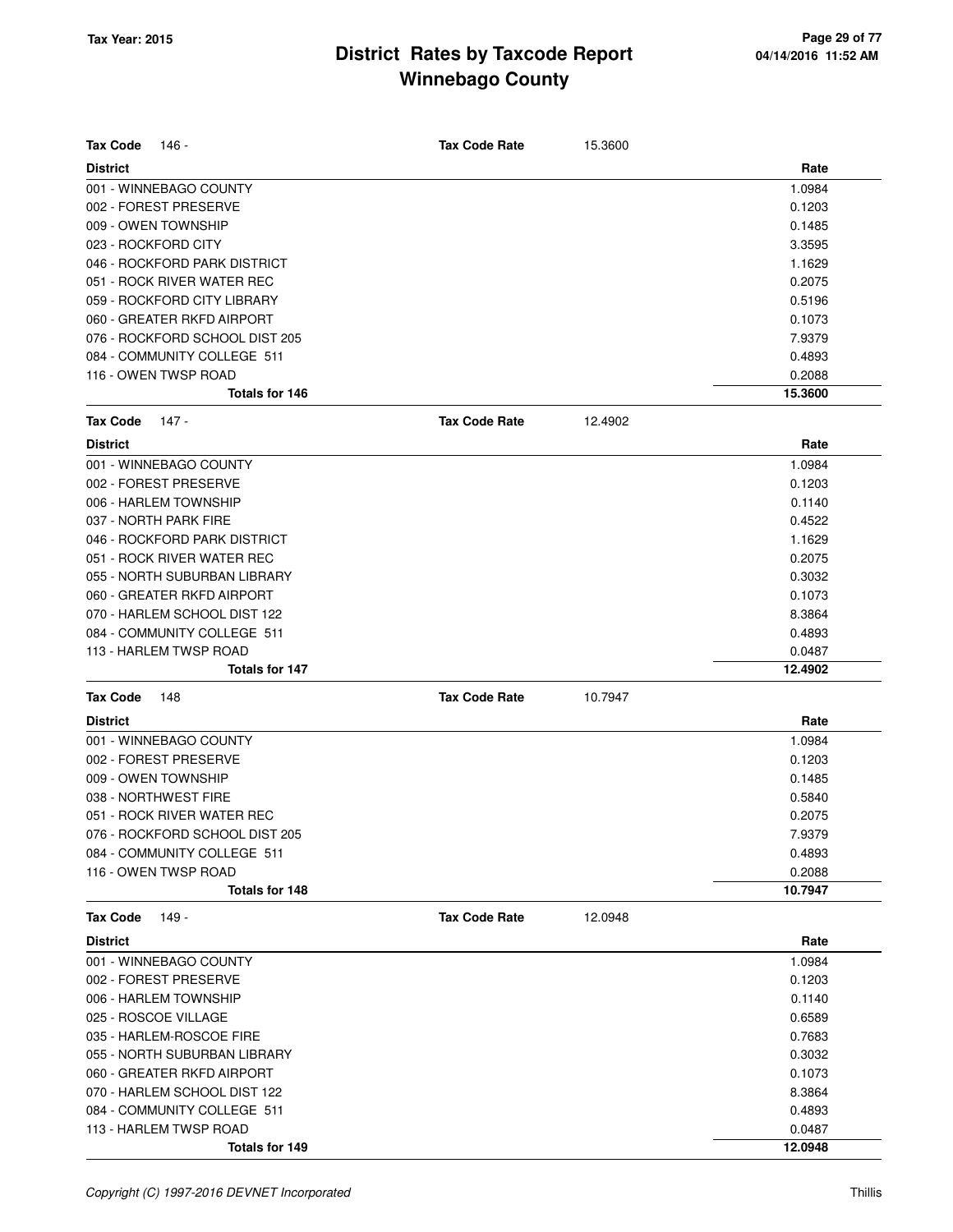| <b>Tax Code</b><br>146 -       | <b>Tax Code Rate</b> | 15.3600 |         |
|--------------------------------|----------------------|---------|---------|
| <b>District</b>                |                      |         | Rate    |
| 001 - WINNEBAGO COUNTY         |                      |         | 1.0984  |
| 002 - FOREST PRESERVE          |                      |         | 0.1203  |
| 009 - OWEN TOWNSHIP            |                      |         | 0.1485  |
| 023 - ROCKFORD CITY            |                      |         | 3.3595  |
| 046 - ROCKFORD PARK DISTRICT   |                      |         | 1.1629  |
| 051 - ROCK RIVER WATER REC     |                      |         | 0.2075  |
| 059 - ROCKFORD CITY LIBRARY    |                      |         | 0.5196  |
| 060 - GREATER RKFD AIRPORT     |                      |         | 0.1073  |
| 076 - ROCKFORD SCHOOL DIST 205 |                      |         | 7.9379  |
| 084 - COMMUNITY COLLEGE 511    |                      |         | 0.4893  |
| 116 - OWEN TWSP ROAD           |                      |         | 0.2088  |
| Totals for 146                 |                      |         | 15.3600 |
| <b>Tax Code</b><br>147 -       | <b>Tax Code Rate</b> | 12.4902 |         |
| <b>District</b>                |                      |         | Rate    |
| 001 - WINNEBAGO COUNTY         |                      |         | 1.0984  |
| 002 - FOREST PRESERVE          |                      |         | 0.1203  |
| 006 - HARLEM TOWNSHIP          |                      |         | 0.1140  |
| 037 - NORTH PARK FIRE          |                      |         | 0.4522  |
| 046 - ROCKFORD PARK DISTRICT   |                      |         | 1.1629  |
| 051 - ROCK RIVER WATER REC     |                      |         | 0.2075  |
| 055 - NORTH SUBURBAN LIBRARY   |                      |         | 0.3032  |
| 060 - GREATER RKFD AIRPORT     |                      |         | 0.1073  |
| 070 - HARLEM SCHOOL DIST 122   |                      |         | 8.3864  |
| 084 - COMMUNITY COLLEGE 511    |                      |         | 0.4893  |
| 113 - HARLEM TWSP ROAD         |                      |         | 0.0487  |
| Totals for 147                 |                      |         | 12.4902 |
| <b>Tax Code</b><br>148         | <b>Tax Code Rate</b> | 10.7947 |         |
| <b>District</b>                |                      |         | Rate    |
| 001 - WINNEBAGO COUNTY         |                      |         | 1.0984  |
| 002 - FOREST PRESERVE          |                      |         | 0.1203  |
| 009 - OWEN TOWNSHIP            |                      |         | 0.1485  |
| 038 - NORTHWEST FIRE           |                      |         | 0.5840  |
| 051 - ROCK RIVER WATER REC     |                      |         | 0.2075  |
| 076 - ROCKFORD SCHOOL DIST 205 |                      |         | 7.9379  |
| 084 - COMMUNITY COLLEGE 511    |                      |         | 0.4893  |
| 116 - OWEN TWSP ROAD           |                      |         | 0.2088  |
| <b>Totals for 148</b>          |                      |         | 10.7947 |
| <b>Tax Code</b><br>149 -       | <b>Tax Code Rate</b> | 12.0948 |         |
| <b>District</b>                |                      |         | Rate    |
| 001 - WINNEBAGO COUNTY         |                      |         | 1.0984  |
| 002 - FOREST PRESERVE          |                      |         | 0.1203  |
| 006 - HARLEM TOWNSHIP          |                      |         | 0.1140  |
| 025 - ROSCOE VILLAGE           |                      |         | 0.6589  |
| 035 - HARLEM-ROSCOE FIRE       |                      |         | 0.7683  |
| 055 - NORTH SUBURBAN LIBRARY   |                      |         | 0.3032  |
| 060 - GREATER RKFD AIRPORT     |                      |         | 0.1073  |
| 070 - HARLEM SCHOOL DIST 122   |                      |         | 8.3864  |
| 084 - COMMUNITY COLLEGE 511    |                      |         | 0.4893  |
| 113 - HARLEM TWSP ROAD         |                      |         | 0.0487  |
| Totals for 149                 |                      |         | 12.0948 |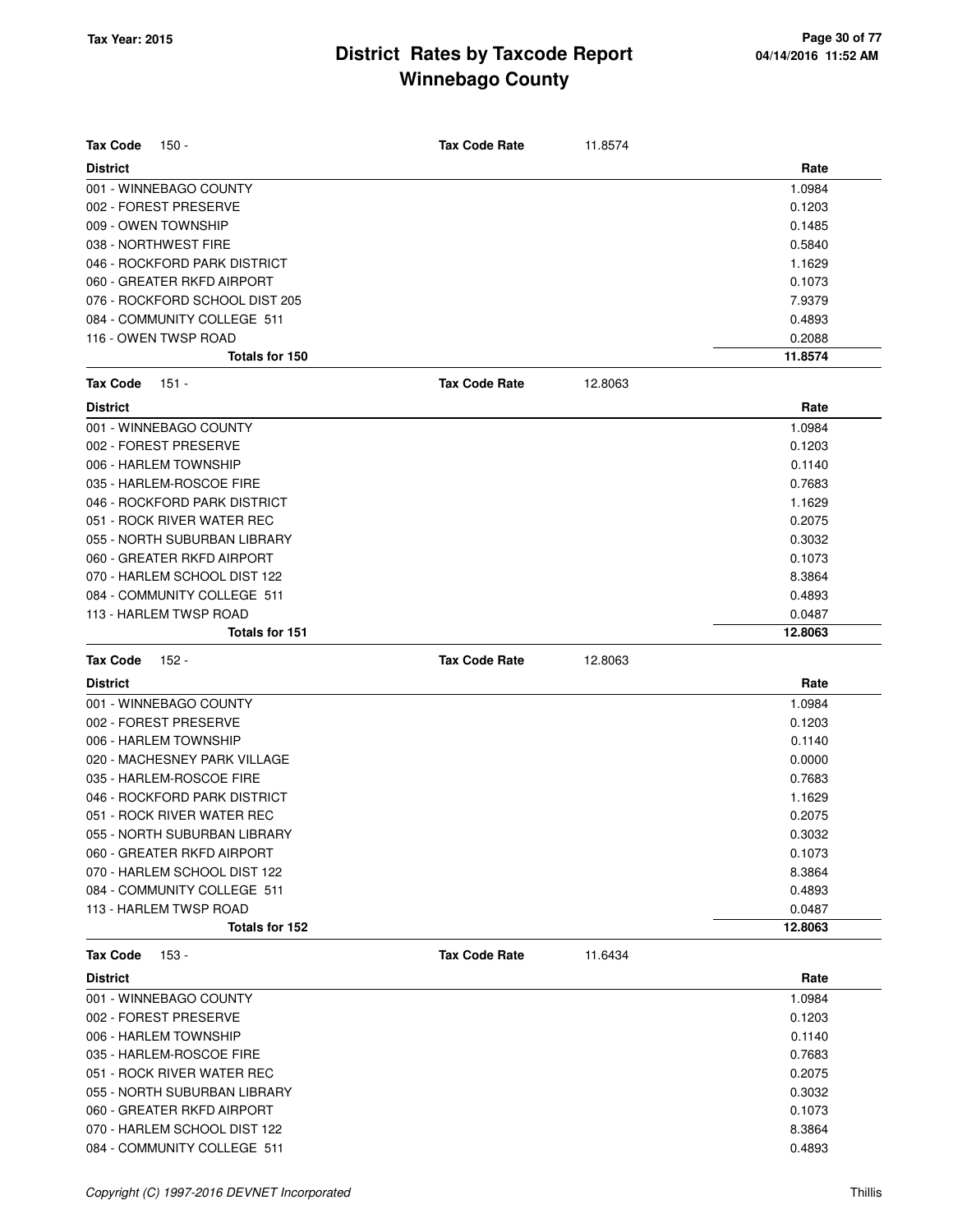| <b>Tax Code</b><br>150 -       | <b>Tax Code Rate</b> | 11.8574 |         |
|--------------------------------|----------------------|---------|---------|
| <b>District</b>                |                      |         | Rate    |
| 001 - WINNEBAGO COUNTY         |                      |         | 1.0984  |
| 002 - FOREST PRESERVE          |                      |         | 0.1203  |
| 009 - OWEN TOWNSHIP            |                      |         | 0.1485  |
| 038 - NORTHWEST FIRE           |                      |         | 0.5840  |
| 046 - ROCKFORD PARK DISTRICT   |                      |         | 1.1629  |
| 060 - GREATER RKFD AIRPORT     |                      |         | 0.1073  |
| 076 - ROCKFORD SCHOOL DIST 205 |                      |         | 7.9379  |
| 084 - COMMUNITY COLLEGE 511    |                      |         | 0.4893  |
| 116 - OWEN TWSP ROAD           |                      |         | 0.2088  |
| Totals for 150                 |                      |         | 11.8574 |
| <b>Tax Code</b><br>$151 -$     | <b>Tax Code Rate</b> | 12.8063 |         |
| <b>District</b>                |                      |         | Rate    |
| 001 - WINNEBAGO COUNTY         |                      |         | 1.0984  |
| 002 - FOREST PRESERVE          |                      |         | 0.1203  |
| 006 - HARLEM TOWNSHIP          |                      |         | 0.1140  |
| 035 - HARLEM-ROSCOE FIRE       |                      |         | 0.7683  |
| 046 - ROCKFORD PARK DISTRICT   |                      |         | 1.1629  |
| 051 - ROCK RIVER WATER REC     |                      |         | 0.2075  |
| 055 - NORTH SUBURBAN LIBRARY   |                      |         | 0.3032  |
| 060 - GREATER RKFD AIRPORT     |                      |         | 0.1073  |
| 070 - HARLEM SCHOOL DIST 122   |                      |         | 8.3864  |
| 084 - COMMUNITY COLLEGE 511    |                      |         | 0.4893  |
| 113 - HARLEM TWSP ROAD         |                      |         | 0.0487  |
| Totals for 151                 |                      |         | 12.8063 |
| <b>Tax Code</b><br>152 -       | <b>Tax Code Rate</b> | 12.8063 |         |
| <b>District</b>                |                      |         | Rate    |
| 001 - WINNEBAGO COUNTY         |                      |         | 1.0984  |
| 002 - FOREST PRESERVE          |                      |         | 0.1203  |
| 006 - HARLEM TOWNSHIP          |                      |         | 0.1140  |
| 020 - MACHESNEY PARK VILLAGE   |                      |         | 0.0000  |
| 035 - HARLEM-ROSCOE FIRE       |                      |         | 0.7683  |
| 046 - ROCKFORD PARK DISTRICT   |                      |         | 1.1629  |
| 051 - ROCK RIVER WATER REC     |                      |         | 0.2075  |
| 055 - NORTH SUBURBAN LIBRARY   |                      |         | 0.3032  |
| 060 - GREATER RKFD AIRPORT     |                      |         | 0.1073  |
| 070 - HARLEM SCHOOL DIST 122   |                      |         | 8.3864  |
| 084 - COMMUNITY COLLEGE 511    |                      |         | 0.4893  |
| 113 - HARLEM TWSP ROAD         |                      |         | 0.0487  |
| Totals for 152                 |                      |         | 12.8063 |
| <b>Tax Code</b><br>$153 -$     | <b>Tax Code Rate</b> | 11.6434 |         |
| <b>District</b>                |                      |         | Rate    |
| 001 - WINNEBAGO COUNTY         |                      |         | 1.0984  |
| 002 - FOREST PRESERVE          |                      |         | 0.1203  |
| 006 - HARLEM TOWNSHIP          |                      |         | 0.1140  |
| 035 - HARLEM-ROSCOE FIRE       |                      |         | 0.7683  |
| 051 - ROCK RIVER WATER REC     |                      |         | 0.2075  |
| 055 - NORTH SUBURBAN LIBRARY   |                      |         | 0.3032  |
| 060 - GREATER RKFD AIRPORT     |                      |         | 0.1073  |
| 070 - HARLEM SCHOOL DIST 122   |                      |         | 8.3864  |

084 - COMMUNITY COLLEGE 511 0.4893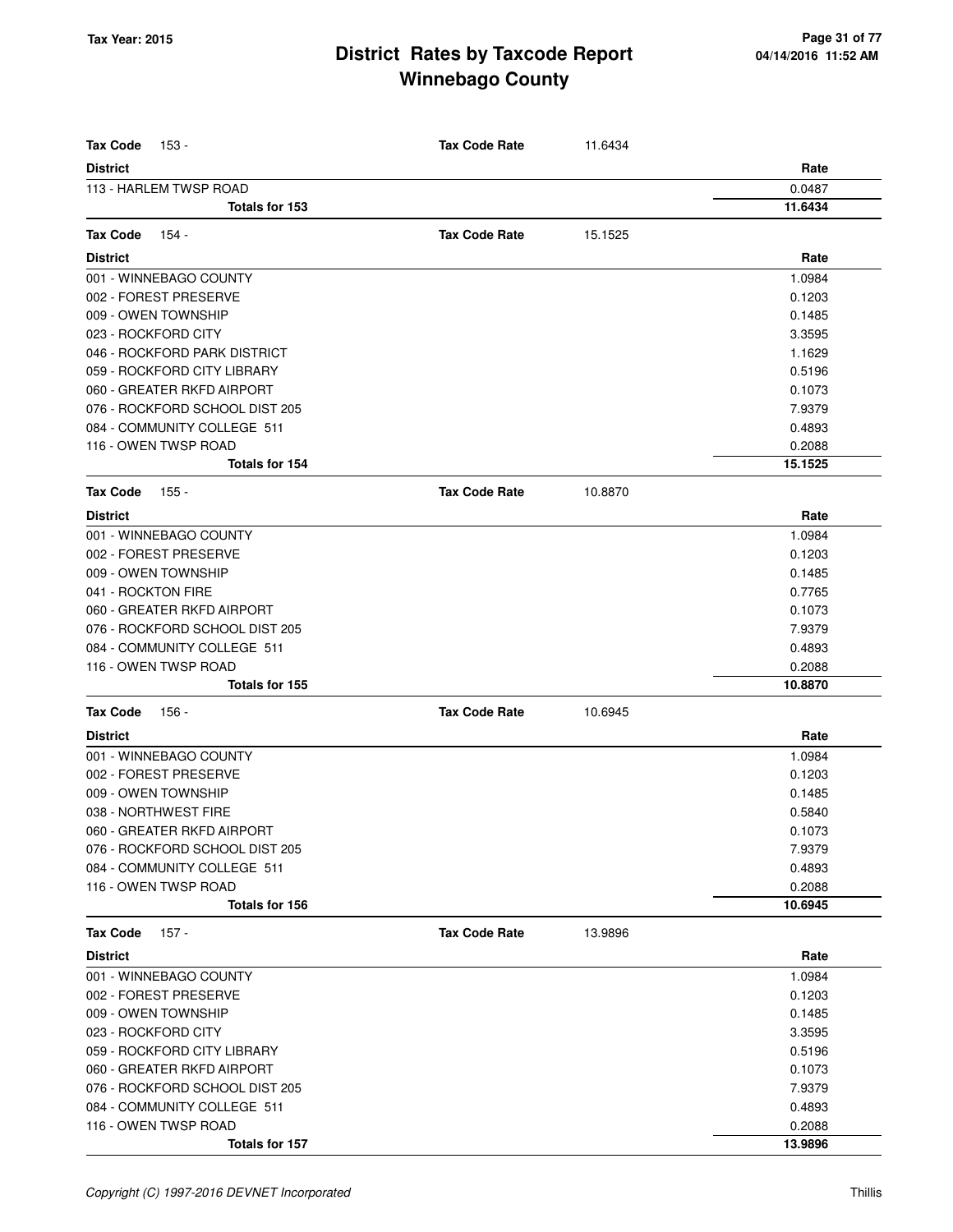| <b>Tax Code</b><br>153 -       | <b>Tax Code Rate</b> | 11.6434 |         |
|--------------------------------|----------------------|---------|---------|
| <b>District</b>                |                      |         | Rate    |
| 113 - HARLEM TWSP ROAD         |                      |         | 0.0487  |
| Totals for 153                 |                      |         | 11.6434 |
| 154 -<br><b>Tax Code</b>       | <b>Tax Code Rate</b> | 15.1525 |         |
| <b>District</b>                |                      |         | Rate    |
| 001 - WINNEBAGO COUNTY         |                      |         | 1.0984  |
| 002 - FOREST PRESERVE          |                      |         | 0.1203  |
| 009 - OWEN TOWNSHIP            |                      |         | 0.1485  |
| 023 - ROCKFORD CITY            |                      |         | 3.3595  |
| 046 - ROCKFORD PARK DISTRICT   |                      |         | 1.1629  |
| 059 - ROCKFORD CITY LIBRARY    |                      |         | 0.5196  |
| 060 - GREATER RKFD AIRPORT     |                      |         | 0.1073  |
| 076 - ROCKFORD SCHOOL DIST 205 |                      |         | 7.9379  |
| 084 - COMMUNITY COLLEGE 511    |                      |         | 0.4893  |
| 116 - OWEN TWSP ROAD           |                      |         | 0.2088  |
| Totals for 154                 |                      |         | 15.1525 |
| Tax Code<br>155 -              | <b>Tax Code Rate</b> | 10.8870 |         |
| <b>District</b>                |                      |         | Rate    |
| 001 - WINNEBAGO COUNTY         |                      |         | 1.0984  |
| 002 - FOREST PRESERVE          |                      |         | 0.1203  |
| 009 - OWEN TOWNSHIP            |                      |         | 0.1485  |
| 041 - ROCKTON FIRE             |                      |         | 0.7765  |
| 060 - GREATER RKFD AIRPORT     |                      |         | 0.1073  |
| 076 - ROCKFORD SCHOOL DIST 205 |                      |         | 7.9379  |
| 084 - COMMUNITY COLLEGE 511    |                      |         | 0.4893  |
| 116 - OWEN TWSP ROAD           |                      |         | 0.2088  |
| Totals for 155                 |                      |         | 10.8870 |
| <b>Tax Code</b><br>156 -       | <b>Tax Code Rate</b> | 10.6945 |         |
| <b>District</b>                |                      |         | Rate    |
| 001 - WINNEBAGO COUNTY         |                      |         | 1.0984  |
| 002 - FOREST PRESERVE          |                      |         | 0.1203  |
| 009 - OWEN TOWNSHIP            |                      |         | 0.1485  |
| 038 - NORTHWEST FIRE           |                      |         | 0.5840  |
| 060 - GREATER RKFD AIRPORT     |                      |         | 0.1073  |
| 076 - ROCKFORD SCHOOL DIST 205 |                      |         | 7.9379  |
| 084 - COMMUNITY COLLEGE 511    |                      |         | 0.4893  |
| 116 - OWEN TWSP ROAD           |                      |         | 0.2088  |
| Totals for 156                 |                      |         | 10.6945 |
| $157 -$<br><b>Tax Code</b>     | <b>Tax Code Rate</b> | 13.9896 |         |
| <b>District</b>                |                      |         | Rate    |
| 001 - WINNEBAGO COUNTY         |                      |         | 1.0984  |
| 002 - FOREST PRESERVE          |                      |         | 0.1203  |
| 009 - OWEN TOWNSHIP            |                      |         | 0.1485  |
| 023 - ROCKFORD CITY            |                      |         | 3.3595  |
| 059 - ROCKFORD CITY LIBRARY    |                      |         | 0.5196  |
| 060 - GREATER RKFD AIRPORT     |                      |         | 0.1073  |
| 076 - ROCKFORD SCHOOL DIST 205 |                      |         | 7.9379  |
| 084 - COMMUNITY COLLEGE 511    |                      |         | 0.4893  |
| 116 - OWEN TWSP ROAD           |                      |         | 0.2088  |
| Totals for 157                 |                      |         | 13.9896 |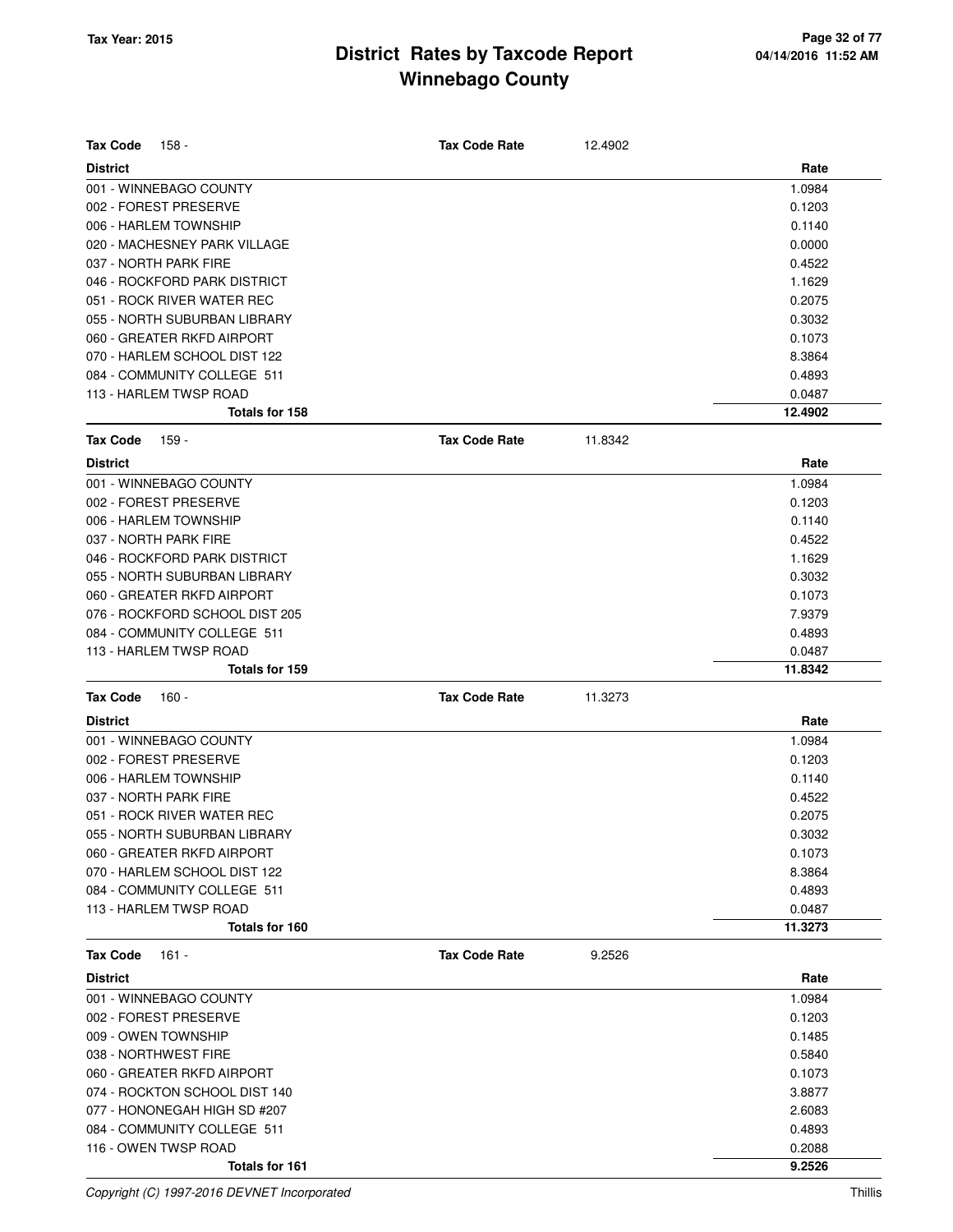| <b>Tax Code</b><br>158 -       | <b>Tax Code Rate</b> | 12.4902 |         |
|--------------------------------|----------------------|---------|---------|
| <b>District</b>                |                      |         | Rate    |
| 001 - WINNEBAGO COUNTY         |                      |         | 1.0984  |
| 002 - FOREST PRESERVE          |                      |         | 0.1203  |
| 006 - HARLEM TOWNSHIP          |                      |         | 0.1140  |
| 020 - MACHESNEY PARK VILLAGE   |                      |         | 0.0000  |
| 037 - NORTH PARK FIRE          |                      |         | 0.4522  |
| 046 - ROCKFORD PARK DISTRICT   |                      |         | 1.1629  |
| 051 - ROCK RIVER WATER REC     |                      |         | 0.2075  |
| 055 - NORTH SUBURBAN LIBRARY   |                      |         | 0.3032  |
| 060 - GREATER RKFD AIRPORT     |                      |         | 0.1073  |
| 070 - HARLEM SCHOOL DIST 122   |                      |         | 8.3864  |
| 084 - COMMUNITY COLLEGE 511    |                      |         | 0.4893  |
| 113 - HARLEM TWSP ROAD         |                      |         | 0.0487  |
| Totals for 158                 |                      |         | 12.4902 |
| Tax Code<br>159 -              | <b>Tax Code Rate</b> | 11.8342 |         |
| <b>District</b>                |                      |         | Rate    |
| 001 - WINNEBAGO COUNTY         |                      |         | 1.0984  |
| 002 - FOREST PRESERVE          |                      |         | 0.1203  |
| 006 - HARLEM TOWNSHIP          |                      |         | 0.1140  |
| 037 - NORTH PARK FIRE          |                      |         | 0.4522  |
| 046 - ROCKFORD PARK DISTRICT   |                      |         | 1.1629  |
| 055 - NORTH SUBURBAN LIBRARY   |                      |         | 0.3032  |
| 060 - GREATER RKFD AIRPORT     |                      |         | 0.1073  |
| 076 - ROCKFORD SCHOOL DIST 205 |                      |         | 7.9379  |
| 084 - COMMUNITY COLLEGE 511    |                      |         | 0.4893  |
| 113 - HARLEM TWSP ROAD         |                      |         | 0.0487  |
| <b>Totals for 159</b>          |                      |         | 11.8342 |
| Tax Code<br>160 -              | <b>Tax Code Rate</b> | 11.3273 |         |
| <b>District</b>                |                      |         | Rate    |
| 001 - WINNEBAGO COUNTY         |                      |         | 1.0984  |
| 002 - FOREST PRESERVE          |                      |         | 0.1203  |
| 006 - HARLEM TOWNSHIP          |                      |         | 0.1140  |
| 037 - NORTH PARK FIRE          |                      |         | 0.4522  |
| 051 - ROCK RIVER WATER REC     |                      |         | 0.2075  |
| 055 - NORTH SUBURBAN LIBRARY   |                      |         | 0.3032  |
| 060 - GREATER RKFD AIRPORT     |                      |         | 0.1073  |
| 070 - HARLEM SCHOOL DIST 122   |                      |         | 8.3864  |
| 084 - COMMUNITY COLLEGE 511    |                      |         | 0.4893  |
| 113 - HARLEM TWSP ROAD         |                      |         | 0.0487  |
| Totals for 160                 |                      |         | 11.3273 |
| <b>Tax Code</b><br>$161 -$     | <b>Tax Code Rate</b> | 9.2526  |         |
| District                       |                      |         | Rate    |
| 001 - WINNEBAGO COUNTY         |                      |         | 1.0984  |
| 002 - FOREST PRESERVE          |                      |         | 0.1203  |
| 009 - OWEN TOWNSHIP            |                      |         | 0.1485  |
| 038 - NORTHWEST FIRE           |                      |         | 0.5840  |
| 060 - GREATER RKFD AIRPORT     |                      |         | 0.1073  |
| 074 - ROCKTON SCHOOL DIST 140  |                      |         | 3.8877  |
| 077 - HONONEGAH HIGH SD #207   |                      |         | 2.6083  |
| 084 - COMMUNITY COLLEGE 511    |                      |         | 0.4893  |
| 116 - OWEN TWSP ROAD           |                      |         | 0.2088  |
| Totals for 161                 |                      |         | 9.2526  |

Copyright (C) 1997-2016 DEVNET Incorporated Thillis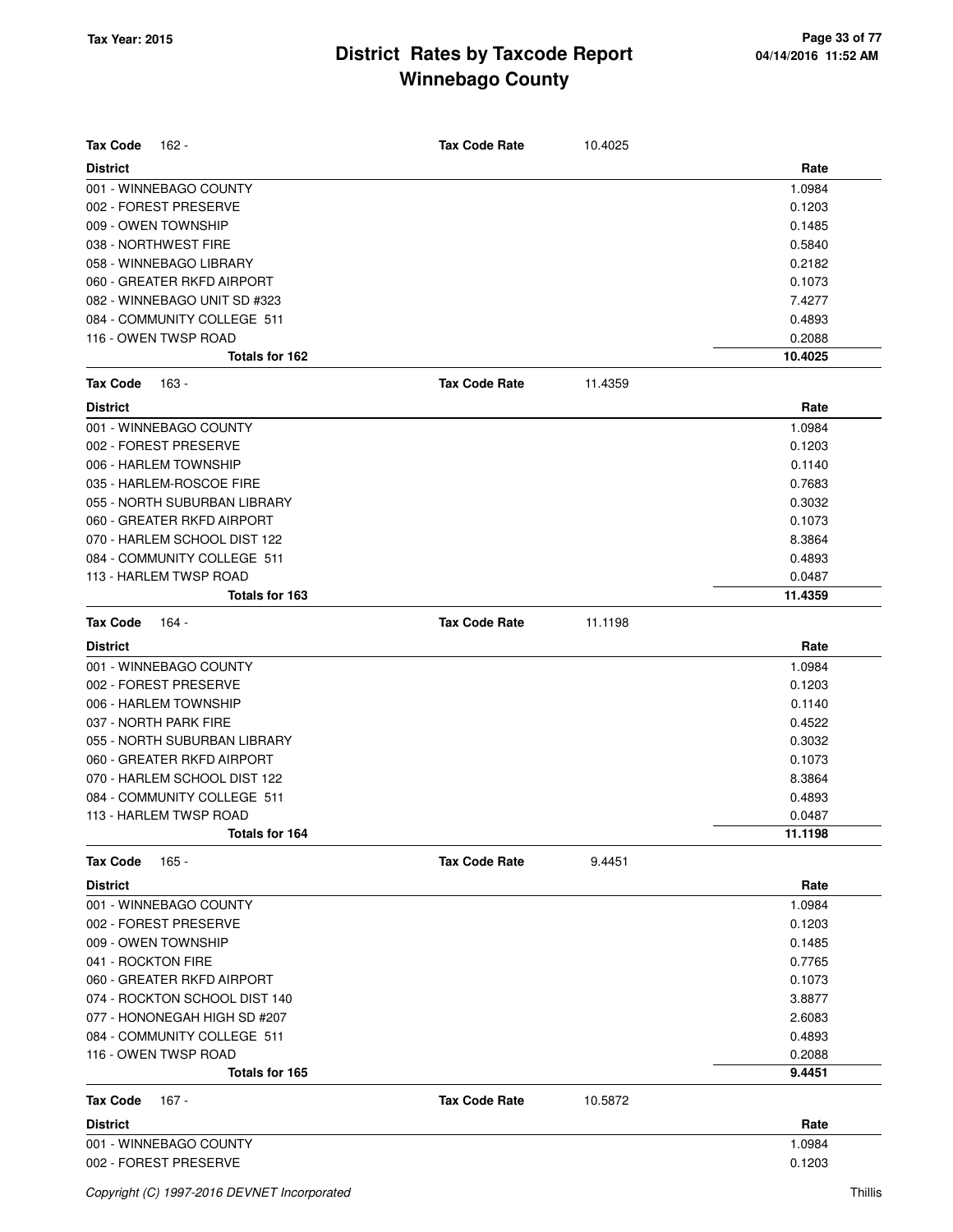| <b>Tax Code</b><br>162 -      | <b>Tax Code Rate</b> | 10.4025 |         |
|-------------------------------|----------------------|---------|---------|
| <b>District</b>               |                      |         | Rate    |
| 001 - WINNEBAGO COUNTY        |                      |         | 1.0984  |
| 002 - FOREST PRESERVE         |                      |         | 0.1203  |
| 009 - OWEN TOWNSHIP           |                      |         | 0.1485  |
| 038 - NORTHWEST FIRE          |                      |         | 0.5840  |
| 058 - WINNEBAGO LIBRARY       |                      |         | 0.2182  |
| 060 - GREATER RKFD AIRPORT    |                      |         | 0.1073  |
| 082 - WINNEBAGO UNIT SD #323  |                      |         | 7.4277  |
| 084 - COMMUNITY COLLEGE 511   |                      |         | 0.4893  |
| 116 - OWEN TWSP ROAD          |                      |         | 0.2088  |
| Totals for 162                |                      |         | 10.4025 |
| <b>Tax Code</b><br>163 -      | <b>Tax Code Rate</b> | 11.4359 |         |
| <b>District</b>               |                      |         | Rate    |
| 001 - WINNEBAGO COUNTY        |                      |         | 1.0984  |
| 002 - FOREST PRESERVE         |                      |         | 0.1203  |
| 006 - HARLEM TOWNSHIP         |                      |         | 0.1140  |
| 035 - HARLEM-ROSCOE FIRE      |                      |         | 0.7683  |
| 055 - NORTH SUBURBAN LIBRARY  |                      |         | 0.3032  |
| 060 - GREATER RKFD AIRPORT    |                      |         | 0.1073  |
| 070 - HARLEM SCHOOL DIST 122  |                      |         | 8.3864  |
| 084 - COMMUNITY COLLEGE 511   |                      |         | 0.4893  |
| 113 - HARLEM TWSP ROAD        |                      |         | 0.0487  |
| Totals for 163                |                      |         | 11.4359 |
| <b>Tax Code</b><br>164 -      | <b>Tax Code Rate</b> | 11.1198 |         |
| <b>District</b>               |                      |         | Rate    |
| 001 - WINNEBAGO COUNTY        |                      |         | 1.0984  |
| 002 - FOREST PRESERVE         |                      |         | 0.1203  |
| 006 - HARLEM TOWNSHIP         |                      |         | 0.1140  |
| 037 - NORTH PARK FIRE         |                      |         | 0.4522  |
| 055 - NORTH SUBURBAN LIBRARY  |                      |         | 0.3032  |
| 060 - GREATER RKFD AIRPORT    |                      |         | 0.1073  |
| 070 - HARLEM SCHOOL DIST 122  |                      |         | 8.3864  |
| 084 - COMMUNITY COLLEGE 511   |                      |         | 0.4893  |
| 113 - HARLEM TWSP ROAD        |                      |         | 0.0487  |
| Totals for 164                |                      |         | 11.1198 |
| <b>Tax Code</b><br>165 -      | <b>Tax Code Rate</b> | 9.4451  |         |
| <b>District</b>               |                      |         | Rate    |
| 001 - WINNEBAGO COUNTY        |                      |         | 1.0984  |
| 002 - FOREST PRESERVE         |                      |         | 0.1203  |
| 009 - OWEN TOWNSHIP           |                      |         | 0.1485  |
| 041 - ROCKTON FIRE            |                      |         | 0.7765  |
| 060 - GREATER RKFD AIRPORT    |                      |         | 0.1073  |
| 074 - ROCKTON SCHOOL DIST 140 |                      |         | 3.8877  |
| 077 - HONONEGAH HIGH SD #207  |                      |         | 2.6083  |
| 084 - COMMUNITY COLLEGE 511   |                      |         | 0.4893  |
| 116 - OWEN TWSP ROAD          |                      |         | 0.2088  |
| Totals for 165                |                      |         | 9.4451  |
| <b>Tax Code</b><br>167 -      | <b>Tax Code Rate</b> | 10.5872 |         |
| <b>District</b>               |                      |         | Rate    |
| 001 - WINNEBAGO COUNTY        |                      |         | 1.0984  |
| 002 - FOREST PRESERVE         |                      |         | 0.1203  |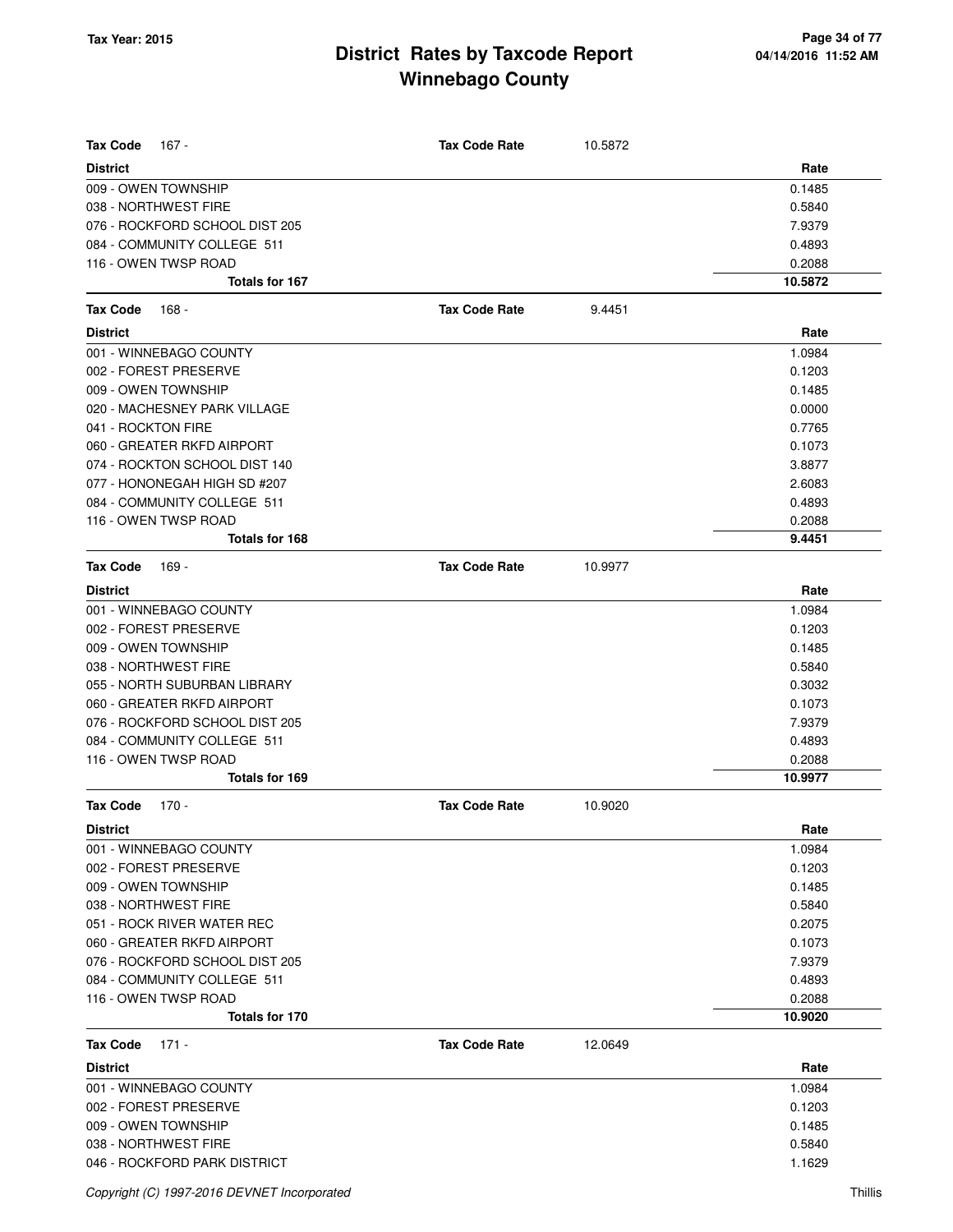| <b>Tax Code</b><br>167 -               | <b>Tax Code Rate</b> | 10.5872 |                   |
|----------------------------------------|----------------------|---------|-------------------|
| <b>District</b>                        |                      |         | Rate              |
| 009 - OWEN TOWNSHIP                    |                      |         | 0.1485            |
| 038 - NORTHWEST FIRE                   |                      |         | 0.5840            |
| 076 - ROCKFORD SCHOOL DIST 205         |                      |         | 7.9379            |
| 084 - COMMUNITY COLLEGE 511            |                      |         | 0.4893            |
| 116 - OWEN TWSP ROAD<br>Totals for 167 |                      |         | 0.2088<br>10.5872 |
|                                        |                      |         |                   |
| <b>Tax Code</b><br>168 -               | <b>Tax Code Rate</b> | 9.4451  |                   |
| <b>District</b>                        |                      |         | Rate              |
| 001 - WINNEBAGO COUNTY                 |                      |         | 1.0984            |
| 002 - FOREST PRESERVE                  |                      |         | 0.1203            |
| 009 - OWEN TOWNSHIP                    |                      |         | 0.1485            |
| 020 - MACHESNEY PARK VILLAGE           |                      |         | 0.0000            |
| 041 - ROCKTON FIRE                     |                      |         | 0.7765            |
| 060 - GREATER RKFD AIRPORT             |                      |         | 0.1073            |
| 074 - ROCKTON SCHOOL DIST 140          |                      |         | 3.8877            |
| 077 - HONONEGAH HIGH SD #207           |                      |         | 2.6083            |
| 084 - COMMUNITY COLLEGE 511            |                      |         | 0.4893            |
| 116 - OWEN TWSP ROAD                   |                      |         | 0.2088            |
| Totals for 168                         |                      |         | 9.4451            |
| <b>Tax Code</b><br>169 -               | <b>Tax Code Rate</b> | 10.9977 |                   |
| <b>District</b>                        |                      |         | Rate              |
| 001 - WINNEBAGO COUNTY                 |                      |         | 1.0984            |
| 002 - FOREST PRESERVE                  |                      |         | 0.1203            |
| 009 - OWEN TOWNSHIP                    |                      |         | 0.1485            |
| 038 - NORTHWEST FIRE                   |                      |         | 0.5840            |
| 055 - NORTH SUBURBAN LIBRARY           |                      |         | 0.3032            |
| 060 - GREATER RKFD AIRPORT             |                      |         | 0.1073            |
| 076 - ROCKFORD SCHOOL DIST 205         |                      |         | 7.9379            |
| 084 - COMMUNITY COLLEGE 511            |                      |         | 0.4893            |
| 116 - OWEN TWSP ROAD                   |                      |         | 0.2088            |
| Totals for 169                         |                      |         | 10.9977           |
| <b>Tax Code</b><br>$170 -$             | <b>Tax Code Rate</b> | 10.9020 |                   |
| <b>District</b>                        |                      |         | Rate              |
| 001 - WINNEBAGO COUNTY                 |                      |         | 1.0984            |
| 002 - FOREST PRESERVE                  |                      |         | 0.1203            |
| 009 - OWEN TOWNSHIP                    |                      |         | 0.1485            |
| 038 - NORTHWEST FIRE                   |                      |         | 0.5840            |
| 051 - ROCK RIVER WATER REC             |                      |         | 0.2075            |
| 060 - GREATER RKFD AIRPORT             |                      |         | 0.1073            |
| 076 - ROCKFORD SCHOOL DIST 205         |                      |         | 7.9379            |
| 084 - COMMUNITY COLLEGE 511            |                      |         | 0.4893            |
| 116 - OWEN TWSP ROAD                   |                      |         | 0.2088            |
| Totals for 170                         |                      |         | 10.9020           |
| <b>Tax Code</b><br>$171 -$             | <b>Tax Code Rate</b> | 12.0649 |                   |
| <b>District</b>                        |                      |         | Rate              |
| 001 - WINNEBAGO COUNTY                 |                      |         | 1.0984            |
| 002 - FOREST PRESERVE                  |                      |         | 0.1203            |
| 009 - OWEN TOWNSHIP                    |                      |         | 0.1485            |
| 038 - NORTHWEST FIRE                   |                      |         | 0.5840            |
| 046 - ROCKFORD PARK DISTRICT           |                      |         | 1.1629            |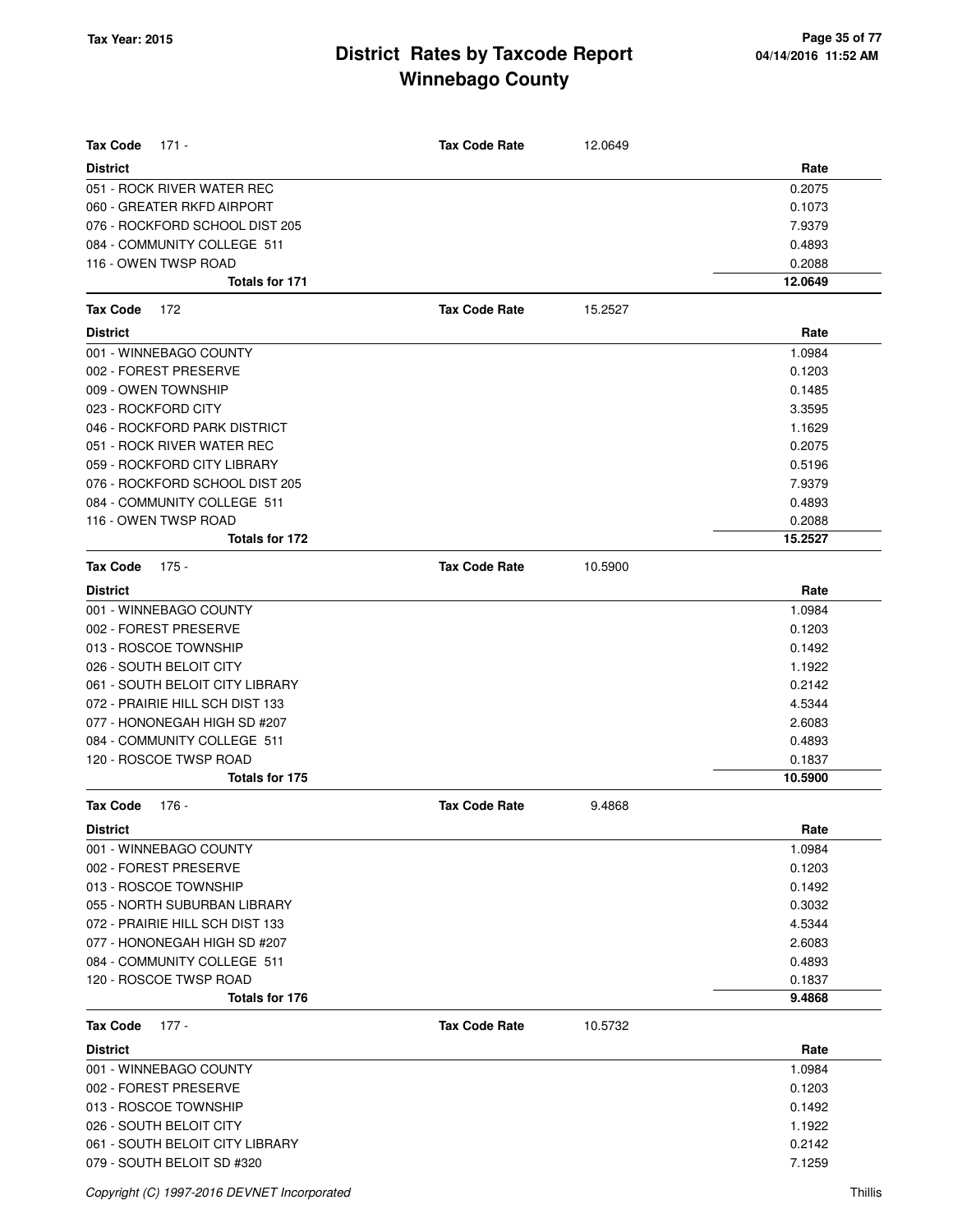| <b>Tax Code</b><br>$171 -$      | <b>Tax Code Rate</b> | 12.0649 |         |
|---------------------------------|----------------------|---------|---------|
| <b>District</b>                 |                      |         | Rate    |
| 051 - ROCK RIVER WATER REC      |                      |         | 0.2075  |
| 060 - GREATER RKFD AIRPORT      |                      |         | 0.1073  |
| 076 - ROCKFORD SCHOOL DIST 205  |                      |         | 7.9379  |
| 084 - COMMUNITY COLLEGE 511     |                      |         | 0.4893  |
| 116 - OWEN TWSP ROAD            |                      |         | 0.2088  |
| Totals for 171                  |                      |         | 12.0649 |
| <b>Tax Code</b><br>172          | <b>Tax Code Rate</b> | 15.2527 |         |
| <b>District</b>                 |                      |         | Rate    |
| 001 - WINNEBAGO COUNTY          |                      |         | 1.0984  |
| 002 - FOREST PRESERVE           |                      |         | 0.1203  |
| 009 - OWEN TOWNSHIP             |                      |         | 0.1485  |
| 023 - ROCKFORD CITY             |                      |         | 3.3595  |
| 046 - ROCKFORD PARK DISTRICT    |                      |         | 1.1629  |
| 051 - ROCK RIVER WATER REC      |                      |         | 0.2075  |
| 059 - ROCKFORD CITY LIBRARY     |                      |         | 0.5196  |
| 076 - ROCKFORD SCHOOL DIST 205  |                      |         | 7.9379  |
| 084 - COMMUNITY COLLEGE 511     |                      |         | 0.4893  |
| 116 - OWEN TWSP ROAD            |                      |         | 0.2088  |
| Totals for 172                  |                      |         | 15.2527 |
| <b>Tax Code</b><br>175 -        | <b>Tax Code Rate</b> | 10.5900 |         |
| <b>District</b>                 |                      |         | Rate    |
| 001 - WINNEBAGO COUNTY          |                      |         | 1.0984  |
| 002 - FOREST PRESERVE           |                      |         | 0.1203  |
| 013 - ROSCOE TOWNSHIP           |                      |         | 0.1492  |
| 026 - SOUTH BELOIT CITY         |                      |         | 1.1922  |
| 061 - SOUTH BELOIT CITY LIBRARY |                      |         | 0.2142  |
| 072 - PRAIRIE HILL SCH DIST 133 |                      |         | 4.5344  |
| 077 - HONONEGAH HIGH SD #207    |                      |         | 2.6083  |
| 084 - COMMUNITY COLLEGE 511     |                      |         | 0.4893  |
| 120 - ROSCOE TWSP ROAD          |                      |         | 0.1837  |
| <b>Totals for 175</b>           |                      |         | 10.5900 |
| $176 -$<br><b>Tax Code</b>      | <b>Tax Code Rate</b> | 9.4868  |         |
| <b>District</b>                 |                      |         | Rate    |
| 001 - WINNEBAGO COUNTY          |                      |         | 1.0984  |
| 002 - FOREST PRESERVE           |                      |         | 0.1203  |
| 013 - ROSCOE TOWNSHIP           |                      |         | 0.1492  |
| 055 - NORTH SUBURBAN LIBRARY    |                      |         | 0.3032  |
| 072 - PRAIRIE HILL SCH DIST 133 |                      |         | 4.5344  |
| 077 - HONONEGAH HIGH SD #207    |                      |         | 2.6083  |
| 084 - COMMUNITY COLLEGE 511     |                      |         | 0.4893  |
| 120 - ROSCOE TWSP ROAD          |                      |         | 0.1837  |
| Totals for 176                  |                      |         | 9.4868  |
| <b>Tax Code</b><br>$177 -$      | <b>Tax Code Rate</b> | 10.5732 |         |
| <b>District</b>                 |                      |         | Rate    |
| 001 - WINNEBAGO COUNTY          |                      |         | 1.0984  |
| 002 - FOREST PRESERVE           |                      |         | 0.1203  |
| 013 - ROSCOE TOWNSHIP           |                      |         | 0.1492  |
| 026 - SOUTH BELOIT CITY         |                      |         | 1.1922  |
| 061 - SOUTH BELOIT CITY LIBRARY |                      |         | 0.2142  |
| 079 - SOUTH BELOIT SD #320      |                      |         | 7.1259  |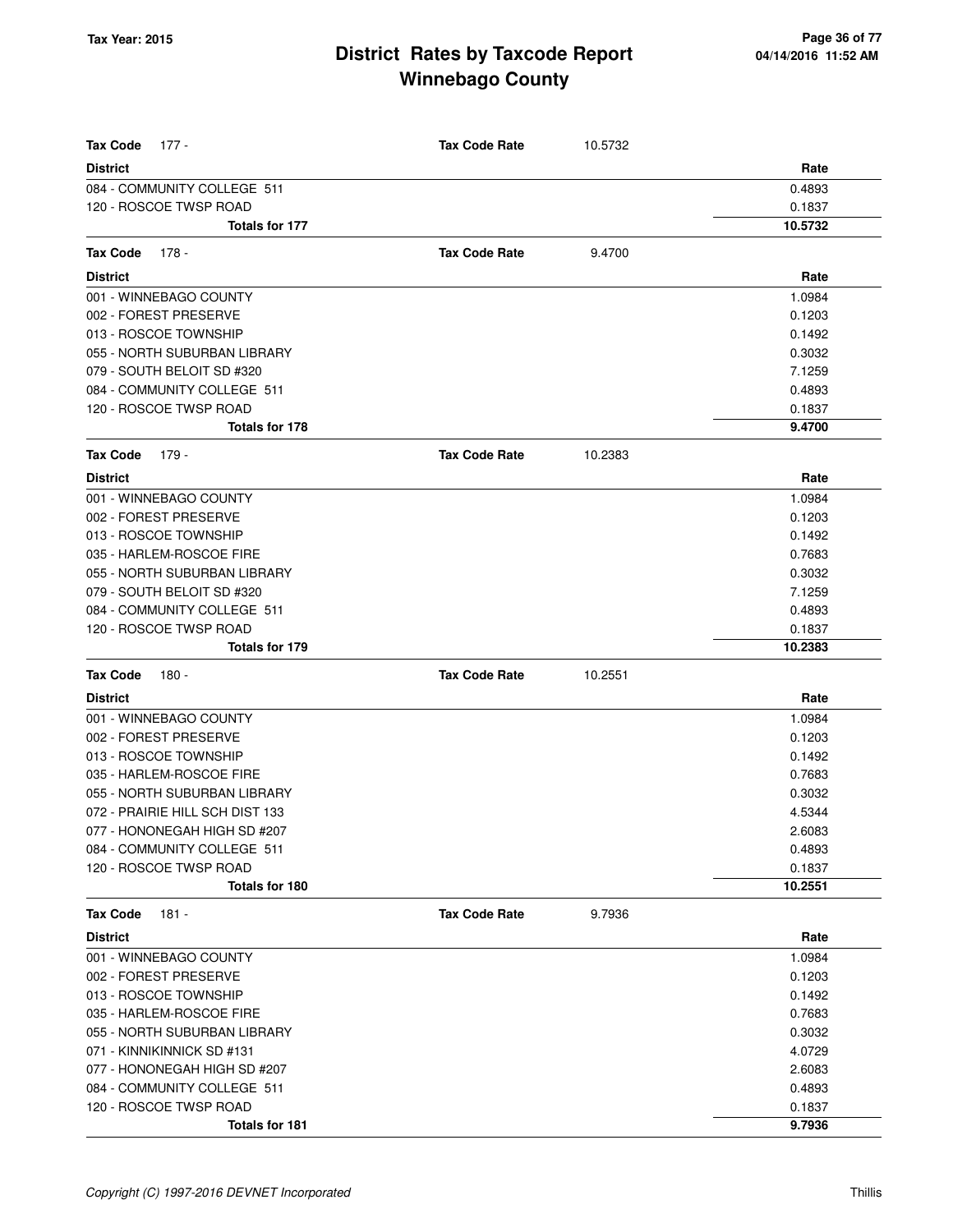| <b>Tax Code</b><br>177 -        | <b>Tax Code Rate</b> | 10.5732 |         |
|---------------------------------|----------------------|---------|---------|
| <b>District</b>                 |                      |         | Rate    |
| 084 - COMMUNITY COLLEGE 511     |                      |         | 0.4893  |
| 120 - ROSCOE TWSP ROAD          |                      |         | 0.1837  |
| Totals for 177                  |                      |         | 10.5732 |
| <b>Tax Code</b><br>178 -        | <b>Tax Code Rate</b> | 9.4700  |         |
| <b>District</b>                 |                      |         | Rate    |
| 001 - WINNEBAGO COUNTY          |                      |         | 1.0984  |
| 002 - FOREST PRESERVE           |                      |         | 0.1203  |
| 013 - ROSCOE TOWNSHIP           |                      |         | 0.1492  |
| 055 - NORTH SUBURBAN LIBRARY    |                      |         | 0.3032  |
| 079 - SOUTH BELOIT SD #320      |                      |         | 7.1259  |
| 084 - COMMUNITY COLLEGE 511     |                      |         | 0.4893  |
| 120 - ROSCOE TWSP ROAD          |                      |         | 0.1837  |
| Totals for 178                  |                      |         | 9.4700  |
| <b>Tax Code</b><br>179 -        | <b>Tax Code Rate</b> | 10.2383 |         |
| <b>District</b>                 |                      |         | Rate    |
| 001 - WINNEBAGO COUNTY          |                      |         | 1.0984  |
| 002 - FOREST PRESERVE           |                      |         | 0.1203  |
| 013 - ROSCOE TOWNSHIP           |                      |         | 0.1492  |
| 035 - HARLEM-ROSCOE FIRE        |                      |         | 0.7683  |
| 055 - NORTH SUBURBAN LIBRARY    |                      |         | 0.3032  |
| 079 - SOUTH BELOIT SD #320      |                      |         | 7.1259  |
| 084 - COMMUNITY COLLEGE 511     |                      |         | 0.4893  |
| 120 - ROSCOE TWSP ROAD          |                      |         | 0.1837  |
| Totals for 179                  |                      |         | 10.2383 |
| <b>Tax Code</b><br>180 -        | <b>Tax Code Rate</b> | 10.2551 |         |
| <b>District</b>                 |                      |         | Rate    |
| 001 - WINNEBAGO COUNTY          |                      |         | 1.0984  |
| 002 - FOREST PRESERVE           |                      |         | 0.1203  |
| 013 - ROSCOE TOWNSHIP           |                      |         | 0.1492  |
| 035 - HARLEM-ROSCOE FIRE        |                      |         | 0.7683  |
| 055 - NORTH SUBURBAN LIBRARY    |                      |         | 0.3032  |
| 072 - PRAIRIE HILL SCH DIST 133 |                      |         | 4.5344  |
| 077 - HONONEGAH HIGH SD #207    |                      |         | 2.6083  |
| 084 - COMMUNITY COLLEGE 511     |                      |         | 0.4893  |
| 120 - ROSCOE TWSP ROAD          |                      |         | 0.1837  |
| Totals for 180                  |                      |         | 10.2551 |
| <b>Tax Code</b><br>$181 -$      | <b>Tax Code Rate</b> | 9.7936  |         |
| <b>District</b>                 |                      |         | Rate    |
| 001 - WINNEBAGO COUNTY          |                      |         | 1.0984  |
| 002 - FOREST PRESERVE           |                      |         | 0.1203  |
| 013 - ROSCOE TOWNSHIP           |                      |         | 0.1492  |
| 035 - HARLEM-ROSCOE FIRE        |                      |         | 0.7683  |
| 055 - NORTH SUBURBAN LIBRARY    |                      |         | 0.3032  |
| 071 - KINNIKINNICK SD #131      |                      |         | 4.0729  |
| 077 - HONONEGAH HIGH SD #207    |                      |         | 2.6083  |
| 084 - COMMUNITY COLLEGE 511     |                      |         | 0.4893  |
| 120 - ROSCOE TWSP ROAD          |                      |         | 0.1837  |
| Totals for 181                  |                      |         | 9.7936  |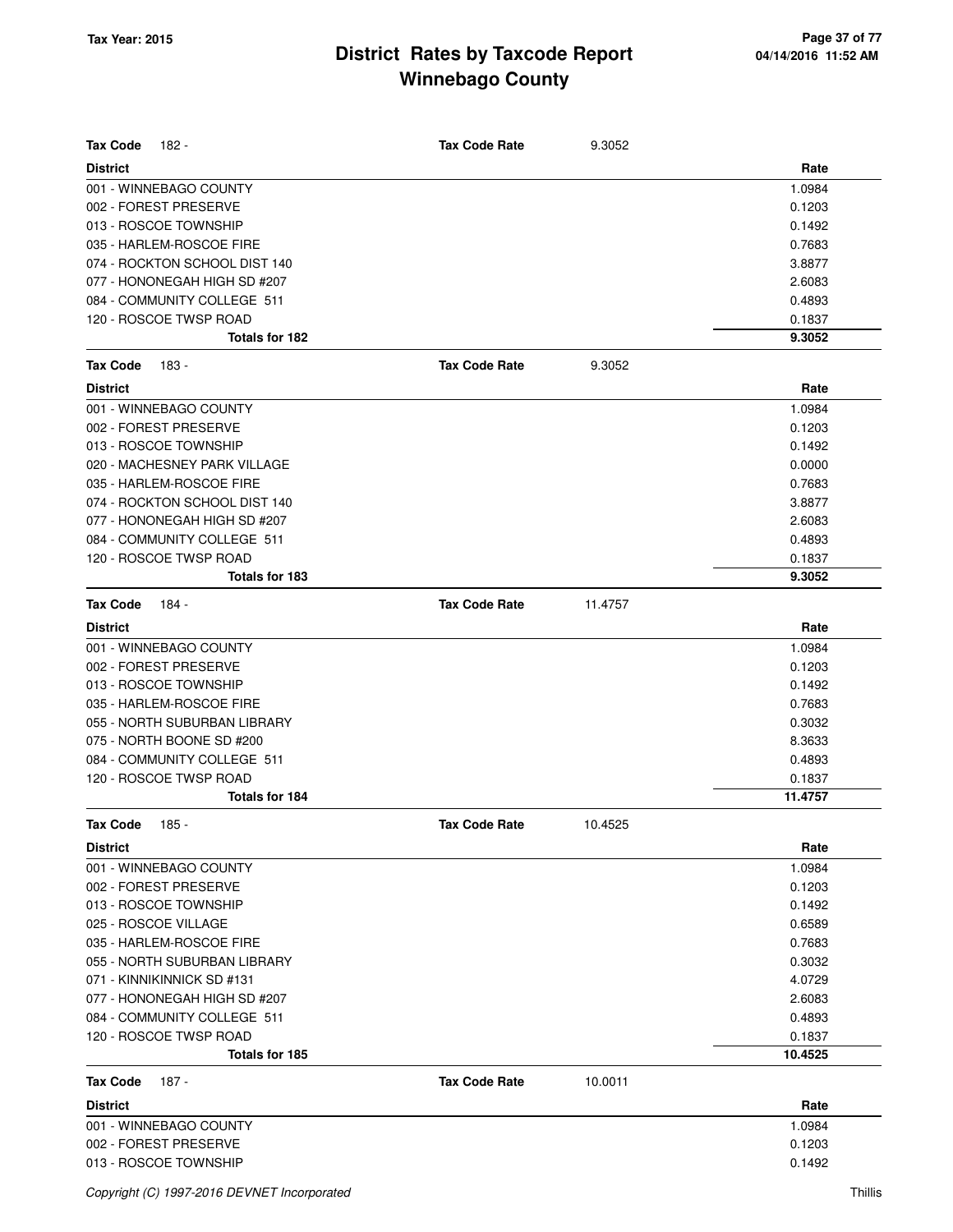| <b>Tax Code</b><br>182 -                 | <b>Tax Code Rate</b> | 9.3052  |                   |
|------------------------------------------|----------------------|---------|-------------------|
| <b>District</b>                          |                      |         | Rate              |
| 001 - WINNEBAGO COUNTY                   |                      |         | 1.0984            |
| 002 - FOREST PRESERVE                    |                      |         | 0.1203            |
| 013 - ROSCOE TOWNSHIP                    |                      |         | 0.1492            |
| 035 - HARLEM-ROSCOE FIRE                 |                      |         | 0.7683            |
| 074 - ROCKTON SCHOOL DIST 140            |                      |         | 3.8877            |
| 077 - HONONEGAH HIGH SD #207             |                      |         | 2.6083            |
| 084 - COMMUNITY COLLEGE 511              |                      |         | 0.4893            |
| 120 - ROSCOE TWSP ROAD                   |                      |         | 0.1837            |
| Totals for 182                           |                      |         | 9.3052            |
| <b>Tax Code</b><br>183 -                 | <b>Tax Code Rate</b> | 9.3052  |                   |
| <b>District</b>                          |                      |         | Rate              |
| 001 - WINNEBAGO COUNTY                   |                      |         | 1.0984            |
| 002 - FOREST PRESERVE                    |                      |         | 0.1203            |
| 013 - ROSCOE TOWNSHIP                    |                      |         | 0.1492            |
| 020 - MACHESNEY PARK VILLAGE             |                      |         | 0.0000            |
| 035 - HARLEM-ROSCOE FIRE                 |                      |         | 0.7683            |
| 074 - ROCKTON SCHOOL DIST 140            |                      |         | 3.8877            |
| 077 - HONONEGAH HIGH SD #207             |                      |         | 2.6083            |
| 084 - COMMUNITY COLLEGE 511              |                      |         | 0.4893            |
| 120 - ROSCOE TWSP ROAD                   |                      |         | 0.1837            |
| Totals for 183                           |                      |         | 9.3052            |
| <b>Tax Code</b><br>184 -                 | <b>Tax Code Rate</b> | 11.4757 |                   |
| <b>District</b>                          |                      |         | Rate              |
| 001 - WINNEBAGO COUNTY                   |                      |         | 1.0984            |
| 002 - FOREST PRESERVE                    |                      |         | 0.1203            |
| 013 - ROSCOE TOWNSHIP                    |                      |         | 0.1492            |
| 035 - HARLEM-ROSCOE FIRE                 |                      |         | 0.7683            |
| 055 - NORTH SUBURBAN LIBRARY             |                      |         | 0.3032            |
| 075 - NORTH BOONE SD #200                |                      |         | 8.3633            |
| 084 - COMMUNITY COLLEGE 511              |                      |         | 0.4893            |
| 120 - ROSCOE TWSP ROAD                   |                      |         | 0.1837            |
| Totals for 184                           |                      |         | 11.4757           |
| Tax Code $185 -$                         | Tax Code Rate        | 10.4525 |                   |
| District                                 |                      |         | Rate              |
| 001 - WINNEBAGO COUNTY                   |                      |         | 1.0984            |
| 002 - FOREST PRESERVE                    |                      |         | 0.1203            |
| 013 - ROSCOE TOWNSHIP                    |                      |         | 0.1492            |
| 025 - ROSCOE VILLAGE                     |                      |         | 0.6589            |
| 035 - HARLEM-ROSCOE FIRE                 |                      |         | 0.7683            |
| 055 - NORTH SUBURBAN LIBRARY             |                      |         | 0.3032            |
| 071 - KINNIKINNICK SD #131               |                      |         | 4.0729            |
| 077 - HONONEGAH HIGH SD #207             |                      |         | 2.6083            |
| 084 - COMMUNITY COLLEGE 511              |                      |         | 0.4893            |
| 120 - ROSCOE TWSP ROAD<br>Totals for 185 |                      |         | 0.1837<br>10.4525 |
|                                          |                      |         |                   |
| 187 -<br>Tax Code<br><b>District</b>     | <b>Tax Code Rate</b> | 10.0011 | Rate              |
|                                          |                      |         |                   |
| 001 - WINNEBAGO COUNTY                   |                      |         | 1.0984            |
| 002 - FOREST PRESERVE                    |                      |         | 0.1203            |
| 013 - ROSCOE TOWNSHIP                    |                      |         | 0.1492            |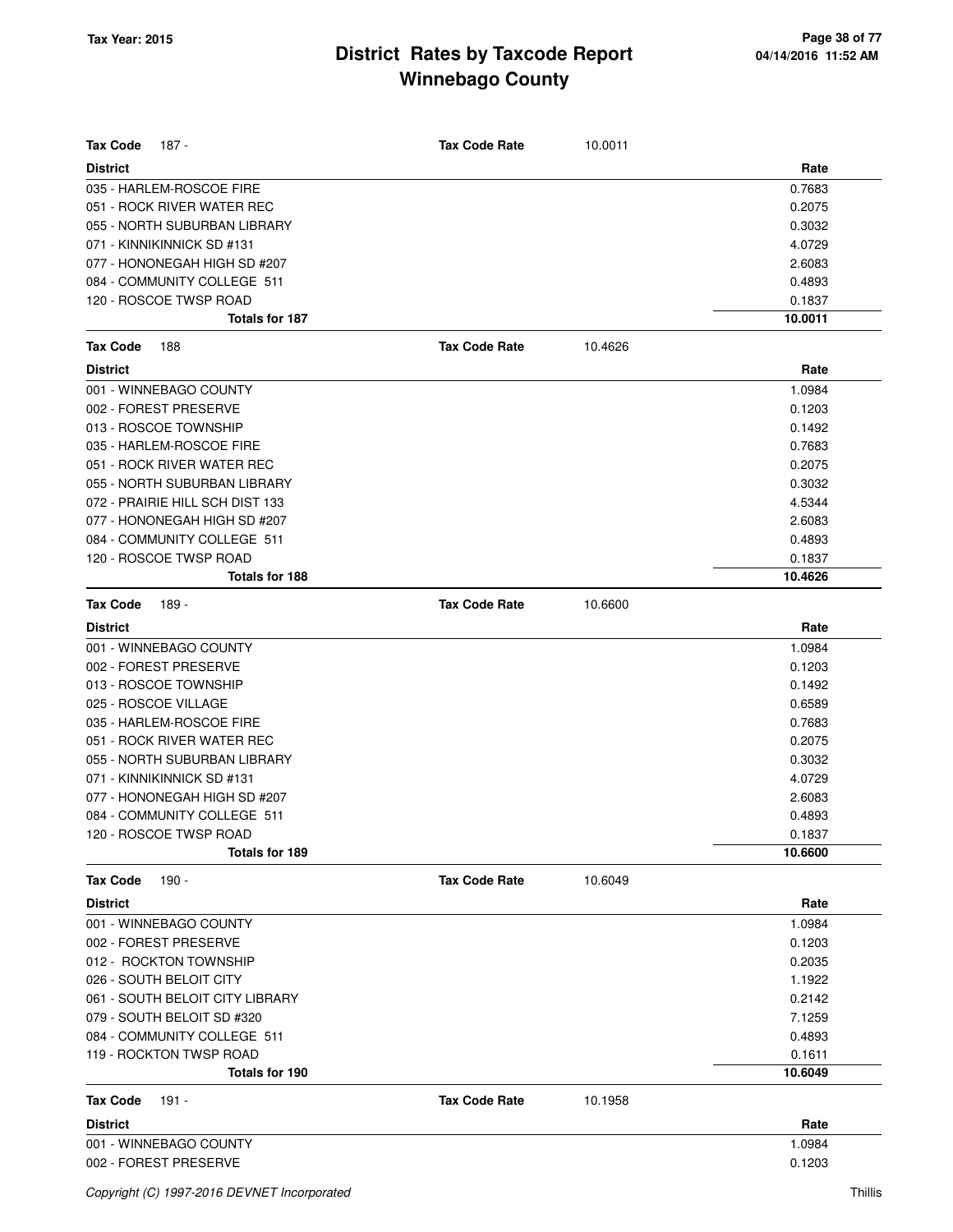| <b>Tax Code</b><br>187 -        | <b>Tax Code Rate</b> | 10.0011 |         |
|---------------------------------|----------------------|---------|---------|
| <b>District</b>                 |                      |         | Rate    |
| 035 - HARLEM-ROSCOE FIRE        |                      |         | 0.7683  |
| 051 - ROCK RIVER WATER REC      |                      |         | 0.2075  |
| 055 - NORTH SUBURBAN LIBRARY    |                      |         | 0.3032  |
| 071 - KINNIKINNICK SD #131      |                      |         | 4.0729  |
| 077 - HONONEGAH HIGH SD #207    |                      |         | 2.6083  |
| 084 - COMMUNITY COLLEGE 511     |                      |         | 0.4893  |
| 120 - ROSCOE TWSP ROAD          |                      |         | 0.1837  |
| Totals for 187                  |                      |         | 10.0011 |
| <b>Tax Code</b><br>188          | <b>Tax Code Rate</b> | 10.4626 |         |
| <b>District</b>                 |                      |         | Rate    |
| 001 - WINNEBAGO COUNTY          |                      |         | 1.0984  |
| 002 - FOREST PRESERVE           |                      |         | 0.1203  |
| 013 - ROSCOE TOWNSHIP           |                      |         | 0.1492  |
| 035 - HARLEM-ROSCOE FIRE        |                      |         | 0.7683  |
| 051 - ROCK RIVER WATER REC      |                      |         | 0.2075  |
| 055 - NORTH SUBURBAN LIBRARY    |                      |         | 0.3032  |
| 072 - PRAIRIE HILL SCH DIST 133 |                      |         | 4.5344  |
| 077 - HONONEGAH HIGH SD #207    |                      |         | 2.6083  |
| 084 - COMMUNITY COLLEGE 511     |                      |         | 0.4893  |
| 120 - ROSCOE TWSP ROAD          |                      |         | 0.1837  |
| Totals for 188                  |                      |         | 10.4626 |
| <b>Tax Code</b><br>189 -        | <b>Tax Code Rate</b> | 10.6600 |         |
| <b>District</b>                 |                      |         | Rate    |
| 001 - WINNEBAGO COUNTY          |                      |         | 1.0984  |
| 002 - FOREST PRESERVE           |                      |         | 0.1203  |
| 013 - ROSCOE TOWNSHIP           |                      |         | 0.1492  |
| 025 - ROSCOE VILLAGE            |                      |         | 0.6589  |
| 035 - HARLEM-ROSCOE FIRE        |                      |         | 0.7683  |
| 051 - ROCK RIVER WATER REC      |                      |         | 0.2075  |
| 055 - NORTH SUBURBAN LIBRARY    |                      |         | 0.3032  |
| 071 - KINNIKINNICK SD #131      |                      |         | 4.0729  |
| 077 - HONONEGAH HIGH SD #207    |                      |         | 2.6083  |
| 084 - COMMUNITY COLLEGE 511     |                      |         | 0.4893  |
| 120 - ROSCOE TWSP ROAD          |                      |         | 0.1837  |
| Totals for 189                  |                      |         | 10.6600 |
| <b>Tax Code</b><br>190 -        | <b>Tax Code Rate</b> | 10.6049 |         |
| <b>District</b>                 |                      |         | Rate    |
| 001 - WINNEBAGO COUNTY          |                      |         | 1.0984  |
| 002 - FOREST PRESERVE           |                      |         | 0.1203  |
| 012 - ROCKTON TOWNSHIP          |                      |         | 0.2035  |
| 026 - SOUTH BELOIT CITY         |                      |         | 1.1922  |
| 061 - SOUTH BELOIT CITY LIBRARY |                      |         | 0.2142  |
| 079 - SOUTH BELOIT SD #320      |                      |         | 7.1259  |
| 084 - COMMUNITY COLLEGE 511     |                      |         | 0.4893  |
| 119 - ROCKTON TWSP ROAD         |                      |         | 0.1611  |
| Totals for 190                  |                      |         | 10.6049 |
| Tax Code<br>191 -               | <b>Tax Code Rate</b> | 10.1958 |         |
| <b>District</b>                 |                      |         | Rate    |
| 001 - WINNEBAGO COUNTY          |                      |         | 1.0984  |
| 002 - FOREST PRESERVE           |                      |         | 0.1203  |
|                                 |                      |         |         |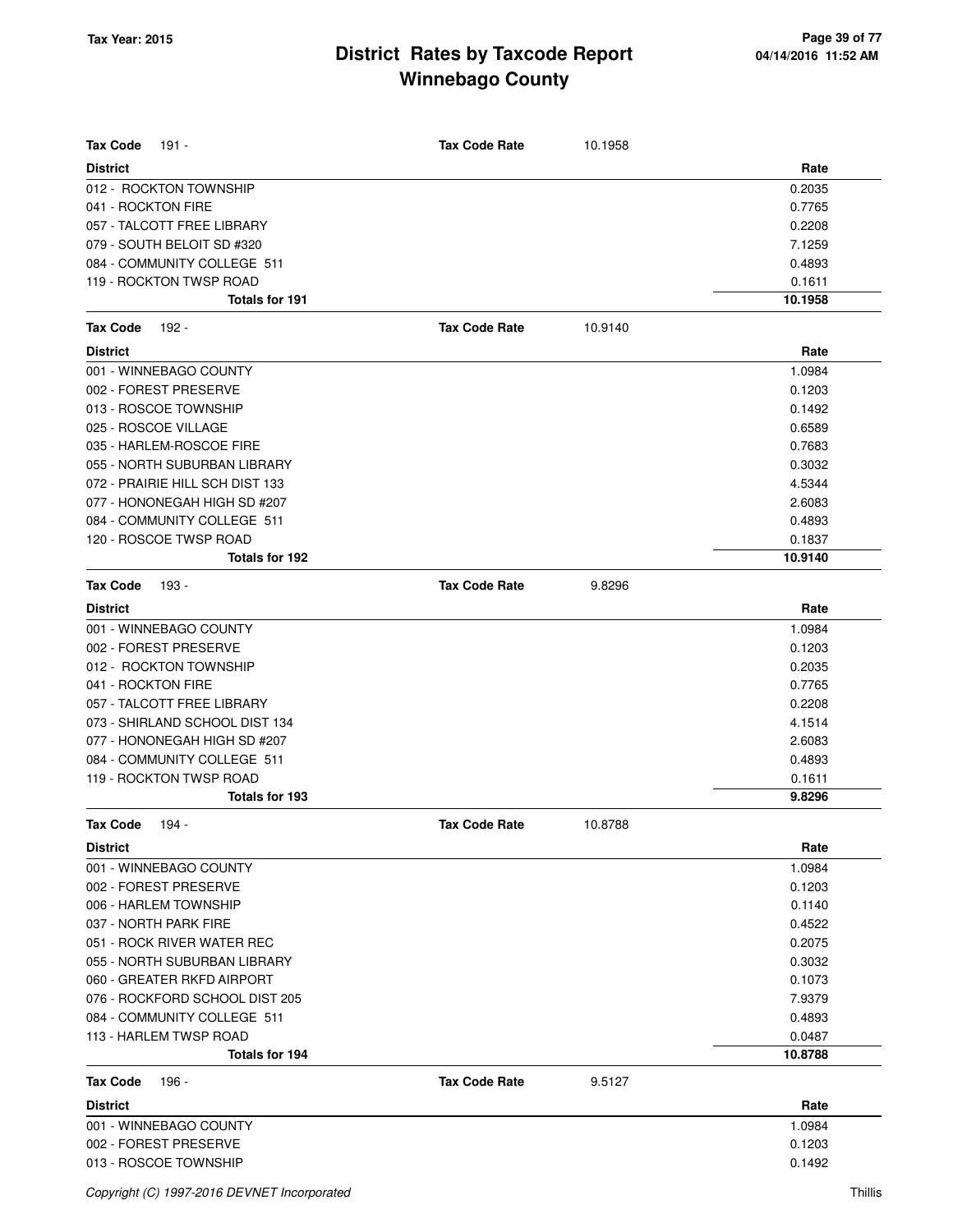| <b>Tax Code</b><br>191 -        | <b>Tax Code Rate</b> | 10.1958 |         |
|---------------------------------|----------------------|---------|---------|
| <b>District</b>                 |                      |         | Rate    |
| 012 - ROCKTON TOWNSHIP          |                      |         | 0.2035  |
| 041 - ROCKTON FIRE              |                      |         | 0.7765  |
| 057 - TALCOTT FREE LIBRARY      |                      |         | 0.2208  |
| 079 - SOUTH BELOIT SD #320      |                      |         | 7.1259  |
| 084 - COMMUNITY COLLEGE 511     |                      |         | 0.4893  |
| 119 - ROCKTON TWSP ROAD         |                      |         | 0.1611  |
| <b>Totals for 191</b>           |                      |         | 10.1958 |
| <b>Tax Code</b><br>192 -        | <b>Tax Code Rate</b> | 10.9140 |         |
| <b>District</b>                 |                      |         | Rate    |
| 001 - WINNEBAGO COUNTY          |                      |         | 1.0984  |
| 002 - FOREST PRESERVE           |                      |         | 0.1203  |
| 013 - ROSCOE TOWNSHIP           |                      |         | 0.1492  |
| 025 - ROSCOE VILLAGE            |                      |         | 0.6589  |
| 035 - HARLEM-ROSCOE FIRE        |                      |         | 0.7683  |
| 055 - NORTH SUBURBAN LIBRARY    |                      |         | 0.3032  |
| 072 - PRAIRIE HILL SCH DIST 133 |                      |         | 4.5344  |
| 077 - HONONEGAH HIGH SD #207    |                      |         | 2.6083  |
| 084 - COMMUNITY COLLEGE 511     |                      |         | 0.4893  |
| 120 - ROSCOE TWSP ROAD          |                      |         | 0.1837  |
| Totals for 192                  |                      |         | 10.9140 |
| <b>Tax Code</b><br>193 -        | <b>Tax Code Rate</b> | 9.8296  |         |
| <b>District</b>                 |                      |         | Rate    |
| 001 - WINNEBAGO COUNTY          |                      |         | 1.0984  |
| 002 - FOREST PRESERVE           |                      |         | 0.1203  |
| 012 - ROCKTON TOWNSHIP          |                      |         | 0.2035  |
| 041 - ROCKTON FIRE              |                      |         | 0.7765  |
| 057 - TALCOTT FREE LIBRARY      |                      |         | 0.2208  |
| 073 - SHIRLAND SCHOOL DIST 134  |                      |         | 4.1514  |
| 077 - HONONEGAH HIGH SD #207    |                      |         | 2.6083  |
| 084 - COMMUNITY COLLEGE 511     |                      |         | 0.4893  |
| 119 - ROCKTON TWSP ROAD         |                      |         | 0.1611  |
| Totals for 193                  |                      |         | 9.8296  |
| Tax Code 194 -                  | <b>Tax Code Rate</b> | 10.8788 |         |
| <b>District</b>                 |                      |         | Rate    |
| 001 - WINNEBAGO COUNTY          |                      |         | 1.0984  |
| 002 - FOREST PRESERVE           |                      |         | 0.1203  |
| 006 - HARLEM TOWNSHIP           |                      |         | 0.1140  |
| 037 - NORTH PARK FIRE           |                      |         | 0.4522  |
| 051 - ROCK RIVER WATER REC      |                      |         | 0.2075  |
| 055 - NORTH SUBURBAN LIBRARY    |                      |         | 0.3032  |
| 060 - GREATER RKFD AIRPORT      |                      |         | 0.1073  |
| 076 - ROCKFORD SCHOOL DIST 205  |                      |         | 7.9379  |
| 084 - COMMUNITY COLLEGE 511     |                      |         | 0.4893  |
| 113 - HARLEM TWSP ROAD          |                      |         | 0.0487  |
| Totals for 194                  |                      |         | 10.8788 |
| <b>Tax Code</b><br>196 -        | <b>Tax Code Rate</b> | 9.5127  |         |
| <b>District</b>                 |                      |         | Rate    |
| 001 - WINNEBAGO COUNTY          |                      |         | 1.0984  |
| 002 - FOREST PRESERVE           |                      |         | 0.1203  |
| 013 - ROSCOE TOWNSHIP           |                      |         | 0.1492  |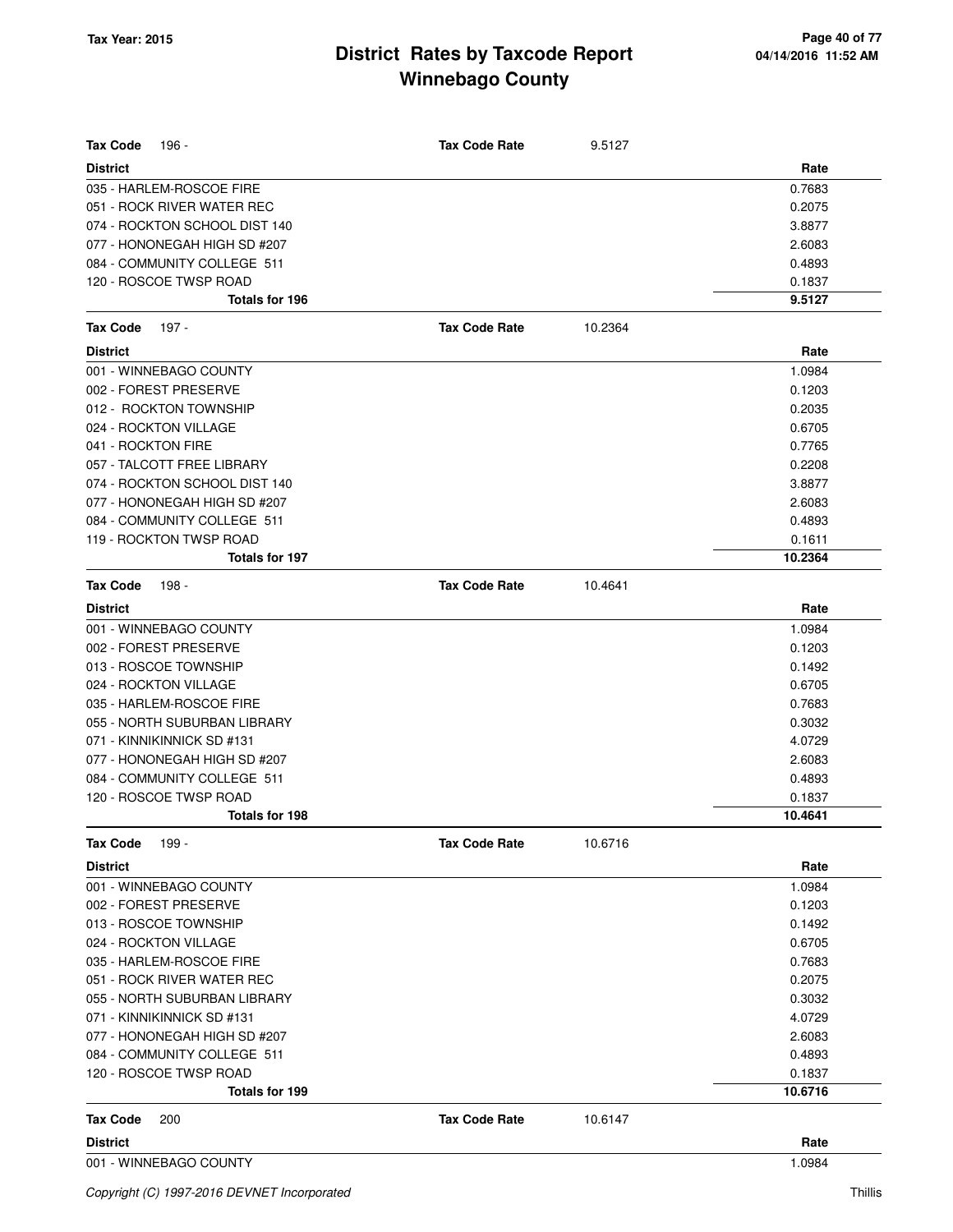| <b>Tax Code</b><br>196 -      | <b>Tax Code Rate</b> | 9.5127  |         |
|-------------------------------|----------------------|---------|---------|
| <b>District</b>               |                      |         | Rate    |
| 035 - HARLEM-ROSCOE FIRE      |                      |         | 0.7683  |
| 051 - ROCK RIVER WATER REC    |                      |         | 0.2075  |
| 074 - ROCKTON SCHOOL DIST 140 |                      |         | 3.8877  |
| 077 - HONONEGAH HIGH SD #207  |                      |         | 2.6083  |
| 084 - COMMUNITY COLLEGE 511   |                      |         | 0.4893  |
| 120 - ROSCOE TWSP ROAD        |                      |         | 0.1837  |
| Totals for 196                |                      |         | 9.5127  |
| <b>Tax Code</b><br>197 -      | <b>Tax Code Rate</b> | 10.2364 |         |
| <b>District</b>               |                      |         | Rate    |
| 001 - WINNEBAGO COUNTY        |                      |         | 1.0984  |
| 002 - FOREST PRESERVE         |                      |         | 0.1203  |
| 012 - ROCKTON TOWNSHIP        |                      |         | 0.2035  |
| 024 - ROCKTON VILLAGE         |                      |         | 0.6705  |
| 041 - ROCKTON FIRE            |                      |         | 0.7765  |
| 057 - TALCOTT FREE LIBRARY    |                      |         | 0.2208  |
| 074 - ROCKTON SCHOOL DIST 140 |                      |         | 3.8877  |
| 077 - HONONEGAH HIGH SD #207  |                      |         | 2.6083  |
| 084 - COMMUNITY COLLEGE 511   |                      |         | 0.4893  |
| 119 - ROCKTON TWSP ROAD       |                      |         | 0.1611  |
| <b>Totals for 197</b>         |                      |         | 10.2364 |
| <b>Tax Code</b><br>198 -      | <b>Tax Code Rate</b> | 10.4641 |         |
| <b>District</b>               |                      |         | Rate    |
| 001 - WINNEBAGO COUNTY        |                      |         | 1.0984  |
| 002 - FOREST PRESERVE         |                      |         | 0.1203  |
| 013 - ROSCOE TOWNSHIP         |                      |         | 0.1492  |
| 024 - ROCKTON VILLAGE         |                      |         | 0.6705  |
| 035 - HARLEM-ROSCOE FIRE      |                      |         | 0.7683  |
| 055 - NORTH SUBURBAN LIBRARY  |                      |         | 0.3032  |
| 071 - KINNIKINNICK SD #131    |                      |         | 4.0729  |
| 077 - HONONEGAH HIGH SD #207  |                      |         | 2.6083  |
| 084 - COMMUNITY COLLEGE 511   |                      |         | 0.4893  |
| 120 - ROSCOE TWSP ROAD        |                      |         | 0.1837  |
| Totals for 198                |                      |         | 10.4641 |
| <b>Tax Code</b><br>199 -      | <b>Tax Code Rate</b> | 10.6716 |         |
| <b>District</b>               |                      |         | Rate    |
| 001 - WINNEBAGO COUNTY        |                      |         | 1.0984  |
| 002 - FOREST PRESERVE         |                      |         | 0.1203  |
| 013 - ROSCOE TOWNSHIP         |                      |         | 0.1492  |
| 024 - ROCKTON VILLAGE         |                      |         | 0.6705  |
| 035 - HARLEM-ROSCOE FIRE      |                      |         | 0.7683  |
| 051 - ROCK RIVER WATER REC    |                      |         | 0.2075  |
| 055 - NORTH SUBURBAN LIBRARY  |                      |         | 0.3032  |
| 071 - KINNIKINNICK SD #131    |                      |         | 4.0729  |
| 077 - HONONEGAH HIGH SD #207  |                      |         | 2.6083  |
| 084 - COMMUNITY COLLEGE 511   |                      |         | 0.4893  |
| 120 - ROSCOE TWSP ROAD        |                      |         | 0.1837  |
| Totals for 199                |                      |         | 10.6716 |
| <b>Tax Code</b><br>200        | <b>Tax Code Rate</b> | 10.6147 |         |
| <b>District</b>               |                      |         | Rate    |
| 001 - WINNEBAGO COUNTY        |                      |         | 1.0984  |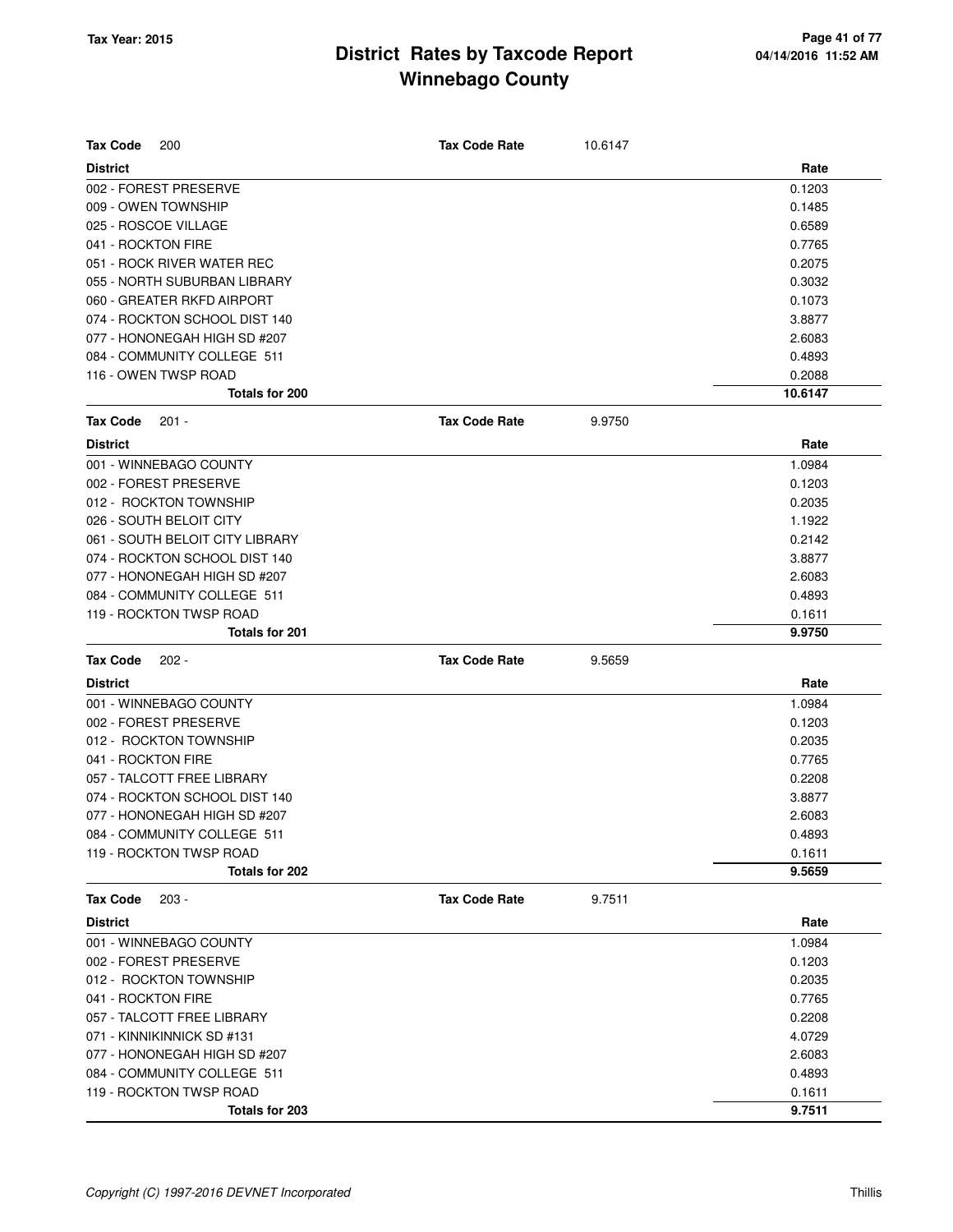| <b>Tax Code</b><br>200          | <b>Tax Code Rate</b> | 10.6147 |         |
|---------------------------------|----------------------|---------|---------|
| <b>District</b>                 |                      |         | Rate    |
| 002 - FOREST PRESERVE           |                      |         | 0.1203  |
| 009 - OWEN TOWNSHIP             |                      |         | 0.1485  |
| 025 - ROSCOE VILLAGE            |                      |         | 0.6589  |
| 041 - ROCKTON FIRE              |                      |         | 0.7765  |
| 051 - ROCK RIVER WATER REC      |                      |         | 0.2075  |
| 055 - NORTH SUBURBAN LIBRARY    |                      |         | 0.3032  |
| 060 - GREATER RKFD AIRPORT      |                      |         | 0.1073  |
| 074 - ROCKTON SCHOOL DIST 140   |                      |         | 3.8877  |
| 077 - HONONEGAH HIGH SD #207    |                      |         | 2.6083  |
| 084 - COMMUNITY COLLEGE 511     |                      |         | 0.4893  |
| 116 - OWEN TWSP ROAD            |                      |         | 0.2088  |
| <b>Totals for 200</b>           |                      |         | 10.6147 |
| <b>Tax Code</b><br>$201 -$      | <b>Tax Code Rate</b> | 9.9750  |         |
| <b>District</b>                 |                      |         | Rate    |
| 001 - WINNEBAGO COUNTY          |                      |         | 1.0984  |
| 002 - FOREST PRESERVE           |                      |         | 0.1203  |
| 012 - ROCKTON TOWNSHIP          |                      |         | 0.2035  |
| 026 - SOUTH BELOIT CITY         |                      |         | 1.1922  |
| 061 - SOUTH BELOIT CITY LIBRARY |                      |         | 0.2142  |
| 074 - ROCKTON SCHOOL DIST 140   |                      |         | 3.8877  |
| 077 - HONONEGAH HIGH SD #207    |                      |         | 2.6083  |
| 084 - COMMUNITY COLLEGE 511     |                      |         | 0.4893  |
| 119 - ROCKTON TWSP ROAD         |                      |         | 0.1611  |
| Totals for 201                  |                      |         | 9.9750  |
| <b>Tax Code</b><br>$202 -$      | <b>Tax Code Rate</b> | 9.5659  |         |
| <b>District</b>                 |                      |         | Rate    |
| 001 - WINNEBAGO COUNTY          |                      |         | 1.0984  |
| 002 - FOREST PRESERVE           |                      |         | 0.1203  |
| 012 - ROCKTON TOWNSHIP          |                      |         | 0.2035  |
| 041 - ROCKTON FIRE              |                      |         | 0.7765  |
| 057 - TALCOTT FREE LIBRARY      |                      |         | 0.2208  |
| 074 - ROCKTON SCHOOL DIST 140   |                      |         | 3.8877  |
| 077 - HONONEGAH HIGH SD #207    |                      |         | 2.6083  |
| 084 - COMMUNITY COLLEGE 511     |                      |         | 0.4893  |
| 119 - ROCKTON TWSP ROAD         |                      |         | 0.1611  |
| Totals for 202                  |                      |         | 9.5659  |
| <b>Tax Code</b><br>$203 -$      | <b>Tax Code Rate</b> | 9.7511  |         |
| <b>District</b>                 |                      |         | Rate    |
| 001 - WINNEBAGO COUNTY          |                      |         | 1.0984  |
| 002 - FOREST PRESERVE           |                      |         | 0.1203  |
| 012 - ROCKTON TOWNSHIP          |                      |         | 0.2035  |
| 041 - ROCKTON FIRE              |                      |         | 0.7765  |
| 057 - TALCOTT FREE LIBRARY      |                      |         | 0.2208  |
| 071 - KINNIKINNICK SD #131      |                      |         | 4.0729  |
| 077 - HONONEGAH HIGH SD #207    |                      |         | 2.6083  |
| 084 - COMMUNITY COLLEGE 511     |                      |         | 0.4893  |
| 119 - ROCKTON TWSP ROAD         |                      |         | 0.1611  |
| Totals for 203                  |                      |         | 9.7511  |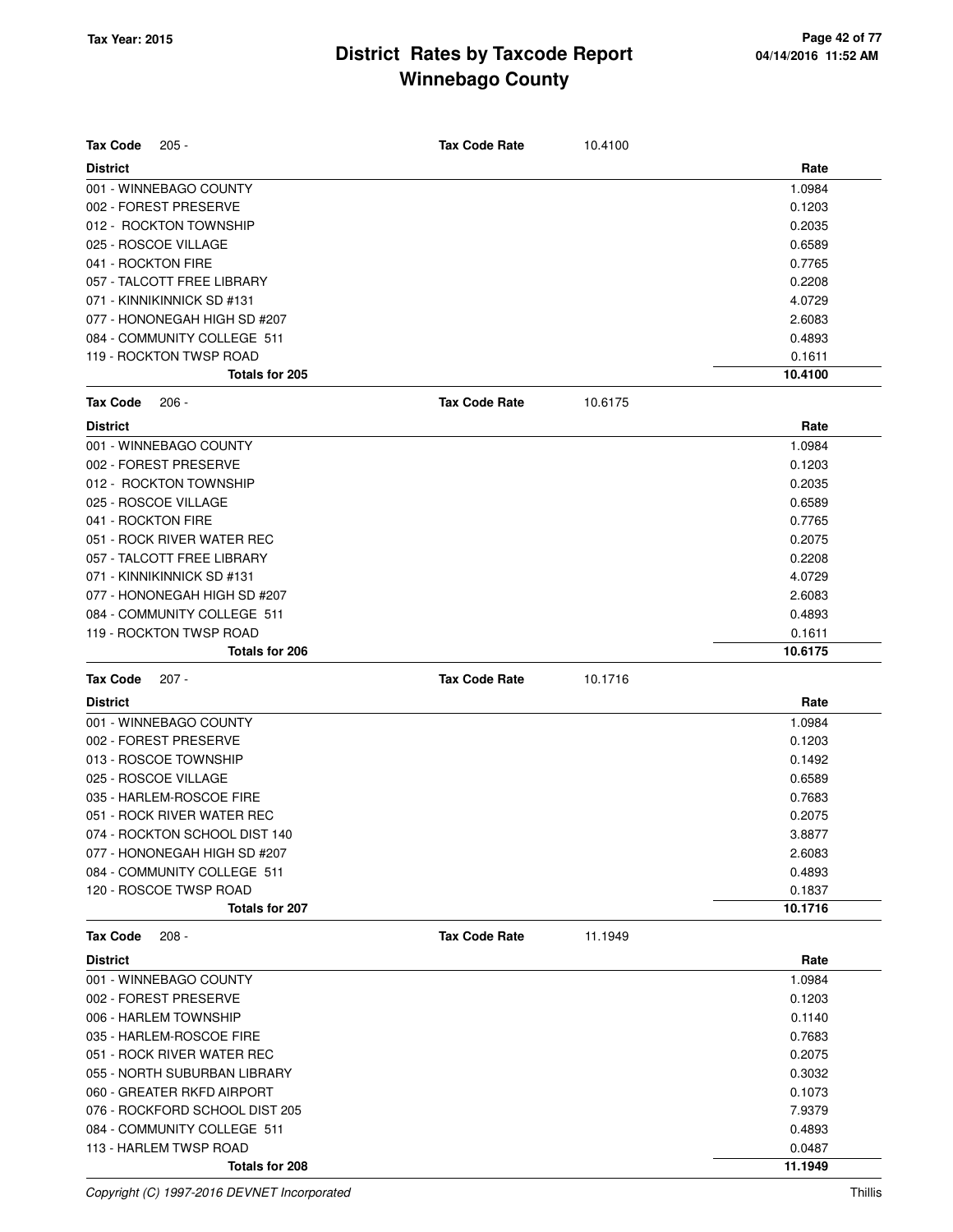| <b>Tax Code</b><br>$205 -$                      | <b>Tax Code Rate</b> | 10.4100 |                  |
|-------------------------------------------------|----------------------|---------|------------------|
| <b>District</b>                                 |                      |         | Rate             |
| 001 - WINNEBAGO COUNTY                          |                      |         | 1.0984           |
| 002 - FOREST PRESERVE                           |                      |         | 0.1203           |
| 012 - ROCKTON TOWNSHIP                          |                      |         | 0.2035           |
| 025 - ROSCOE VILLAGE                            |                      |         | 0.6589           |
| 041 - ROCKTON FIRE                              |                      |         | 0.7765           |
| 057 - TALCOTT FREE LIBRARY                      |                      |         | 0.2208           |
| 071 - KINNIKINNICK SD #131                      |                      |         | 4.0729           |
| 077 - HONONEGAH HIGH SD #207                    |                      |         | 2.6083           |
| 084 - COMMUNITY COLLEGE 511                     |                      |         | 0.4893           |
| 119 - ROCKTON TWSP ROAD                         |                      |         | 0.1611           |
| Totals for 205                                  |                      |         | 10.4100          |
| <b>Tax Code</b><br>$206 -$                      | <b>Tax Code Rate</b> | 10.6175 |                  |
| <b>District</b>                                 |                      |         | Rate             |
| 001 - WINNEBAGO COUNTY                          |                      |         | 1.0984           |
| 002 - FOREST PRESERVE                           |                      |         | 0.1203           |
| 012 - ROCKTON TOWNSHIP                          |                      |         | 0.2035           |
| 025 - ROSCOE VILLAGE                            |                      |         | 0.6589           |
| 041 - ROCKTON FIRE                              |                      |         | 0.7765           |
| 051 - ROCK RIVER WATER REC                      |                      |         | 0.2075           |
| 057 - TALCOTT FREE LIBRARY                      |                      |         | 0.2208           |
| 071 - KINNIKINNICK SD #131                      |                      |         | 4.0729           |
| 077 - HONONEGAH HIGH SD #207                    |                      |         | 2.6083           |
| 084 - COMMUNITY COLLEGE 511                     |                      |         | 0.4893           |
| 119 - ROCKTON TWSP ROAD                         |                      |         | 0.1611           |
| Totals for 206                                  |                      |         | 10.6175          |
| <b>Tax Code</b><br>$207 -$                      | <b>Tax Code Rate</b> | 10.1716 |                  |
| <b>District</b>                                 |                      |         | Rate             |
| 001 - WINNEBAGO COUNTY                          |                      |         | 1.0984           |
| 002 - FOREST PRESERVE                           |                      |         | 0.1203           |
| 013 - ROSCOE TOWNSHIP                           |                      |         | 0.1492           |
| 025 - ROSCOE VILLAGE                            |                      |         | 0.6589           |
| 035 - HARLEM-ROSCOE FIRE                        |                      |         | 0.7683           |
| 051 - ROCK RIVER WATER REC                      |                      |         | 0.2075           |
| 074 - ROCKTON SCHOOL DIST 140                   |                      |         |                  |
|                                                 |                      |         |                  |
|                                                 |                      |         | 3.8877           |
| 077 - HONONEGAH HIGH SD #207                    |                      |         | 2.6083           |
| 084 - COMMUNITY COLLEGE 511                     |                      |         | 0.4893<br>0.1837 |
| 120 - ROSCOE TWSP ROAD<br><b>Totals for 207</b> |                      |         | 10.1716          |
| <b>Tax Code</b><br>$208 -$                      | <b>Tax Code Rate</b> | 11.1949 |                  |
| <b>District</b>                                 |                      |         | Rate             |
| 001 - WINNEBAGO COUNTY                          |                      |         | 1.0984           |
| 002 - FOREST PRESERVE                           |                      |         | 0.1203           |
| 006 - HARLEM TOWNSHIP                           |                      |         | 0.1140           |
| 035 - HARLEM-ROSCOE FIRE                        |                      |         | 0.7683           |
| 051 - ROCK RIVER WATER REC                      |                      |         | 0.2075           |
| 055 - NORTH SUBURBAN LIBRARY                    |                      |         | 0.3032           |
| 060 - GREATER RKFD AIRPORT                      |                      |         | 0.1073           |
| 076 - ROCKFORD SCHOOL DIST 205                  |                      |         | 7.9379           |
| 084 - COMMUNITY COLLEGE 511                     |                      |         | 0.4893           |
| 113 - HARLEM TWSP ROAD                          |                      |         | 0.0487           |

Copyright (C) 1997-2016 DEVNET Incorporated Thillis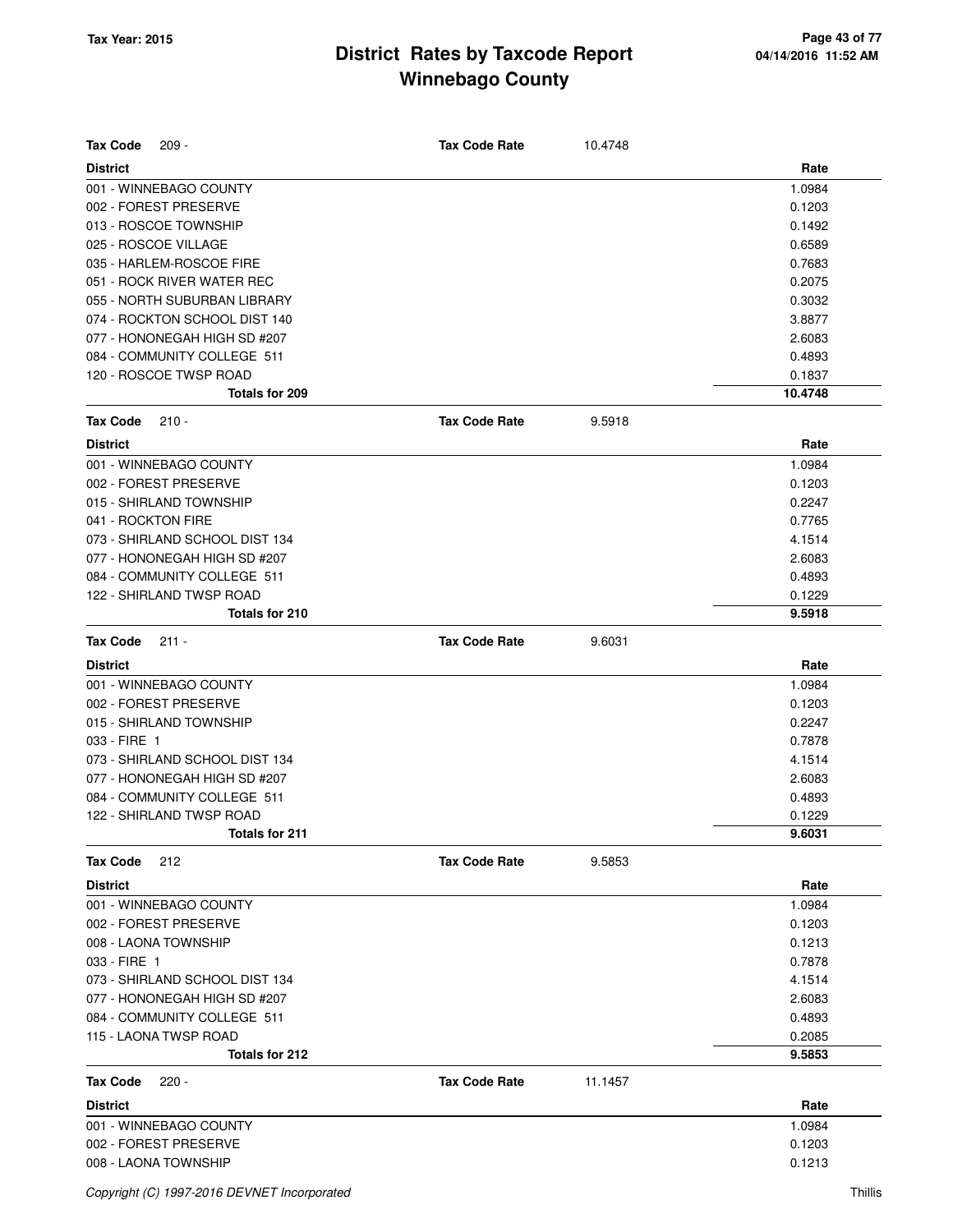| <b>Tax Code</b><br>$209 -$     | <b>Tax Code Rate</b> | 10.4748 |         |
|--------------------------------|----------------------|---------|---------|
| <b>District</b>                |                      |         | Rate    |
| 001 - WINNEBAGO COUNTY         |                      |         | 1.0984  |
| 002 - FOREST PRESERVE          |                      |         | 0.1203  |
| 013 - ROSCOE TOWNSHIP          |                      |         | 0.1492  |
| 025 - ROSCOE VILLAGE           |                      |         | 0.6589  |
| 035 - HARLEM-ROSCOE FIRE       |                      |         | 0.7683  |
| 051 - ROCK RIVER WATER REC     |                      |         | 0.2075  |
| 055 - NORTH SUBURBAN LIBRARY   |                      |         | 0.3032  |
| 074 - ROCKTON SCHOOL DIST 140  |                      |         | 3.8877  |
| 077 - HONONEGAH HIGH SD #207   |                      |         | 2.6083  |
| 084 - COMMUNITY COLLEGE 511    |                      |         | 0.4893  |
| 120 - ROSCOE TWSP ROAD         |                      |         | 0.1837  |
| Totals for 209                 |                      |         | 10.4748 |
| <b>Tax Code</b><br>$210 -$     | <b>Tax Code Rate</b> | 9.5918  |         |
| <b>District</b>                |                      |         | Rate    |
| 001 - WINNEBAGO COUNTY         |                      |         | 1.0984  |
| 002 - FOREST PRESERVE          |                      |         | 0.1203  |
| 015 - SHIRLAND TOWNSHIP        |                      |         | 0.2247  |
| 041 - ROCKTON FIRE             |                      |         | 0.7765  |
| 073 - SHIRLAND SCHOOL DIST 134 |                      |         | 4.1514  |
| 077 - HONONEGAH HIGH SD #207   |                      |         | 2.6083  |
| 084 - COMMUNITY COLLEGE 511    |                      |         | 0.4893  |
| 122 - SHIRLAND TWSP ROAD       |                      |         | 0.1229  |
| Totals for 210                 |                      |         | 9.5918  |
| <b>Tax Code</b><br>$211 -$     | <b>Tax Code Rate</b> | 9.6031  |         |
| <b>District</b>                |                      |         | Rate    |
| 001 - WINNEBAGO COUNTY         |                      |         | 1.0984  |
| 002 - FOREST PRESERVE          |                      |         | 0.1203  |
| 015 - SHIRLAND TOWNSHIP        |                      |         | 0.2247  |
| 033 - FIRE 1                   |                      |         | 0.7878  |
| 073 - SHIRLAND SCHOOL DIST 134 |                      |         | 4.1514  |
| 077 - HONONEGAH HIGH SD #207   |                      |         | 2.6083  |
| 084 - COMMUNITY COLLEGE 511    |                      |         | 0.4893  |
| 122 - SHIRLAND TWSP ROAD       |                      |         | 0.1229  |
| <b>Totals for 211</b>          |                      |         | 9.6031  |
| <b>Tax Code</b><br>212         | <b>Tax Code Rate</b> | 9.5853  |         |
| <b>District</b>                |                      |         | Rate    |
| 001 - WINNEBAGO COUNTY         |                      |         | 1.0984  |
| 002 - FOREST PRESERVE          |                      |         | 0.1203  |
| 008 - LAONA TOWNSHIP           |                      |         | 0.1213  |
| 033 - FIRE 1                   |                      |         | 0.7878  |
| 073 - SHIRLAND SCHOOL DIST 134 |                      |         | 4.1514  |
| 077 - HONONEGAH HIGH SD #207   |                      |         | 2.6083  |
| 084 - COMMUNITY COLLEGE 511    |                      |         | 0.4893  |
| 115 - LAONA TWSP ROAD          |                      |         | 0.2085  |
| Totals for 212                 |                      |         | 9.5853  |
| <b>Tax Code</b><br>$220 -$     | <b>Tax Code Rate</b> | 11.1457 |         |
| <b>District</b>                |                      |         | Rate    |
| 001 - WINNEBAGO COUNTY         |                      |         | 1.0984  |
| 002 - FOREST PRESERVE          |                      |         | 0.1203  |
| 008 - LAONA TOWNSHIP           |                      |         | 0.1213  |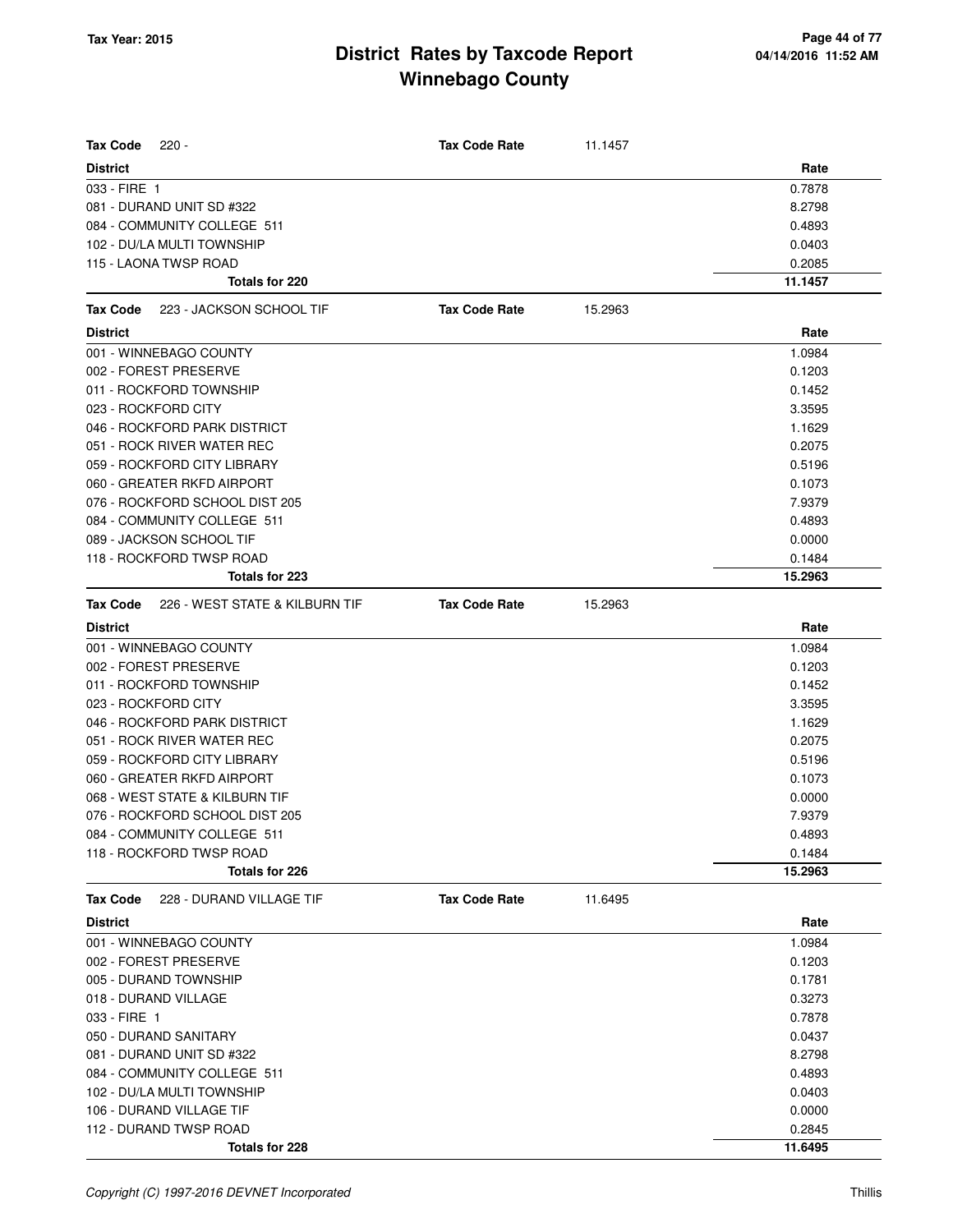| <b>Tax Code</b><br>$220 -$                        | <b>Tax Code Rate</b> | 11.1457 |         |
|---------------------------------------------------|----------------------|---------|---------|
| <b>District</b>                                   |                      |         | Rate    |
| 033 - FIRE 1                                      |                      |         | 0.7878  |
| 081 - DURAND UNIT SD #322                         |                      |         | 8.2798  |
| 084 - COMMUNITY COLLEGE 511                       |                      |         | 0.4893  |
| 102 - DU/LA MULTI TOWNSHIP                        |                      |         | 0.0403  |
| 115 - LAONA TWSP ROAD                             |                      |         | 0.2085  |
| Totals for 220                                    |                      |         | 11.1457 |
| 223 - JACKSON SCHOOL TIF<br>Tax Code              | <b>Tax Code Rate</b> | 15.2963 |         |
| <b>District</b>                                   |                      |         | Rate    |
| 001 - WINNEBAGO COUNTY                            |                      |         | 1.0984  |
| 002 - FOREST PRESERVE                             |                      |         | 0.1203  |
| 011 - ROCKFORD TOWNSHIP                           |                      |         | 0.1452  |
| 023 - ROCKFORD CITY                               |                      |         | 3.3595  |
| 046 - ROCKFORD PARK DISTRICT                      |                      |         | 1.1629  |
| 051 - ROCK RIVER WATER REC                        |                      |         | 0.2075  |
| 059 - ROCKFORD CITY LIBRARY                       |                      |         | 0.5196  |
| 060 - GREATER RKFD AIRPORT                        |                      |         | 0.1073  |
| 076 - ROCKFORD SCHOOL DIST 205                    |                      |         | 7.9379  |
| 084 - COMMUNITY COLLEGE 511                       |                      |         | 0.4893  |
| 089 - JACKSON SCHOOL TIF                          |                      |         | 0.0000  |
| 118 - ROCKFORD TWSP ROAD                          |                      |         | 0.1484  |
| Totals for 223                                    |                      |         | 15.2963 |
| 226 - WEST STATE & KILBURN TIF<br><b>Tax Code</b> | <b>Tax Code Rate</b> | 15.2963 |         |
| <b>District</b>                                   |                      |         | Rate    |
| 001 - WINNEBAGO COUNTY                            |                      |         | 1.0984  |
| 002 - FOREST PRESERVE                             |                      |         | 0.1203  |
| 011 - ROCKFORD TOWNSHIP                           |                      |         | 0.1452  |
| 023 - ROCKFORD CITY                               |                      |         | 3.3595  |
| 046 - ROCKFORD PARK DISTRICT                      |                      |         | 1.1629  |
| 051 - ROCK RIVER WATER REC                        |                      |         | 0.2075  |
| 059 - ROCKFORD CITY LIBRARY                       |                      |         | 0.5196  |
| 060 - GREATER RKFD AIRPORT                        |                      |         | 0.1073  |
| 068 - WEST STATE & KILBURN TIF                    |                      |         | 0.0000  |
| 076 - ROCKFORD SCHOOL DIST 205                    |                      |         | 7.9379  |
| 084 - COMMUNITY COLLEGE 511                       |                      |         | 0.4893  |
| 118 - ROCKFORD TWSP ROAD                          |                      |         | 0.1484  |
| Totals for 226                                    |                      |         | 15.2963 |
| 228 - DURAND VILLAGE TIF<br><b>Tax Code</b>       | <b>Tax Code Rate</b> | 11.6495 |         |
| <b>District</b>                                   |                      |         | Rate    |
| 001 - WINNEBAGO COUNTY                            |                      |         | 1.0984  |
| 002 - FOREST PRESERVE                             |                      |         | 0.1203  |
| 005 - DURAND TOWNSHIP                             |                      |         | 0.1781  |
| 018 - DURAND VILLAGE                              |                      |         | 0.3273  |
| 033 - FIRE 1                                      |                      |         | 0.7878  |
| 050 - DURAND SANITARY                             |                      |         | 0.0437  |
| 081 - DURAND UNIT SD #322                         |                      |         | 8.2798  |
| 084 - COMMUNITY COLLEGE 511                       |                      |         | 0.4893  |
| 102 - DU/LA MULTI TOWNSHIP                        |                      |         | 0.0403  |
| 106 - DURAND VILLAGE TIF                          |                      |         | 0.0000  |
| 112 - DURAND TWSP ROAD                            |                      |         | 0.2845  |
| Totals for 228                                    |                      |         | 11.6495 |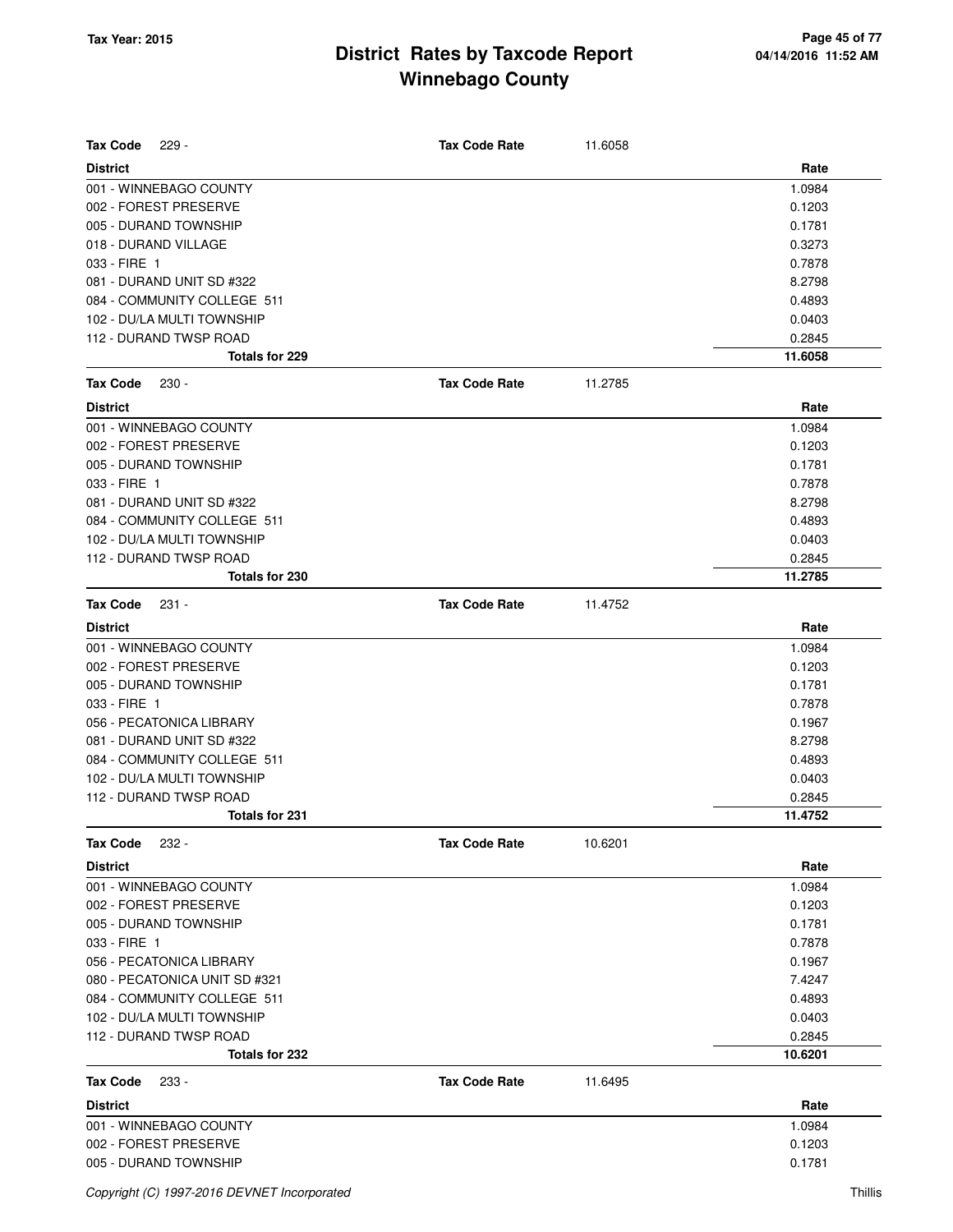| <b>Tax Code</b><br>$229 -$    | <b>Tax Code Rate</b> | 11.6058 |         |
|-------------------------------|----------------------|---------|---------|
| <b>District</b>               |                      |         | Rate    |
| 001 - WINNEBAGO COUNTY        |                      |         | 1.0984  |
| 002 - FOREST PRESERVE         |                      |         | 0.1203  |
| 005 - DURAND TOWNSHIP         |                      |         | 0.1781  |
| 018 - DURAND VILLAGE          |                      |         | 0.3273  |
| 033 - FIRE 1                  |                      |         | 0.7878  |
| 081 - DURAND UNIT SD #322     |                      |         | 8.2798  |
| 084 - COMMUNITY COLLEGE 511   |                      |         | 0.4893  |
| 102 - DU/LA MULTI TOWNSHIP    |                      |         | 0.0403  |
| 112 - DURAND TWSP ROAD        |                      |         | 0.2845  |
| Totals for 229                |                      |         | 11.6058 |
| <b>Tax Code</b><br>$230 -$    | <b>Tax Code Rate</b> | 11.2785 |         |
| <b>District</b>               |                      |         | Rate    |
| 001 - WINNEBAGO COUNTY        |                      |         | 1.0984  |
| 002 - FOREST PRESERVE         |                      |         | 0.1203  |
| 005 - DURAND TOWNSHIP         |                      |         | 0.1781  |
| 033 - FIRE 1                  |                      |         | 0.7878  |
| 081 - DURAND UNIT SD #322     |                      |         | 8.2798  |
| 084 - COMMUNITY COLLEGE 511   |                      |         | 0.4893  |
| 102 - DU/LA MULTI TOWNSHIP    |                      |         | 0.0403  |
| 112 - DURAND TWSP ROAD        |                      |         | 0.2845  |
| Totals for 230                |                      |         | 11.2785 |
| <b>Tax Code</b><br>$231 -$    | <b>Tax Code Rate</b> | 11.4752 |         |
| <b>District</b>               |                      |         | Rate    |
| 001 - WINNEBAGO COUNTY        |                      |         | 1.0984  |
| 002 - FOREST PRESERVE         |                      |         | 0.1203  |
| 005 - DURAND TOWNSHIP         |                      |         | 0.1781  |
| 033 - FIRE 1                  |                      |         | 0.7878  |
| 056 - PECATONICA LIBRARY      |                      |         | 0.1967  |
| 081 - DURAND UNIT SD #322     |                      |         | 8.2798  |
| 084 - COMMUNITY COLLEGE 511   |                      |         | 0.4893  |
| 102 - DU/LA MULTI TOWNSHIP    |                      |         | 0.0403  |
| 112 - DURAND TWSP ROAD        |                      |         | 0.2845  |
| <b>Totals for 231</b>         |                      |         | 11.4752 |
| <b>Tax Code</b><br>$232 -$    | <b>Tax Code Rate</b> | 10.6201 |         |
| <b>District</b>               |                      |         | Rate    |
| 001 - WINNEBAGO COUNTY        |                      |         | 1.0984  |
| 002 - FOREST PRESERVE         |                      |         | 0.1203  |
| 005 - DURAND TOWNSHIP         |                      |         | 0.1781  |
| 033 - FIRE 1                  |                      |         | 0.7878  |
| 056 - PECATONICA LIBRARY      |                      |         | 0.1967  |
| 080 - PECATONICA UNIT SD #321 |                      |         | 7.4247  |
| 084 - COMMUNITY COLLEGE 511   |                      |         | 0.4893  |
| 102 - DU/LA MULTI TOWNSHIP    |                      |         | 0.0403  |
| 112 - DURAND TWSP ROAD        |                      |         | 0.2845  |
| Totals for 232                |                      |         | 10.6201 |
| <b>Tax Code</b><br>233 -      | <b>Tax Code Rate</b> | 11.6495 |         |
| <b>District</b>               |                      |         | Rate    |
| 001 - WINNEBAGO COUNTY        |                      |         | 1.0984  |
| 002 - FOREST PRESERVE         |                      |         | 0.1203  |
| 005 - DURAND TOWNSHIP         |                      |         | 0.1781  |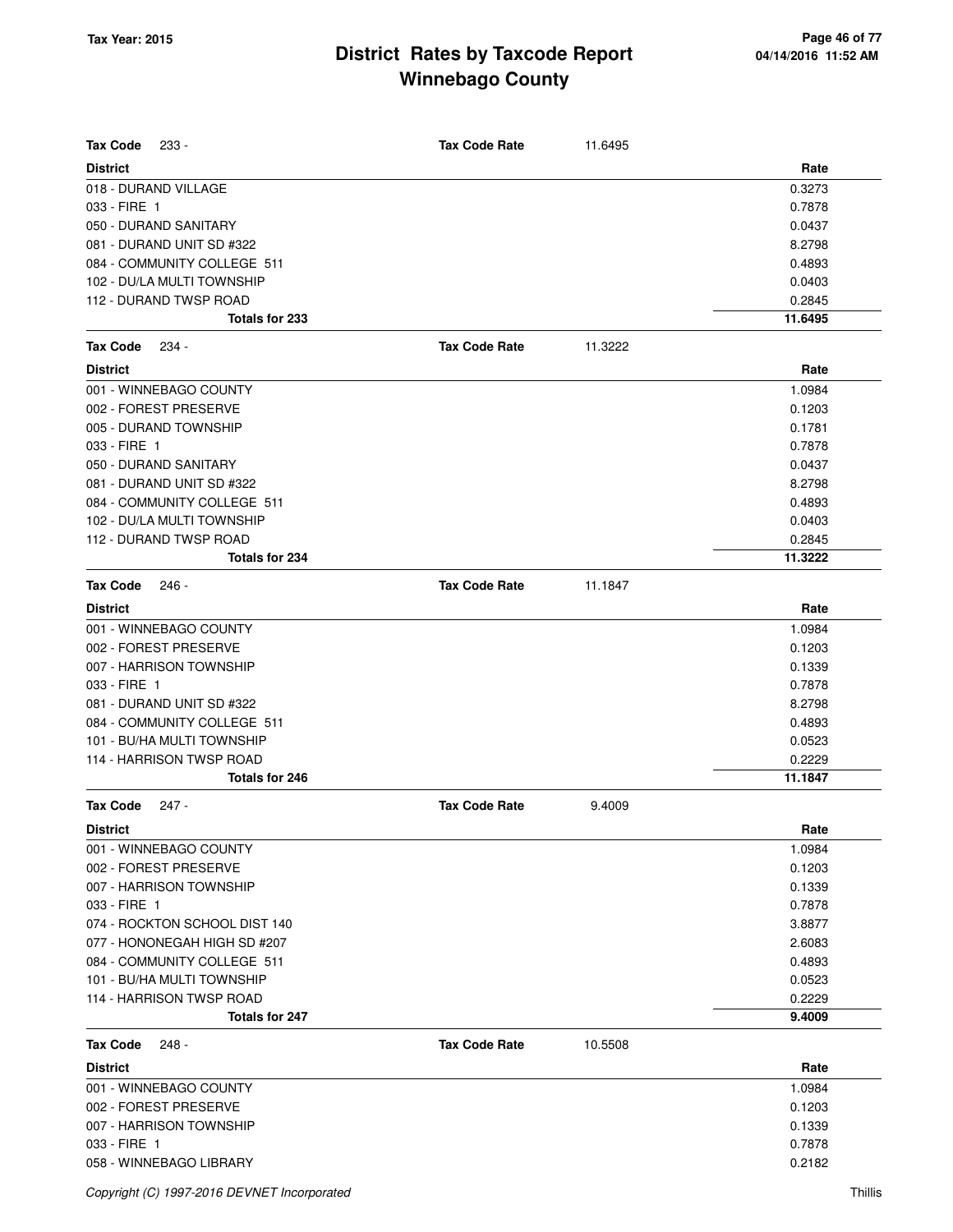| <b>Tax Code</b><br>$233 -$                        | <b>Tax Code Rate</b> | 11.6495 |                   |
|---------------------------------------------------|----------------------|---------|-------------------|
|                                                   |                      |         |                   |
| <b>District</b><br>018 - DURAND VILLAGE           |                      |         | Rate<br>0.3273    |
| 033 - FIRE 1                                      |                      |         | 0.7878            |
| 050 - DURAND SANITARY                             |                      |         | 0.0437            |
| 081 - DURAND UNIT SD #322                         |                      |         | 8.2798            |
| 084 - COMMUNITY COLLEGE 511                       |                      |         | 0.4893            |
| 102 - DU/LA MULTI TOWNSHIP                        |                      |         | 0.0403            |
| 112 - DURAND TWSP ROAD                            |                      |         | 0.2845            |
| Totals for 233                                    |                      |         | 11.6495           |
| <b>Tax Code</b><br>234 -                          | <b>Tax Code Rate</b> | 11.3222 |                   |
| <b>District</b>                                   |                      |         | Rate              |
| 001 - WINNEBAGO COUNTY                            |                      |         | 1.0984            |
| 002 - FOREST PRESERVE                             |                      |         | 0.1203            |
| 005 - DURAND TOWNSHIP                             |                      |         | 0.1781            |
| 033 - FIRE 1                                      |                      |         | 0.7878            |
| 050 - DURAND SANITARY                             |                      |         | 0.0437            |
| 081 - DURAND UNIT SD #322                         |                      |         | 8.2798            |
| 084 - COMMUNITY COLLEGE 511                       |                      |         | 0.4893            |
| 102 - DU/LA MULTI TOWNSHIP                        |                      |         | 0.0403            |
| 112 - DURAND TWSP ROAD                            |                      |         | 0.2845            |
| <b>Totals for 234</b>                             |                      |         | 11.3222           |
|                                                   |                      |         |                   |
| <b>Tax Code</b><br>$246 -$                        | <b>Tax Code Rate</b> | 11.1847 |                   |
| <b>District</b>                                   |                      |         | Rate              |
| 001 - WINNEBAGO COUNTY                            |                      |         | 1.0984            |
| 002 - FOREST PRESERVE                             |                      |         | 0.1203            |
| 007 - HARRISON TOWNSHIP                           |                      |         | 0.1339            |
| 033 - FIRE 1                                      |                      |         | 0.7878            |
| 081 - DURAND UNIT SD #322                         |                      |         | 8.2798            |
| 084 - COMMUNITY COLLEGE 511                       |                      |         | 0.4893            |
| 101 - BU/HA MULTI TOWNSHIP                        |                      |         | 0.0523            |
| 114 - HARRISON TWSP ROAD<br><b>Totals for 246</b> |                      |         | 0.2229<br>11.1847 |
|                                                   |                      |         |                   |
| Tax Code<br>247 -                                 | <b>Tax Code Rate</b> | 9.4009  |                   |
| <b>District</b>                                   |                      |         | Rate              |
| 001 - WINNEBAGO COUNTY                            |                      |         | 1.0984            |
| 002 - FOREST PRESERVE                             |                      |         | 0.1203            |
| 007 - HARRISON TOWNSHIP                           |                      |         | 0.1339            |
| 033 - FIRE 1                                      |                      |         | 0.7878            |
| 074 - ROCKTON SCHOOL DIST 140                     |                      |         | 3.8877            |
| 077 - HONONEGAH HIGH SD #207                      |                      |         | 2.6083            |
| 084 - COMMUNITY COLLEGE 511                       |                      |         | 0.4893            |
| 101 - BU/HA MULTI TOWNSHIP                        |                      |         | 0.0523            |
| 114 - HARRISON TWSP ROAD<br>Totals for 247        |                      |         | 0.2229<br>9.4009  |
|                                                   |                      |         |                   |
| <b>Tax Code</b><br>$248 -$                        | <b>Tax Code Rate</b> | 10.5508 |                   |
| <b>District</b>                                   |                      |         | Rate              |
| 001 - WINNEBAGO COUNTY                            |                      |         | 1.0984            |
| 002 - FOREST PRESERVE                             |                      |         | 0.1203            |
| 007 - HARRISON TOWNSHIP                           |                      |         | 0.1339            |
| 033 - FIRE 1                                      |                      |         | 0.7878            |
| 058 - WINNEBAGO LIBRARY                           |                      |         | 0.2182            |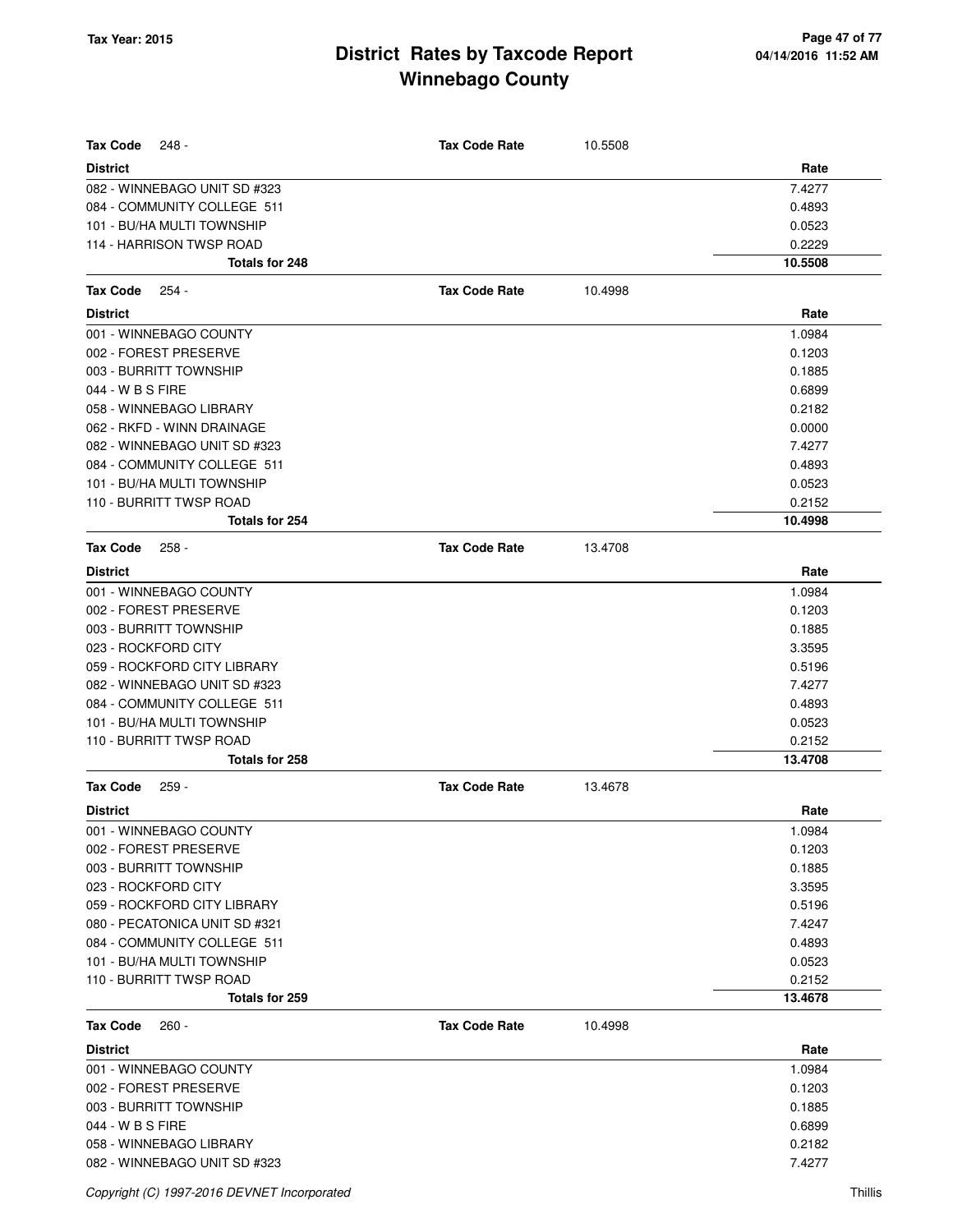| <b>Tax Code</b><br>248 -                                    | <b>Tax Code Rate</b> | 10.5508 |                  |
|-------------------------------------------------------------|----------------------|---------|------------------|
| <b>District</b>                                             |                      |         | Rate             |
| 082 - WINNEBAGO UNIT SD #323<br>084 - COMMUNITY COLLEGE 511 |                      |         | 7.4277<br>0.4893 |
| 101 - BU/HA MULTI TOWNSHIP                                  |                      |         | 0.0523           |
| 114 - HARRISON TWSP ROAD                                    |                      |         | 0.2229           |
| <b>Totals for 248</b>                                       |                      |         | 10.5508          |
|                                                             |                      |         |                  |
| <b>Tax Code</b><br>$254 -$                                  | <b>Tax Code Rate</b> | 10.4998 |                  |
| <b>District</b>                                             |                      |         | Rate             |
| 001 - WINNEBAGO COUNTY                                      |                      |         | 1.0984           |
| 002 - FOREST PRESERVE                                       |                      |         | 0.1203           |
| 003 - BURRITT TOWNSHIP                                      |                      |         | 0.1885           |
| 044 - W B S FIRE                                            |                      |         | 0.6899           |
| 058 - WINNEBAGO LIBRARY                                     |                      |         | 0.2182           |
| 062 - RKFD - WINN DRAINAGE                                  |                      |         | 0.0000           |
| 082 - WINNEBAGO UNIT SD #323                                |                      |         | 7.4277           |
| 084 - COMMUNITY COLLEGE 511                                 |                      |         | 0.4893           |
| 101 - BU/HA MULTI TOWNSHIP                                  |                      |         | 0.0523           |
| 110 - BURRITT TWSP ROAD                                     |                      |         | 0.2152           |
| <b>Totals for 254</b>                                       |                      |         | 10.4998          |
| <b>Tax Code</b><br>$258 -$                                  | <b>Tax Code Rate</b> | 13.4708 |                  |
| <b>District</b>                                             |                      |         | Rate             |
| 001 - WINNEBAGO COUNTY                                      |                      |         | 1.0984           |
| 002 - FOREST PRESERVE                                       |                      |         | 0.1203           |
| 003 - BURRITT TOWNSHIP                                      |                      |         | 0.1885           |
| 023 - ROCKFORD CITY                                         |                      |         | 3.3595           |
| 059 - ROCKFORD CITY LIBRARY                                 |                      |         | 0.5196           |
| 082 - WINNEBAGO UNIT SD #323                                |                      |         | 7.4277           |
| 084 - COMMUNITY COLLEGE 511                                 |                      |         | 0.4893           |
| 101 - BU/HA MULTI TOWNSHIP                                  |                      |         | 0.0523           |
| 110 - BURRITT TWSP ROAD                                     |                      |         | 0.2152           |
| Totals for 258                                              |                      |         | 13.4708          |
| Tax Code<br>$259 -$                                         | <b>Tax Code Rate</b> | 13.4678 |                  |
| <b>District</b>                                             |                      |         | Rate             |
| 001 - WINNEBAGO COUNTY                                      |                      |         | 1.0984           |
| 002 - FOREST PRESERVE                                       |                      |         | 0.1203           |
| 003 - BURRITT TOWNSHIP                                      |                      |         | 0.1885           |
| 023 - ROCKFORD CITY                                         |                      |         | 3.3595           |
| 059 - ROCKFORD CITY LIBRARY                                 |                      |         | 0.5196           |
| 080 - PECATONICA UNIT SD #321                               |                      |         | 7.4247           |
| 084 - COMMUNITY COLLEGE 511                                 |                      |         | 0.4893           |
| 101 - BU/HA MULTI TOWNSHIP                                  |                      |         | 0.0523           |
| 110 - BURRITT TWSP ROAD                                     |                      |         | 0.2152           |
| <b>Totals for 259</b>                                       |                      |         | 13.4678          |
| Tax Code<br>$260 -$                                         | <b>Tax Code Rate</b> | 10.4998 |                  |
| <b>District</b>                                             |                      |         | Rate             |
| 001 - WINNEBAGO COUNTY                                      |                      |         | 1.0984           |
| 002 - FOREST PRESERVE                                       |                      |         | 0.1203           |
| 003 - BURRITT TOWNSHIP                                      |                      |         | 0.1885           |
| 044 - W B S FIRE                                            |                      |         | 0.6899           |
| 058 - WINNEBAGO LIBRARY                                     |                      |         | 0.2182           |
| 082 - WINNEBAGO UNIT SD #323                                |                      |         | 7.4277           |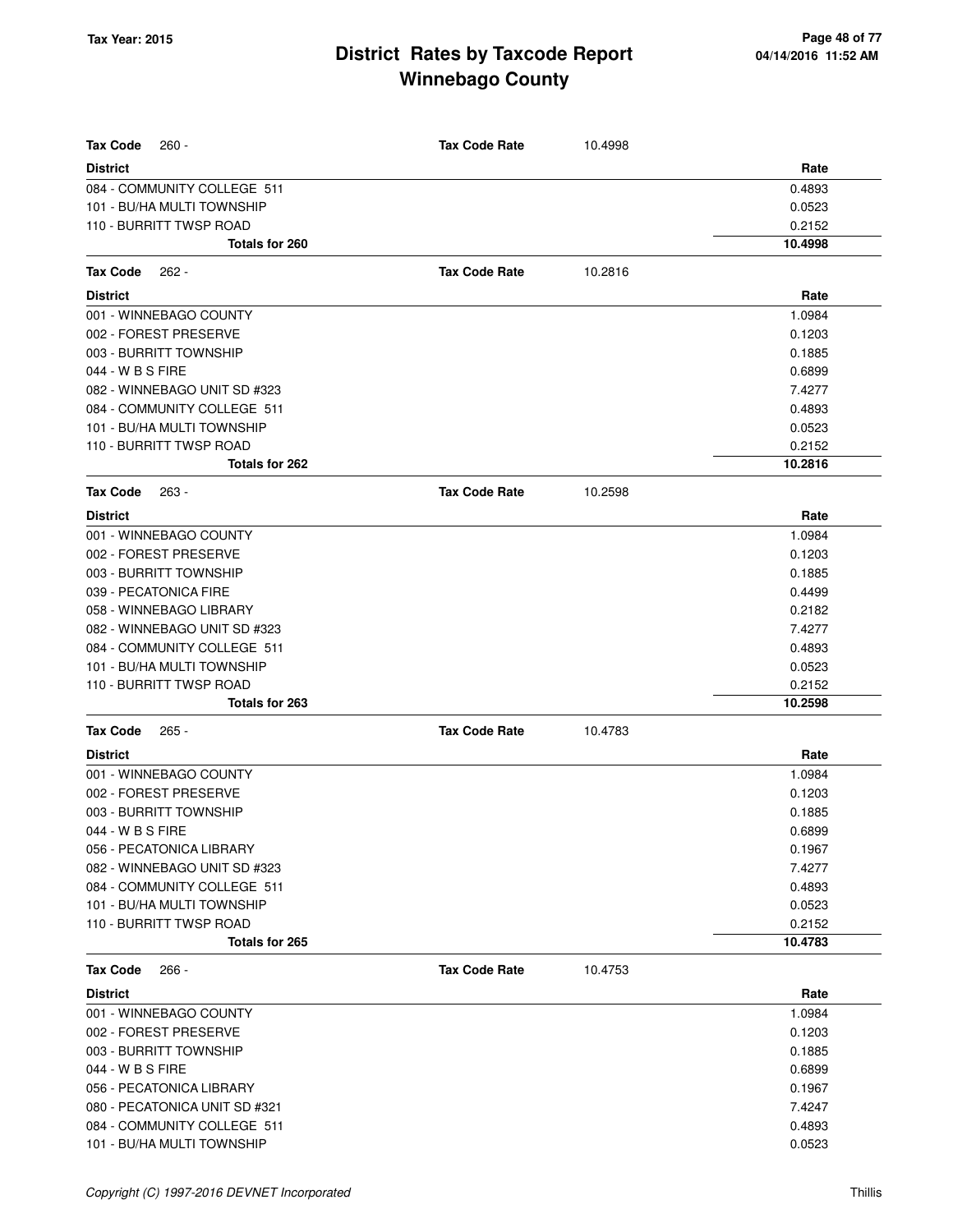| <b>Tax Code</b><br>$260 -$    | <b>Tax Code Rate</b> | 10.4998 |         |
|-------------------------------|----------------------|---------|---------|
| <b>District</b>               |                      |         | Rate    |
| 084 - COMMUNITY COLLEGE 511   |                      |         | 0.4893  |
| 101 - BU/HA MULTI TOWNSHIP    |                      |         | 0.0523  |
| 110 - BURRITT TWSP ROAD       |                      |         | 0.2152  |
| Totals for 260                |                      |         | 10.4998 |
| Tax Code<br>$262 -$           | <b>Tax Code Rate</b> | 10.2816 |         |
| <b>District</b>               |                      |         | Rate    |
| 001 - WINNEBAGO COUNTY        |                      |         | 1.0984  |
| 002 - FOREST PRESERVE         |                      |         | 0.1203  |
| 003 - BURRITT TOWNSHIP        |                      |         | 0.1885  |
| 044 - W B S FIRE              |                      |         | 0.6899  |
| 082 - WINNEBAGO UNIT SD #323  |                      |         | 7.4277  |
| 084 - COMMUNITY COLLEGE 511   |                      |         | 0.4893  |
| 101 - BU/HA MULTI TOWNSHIP    |                      |         | 0.0523  |
| 110 - BURRITT TWSP ROAD       |                      |         | 0.2152  |
| Totals for 262                |                      |         | 10.2816 |
| Tax Code<br>263 -             | <b>Tax Code Rate</b> | 10.2598 |         |
| <b>District</b>               |                      |         | Rate    |
| 001 - WINNEBAGO COUNTY        |                      |         | 1.0984  |
| 002 - FOREST PRESERVE         |                      |         | 0.1203  |
| 003 - BURRITT TOWNSHIP        |                      |         | 0.1885  |
| 039 - PECATONICA FIRE         |                      |         | 0.4499  |
| 058 - WINNEBAGO LIBRARY       |                      |         | 0.2182  |
| 082 - WINNEBAGO UNIT SD #323  |                      |         | 7.4277  |
| 084 - COMMUNITY COLLEGE 511   |                      |         | 0.4893  |
| 101 - BU/HA MULTI TOWNSHIP    |                      |         | 0.0523  |
| 110 - BURRITT TWSP ROAD       |                      |         | 0.2152  |
| Totals for 263                |                      |         | 10.2598 |
| Tax Code<br>$265 -$           | <b>Tax Code Rate</b> | 10.4783 |         |
| <b>District</b>               |                      |         | Rate    |
| 001 - WINNEBAGO COUNTY        |                      |         | 1.0984  |
| 002 - FOREST PRESERVE         |                      |         | 0.1203  |
| 003 - BURRITT TOWNSHIP        |                      |         | 0.1885  |
| 044 - W B S FIRE              |                      |         | 0.6899  |
| 056 - PECATONICA LIBRARY      |                      |         | 0.1967  |
| 082 - WINNEBAGO UNIT SD #323  |                      |         | 7.4277  |
| 084 - COMMUNITY COLLEGE 511   |                      |         | 0.4893  |
| 101 - BU/HA MULTI TOWNSHIP    |                      |         | 0.0523  |
| 110 - BURRITT TWSP ROAD       |                      |         | 0.2152  |
| Totals for 265                |                      |         | 10.4783 |
| Tax Code<br>$266 -$           | <b>Tax Code Rate</b> | 10.4753 |         |
| <b>District</b>               |                      |         | Rate    |
| 001 - WINNEBAGO COUNTY        |                      |         | 1.0984  |
| 002 - FOREST PRESERVE         |                      |         | 0.1203  |
| 003 - BURRITT TOWNSHIP        |                      |         | 0.1885  |
| 044 - W B S FIRE              |                      |         | 0.6899  |
| 056 - PECATONICA LIBRARY      |                      |         | 0.1967  |
| 080 - PECATONICA UNIT SD #321 |                      |         | 7.4247  |
| 084 - COMMUNITY COLLEGE 511   |                      |         | 0.4893  |
| 101 - BU/HA MULTI TOWNSHIP    |                      |         | 0.0523  |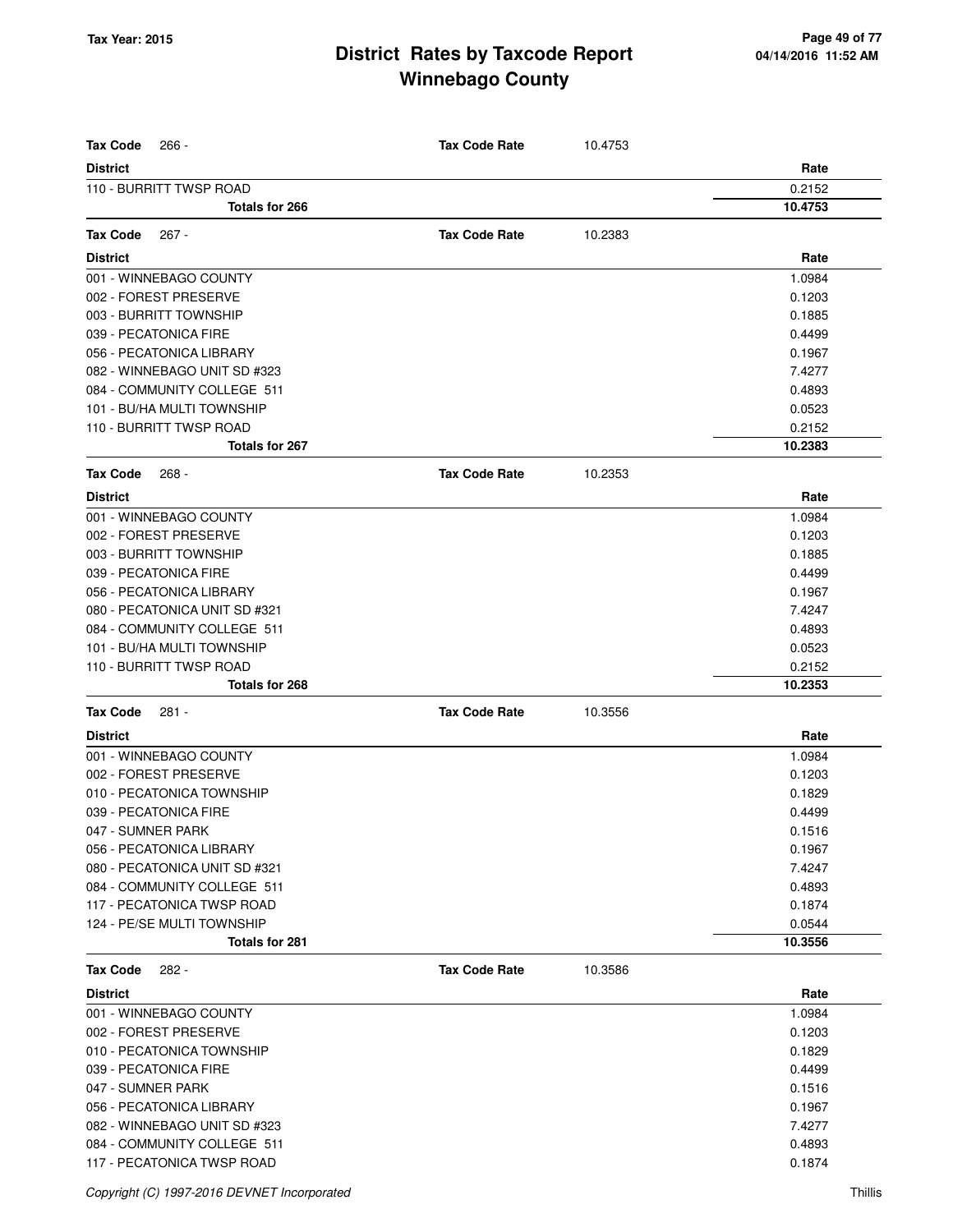| <b>Tax Code</b><br>$266 -$                | <b>Tax Code Rate</b> | 10.4753 |                   |
|-------------------------------------------|----------------------|---------|-------------------|
| <b>District</b>                           |                      |         | Rate              |
| 110 - BURRITT TWSP ROAD<br>Totals for 266 |                      |         | 0.2152<br>10.4753 |
|                                           |                      |         |                   |
| <b>Tax Code</b><br>$267 -$                | <b>Tax Code Rate</b> | 10.2383 |                   |
| <b>District</b>                           |                      |         | Rate              |
| 001 - WINNEBAGO COUNTY                    |                      |         | 1.0984            |
| 002 - FOREST PRESERVE                     |                      |         | 0.1203            |
| 003 - BURRITT TOWNSHIP                    |                      |         | 0.1885            |
| 039 - PECATONICA FIRE                     |                      |         | 0.4499            |
| 056 - PECATONICA LIBRARY                  |                      |         | 0.1967            |
| 082 - WINNEBAGO UNIT SD #323              |                      |         | 7.4277            |
| 084 - COMMUNITY COLLEGE 511               |                      |         | 0.4893            |
| 101 - BU/HA MULTI TOWNSHIP                |                      |         | 0.0523            |
| 110 - BURRITT TWSP ROAD                   |                      |         | 0.2152            |
| Totals for 267                            |                      |         | 10.2383           |
| <b>Tax Code</b><br>$268 -$                | <b>Tax Code Rate</b> | 10.2353 |                   |
| <b>District</b>                           |                      |         | Rate              |
| 001 - WINNEBAGO COUNTY                    |                      |         | 1.0984            |
| 002 - FOREST PRESERVE                     |                      |         | 0.1203            |
| 003 - BURRITT TOWNSHIP                    |                      |         | 0.1885            |
| 039 - PECATONICA FIRE                     |                      |         | 0.4499            |
| 056 - PECATONICA LIBRARY                  |                      |         | 0.1967            |
| 080 - PECATONICA UNIT SD #321             |                      |         | 7.4247            |
| 084 - COMMUNITY COLLEGE 511               |                      |         | 0.4893            |
| 101 - BU/HA MULTI TOWNSHIP                |                      |         | 0.0523            |
| 110 - BURRITT TWSP ROAD                   |                      |         | 0.2152            |
| <b>Totals for 268</b>                     |                      |         | 10.2353           |
| <b>Tax Code</b><br>281 -                  | <b>Tax Code Rate</b> | 10.3556 |                   |
| <b>District</b>                           |                      |         | Rate              |
| 001 - WINNEBAGO COUNTY                    |                      |         | 1.0984            |
| 002 - FOREST PRESERVE                     |                      |         | 0.1203            |
| 010 - PECATONICA TOWNSHIP                 |                      |         | 0.1829            |
| 039 - PECATONICA FIRE                     |                      |         | 0.4499            |
| 047 - SUMNER PARK                         |                      |         | 0.1516            |
| 056 - PECATONICA LIBRARY                  |                      |         | 0.1967            |
| 080 - PECATONICA UNIT SD #321             |                      |         | 7.4247            |
| 084 - COMMUNITY COLLEGE 511               |                      |         | 0.4893            |
| 117 - PECATONICA TWSP ROAD                |                      |         | 0.1874            |
| 124 - PE/SE MULTI TOWNSHIP                |                      |         | 0.0544            |
| Totals for 281                            |                      |         | 10.3556           |
| <b>Tax Code</b><br>282 -                  | <b>Tax Code Rate</b> | 10.3586 |                   |
| <b>District</b>                           |                      |         | Rate              |
| 001 - WINNEBAGO COUNTY                    |                      |         | 1.0984            |
| 002 - FOREST PRESERVE                     |                      |         | 0.1203            |
| 010 - PECATONICA TOWNSHIP                 |                      |         | 0.1829            |
| 039 - PECATONICA FIRE                     |                      |         | 0.4499            |
| 047 - SUMNER PARK                         |                      |         | 0.1516            |
| 056 - PECATONICA LIBRARY                  |                      |         | 0.1967            |
| 082 - WINNEBAGO UNIT SD #323              |                      |         | 7.4277            |
| 084 - COMMUNITY COLLEGE 511               |                      |         | 0.4893            |
| 117 - PECATONICA TWSP ROAD                |                      |         | 0.1874            |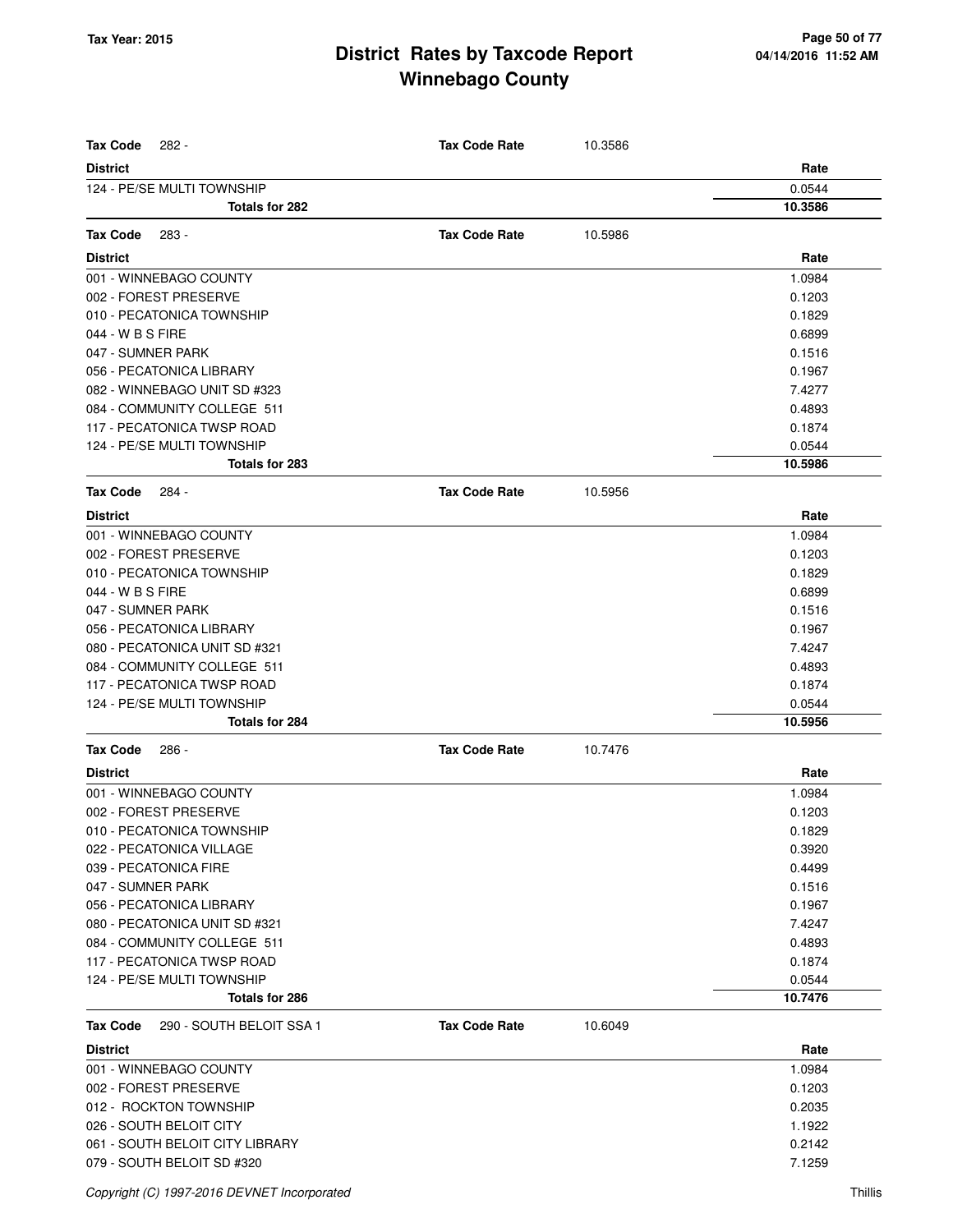| <b>Tax Code</b><br>282 -                    | <b>Tax Code Rate</b> | 10.3586 |         |
|---------------------------------------------|----------------------|---------|---------|
| <b>District</b>                             |                      |         | Rate    |
| 124 - PE/SE MULTI TOWNSHIP                  |                      |         | 0.0544  |
| Totals for 282                              |                      |         | 10.3586 |
|                                             |                      |         |         |
| <b>Tax Code</b><br>283 -                    | <b>Tax Code Rate</b> | 10.5986 |         |
| <b>District</b>                             |                      |         | Rate    |
| 001 - WINNEBAGO COUNTY                      |                      |         | 1.0984  |
| 002 - FOREST PRESERVE                       |                      |         | 0.1203  |
| 010 - PECATONICA TOWNSHIP                   |                      |         | 0.1829  |
| 044 - W B S FIRE                            |                      |         | 0.6899  |
| 047 - SUMNER PARK                           |                      |         | 0.1516  |
| 056 - PECATONICA LIBRARY                    |                      |         | 0.1967  |
| 082 - WINNEBAGO UNIT SD #323                |                      |         | 7.4277  |
| 084 - COMMUNITY COLLEGE 511                 |                      |         | 0.4893  |
| 117 - PECATONICA TWSP ROAD                  |                      |         | 0.1874  |
| 124 - PE/SE MULTI TOWNSHIP                  |                      |         | 0.0544  |
| Totals for 283                              |                      |         | 10.5986 |
| <b>Tax Code</b><br>284 -                    | <b>Tax Code Rate</b> | 10.5956 |         |
| <b>District</b>                             |                      |         | Rate    |
| 001 - WINNEBAGO COUNTY                      |                      |         | 1.0984  |
| 002 - FOREST PRESERVE                       |                      |         | 0.1203  |
| 010 - PECATONICA TOWNSHIP                   |                      |         | 0.1829  |
| 044 - W B S FIRE                            |                      |         | 0.6899  |
| 047 - SUMNER PARK                           |                      |         | 0.1516  |
| 056 - PECATONICA LIBRARY                    |                      |         | 0.1967  |
| 080 - PECATONICA UNIT SD #321               |                      |         | 7.4247  |
| 084 - COMMUNITY COLLEGE 511                 |                      |         | 0.4893  |
| 117 - PECATONICA TWSP ROAD                  |                      |         | 0.1874  |
| 124 - PE/SE MULTI TOWNSHIP                  |                      |         | 0.0544  |
| Totals for 284                              |                      |         | 10.5956 |
| <b>Tax Code</b><br>286 -                    | <b>Tax Code Rate</b> | 10.7476 |         |
| <b>District</b>                             |                      |         | Rate    |
| 001 - WINNEBAGO COUNTY                      |                      |         | 1.0984  |
| 002 - FOREST PRESERVE                       |                      |         | 0.1203  |
| 010 - PECATONICA TOWNSHIP                   |                      |         | 0.1829  |
| 022 - PECATONICA VILLAGE                    |                      |         | 0.3920  |
| 039 - PECATONICA FIRE                       |                      |         | 0.4499  |
| 047 - SUMNER PARK                           |                      |         | 0.1516  |
| 056 - PECATONICA LIBRARY                    |                      |         | 0.1967  |
| 080 - PECATONICA UNIT SD #321               |                      |         | 7.4247  |
| 084 - COMMUNITY COLLEGE 511                 |                      |         | 0.4893  |
| 117 - PECATONICA TWSP ROAD                  |                      |         | 0.1874  |
| 124 - PE/SE MULTI TOWNSHIP                  |                      |         | 0.0544  |
| Totals for 286                              |                      |         | 10.7476 |
| 290 - SOUTH BELOIT SSA 1<br><b>Tax Code</b> | <b>Tax Code Rate</b> | 10.6049 |         |
| <b>District</b>                             |                      |         | Rate    |
| 001 - WINNEBAGO COUNTY                      |                      |         | 1.0984  |
| 002 - FOREST PRESERVE                       |                      |         | 0.1203  |
| 012 - ROCKTON TOWNSHIP                      |                      |         | 0.2035  |
| 026 - SOUTH BELOIT CITY                     |                      |         | 1.1922  |
| 061 - SOUTH BELOIT CITY LIBRARY             |                      |         | 0.2142  |
| 079 - SOUTH BELOIT SD #320                  |                      |         | 7.1259  |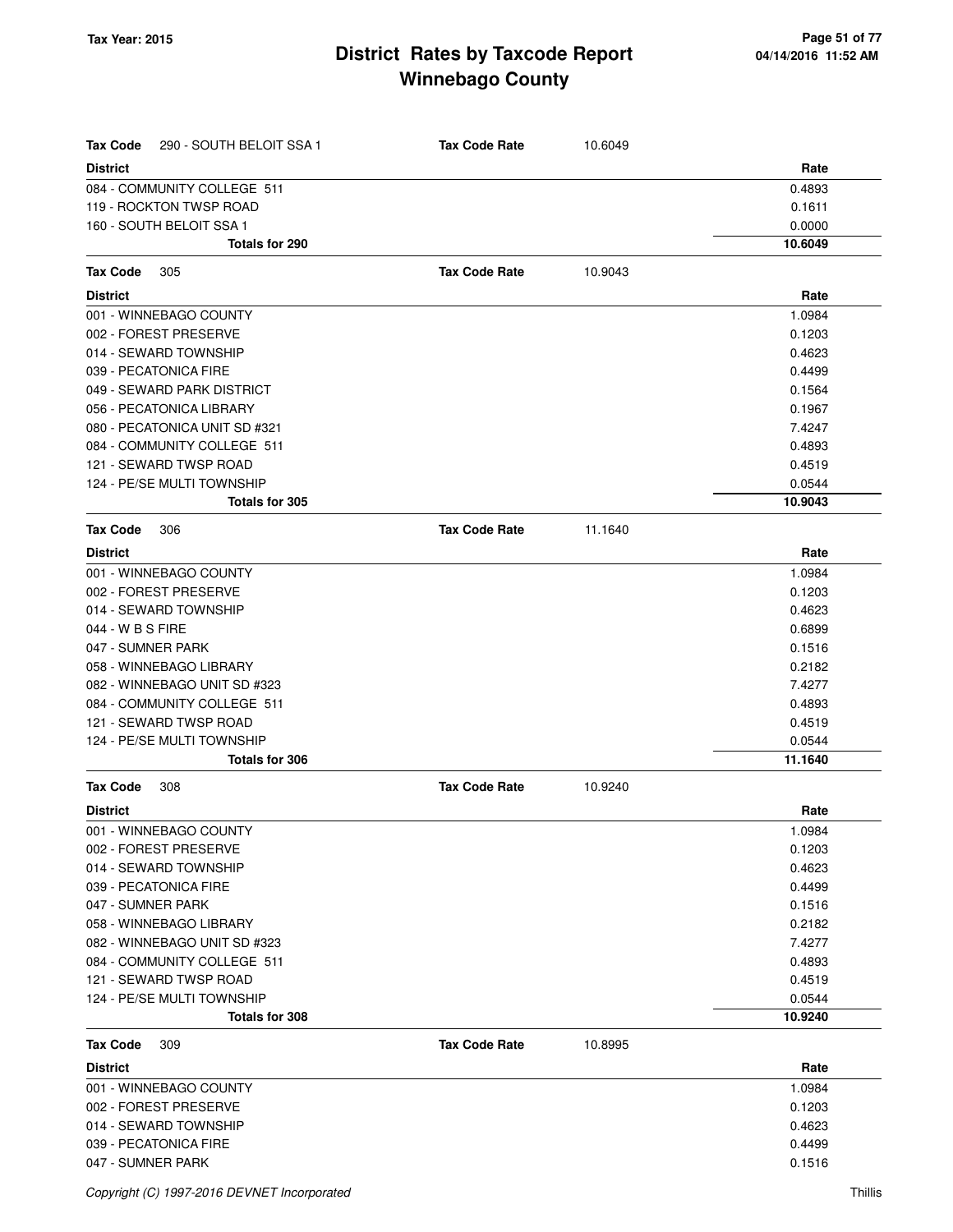| <b>Tax Code</b><br>290 - SOUTH BELOIT SSA 1 | <b>Tax Code Rate</b> | 10.6049 |         |
|---------------------------------------------|----------------------|---------|---------|
| <b>District</b>                             |                      |         | Rate    |
| 084 - COMMUNITY COLLEGE 511                 |                      |         | 0.4893  |
| 119 - ROCKTON TWSP ROAD                     |                      |         | 0.1611  |
| 160 - SOUTH BELOIT SSA 1                    |                      |         | 0.0000  |
| Totals for 290                              |                      |         | 10.6049 |
| Tax Code<br>305                             | <b>Tax Code Rate</b> | 10.9043 |         |
| <b>District</b>                             |                      |         | Rate    |
| 001 - WINNEBAGO COUNTY                      |                      |         | 1.0984  |
| 002 - FOREST PRESERVE                       |                      |         | 0.1203  |
| 014 - SEWARD TOWNSHIP                       |                      |         | 0.4623  |
| 039 - PECATONICA FIRE                       |                      |         | 0.4499  |
| 049 - SEWARD PARK DISTRICT                  |                      |         | 0.1564  |
| 056 - PECATONICA LIBRARY                    |                      |         | 0.1967  |
| 080 - PECATONICA UNIT SD #321               |                      |         | 7.4247  |
| 084 - COMMUNITY COLLEGE 511                 |                      |         | 0.4893  |
| 121 - SEWARD TWSP ROAD                      |                      |         | 0.4519  |
| 124 - PE/SE MULTI TOWNSHIP                  |                      |         | 0.0544  |
| Totals for 305                              |                      |         | 10.9043 |
| Tax Code<br>306                             | <b>Tax Code Rate</b> | 11.1640 |         |
| <b>District</b>                             |                      |         | Rate    |
| 001 - WINNEBAGO COUNTY                      |                      |         | 1.0984  |
| 002 - FOREST PRESERVE                       |                      |         | 0.1203  |
| 014 - SEWARD TOWNSHIP                       |                      |         | 0.4623  |
| 044 - W B S FIRE                            |                      |         | 0.6899  |
| 047 - SUMNER PARK                           |                      |         | 0.1516  |
| 058 - WINNEBAGO LIBRARY                     |                      |         | 0.2182  |
| 082 - WINNEBAGO UNIT SD #323                |                      |         | 7.4277  |
| 084 - COMMUNITY COLLEGE 511                 |                      |         | 0.4893  |
| 121 - SEWARD TWSP ROAD                      |                      |         | 0.4519  |
| 124 - PE/SE MULTI TOWNSHIP                  |                      |         | 0.0544  |
| Totals for 306                              |                      |         | 11.1640 |
| Tax Code<br>308                             | <b>Tax Code Rate</b> | 10.9240 |         |
| <b>District</b>                             |                      |         | Rate    |
| 001 - WINNEBAGO COUNTY                      |                      |         | 1.0984  |
| 002 - FOREST PRESERVE                       |                      |         | 0.1203  |
| 014 - SEWARD TOWNSHIP                       |                      |         | 0.4623  |
| 039 - PECATONICA FIRE                       |                      |         | 0.4499  |
| 047 - SUMNER PARK                           |                      |         | 0.1516  |
| 058 - WINNEBAGO LIBRARY                     |                      |         | 0.2182  |
| 082 - WINNEBAGO UNIT SD #323                |                      |         | 7.4277  |
| 084 - COMMUNITY COLLEGE 511                 |                      |         | 0.4893  |
| 121 - SEWARD TWSP ROAD                      |                      |         | 0.4519  |
| 124 - PE/SE MULTI TOWNSHIP                  |                      |         | 0.0544  |
| Totals for 308                              |                      |         | 10.9240 |
| Tax Code<br>309                             | <b>Tax Code Rate</b> | 10.8995 |         |
| <b>District</b>                             |                      |         | Rate    |
| 001 - WINNEBAGO COUNTY                      |                      |         | 1.0984  |
| 002 - FOREST PRESERVE                       |                      |         | 0.1203  |
| 014 - SEWARD TOWNSHIP                       |                      |         | 0.4623  |
| 039 - PECATONICA FIRE                       |                      |         | 0.4499  |
| 047 - SUMNER PARK                           |                      |         | 0.1516  |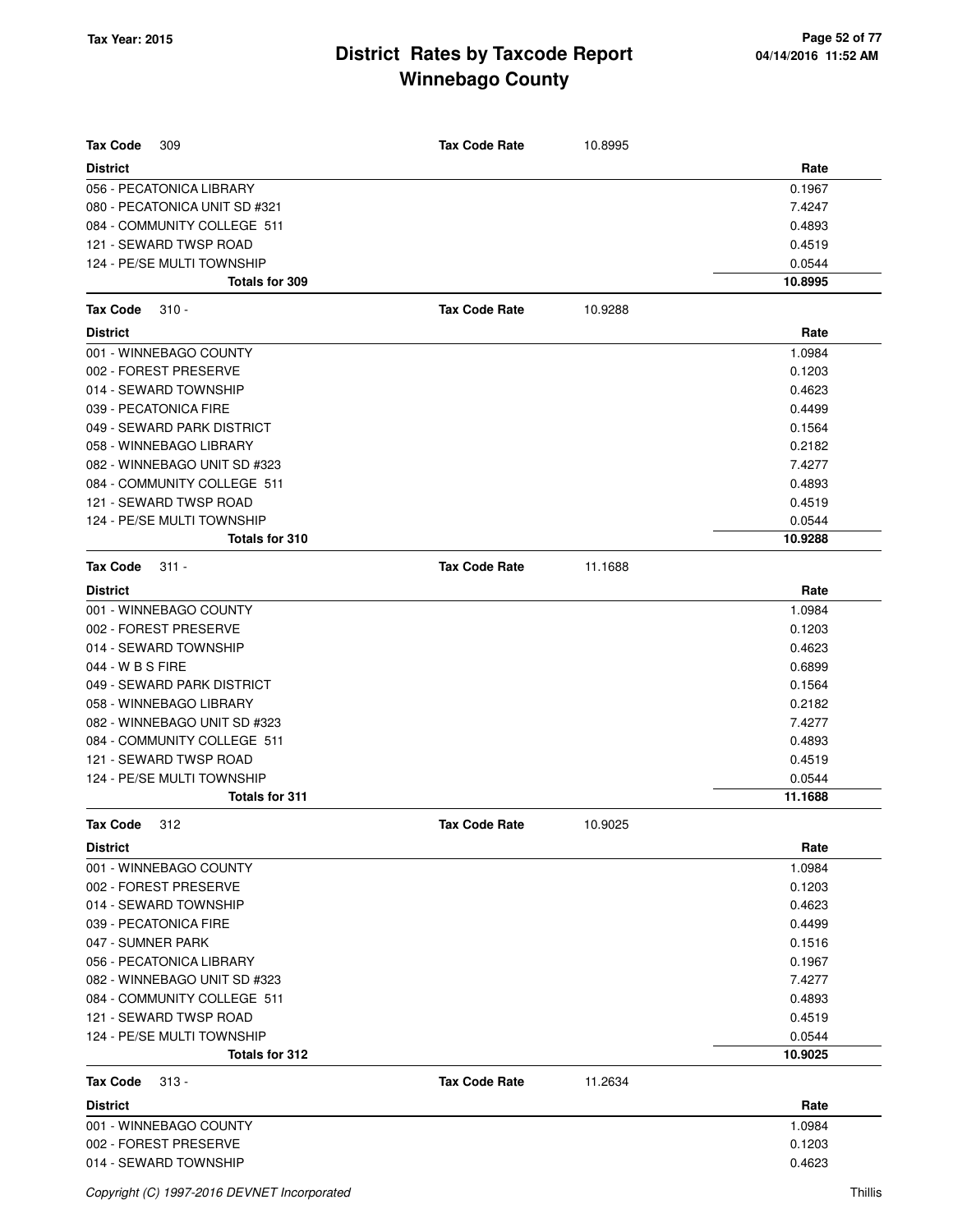| <b>Tax Code</b><br>309        | <b>Tax Code Rate</b> | 10.8995 |         |
|-------------------------------|----------------------|---------|---------|
| <b>District</b>               |                      |         | Rate    |
| 056 - PECATONICA LIBRARY      |                      |         | 0.1967  |
| 080 - PECATONICA UNIT SD #321 |                      |         | 7.4247  |
| 084 - COMMUNITY COLLEGE 511   |                      |         | 0.4893  |
| 121 - SEWARD TWSP ROAD        |                      |         | 0.4519  |
| 124 - PE/SE MULTI TOWNSHIP    |                      |         | 0.0544  |
| Totals for 309                |                      |         | 10.8995 |
| <b>Tax Code</b><br>$310 -$    | <b>Tax Code Rate</b> | 10.9288 |         |
| <b>District</b>               |                      |         | Rate    |
| 001 - WINNEBAGO COUNTY        |                      |         | 1.0984  |
| 002 - FOREST PRESERVE         |                      |         | 0.1203  |
| 014 - SEWARD TOWNSHIP         |                      |         | 0.4623  |
| 039 - PECATONICA FIRE         |                      |         | 0.4499  |
| 049 - SEWARD PARK DISTRICT    |                      |         | 0.1564  |
| 058 - WINNEBAGO LIBRARY       |                      |         | 0.2182  |
| 082 - WINNEBAGO UNIT SD #323  |                      |         | 7.4277  |
| 084 - COMMUNITY COLLEGE 511   |                      |         | 0.4893  |
| 121 - SEWARD TWSP ROAD        |                      |         | 0.4519  |
| 124 - PE/SE MULTI TOWNSHIP    |                      |         | 0.0544  |
| Totals for 310                |                      |         | 10.9288 |
| <b>Tax Code</b><br>$311 -$    | <b>Tax Code Rate</b> | 11.1688 |         |
| <b>District</b>               |                      |         | Rate    |
| 001 - WINNEBAGO COUNTY        |                      |         | 1.0984  |
| 002 - FOREST PRESERVE         |                      |         | 0.1203  |
| 014 - SEWARD TOWNSHIP         |                      |         | 0.4623  |
| 044 - W B S FIRE              |                      |         | 0.6899  |
| 049 - SEWARD PARK DISTRICT    |                      |         | 0.1564  |
| 058 - WINNEBAGO LIBRARY       |                      |         | 0.2182  |
| 082 - WINNEBAGO UNIT SD #323  |                      |         | 7.4277  |
| 084 - COMMUNITY COLLEGE 511   |                      |         | 0.4893  |
| 121 - SEWARD TWSP ROAD        |                      |         | 0.4519  |
| 124 - PE/SE MULTI TOWNSHIP    |                      |         | 0.0544  |
| <b>Totals for 311</b>         |                      |         | 11.1688 |
| 312<br>Tax Code               | <b>Tax Code Rate</b> | 10.9025 |         |
| District                      |                      |         | Rate    |
| 001 - WINNEBAGO COUNTY        |                      |         | 1.0984  |
| 002 - FOREST PRESERVE         |                      |         | 0.1203  |
| 014 - SEWARD TOWNSHIP         |                      |         | 0.4623  |
| 039 - PECATONICA FIRE         |                      |         | 0.4499  |
| 047 - SUMNER PARK             |                      |         | 0.1516  |
| 056 - PECATONICA LIBRARY      |                      |         | 0.1967  |
| 082 - WINNEBAGO UNIT SD #323  |                      |         | 7.4277  |
| 084 - COMMUNITY COLLEGE 511   |                      |         | 0.4893  |
| 121 - SEWARD TWSP ROAD        |                      |         | 0.4519  |
| 124 - PE/SE MULTI TOWNSHIP    |                      |         | 0.0544  |
| Totals for 312                |                      |         | 10.9025 |
| Tax Code<br>$313 -$           | <b>Tax Code Rate</b> | 11.2634 |         |
| <b>District</b>               |                      |         | Rate    |
| 001 - WINNEBAGO COUNTY        |                      |         | 1.0984  |
| 002 - FOREST PRESERVE         |                      |         | 0.1203  |
| 014 - SEWARD TOWNSHIP         |                      |         | 0.4623  |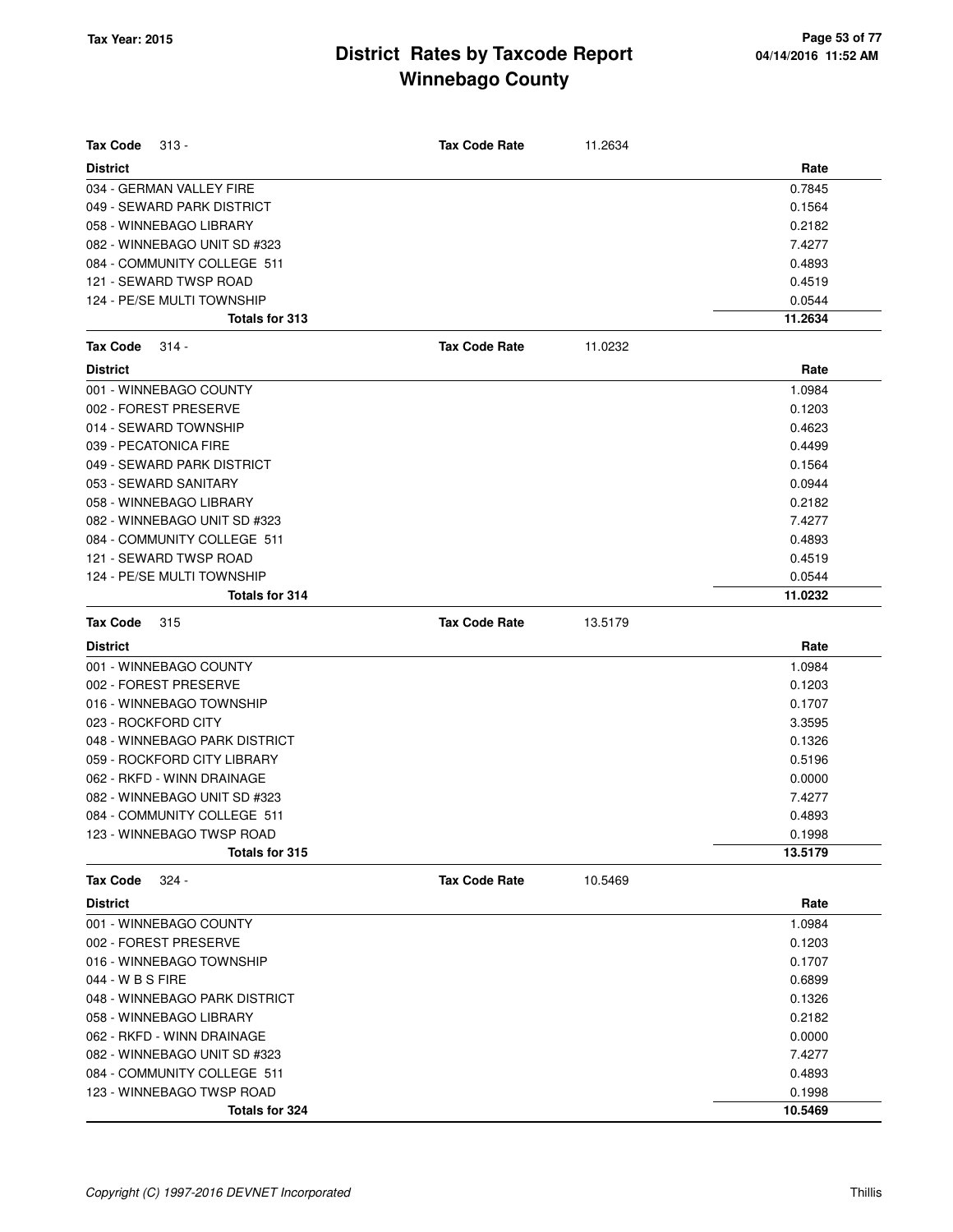| Tax Code<br>$313 -$           | Tax Code Rate        | 11.2634 |         |
|-------------------------------|----------------------|---------|---------|
| <b>District</b>               |                      |         | Rate    |
| 034 - GERMAN VALLEY FIRE      |                      |         | 0.7845  |
| 049 - SEWARD PARK DISTRICT    |                      |         | 0.1564  |
| 058 - WINNEBAGO LIBRARY       |                      |         | 0.2182  |
| 082 - WINNEBAGO UNIT SD #323  |                      |         | 7.4277  |
| 084 - COMMUNITY COLLEGE 511   |                      |         | 0.4893  |
| 121 - SEWARD TWSP ROAD        |                      |         | 0.4519  |
| 124 - PE/SE MULTI TOWNSHIP    |                      |         | 0.0544  |
| Totals for 313                |                      |         | 11.2634 |
| <b>Tax Code</b><br>$314 -$    | <b>Tax Code Rate</b> | 11.0232 |         |
| <b>District</b>               |                      |         | Rate    |
| 001 - WINNEBAGO COUNTY        |                      |         | 1.0984  |
| 002 - FOREST PRESERVE         |                      |         | 0.1203  |
| 014 - SEWARD TOWNSHIP         |                      |         | 0.4623  |
| 039 - PECATONICA FIRE         |                      |         | 0.4499  |
| 049 - SEWARD PARK DISTRICT    |                      |         | 0.1564  |
| 053 - SEWARD SANITARY         |                      |         | 0.0944  |
| 058 - WINNEBAGO LIBRARY       |                      |         | 0.2182  |
| 082 - WINNEBAGO UNIT SD #323  |                      |         | 7.4277  |
| 084 - COMMUNITY COLLEGE 511   |                      |         | 0.4893  |
| 121 - SEWARD TWSP ROAD        |                      |         | 0.4519  |
| 124 - PE/SE MULTI TOWNSHIP    |                      |         | 0.0544  |
| <b>Totals for 314</b>         |                      |         | 11.0232 |
| Tax Code<br>315               | <b>Tax Code Rate</b> | 13.5179 |         |
| <b>District</b>               |                      |         | Rate    |
| 001 - WINNEBAGO COUNTY        |                      |         | 1.0984  |
| 002 - FOREST PRESERVE         |                      |         | 0.1203  |
| 016 - WINNEBAGO TOWNSHIP      |                      |         | 0.1707  |
| 023 - ROCKFORD CITY           |                      |         | 3.3595  |
| 048 - WINNEBAGO PARK DISTRICT |                      |         | 0.1326  |
| 059 - ROCKFORD CITY LIBRARY   |                      |         | 0.5196  |
| 062 - RKFD - WINN DRAINAGE    |                      |         | 0.0000  |
| 082 - WINNEBAGO UNIT SD #323  |                      |         | 7.4277  |
| 084 - COMMUNITY COLLEGE 511   |                      |         | 0.4893  |
| 123 - WINNEBAGO TWSP ROAD     |                      |         | 0.1998  |
| Totals for 315                |                      |         | 13.5179 |
| $324 -$<br><b>Tax Code</b>    | <b>Tax Code Rate</b> | 10.5469 |         |
| <b>District</b>               |                      |         | Rate    |
| 001 - WINNEBAGO COUNTY        |                      |         | 1.0984  |
| 002 - FOREST PRESERVE         |                      |         | 0.1203  |
| 016 - WINNEBAGO TOWNSHIP      |                      |         | 0.1707  |
| 044 - W B S FIRE              |                      |         | 0.6899  |
| 048 - WINNEBAGO PARK DISTRICT |                      |         | 0.1326  |
| 058 - WINNEBAGO LIBRARY       |                      |         | 0.2182  |
| 062 - RKFD - WINN DRAINAGE    |                      |         | 0.0000  |
| 082 - WINNEBAGO UNIT SD #323  |                      |         | 7.4277  |
| 084 - COMMUNITY COLLEGE 511   |                      |         | 0.4893  |
| 123 - WINNEBAGO TWSP ROAD     |                      |         | 0.1998  |
| Totals for 324                |                      |         | 10.5469 |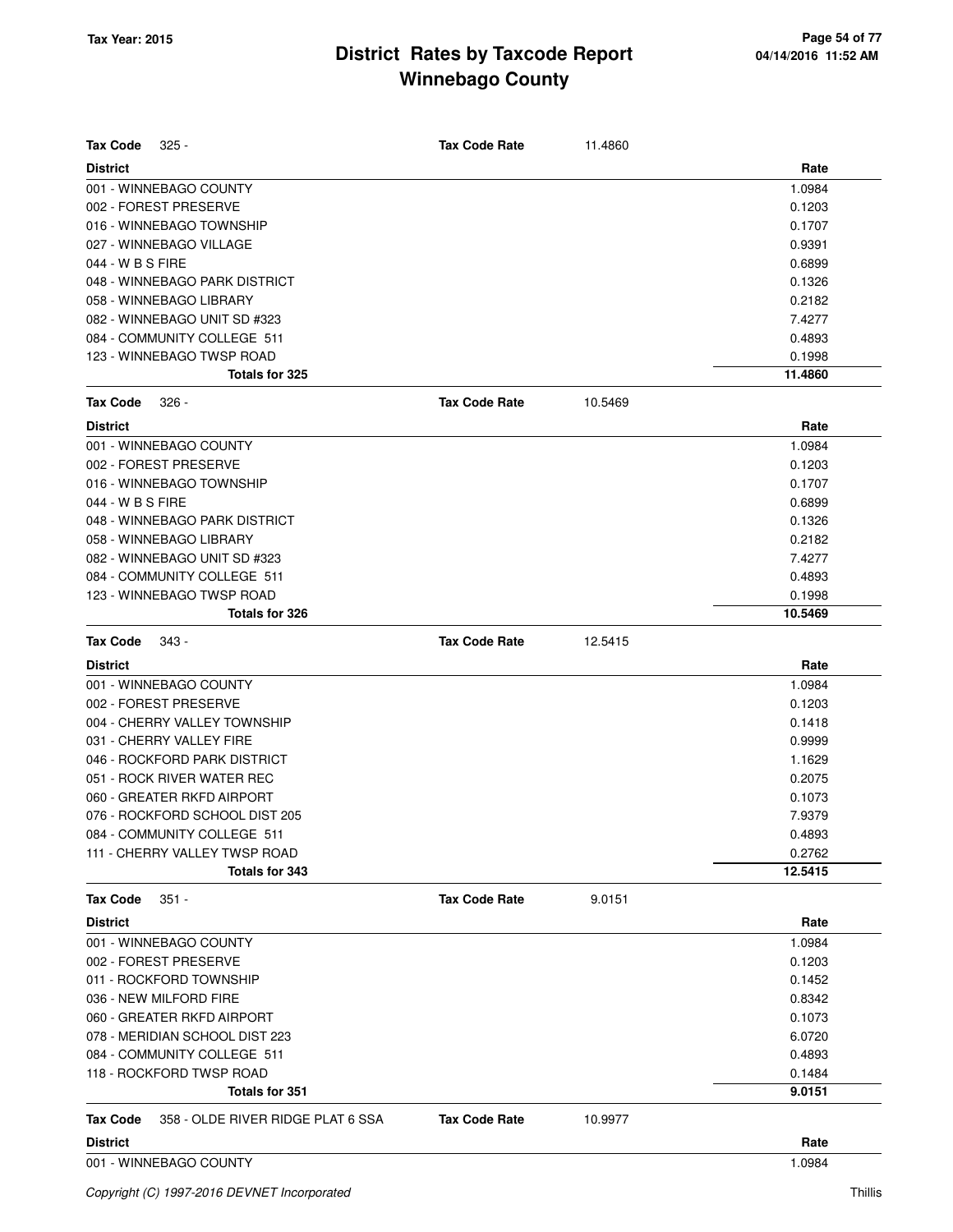| Tax Code<br>$325 -$                                  | <b>Tax Code Rate</b> | 11.4860 |         |
|------------------------------------------------------|----------------------|---------|---------|
| <b>District</b>                                      |                      |         | Rate    |
| 001 - WINNEBAGO COUNTY                               |                      |         | 1.0984  |
| 002 - FOREST PRESERVE                                |                      |         | 0.1203  |
| 016 - WINNEBAGO TOWNSHIP                             |                      |         | 0.1707  |
| 027 - WINNEBAGO VILLAGE                              |                      |         | 0.9391  |
| 044 - W B S FIRE                                     |                      |         | 0.6899  |
| 048 - WINNEBAGO PARK DISTRICT                        |                      |         | 0.1326  |
| 058 - WINNEBAGO LIBRARY                              |                      |         | 0.2182  |
| 082 - WINNEBAGO UNIT SD #323                         |                      |         | 7.4277  |
| 084 - COMMUNITY COLLEGE 511                          |                      |         | 0.4893  |
| 123 - WINNEBAGO TWSP ROAD                            |                      |         | 0.1998  |
| <b>Totals for 325</b>                                |                      |         | 11.4860 |
| <b>Tax Code</b><br>326 -                             | <b>Tax Code Rate</b> | 10.5469 |         |
| <b>District</b>                                      |                      |         | Rate    |
| 001 - WINNEBAGO COUNTY                               |                      |         | 1.0984  |
| 002 - FOREST PRESERVE                                |                      |         | 0.1203  |
| 016 - WINNEBAGO TOWNSHIP                             |                      |         | 0.1707  |
| 044 - W B S FIRE                                     |                      |         | 0.6899  |
| 048 - WINNEBAGO PARK DISTRICT                        |                      |         | 0.1326  |
| 058 - WINNEBAGO LIBRARY                              |                      |         | 0.2182  |
| 082 - WINNEBAGO UNIT SD #323                         |                      |         | 7.4277  |
| 084 - COMMUNITY COLLEGE 511                          |                      |         | 0.4893  |
| 123 - WINNEBAGO TWSP ROAD                            |                      |         | 0.1998  |
| Totals for 326                                       |                      |         | 10.5469 |
| <b>Tax Code</b><br>343 -                             | <b>Tax Code Rate</b> | 12.5415 |         |
| <b>District</b>                                      |                      |         | Rate    |
| 001 - WINNEBAGO COUNTY                               |                      |         | 1.0984  |
| 002 - FOREST PRESERVE                                |                      |         | 0.1203  |
| 004 - CHERRY VALLEY TOWNSHIP                         |                      |         | 0.1418  |
| 031 - CHERRY VALLEY FIRE                             |                      |         | 0.9999  |
| 046 - ROCKFORD PARK DISTRICT                         |                      |         | 1.1629  |
| 051 - ROCK RIVER WATER REC                           |                      |         | 0.2075  |
| 060 - GREATER RKFD AIRPORT                           |                      |         | 0.1073  |
| 076 - ROCKFORD SCHOOL DIST 205                       |                      |         | 7.9379  |
| 084 - COMMUNITY COLLEGE 511                          |                      |         | 0.4893  |
| 111 - CHERRY VALLEY TWSP ROAD                        |                      |         | 0.2762  |
| Totals for 343                                       |                      |         | 12.5415 |
| <b>Tax Code</b><br>351 -                             | <b>Tax Code Rate</b> | 9.0151  |         |
| <b>District</b>                                      |                      |         | Rate    |
| 001 - WINNEBAGO COUNTY                               |                      |         | 1.0984  |
| 002 - FOREST PRESERVE                                |                      |         | 0.1203  |
| 011 - ROCKFORD TOWNSHIP                              |                      |         | 0.1452  |
| 036 - NEW MILFORD FIRE                               |                      |         | 0.8342  |
| 060 - GREATER RKFD AIRPORT                           |                      |         | 0.1073  |
| 078 - MERIDIAN SCHOOL DIST 223                       |                      |         | 6.0720  |
| 084 - COMMUNITY COLLEGE 511                          |                      |         | 0.4893  |
| 118 - ROCKFORD TWSP ROAD                             |                      |         | 0.1484  |
| Totals for 351                                       |                      |         | 9.0151  |
| 358 - OLDE RIVER RIDGE PLAT 6 SSA<br><b>Tax Code</b> | <b>Tax Code Rate</b> | 10.9977 |         |
| <b>District</b>                                      |                      |         | Rate    |
| 001 - WINNEBAGO COUNTY                               |                      |         | 1.0984  |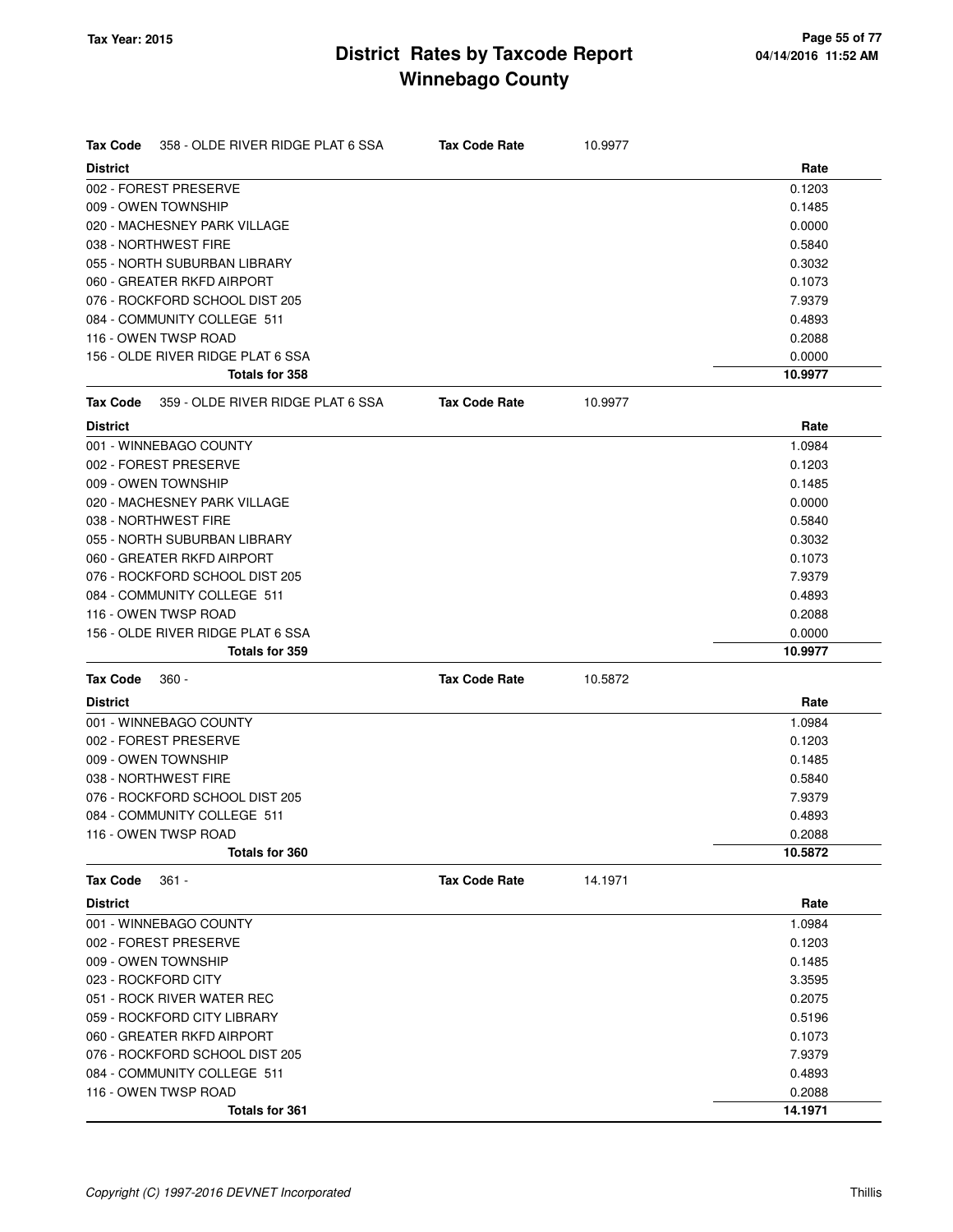| <b>Tax Code</b> | 358 - OLDE RIVER RIDGE PLAT 6 SSA | <b>Tax Code Rate</b> | 10.9977 |         |
|-----------------|-----------------------------------|----------------------|---------|---------|
| <b>District</b> |                                   |                      |         | Rate    |
|                 | 002 - FOREST PRESERVE             |                      |         | 0.1203  |
|                 | 009 - OWEN TOWNSHIP               |                      |         | 0.1485  |
|                 | 020 - MACHESNEY PARK VILLAGE      |                      |         | 0.0000  |
|                 | 038 - NORTHWEST FIRE              |                      |         | 0.5840  |
|                 | 055 - NORTH SUBURBAN LIBRARY      |                      |         | 0.3032  |
|                 | 060 - GREATER RKFD AIRPORT        |                      |         | 0.1073  |
|                 | 076 - ROCKFORD SCHOOL DIST 205    |                      |         | 7.9379  |
|                 | 084 - COMMUNITY COLLEGE 511       |                      |         | 0.4893  |
|                 | 116 - OWEN TWSP ROAD              |                      |         | 0.2088  |
|                 | 156 - OLDE RIVER RIDGE PLAT 6 SSA |                      |         | 0.0000  |
|                 | Totals for 358                    |                      |         | 10.9977 |
| Tax Code        | 359 - OLDE RIVER RIDGE PLAT 6 SSA | <b>Tax Code Rate</b> | 10.9977 |         |
| <b>District</b> |                                   |                      |         | Rate    |
|                 | 001 - WINNEBAGO COUNTY            |                      |         | 1.0984  |
|                 | 002 - FOREST PRESERVE             |                      |         | 0.1203  |
|                 | 009 - OWEN TOWNSHIP               |                      |         | 0.1485  |
|                 | 020 - MACHESNEY PARK VILLAGE      |                      |         | 0.0000  |
|                 | 038 - NORTHWEST FIRE              |                      |         | 0.5840  |
|                 | 055 - NORTH SUBURBAN LIBRARY      |                      |         | 0.3032  |
|                 | 060 - GREATER RKFD AIRPORT        |                      |         | 0.1073  |
|                 | 076 - ROCKFORD SCHOOL DIST 205    |                      |         | 7.9379  |
|                 | 084 - COMMUNITY COLLEGE 511       |                      |         | 0.4893  |
|                 | 116 - OWEN TWSP ROAD              |                      |         | 0.2088  |
|                 | 156 - OLDE RIVER RIDGE PLAT 6 SSA |                      |         | 0.0000  |
|                 | Totals for 359                    |                      |         | 10.9977 |
| <b>Tax Code</b> | $360 -$                           | <b>Tax Code Rate</b> | 10.5872 |         |
| <b>District</b> |                                   |                      |         | Rate    |
|                 | 001 - WINNEBAGO COUNTY            |                      |         | 1.0984  |
|                 | 002 - FOREST PRESERVE             |                      |         | 0.1203  |
|                 | 009 - OWEN TOWNSHIP               |                      |         | 0.1485  |
|                 | 038 - NORTHWEST FIRE              |                      |         | 0.5840  |
|                 | 076 - ROCKFORD SCHOOL DIST 205    |                      |         | 7.9379  |
|                 | 084 - COMMUNITY COLLEGE 511       |                      |         | 0.4893  |
|                 | 116 - OWEN TWSP ROAD              |                      |         | 0.2088  |
|                 | Totals for 360                    |                      |         | 10.5872 |
| <b>Tax Code</b> | $361 -$                           | <b>Tax Code Rate</b> | 14.1971 |         |
| <b>District</b> |                                   |                      |         | Rate    |
|                 | 001 - WINNEBAGO COUNTY            |                      |         | 1.0984  |
|                 | 002 - FOREST PRESERVE             |                      |         | 0.1203  |
|                 | 009 - OWEN TOWNSHIP               |                      |         | 0.1485  |
|                 | 023 - ROCKFORD CITY               |                      |         | 3.3595  |
|                 | 051 - ROCK RIVER WATER REC        |                      |         | 0.2075  |
|                 | 059 - ROCKFORD CITY LIBRARY       |                      |         | 0.5196  |
|                 | 060 - GREATER RKFD AIRPORT        |                      |         | 0.1073  |
|                 | 076 - ROCKFORD SCHOOL DIST 205    |                      |         | 7.9379  |
|                 | 084 - COMMUNITY COLLEGE 511       |                      |         | 0.4893  |
|                 | 116 - OWEN TWSP ROAD              |                      |         | 0.2088  |
|                 | <b>Totals for 361</b>             |                      |         | 14.1971 |
|                 |                                   |                      |         |         |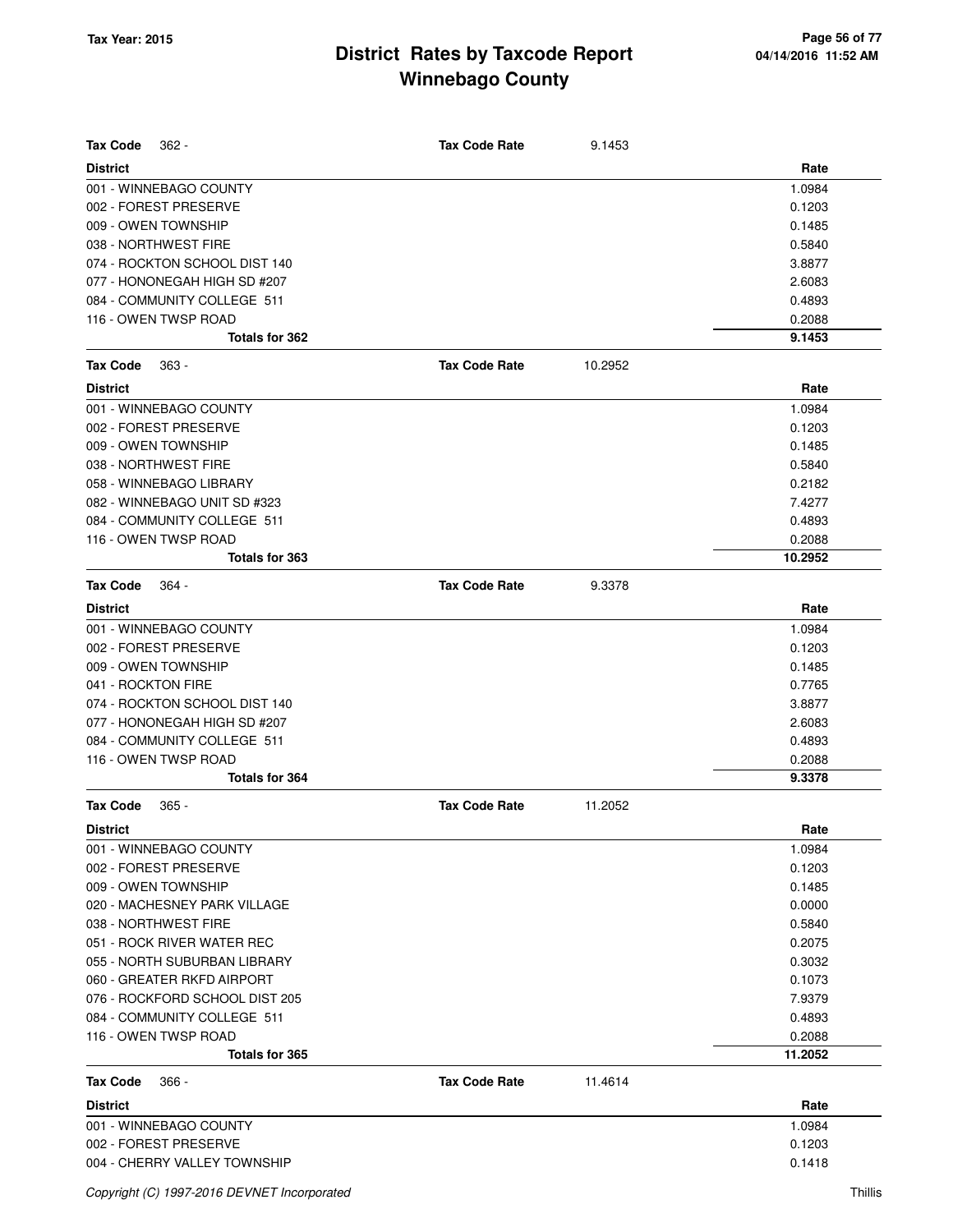| <b>Tax Code</b><br>$362 -$     | <b>Tax Code Rate</b> | 9.1453  |         |
|--------------------------------|----------------------|---------|---------|
| <b>District</b>                |                      |         | Rate    |
| 001 - WINNEBAGO COUNTY         |                      |         | 1.0984  |
| 002 - FOREST PRESERVE          |                      |         | 0.1203  |
| 009 - OWEN TOWNSHIP            |                      |         | 0.1485  |
| 038 - NORTHWEST FIRE           |                      |         | 0.5840  |
| 074 - ROCKTON SCHOOL DIST 140  |                      |         | 3.8877  |
| 077 - HONONEGAH HIGH SD #207   |                      |         | 2.6083  |
| 084 - COMMUNITY COLLEGE 511    |                      |         | 0.4893  |
| 116 - OWEN TWSP ROAD           |                      |         | 0.2088  |
| Totals for 362                 |                      |         | 9.1453  |
| <b>Tax Code</b><br>$363 -$     | <b>Tax Code Rate</b> | 10.2952 |         |
| <b>District</b>                |                      |         | Rate    |
| 001 - WINNEBAGO COUNTY         |                      |         | 1.0984  |
| 002 - FOREST PRESERVE          |                      |         | 0.1203  |
| 009 - OWEN TOWNSHIP            |                      |         | 0.1485  |
| 038 - NORTHWEST FIRE           |                      |         | 0.5840  |
| 058 - WINNEBAGO LIBRARY        |                      |         | 0.2182  |
| 082 - WINNEBAGO UNIT SD #323   |                      |         | 7.4277  |
| 084 - COMMUNITY COLLEGE 511    |                      |         | 0.4893  |
| 116 - OWEN TWSP ROAD           |                      |         | 0.2088  |
| Totals for 363                 |                      |         | 10.2952 |
| <b>Tax Code</b><br>- 364       | <b>Tax Code Rate</b> | 9.3378  |         |
| <b>District</b>                |                      |         | Rate    |
| 001 - WINNEBAGO COUNTY         |                      |         | 1.0984  |
| 002 - FOREST PRESERVE          |                      |         | 0.1203  |
| 009 - OWEN TOWNSHIP            |                      |         | 0.1485  |
| 041 - ROCKTON FIRE             |                      |         | 0.7765  |
| 074 - ROCKTON SCHOOL DIST 140  |                      |         | 3.8877  |
| 077 - HONONEGAH HIGH SD #207   |                      |         | 2.6083  |
| 084 - COMMUNITY COLLEGE 511    |                      |         | 0.4893  |
| 116 - OWEN TWSP ROAD           |                      |         | 0.2088  |
| Totals for 364                 |                      |         | 9.3378  |
| Tax Code<br>$365 -$            | <b>Tax Code Rate</b> | 11.2052 |         |
| <b>District</b>                |                      |         | Rate    |
| 001 - WINNEBAGO COUNTY         |                      |         | 1.0984  |
| 002 - FOREST PRESERVE          |                      |         | 0.1203  |
| 009 - OWEN TOWNSHIP            |                      |         | 0.1485  |
| 020 - MACHESNEY PARK VILLAGE   |                      |         | 0.0000  |
| 038 - NORTHWEST FIRE           |                      |         | 0.5840  |
| 051 - ROCK RIVER WATER REC     |                      |         | 0.2075  |
| 055 - NORTH SUBURBAN LIBRARY   |                      |         | 0.3032  |
| 060 - GREATER RKFD AIRPORT     |                      |         | 0.1073  |
| 076 - ROCKFORD SCHOOL DIST 205 |                      |         | 7.9379  |
| 084 - COMMUNITY COLLEGE 511    |                      |         | 0.4893  |
| 116 - OWEN TWSP ROAD           |                      |         | 0.2088  |
| Totals for 365                 |                      |         | 11.2052 |
| Tax Code<br>$366 -$            | <b>Tax Code Rate</b> | 11.4614 |         |
| <b>District</b>                |                      |         | Rate    |
| 001 - WINNEBAGO COUNTY         |                      |         | 1.0984  |
| 002 - FOREST PRESERVE          |                      |         | 0.1203  |
| 004 - CHERRY VALLEY TOWNSHIP   |                      |         | 0.1418  |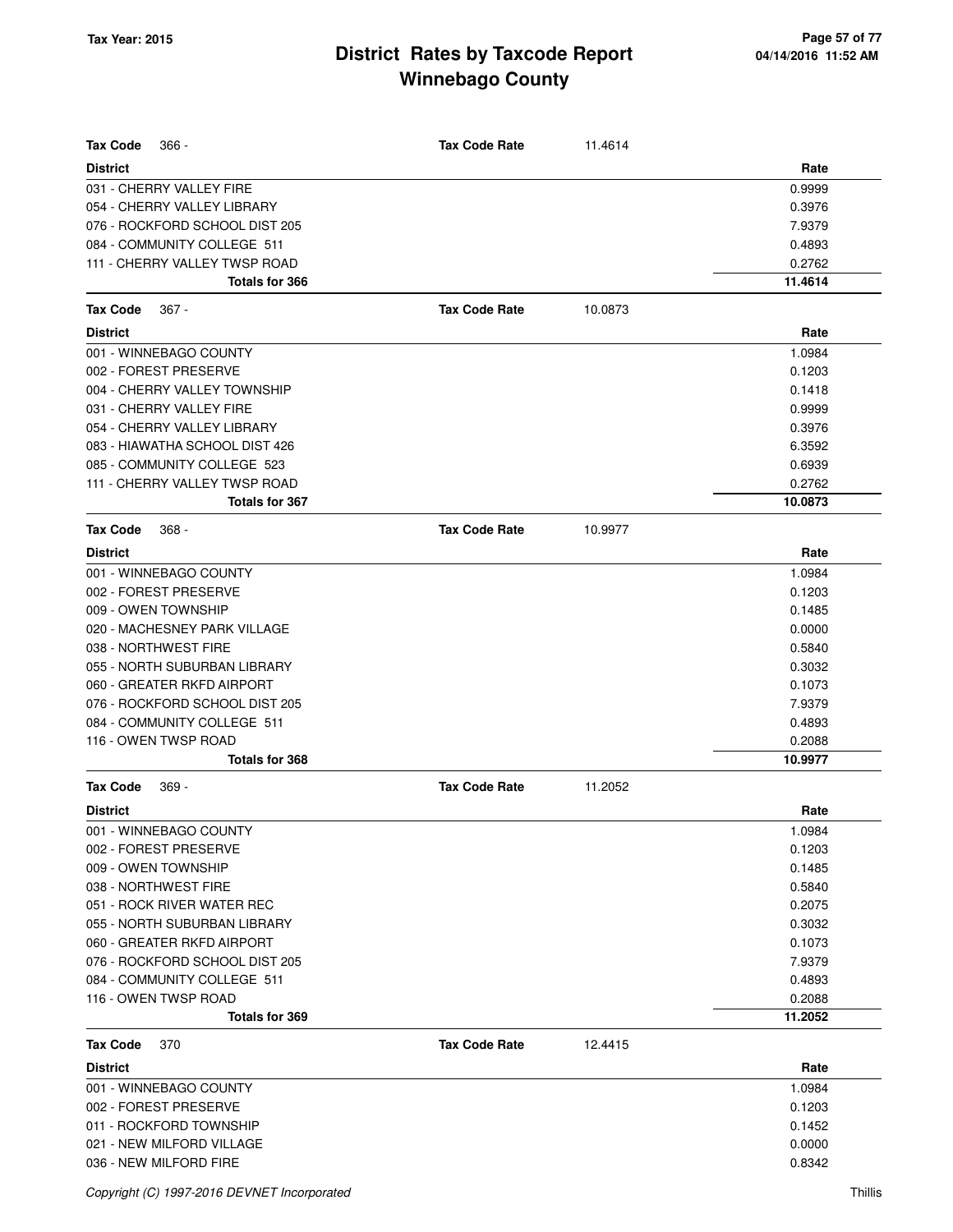| <b>Tax Code</b>                | <b>Tax Code Rate</b> |         |         |
|--------------------------------|----------------------|---------|---------|
| $366 -$                        |                      | 11.4614 |         |
| <b>District</b>                |                      |         | Rate    |
| 031 - CHERRY VALLEY FIRE       |                      |         | 0.9999  |
| 054 - CHERRY VALLEY LIBRARY    |                      |         | 0.3976  |
| 076 - ROCKFORD SCHOOL DIST 205 |                      |         | 7.9379  |
| 084 - COMMUNITY COLLEGE 511    |                      |         | 0.4893  |
| 111 - CHERRY VALLEY TWSP ROAD  |                      |         | 0.2762  |
| <b>Totals for 366</b>          |                      |         | 11.4614 |
| Tax Code<br>$367 -$            | <b>Tax Code Rate</b> | 10.0873 |         |
| <b>District</b>                |                      |         | Rate    |
| 001 - WINNEBAGO COUNTY         |                      |         | 1.0984  |
| 002 - FOREST PRESERVE          |                      |         | 0.1203  |
| 004 - CHERRY VALLEY TOWNSHIP   |                      |         | 0.1418  |
| 031 - CHERRY VALLEY FIRE       |                      |         | 0.9999  |
| 054 - CHERRY VALLEY LIBRARY    |                      |         | 0.3976  |
| 083 - HIAWATHA SCHOOL DIST 426 |                      |         | 6.3592  |
| 085 - COMMUNITY COLLEGE 523    |                      |         | 0.6939  |
| 111 - CHERRY VALLEY TWSP ROAD  |                      |         | 0.2762  |
| <b>Totals for 367</b>          |                      |         | 10.0873 |
| <b>Tax Code</b><br>$368 -$     | <b>Tax Code Rate</b> | 10.9977 |         |
| <b>District</b>                |                      |         | Rate    |
| 001 - WINNEBAGO COUNTY         |                      |         | 1.0984  |
| 002 - FOREST PRESERVE          |                      |         | 0.1203  |
| 009 - OWEN TOWNSHIP            |                      |         | 0.1485  |
| 020 - MACHESNEY PARK VILLAGE   |                      |         | 0.0000  |
| 038 - NORTHWEST FIRE           |                      |         | 0.5840  |
| 055 - NORTH SUBURBAN LIBRARY   |                      |         | 0.3032  |
| 060 - GREATER RKFD AIRPORT     |                      |         | 0.1073  |
| 076 - ROCKFORD SCHOOL DIST 205 |                      |         | 7.9379  |
| 084 - COMMUNITY COLLEGE 511    |                      |         | 0.4893  |
| 116 - OWEN TWSP ROAD           |                      |         | 0.2088  |
| Totals for 368                 |                      |         | 10.9977 |
|                                |                      |         |         |
| Tax Code<br>$369 -$            | <b>Tax Code Rate</b> | 11.2052 |         |
| <b>District</b>                |                      |         | Rate    |
| 001 - WINNEBAGO COUNTY         |                      |         | 1.0984  |
| 002 - FOREST PRESERVE          |                      |         | 0.1203  |
| 009 - OWEN TOWNSHIP            |                      |         | 0.1485  |
| 038 - NORTHWEST FIRE           |                      |         | 0.5840  |
| 051 - ROCK RIVER WATER REC     |                      |         | 0.2075  |
| 055 - NORTH SUBURBAN LIBRARY   |                      |         | 0.3032  |
| 060 - GREATER RKFD AIRPORT     |                      |         | 0.1073  |
| 076 - ROCKFORD SCHOOL DIST 205 |                      |         | 7.9379  |
| 084 - COMMUNITY COLLEGE 511    |                      |         | 0.4893  |
| 116 - OWEN TWSP ROAD           |                      |         | 0.2088  |
| Totals for 369                 |                      |         | 11.2052 |
| <b>Tax Code</b><br>370         | <b>Tax Code Rate</b> | 12.4415 |         |
| <b>District</b>                |                      |         | Rate    |
| 001 - WINNEBAGO COUNTY         |                      |         | 1.0984  |
| 002 - FOREST PRESERVE          |                      |         | 0.1203  |
| 011 - ROCKFORD TOWNSHIP        |                      |         | 0.1452  |
| 021 - NEW MILFORD VILLAGE      |                      |         | 0.0000  |
| 036 - NEW MILFORD FIRE         |                      |         | 0.8342  |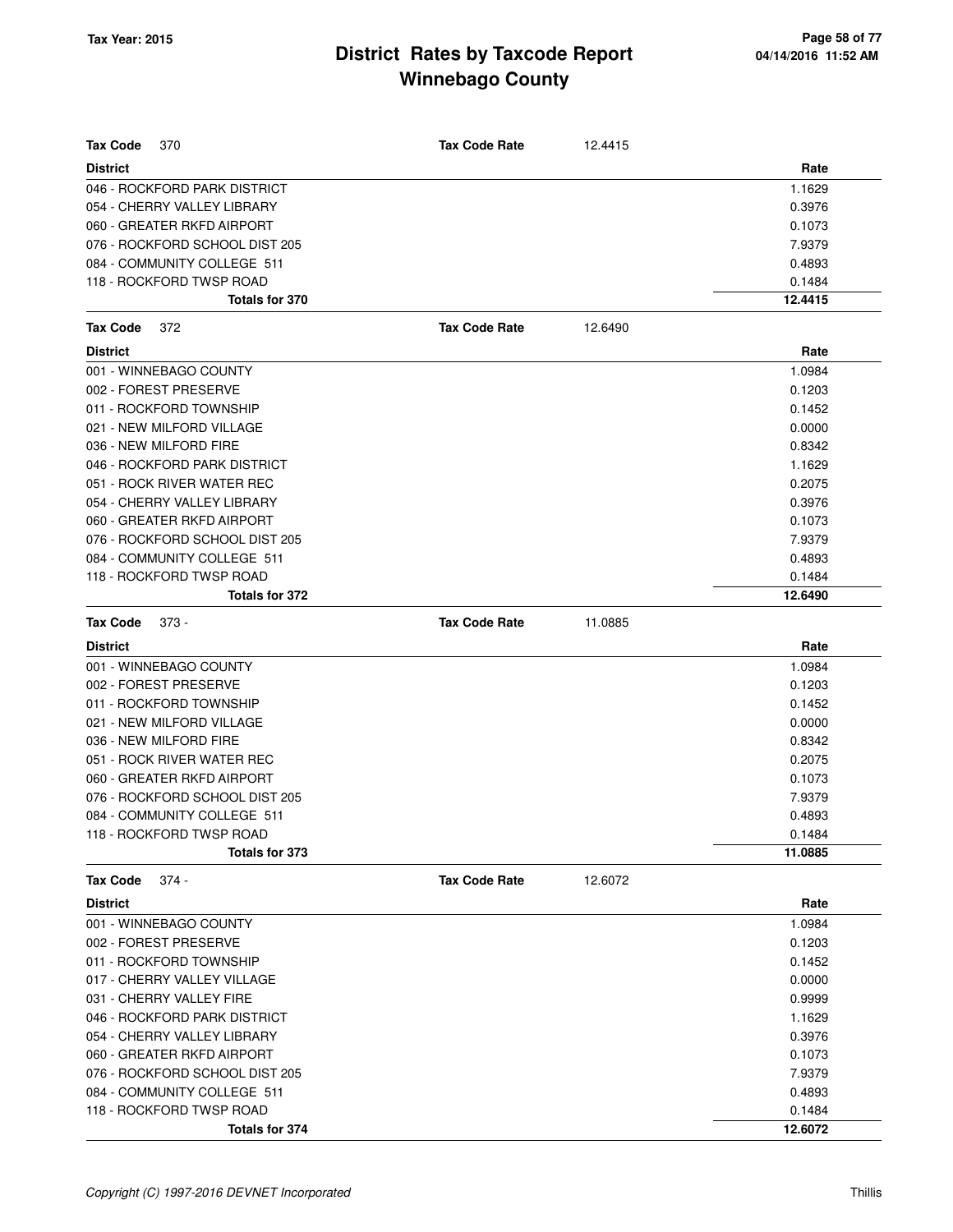| <b>Tax Code</b><br>370         | <b>Tax Code Rate</b> | 12.4415 |         |
|--------------------------------|----------------------|---------|---------|
| <b>District</b>                |                      |         | Rate    |
| 046 - ROCKFORD PARK DISTRICT   |                      |         | 1.1629  |
| 054 - CHERRY VALLEY LIBRARY    |                      |         | 0.3976  |
| 060 - GREATER RKFD AIRPORT     |                      |         | 0.1073  |
| 076 - ROCKFORD SCHOOL DIST 205 |                      |         | 7.9379  |
| 084 - COMMUNITY COLLEGE 511    |                      |         | 0.4893  |
| 118 - ROCKFORD TWSP ROAD       |                      |         | 0.1484  |
| <b>Totals for 370</b>          |                      |         | 12.4415 |
| <b>Tax Code</b><br>372         | <b>Tax Code Rate</b> | 12.6490 |         |
| <b>District</b>                |                      |         | Rate    |
| 001 - WINNEBAGO COUNTY         |                      |         | 1.0984  |
| 002 - FOREST PRESERVE          |                      |         | 0.1203  |
| 011 - ROCKFORD TOWNSHIP        |                      |         | 0.1452  |
| 021 - NEW MILFORD VILLAGE      |                      |         | 0.0000  |
| 036 - NEW MILFORD FIRE         |                      |         | 0.8342  |
| 046 - ROCKFORD PARK DISTRICT   |                      |         | 1.1629  |
| 051 - ROCK RIVER WATER REC     |                      |         | 0.2075  |
| 054 - CHERRY VALLEY LIBRARY    |                      |         | 0.3976  |
| 060 - GREATER RKFD AIRPORT     |                      |         | 0.1073  |
| 076 - ROCKFORD SCHOOL DIST 205 |                      |         | 7.9379  |
| 084 - COMMUNITY COLLEGE 511    |                      |         | 0.4893  |
| 118 - ROCKFORD TWSP ROAD       |                      |         | 0.1484  |
| Totals for 372                 |                      |         | 12.6490 |
| <b>Tax Code</b><br>$373 -$     | <b>Tax Code Rate</b> | 11.0885 |         |
| <b>District</b>                |                      |         | Rate    |
| 001 - WINNEBAGO COUNTY         |                      |         | 1.0984  |
| 002 - FOREST PRESERVE          |                      |         | 0.1203  |
| 011 - ROCKFORD TOWNSHIP        |                      |         | 0.1452  |
| 021 - NEW MILFORD VILLAGE      |                      |         | 0.0000  |
| 036 - NEW MILFORD FIRE         |                      |         | 0.8342  |
| 051 - ROCK RIVER WATER REC     |                      |         | 0.2075  |
| 060 - GREATER RKFD AIRPORT     |                      |         | 0.1073  |
| 076 - ROCKFORD SCHOOL DIST 205 |                      |         | 7.9379  |
| 084 - COMMUNITY COLLEGE 511    |                      |         | 0.4893  |
| 118 - ROCKFORD TWSP ROAD       |                      |         | 0.1484  |
| Totals for 373                 |                      |         | 11.0885 |
| $374 -$<br>Tax Code            | <b>Tax Code Rate</b> | 12.6072 |         |
| <b>District</b>                |                      |         | Rate    |
| 001 - WINNEBAGO COUNTY         |                      |         | 1.0984  |
| 002 - FOREST PRESERVE          |                      |         | 0.1203  |
| 011 - ROCKFORD TOWNSHIP        |                      |         | 0.1452  |
| 017 - CHERRY VALLEY VILLAGE    |                      |         | 0.0000  |
| 031 - CHERRY VALLEY FIRE       |                      |         | 0.9999  |
| 046 - ROCKFORD PARK DISTRICT   |                      |         | 1.1629  |
| 054 - CHERRY VALLEY LIBRARY    |                      |         | 0.3976  |
| 060 - GREATER RKFD AIRPORT     |                      |         | 0.1073  |
| 076 - ROCKFORD SCHOOL DIST 205 |                      |         | 7.9379  |
| 084 - COMMUNITY COLLEGE 511    |                      |         | 0.4893  |
| 118 - ROCKFORD TWSP ROAD       |                      |         | 0.1484  |
| Totals for 374                 |                      |         | 12.6072 |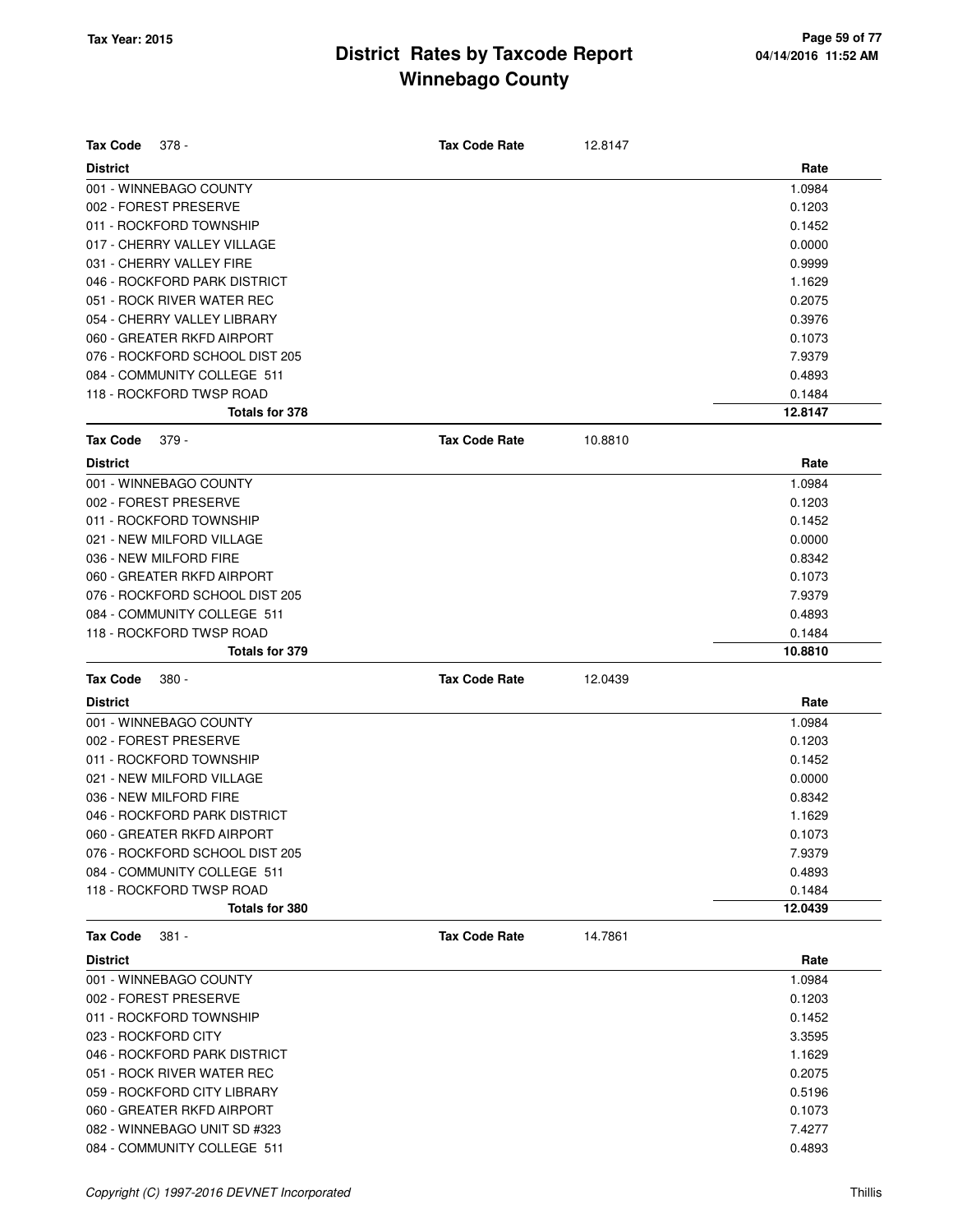| <b>Tax Code</b><br>378 -       | <b>Tax Code Rate</b> | 12.8147 |         |
|--------------------------------|----------------------|---------|---------|
| <b>District</b>                |                      |         | Rate    |
| 001 - WINNEBAGO COUNTY         |                      |         | 1.0984  |
| 002 - FOREST PRESERVE          |                      |         | 0.1203  |
| 011 - ROCKFORD TOWNSHIP        |                      |         | 0.1452  |
| 017 - CHERRY VALLEY VILLAGE    |                      |         | 0.0000  |
| 031 - CHERRY VALLEY FIRE       |                      |         | 0.9999  |
| 046 - ROCKFORD PARK DISTRICT   |                      |         | 1.1629  |
| 051 - ROCK RIVER WATER REC     |                      |         | 0.2075  |
| 054 - CHERRY VALLEY LIBRARY    |                      |         | 0.3976  |
| 060 - GREATER RKFD AIRPORT     |                      |         | 0.1073  |
| 076 - ROCKFORD SCHOOL DIST 205 |                      |         | 7.9379  |
| 084 - COMMUNITY COLLEGE 511    |                      |         | 0.4893  |
| 118 - ROCKFORD TWSP ROAD       |                      |         | 0.1484  |
| <b>Totals for 378</b>          |                      |         | 12.8147 |
| <b>Tax Code</b><br>$379 -$     | <b>Tax Code Rate</b> | 10.8810 |         |
| <b>District</b>                |                      |         | Rate    |
| 001 - WINNEBAGO COUNTY         |                      |         | 1.0984  |
| 002 - FOREST PRESERVE          |                      |         | 0.1203  |
| 011 - ROCKFORD TOWNSHIP        |                      |         | 0.1452  |
| 021 - NEW MILFORD VILLAGE      |                      |         | 0.0000  |
| 036 - NEW MILFORD FIRE         |                      |         | 0.8342  |
| 060 - GREATER RKFD AIRPORT     |                      |         | 0.1073  |
| 076 - ROCKFORD SCHOOL DIST 205 |                      |         | 7.9379  |
| 084 - COMMUNITY COLLEGE 511    |                      |         | 0.4893  |
| 118 - ROCKFORD TWSP ROAD       |                      |         | 0.1484  |
| Totals for 379                 |                      |         | 10.8810 |
|                                |                      |         |         |
| <b>Tax Code</b><br>380 -       | <b>Tax Code Rate</b> | 12.0439 |         |
| <b>District</b>                |                      |         | Rate    |
| 001 - WINNEBAGO COUNTY         |                      |         | 1.0984  |
| 002 - FOREST PRESERVE          |                      |         | 0.1203  |
| 011 - ROCKFORD TOWNSHIP        |                      |         | 0.1452  |
| 021 - NEW MILFORD VILLAGE      |                      |         | 0.0000  |
| 036 - NEW MILFORD FIRE         |                      |         | 0.8342  |
| 046 - ROCKFORD PARK DISTRICT   |                      |         | 1.1629  |
| 060 - GREATER RKFD AIRPORT     |                      |         | 0.1073  |
| 076 - ROCKFORD SCHOOL DIST 205 |                      |         | 7.9379  |
| 084 - COMMUNITY COLLEGE 511    |                      |         | 0.4893  |
| 118 - ROCKFORD TWSP ROAD       |                      |         | 0.1484  |
| <b>Totals for 380</b>          |                      |         | 12.0439 |
| <b>Tax Code</b><br>381 -       | <b>Tax Code Rate</b> | 14.7861 |         |
| <b>District</b>                |                      |         | Rate    |
| 001 - WINNEBAGO COUNTY         |                      |         | 1.0984  |
| 002 - FOREST PRESERVE          |                      |         | 0.1203  |
| 011 - ROCKFORD TOWNSHIP        |                      |         | 0.1452  |
| 023 - ROCKFORD CITY            |                      |         | 3.3595  |
| 046 - ROCKFORD PARK DISTRICT   |                      |         | 1.1629  |
| 051 - ROCK RIVER WATER REC     |                      |         | 0.2075  |
| 059 - ROCKFORD CITY LIBRARY    |                      |         | 0.5196  |
| 060 - GREATER RKFD AIRPORT     |                      |         | 0.1073  |
| 082 - WINNEBAGO UNIT SD #323   |                      |         | 7.4277  |
| 084 - COMMUNITY COLLEGE 511    |                      |         | 0.4893  |
|                                |                      |         |         |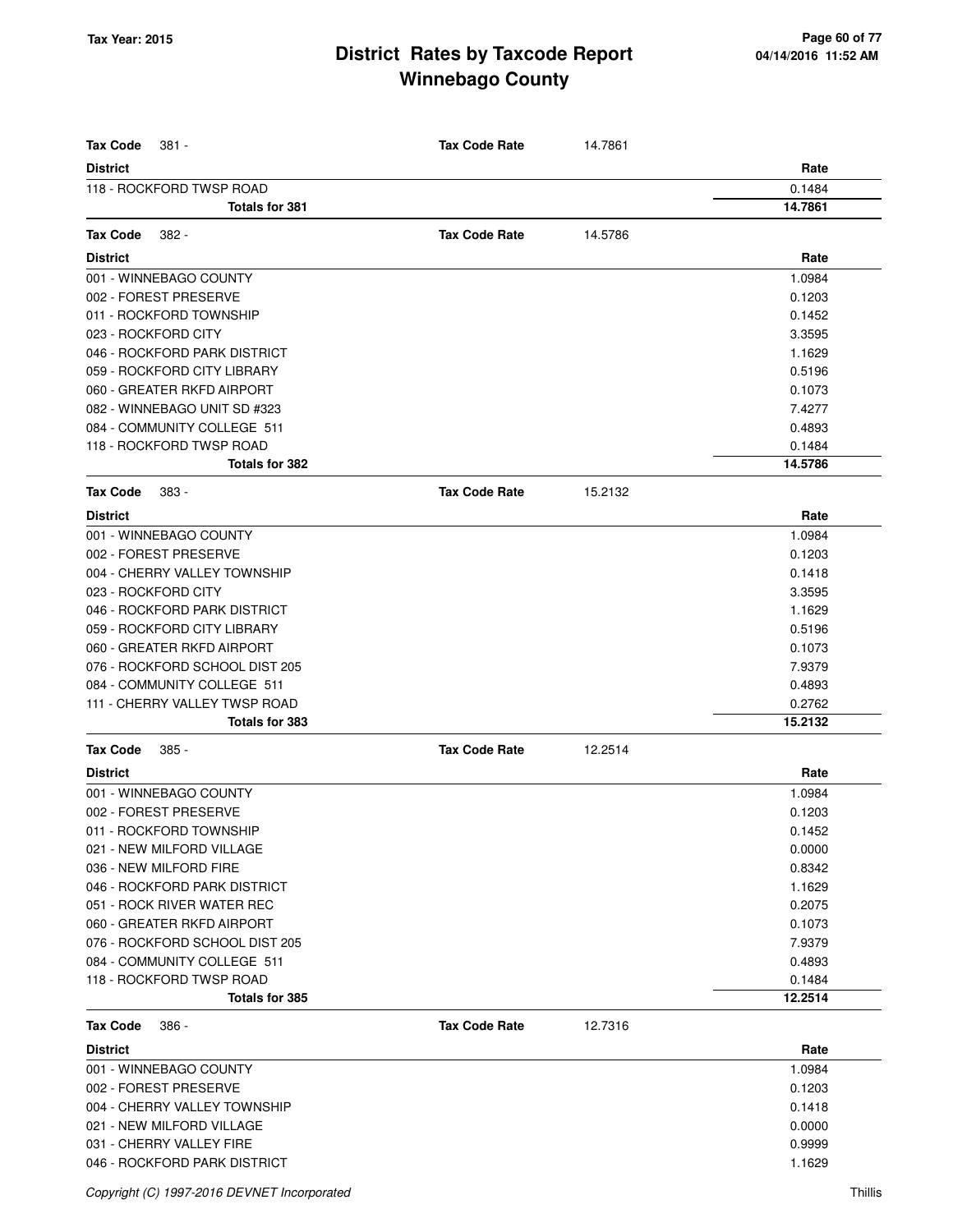| <b>Tax Code</b><br>381 -       | <b>Tax Code Rate</b> | 14.7861 |         |
|--------------------------------|----------------------|---------|---------|
| <b>District</b>                |                      |         | Rate    |
| 118 - ROCKFORD TWSP ROAD       |                      |         | 0.1484  |
| <b>Totals for 381</b>          |                      |         | 14.7861 |
|                                |                      |         |         |
| <b>Tax Code</b><br>382 -       | <b>Tax Code Rate</b> | 14.5786 |         |
| <b>District</b>                |                      |         | Rate    |
| 001 - WINNEBAGO COUNTY         |                      |         | 1.0984  |
| 002 - FOREST PRESERVE          |                      |         | 0.1203  |
| 011 - ROCKFORD TOWNSHIP        |                      |         | 0.1452  |
| 023 - ROCKFORD CITY            |                      |         | 3.3595  |
| 046 - ROCKFORD PARK DISTRICT   |                      |         | 1.1629  |
| 059 - ROCKFORD CITY LIBRARY    |                      |         | 0.5196  |
| 060 - GREATER RKFD AIRPORT     |                      |         | 0.1073  |
| 082 - WINNEBAGO UNIT SD #323   |                      |         | 7.4277  |
| 084 - COMMUNITY COLLEGE 511    |                      |         | 0.4893  |
| 118 - ROCKFORD TWSP ROAD       |                      |         | 0.1484  |
| <b>Totals for 382</b>          |                      |         | 14.5786 |
| <b>Tax Code</b><br>383 -       | <b>Tax Code Rate</b> | 15.2132 |         |
| <b>District</b>                |                      |         | Rate    |
| 001 - WINNEBAGO COUNTY         |                      |         | 1.0984  |
| 002 - FOREST PRESERVE          |                      |         | 0.1203  |
| 004 - CHERRY VALLEY TOWNSHIP   |                      |         | 0.1418  |
| 023 - ROCKFORD CITY            |                      |         | 3.3595  |
| 046 - ROCKFORD PARK DISTRICT   |                      |         | 1.1629  |
| 059 - ROCKFORD CITY LIBRARY    |                      |         | 0.5196  |
| 060 - GREATER RKFD AIRPORT     |                      |         | 0.1073  |
| 076 - ROCKFORD SCHOOL DIST 205 |                      |         | 7.9379  |
| 084 - COMMUNITY COLLEGE 511    |                      |         | 0.4893  |
| 111 - CHERRY VALLEY TWSP ROAD  |                      |         | 0.2762  |
| Totals for 383                 |                      |         | 15.2132 |
| <b>Tax Code</b><br>385 -       | <b>Tax Code Rate</b> | 12.2514 |         |
| <b>District</b>                |                      |         | Rate    |
| 001 - WINNEBAGO COUNTY         |                      |         | 1.0984  |
| 002 - FOREST PRESERVE          |                      |         | 0.1203  |
| 011 - ROCKFORD TOWNSHIP        |                      |         | 0.1452  |
| 021 - NEW MILFORD VILLAGE      |                      |         | 0.0000  |
| 036 - NEW MILFORD FIRE         |                      |         | 0.8342  |
| 046 - ROCKFORD PARK DISTRICT   |                      |         | 1.1629  |
| 051 - ROCK RIVER WATER REC     |                      |         | 0.2075  |
| 060 - GREATER RKFD AIRPORT     |                      |         | 0.1073  |
| 076 - ROCKFORD SCHOOL DIST 205 |                      |         | 7.9379  |
| 084 - COMMUNITY COLLEGE 511    |                      |         | 0.4893  |
| 118 - ROCKFORD TWSP ROAD       |                      |         | 0.1484  |
| Totals for 385                 |                      |         | 12.2514 |
| <b>Tax Code</b><br>386 -       | <b>Tax Code Rate</b> | 12.7316 |         |
| <b>District</b>                |                      |         | Rate    |
| 001 - WINNEBAGO COUNTY         |                      |         | 1.0984  |
| 002 - FOREST PRESERVE          |                      |         | 0.1203  |
| 004 - CHERRY VALLEY TOWNSHIP   |                      |         | 0.1418  |
| 021 - NEW MILFORD VILLAGE      |                      |         | 0.0000  |
| 031 - CHERRY VALLEY FIRE       |                      |         | 0.9999  |
| 046 - ROCKFORD PARK DISTRICT   |                      |         | 1.1629  |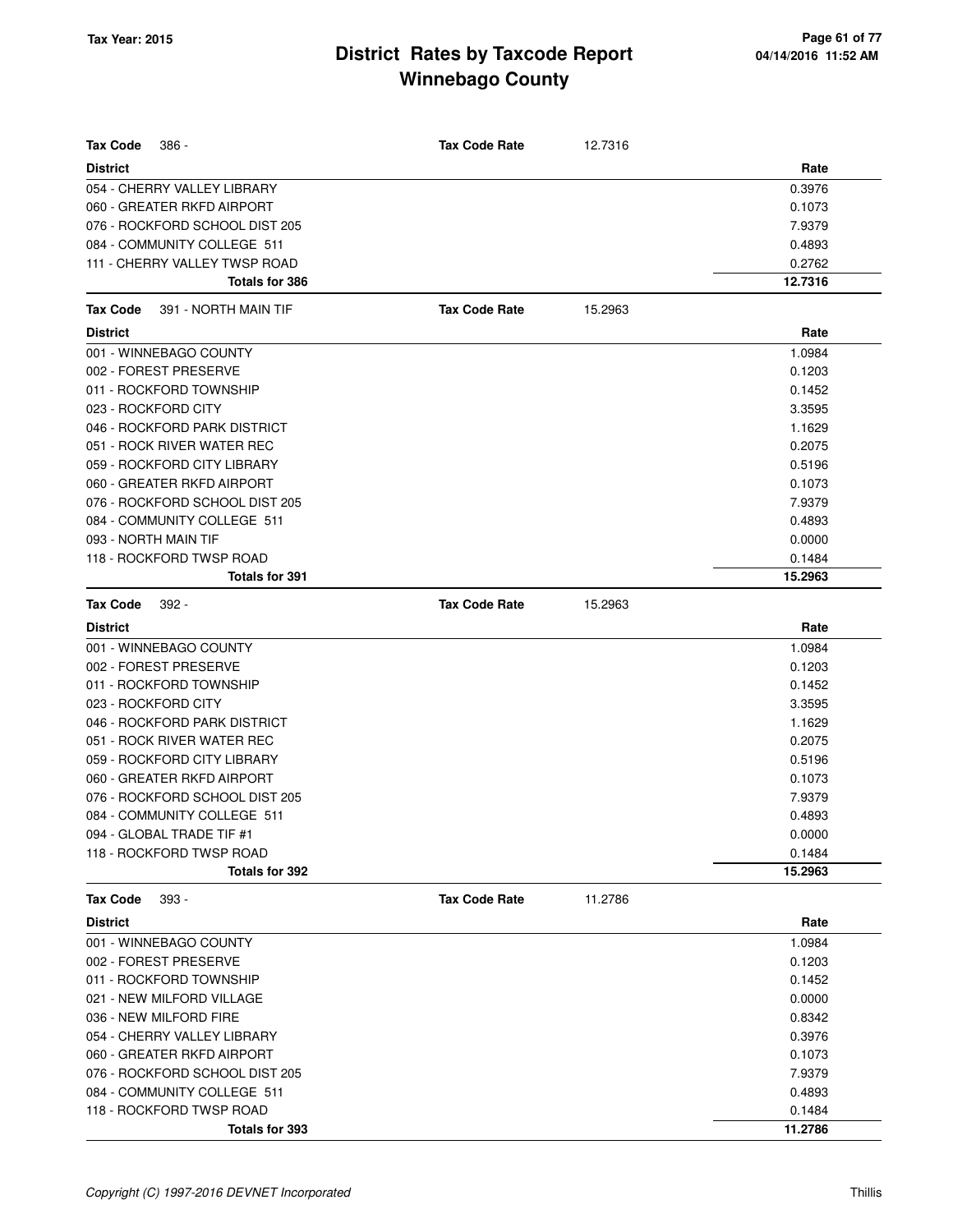| <b>Tax Code</b><br>$386 -$              | <b>Tax Code Rate</b> | 12.7316 |         |
|-----------------------------------------|----------------------|---------|---------|
| <b>District</b>                         |                      |         | Rate    |
| 054 - CHERRY VALLEY LIBRARY             |                      |         | 0.3976  |
| 060 - GREATER RKFD AIRPORT              |                      |         | 0.1073  |
| 076 - ROCKFORD SCHOOL DIST 205          |                      |         | 7.9379  |
| 084 - COMMUNITY COLLEGE 511             |                      |         | 0.4893  |
| 111 - CHERRY VALLEY TWSP ROAD           |                      |         | 0.2762  |
| <b>Totals for 386</b>                   |                      |         | 12.7316 |
| 391 - NORTH MAIN TIF<br><b>Tax Code</b> | <b>Tax Code Rate</b> | 15.2963 |         |
| <b>District</b>                         |                      |         | Rate    |
| 001 - WINNEBAGO COUNTY                  |                      |         | 1.0984  |
| 002 - FOREST PRESERVE                   |                      |         | 0.1203  |
| 011 - ROCKFORD TOWNSHIP                 |                      |         | 0.1452  |
| 023 - ROCKFORD CITY                     |                      |         | 3.3595  |
| 046 - ROCKFORD PARK DISTRICT            |                      |         | 1.1629  |
| 051 - ROCK RIVER WATER REC              |                      |         | 0.2075  |
| 059 - ROCKFORD CITY LIBRARY             |                      |         | 0.5196  |
| 060 - GREATER RKFD AIRPORT              |                      |         | 0.1073  |
| 076 - ROCKFORD SCHOOL DIST 205          |                      |         | 7.9379  |
| 084 - COMMUNITY COLLEGE 511             |                      |         | 0.4893  |
| 093 - NORTH MAIN TIF                    |                      |         | 0.0000  |
| 118 - ROCKFORD TWSP ROAD                |                      |         | 0.1484  |
| <b>Totals for 391</b>                   |                      |         | 15.2963 |
| <b>Tax Code</b><br>$392 -$              | <b>Tax Code Rate</b> | 15.2963 |         |
| <b>District</b>                         |                      |         | Rate    |
| 001 - WINNEBAGO COUNTY                  |                      |         | 1.0984  |
| 002 - FOREST PRESERVE                   |                      |         | 0.1203  |
| 011 - ROCKFORD TOWNSHIP                 |                      |         | 0.1452  |
| 023 - ROCKFORD CITY                     |                      |         | 3.3595  |
| 046 - ROCKFORD PARK DISTRICT            |                      |         | 1.1629  |
| 051 - ROCK RIVER WATER REC              |                      |         | 0.2075  |
| 059 - ROCKFORD CITY LIBRARY             |                      |         | 0.5196  |
| 060 - GREATER RKFD AIRPORT              |                      |         | 0.1073  |
| 076 - ROCKFORD SCHOOL DIST 205          |                      |         | 7.9379  |
| 084 - COMMUNITY COLLEGE 511             |                      |         | 0.4893  |
| 094 - GLOBAL TRADE TIF #1               |                      |         | 0.0000  |
| 118 - ROCKFORD TWSP ROAD                |                      |         | 0.1484  |
| Totals for 392                          |                      |         | 15.2963 |
| <b>Tax Code</b><br>$393 -$              | <b>Tax Code Rate</b> | 11.2786 |         |
| <b>District</b>                         |                      |         | Rate    |
| 001 - WINNEBAGO COUNTY                  |                      |         | 1.0984  |
| 002 - FOREST PRESERVE                   |                      |         | 0.1203  |
| 011 - ROCKFORD TOWNSHIP                 |                      |         | 0.1452  |
| 021 - NEW MILFORD VILLAGE               |                      |         | 0.0000  |
| 036 - NEW MILFORD FIRE                  |                      |         | 0.8342  |
| 054 - CHERRY VALLEY LIBRARY             |                      |         | 0.3976  |
| 060 - GREATER RKFD AIRPORT              |                      |         | 0.1073  |
| 076 - ROCKFORD SCHOOL DIST 205          |                      |         | 7.9379  |
| 084 - COMMUNITY COLLEGE 511             |                      |         | 0.4893  |
| 118 - ROCKFORD TWSP ROAD                |                      |         | 0.1484  |
| Totals for 393                          |                      |         | 11.2786 |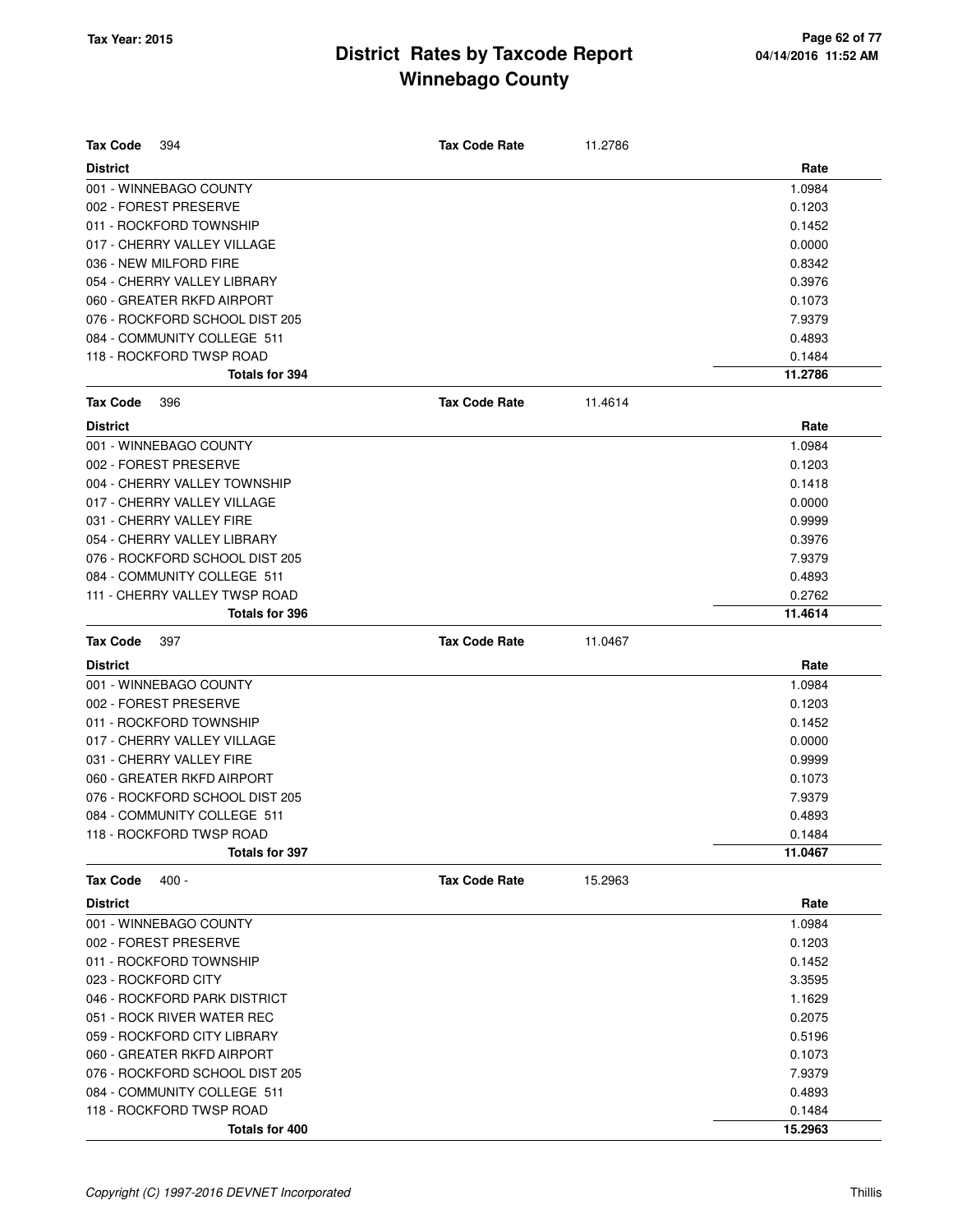| <b>Tax Code</b><br>394         | <b>Tax Code Rate</b> | 11.2786 |         |
|--------------------------------|----------------------|---------|---------|
| <b>District</b>                |                      |         | Rate    |
| 001 - WINNEBAGO COUNTY         |                      |         | 1.0984  |
| 002 - FOREST PRESERVE          |                      |         | 0.1203  |
| 011 - ROCKFORD TOWNSHIP        |                      |         | 0.1452  |
| 017 - CHERRY VALLEY VILLAGE    |                      |         | 0.0000  |
| 036 - NEW MILFORD FIRE         |                      |         | 0.8342  |
| 054 - CHERRY VALLEY LIBRARY    |                      |         | 0.3976  |
| 060 - GREATER RKFD AIRPORT     |                      |         | 0.1073  |
| 076 - ROCKFORD SCHOOL DIST 205 |                      |         | 7.9379  |
| 084 - COMMUNITY COLLEGE 511    |                      |         | 0.4893  |
| 118 - ROCKFORD TWSP ROAD       |                      |         | 0.1484  |
| Totals for 394                 |                      |         | 11.2786 |
| <b>Tax Code</b><br>396         | <b>Tax Code Rate</b> | 11.4614 |         |
| <b>District</b>                |                      |         | Rate    |
| 001 - WINNEBAGO COUNTY         |                      |         | 1.0984  |
| 002 - FOREST PRESERVE          |                      |         | 0.1203  |
| 004 - CHERRY VALLEY TOWNSHIP   |                      |         | 0.1418  |
| 017 - CHERRY VALLEY VILLAGE    |                      |         | 0.0000  |
| 031 - CHERRY VALLEY FIRE       |                      |         | 0.9999  |
| 054 - CHERRY VALLEY LIBRARY    |                      |         | 0.3976  |
| 076 - ROCKFORD SCHOOL DIST 205 |                      |         | 7.9379  |
| 084 - COMMUNITY COLLEGE 511    |                      |         | 0.4893  |
| 111 - CHERRY VALLEY TWSP ROAD  |                      |         | 0.2762  |
| <b>Totals for 396</b>          |                      |         | 11.4614 |
| <b>Tax Code</b><br>397         | <b>Tax Code Rate</b> | 11.0467 |         |
| <b>District</b>                |                      |         | Rate    |
| 001 - WINNEBAGO COUNTY         |                      |         | 1.0984  |
| 002 - FOREST PRESERVE          |                      |         | 0.1203  |
| 011 - ROCKFORD TOWNSHIP        |                      |         | 0.1452  |
| 017 - CHERRY VALLEY VILLAGE    |                      |         | 0.0000  |
| 031 - CHERRY VALLEY FIRE       |                      |         | 0.9999  |
| 060 - GREATER RKFD AIRPORT     |                      |         | 0.1073  |
| 076 - ROCKFORD SCHOOL DIST 205 |                      |         | 7.9379  |
| 084 - COMMUNITY COLLEGE 511    |                      |         | 0.4893  |
| 118 - ROCKFORD TWSP ROAD       |                      |         | 0.1484  |
| Totals for 397                 |                      |         | 11.0467 |
| <b>Tax Code</b><br>$400 -$     | <b>Tax Code Rate</b> | 15.2963 |         |
| <b>District</b>                |                      |         | Rate    |
| 001 - WINNEBAGO COUNTY         |                      |         | 1.0984  |
| 002 - FOREST PRESERVE          |                      |         | 0.1203  |
| 011 - ROCKFORD TOWNSHIP        |                      |         | 0.1452  |
| 023 - ROCKFORD CITY            |                      |         | 3.3595  |
| 046 - ROCKFORD PARK DISTRICT   |                      |         | 1.1629  |
| 051 - ROCK RIVER WATER REC     |                      |         | 0.2075  |
| 059 - ROCKFORD CITY LIBRARY    |                      |         | 0.5196  |
| 060 - GREATER RKFD AIRPORT     |                      |         | 0.1073  |
| 076 - ROCKFORD SCHOOL DIST 205 |                      |         | 7.9379  |
| 084 - COMMUNITY COLLEGE 511    |                      |         | 0.4893  |
| 118 - ROCKFORD TWSP ROAD       |                      |         | 0.1484  |
| Totals for 400                 |                      |         | 15.2963 |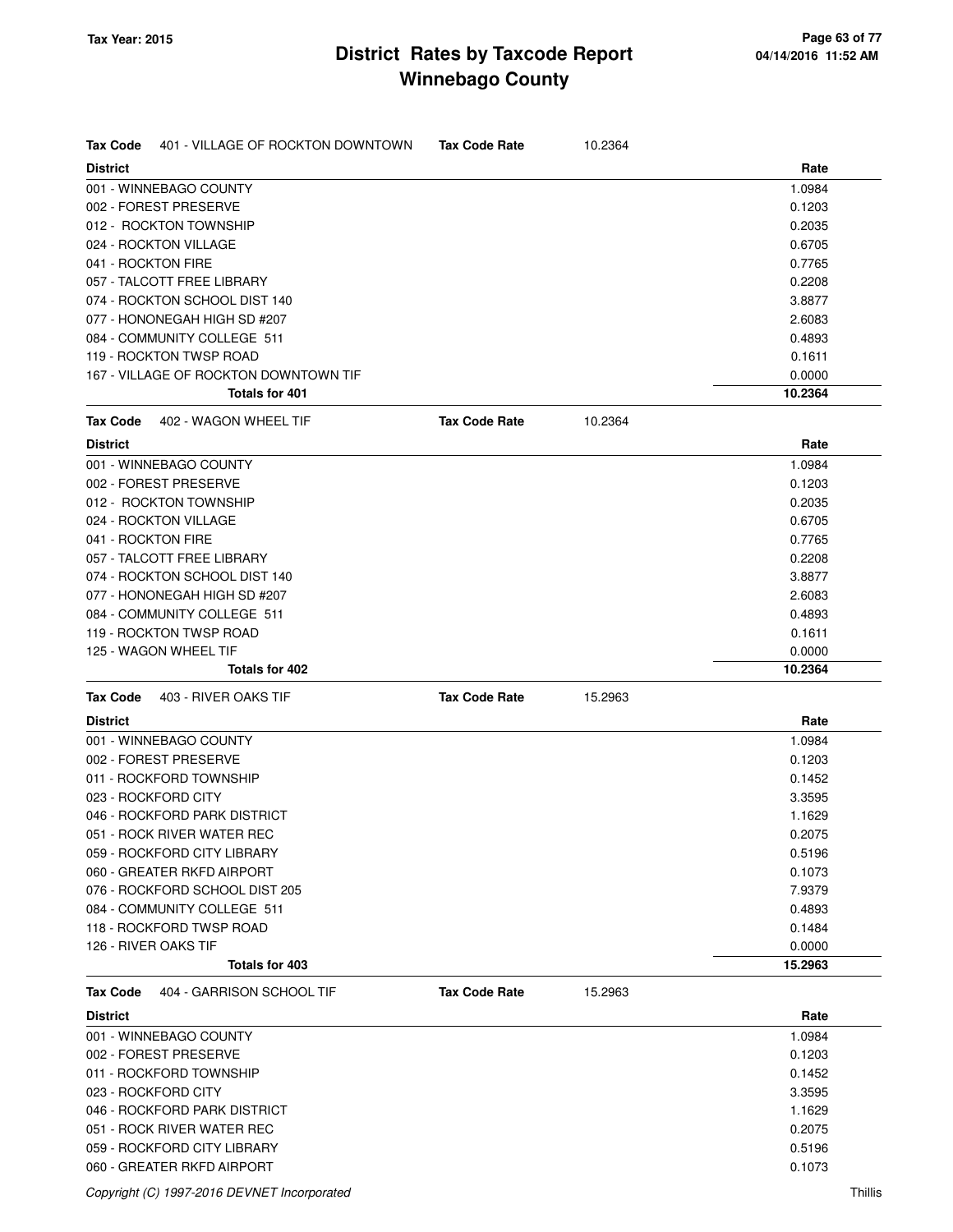| Tax Code           | 401 - VILLAGE OF ROCKTON DOWNTOWN     | <b>Tax Code Rate</b> | 10.2364 |         |
|--------------------|---------------------------------------|----------------------|---------|---------|
| <b>District</b>    |                                       |                      |         | Rate    |
|                    | 001 - WINNEBAGO COUNTY                |                      |         | 1.0984  |
|                    | 002 - FOREST PRESERVE                 |                      |         | 0.1203  |
|                    | 012 - ROCKTON TOWNSHIP                |                      |         | 0.2035  |
|                    | 024 - ROCKTON VILLAGE                 |                      |         | 0.6705  |
| 041 - ROCKTON FIRE |                                       |                      |         | 0.7765  |
|                    | 057 - TALCOTT FREE LIBRARY            |                      |         | 0.2208  |
|                    | 074 - ROCKTON SCHOOL DIST 140         |                      |         | 3.8877  |
|                    | 077 - HONONEGAH HIGH SD #207          |                      |         | 2.6083  |
|                    | 084 - COMMUNITY COLLEGE 511           |                      |         | 0.4893  |
|                    | 119 - ROCKTON TWSP ROAD               |                      |         | 0.1611  |
|                    | 167 - VILLAGE OF ROCKTON DOWNTOWN TIF |                      |         | 0.0000  |
|                    | <b>Totals for 401</b>                 |                      |         | 10.2364 |
| Tax Code           | 402 - WAGON WHEEL TIF                 | <b>Tax Code Rate</b> | 10.2364 |         |
| <b>District</b>    |                                       |                      |         | Rate    |
|                    | 001 - WINNEBAGO COUNTY                |                      |         | 1.0984  |
|                    | 002 - FOREST PRESERVE                 |                      |         | 0.1203  |
|                    | 012 - ROCKTON TOWNSHIP                |                      |         | 0.2035  |
|                    | 024 - ROCKTON VILLAGE                 |                      |         | 0.6705  |
| 041 - ROCKTON FIRE |                                       |                      |         | 0.7765  |
|                    | 057 - TALCOTT FREE LIBRARY            |                      |         | 0.2208  |
|                    | 074 - ROCKTON SCHOOL DIST 140         |                      |         | 3.8877  |
|                    | 077 - HONONEGAH HIGH SD #207          |                      |         | 2.6083  |
|                    | 084 - COMMUNITY COLLEGE 511           |                      |         | 0.4893  |
|                    | 119 - ROCKTON TWSP ROAD               |                      |         | 0.1611  |
|                    | 125 - WAGON WHEEL TIF                 |                      |         | 0.0000  |
|                    |                                       |                      |         |         |
|                    | Totals for 402                        |                      |         | 10.2364 |
| Tax Code           | 403 - RIVER OAKS TIF                  | <b>Tax Code Rate</b> | 15.2963 |         |
| District           |                                       |                      |         | Rate    |
|                    | 001 - WINNEBAGO COUNTY                |                      |         | 1.0984  |
|                    | 002 - FOREST PRESERVE                 |                      |         | 0.1203  |
|                    | 011 - ROCKFORD TOWNSHIP               |                      |         | 0.1452  |
|                    | 023 - ROCKFORD CITY                   |                      |         | 3.3595  |
|                    | 046 - ROCKFORD PARK DISTRICT          |                      |         | 1.1629  |
|                    | 051 - ROCK RIVER WATER REC            |                      |         | 0.2075  |
|                    | 059 - ROCKFORD CITY LIBRARY           |                      |         | 0.5196  |
|                    | 060 - GREATER RKFD AIRPORT            |                      |         | 0.1073  |
|                    | 076 - ROCKFORD SCHOOL DIST 205        |                      |         | 7.9379  |
|                    | 084 - COMMUNITY COLLEGE 511           |                      |         | 0.4893  |
|                    | 118 - ROCKFORD TWSP ROAD              |                      |         | 0.1484  |
|                    | 126 - RIVER OAKS TIF                  |                      |         | 0.0000  |
|                    | Totals for 403                        |                      |         | 15.2963 |
| Tax Code           | 404 - GARRISON SCHOOL TIF             | <b>Tax Code Rate</b> | 15.2963 |         |
| <b>District</b>    |                                       |                      |         | Rate    |
|                    | 001 - WINNEBAGO COUNTY                |                      |         | 1.0984  |
|                    | 002 - FOREST PRESERVE                 |                      |         | 0.1203  |
|                    | 011 - ROCKFORD TOWNSHIP               |                      |         | 0.1452  |
|                    | 023 - ROCKFORD CITY                   |                      |         | 3.3595  |
|                    | 046 - ROCKFORD PARK DISTRICT          |                      |         | 1.1629  |
|                    | 051 - ROCK RIVER WATER REC            |                      |         | 0.2075  |
|                    | 059 - ROCKFORD CITY LIBRARY           |                      |         | 0.5196  |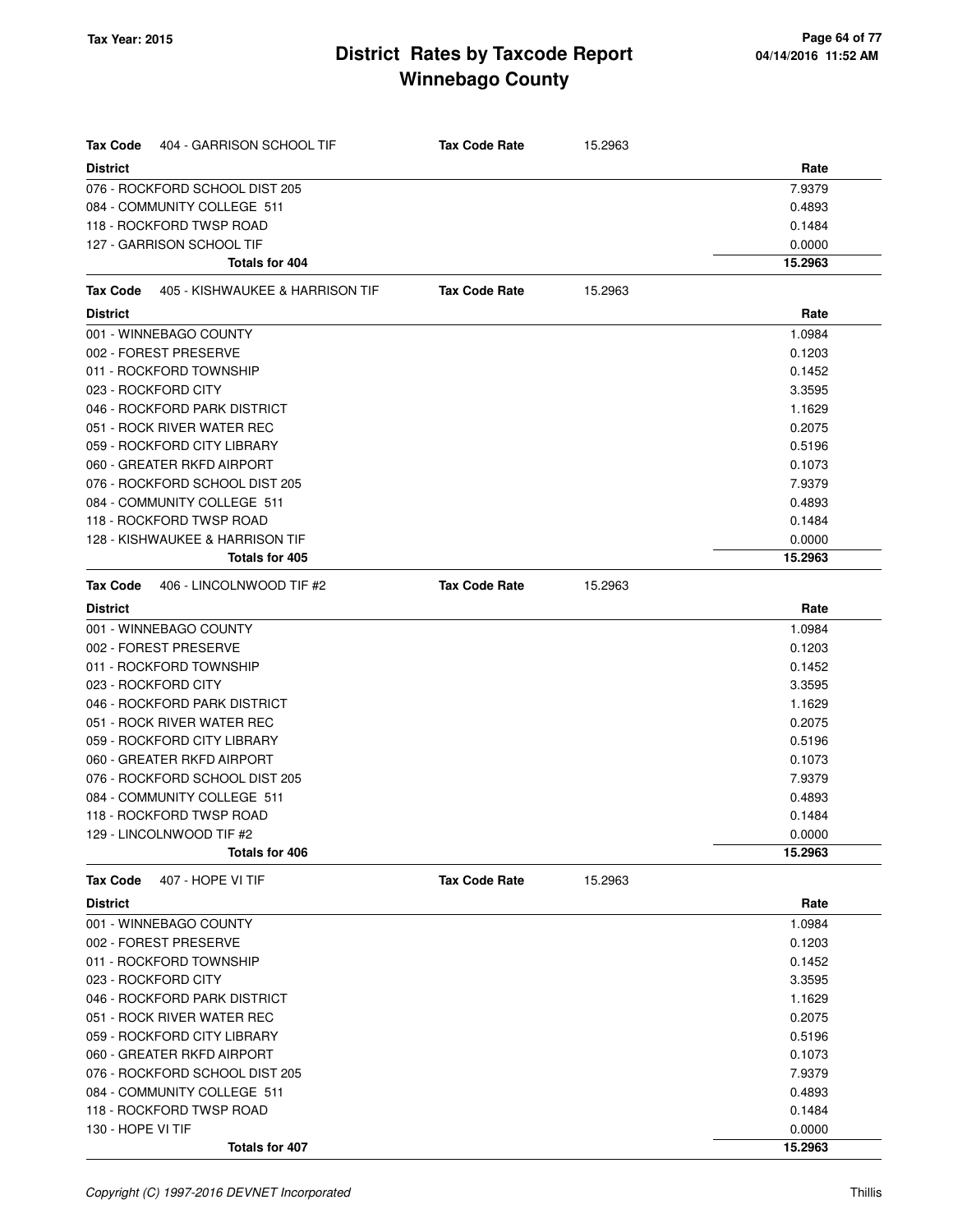| <b>Tax Code</b><br>404 - GARRISON SCHOOL TIF       | <b>Tax Code Rate</b> | 15.2963 |                   |
|----------------------------------------------------|----------------------|---------|-------------------|
| <b>District</b>                                    |                      |         | Rate              |
| 076 - ROCKFORD SCHOOL DIST 205                     |                      |         | 7.9379            |
| 084 - COMMUNITY COLLEGE 511                        |                      |         | 0.4893            |
| 118 - ROCKFORD TWSP ROAD                           |                      |         | 0.1484            |
| 127 - GARRISON SCHOOL TIF                          |                      |         | 0.0000            |
| Totals for 404                                     |                      |         | 15.2963           |
| 405 - KISHWAUKEE & HARRISON TIF<br><b>Tax Code</b> | <b>Tax Code Rate</b> | 15.2963 |                   |
| <b>District</b>                                    |                      |         | Rate              |
| 001 - WINNEBAGO COUNTY                             |                      |         | 1.0984            |
| 002 - FOREST PRESERVE                              |                      |         | 0.1203            |
| 011 - ROCKFORD TOWNSHIP                            |                      |         | 0.1452            |
| 023 - ROCKFORD CITY                                |                      |         | 3.3595            |
| 046 - ROCKFORD PARK DISTRICT                       |                      |         | 1.1629            |
| 051 - ROCK RIVER WATER REC                         |                      |         | 0.2075            |
| 059 - ROCKFORD CITY LIBRARY                        |                      |         | 0.5196            |
| 060 - GREATER RKFD AIRPORT                         |                      |         | 0.1073            |
| 076 - ROCKFORD SCHOOL DIST 205                     |                      |         | 7.9379            |
| 084 - COMMUNITY COLLEGE 511                        |                      |         | 0.4893            |
| 118 - ROCKFORD TWSP ROAD                           |                      |         | 0.1484            |
| 128 - KISHWAUKEE & HARRISON TIF                    |                      |         | 0.0000            |
| <b>Totals for 405</b>                              |                      |         | 15.2963           |
| Tax Code<br>406 - LINCOLNWOOD TIF #2               | <b>Tax Code Rate</b> | 15.2963 |                   |
| <b>District</b>                                    |                      |         | Rate              |
| 001 - WINNEBAGO COUNTY                             |                      |         | 1.0984            |
| 002 - FOREST PRESERVE                              |                      |         | 0.1203            |
| 011 - ROCKFORD TOWNSHIP                            |                      |         | 0.1452            |
| 023 - ROCKFORD CITY                                |                      |         | 3.3595            |
| 046 - ROCKFORD PARK DISTRICT                       |                      |         | 1.1629            |
| 051 - ROCK RIVER WATER REC                         |                      |         | 0.2075            |
| 059 - ROCKFORD CITY LIBRARY                        |                      |         | 0.5196            |
| 060 - GREATER RKFD AIRPORT                         |                      |         | 0.1073            |
| 076 - ROCKFORD SCHOOL DIST 205                     |                      |         | 7.9379            |
| 084 - COMMUNITY COLLEGE 511                        |                      |         | 0.4893            |
| 118 - ROCKFORD TWSP ROAD                           |                      |         | 0.1484            |
| 129 - LINCOLNWOOD TIF #2<br>Totals for 406         |                      |         | 0.0000<br>15.2963 |
|                                                    |                      |         |                   |
| <b>Tax Code</b><br>407 - HOPE VI TIF               | <b>Tax Code Rate</b> | 15.2963 |                   |
| <b>District</b><br>001 - WINNEBAGO COUNTY          |                      |         | Rate<br>1.0984    |
| 002 - FOREST PRESERVE                              |                      |         | 0.1203            |
| 011 - ROCKFORD TOWNSHIP                            |                      |         | 0.1452            |
| 023 - ROCKFORD CITY                                |                      |         | 3.3595            |
| 046 - ROCKFORD PARK DISTRICT                       |                      |         | 1.1629            |
| 051 - ROCK RIVER WATER REC                         |                      |         | 0.2075            |
| 059 - ROCKFORD CITY LIBRARY                        |                      |         | 0.5196            |
| 060 - GREATER RKFD AIRPORT                         |                      |         | 0.1073            |
| 076 - ROCKFORD SCHOOL DIST 205                     |                      |         | 7.9379            |
| 084 - COMMUNITY COLLEGE 511                        |                      |         | 0.4893            |
| 118 - ROCKFORD TWSP ROAD                           |                      |         | 0.1484            |
| 130 - HOPE VI TIF                                  |                      |         | 0.0000            |
| Totals for 407                                     |                      |         | 15.2963           |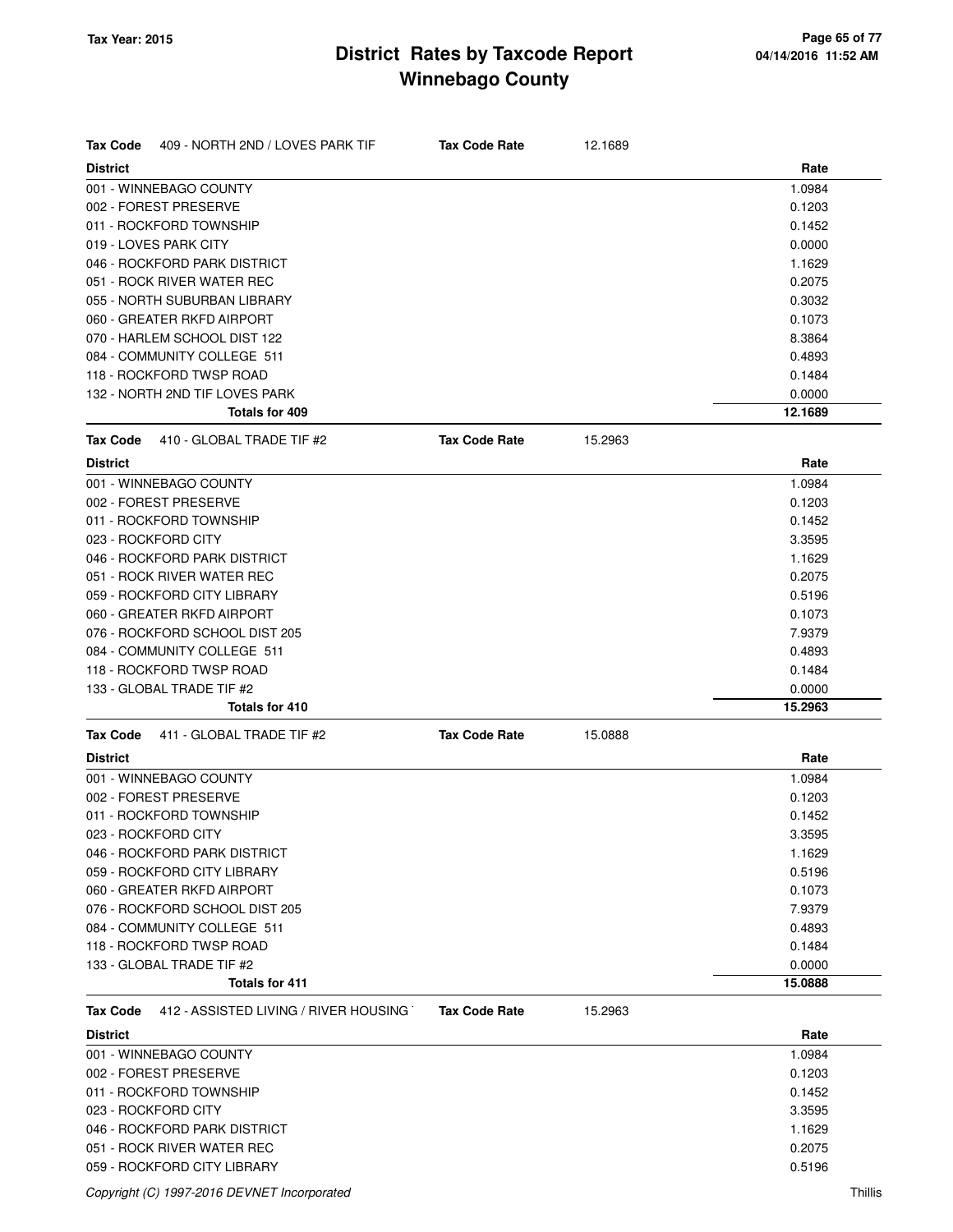| <b>Tax Code</b><br>409 - NORTH 2ND / LOVES PARK TIF      | <b>Tax Code Rate</b> | 12.1689 |         |
|----------------------------------------------------------|----------------------|---------|---------|
| <b>District</b>                                          |                      |         | Rate    |
| 001 - WINNEBAGO COUNTY                                   |                      |         | 1.0984  |
| 002 - FOREST PRESERVE                                    |                      |         | 0.1203  |
| 011 - ROCKFORD TOWNSHIP                                  |                      |         | 0.1452  |
| 019 - LOVES PARK CITY                                    |                      |         | 0.0000  |
| 046 - ROCKFORD PARK DISTRICT                             |                      |         | 1.1629  |
| 051 - ROCK RIVER WATER REC                               |                      |         | 0.2075  |
| 055 - NORTH SUBURBAN LIBRARY                             |                      |         | 0.3032  |
| 060 - GREATER RKFD AIRPORT                               |                      |         | 0.1073  |
| 070 - HARLEM SCHOOL DIST 122                             |                      |         | 8.3864  |
| 084 - COMMUNITY COLLEGE 511                              |                      |         | 0.4893  |
| 118 - ROCKFORD TWSP ROAD                                 |                      |         | 0.1484  |
| 132 - NORTH 2ND TIF LOVES PARK                           |                      |         | 0.0000  |
| Totals for 409                                           |                      |         | 12.1689 |
| 410 - GLOBAL TRADE TIF #2<br><b>Tax Code</b>             | <b>Tax Code Rate</b> | 15.2963 |         |
| <b>District</b>                                          |                      |         | Rate    |
| 001 - WINNEBAGO COUNTY                                   |                      |         | 1.0984  |
| 002 - FOREST PRESERVE                                    |                      |         | 0.1203  |
| 011 - ROCKFORD TOWNSHIP                                  |                      |         | 0.1452  |
| 023 - ROCKFORD CITY                                      |                      |         | 3.3595  |
| 046 - ROCKFORD PARK DISTRICT                             |                      |         | 1.1629  |
| 051 - ROCK RIVER WATER REC                               |                      |         | 0.2075  |
| 059 - ROCKFORD CITY LIBRARY                              |                      |         | 0.5196  |
| 060 - GREATER RKFD AIRPORT                               |                      |         | 0.1073  |
| 076 - ROCKFORD SCHOOL DIST 205                           |                      |         | 7.9379  |
| 084 - COMMUNITY COLLEGE 511                              |                      |         | 0.4893  |
| 118 - ROCKFORD TWSP ROAD                                 |                      |         | 0.1484  |
| 133 - GLOBAL TRADE TIF #2                                |                      |         | 0.0000  |
| <b>Totals for 410</b>                                    |                      |         | 15.2963 |
| 411 - GLOBAL TRADE TIF #2<br><b>Tax Code</b>             | <b>Tax Code Rate</b> | 15.0888 |         |
| <b>District</b>                                          |                      |         | Rate    |
| 001 - WINNEBAGO COUNTY                                   |                      |         | 1.0984  |
| 002 - FOREST PRESERVE                                    |                      |         | 0.1203  |
| 011 - ROCKFORD TOWNSHIP                                  |                      |         | 0.1452  |
| 023 - ROCKFORD CITY                                      |                      |         | 3.3595  |
| 046 - ROCKFORD PARK DISTRICT                             |                      |         | 1.1629  |
| 059 - ROCKFORD CITY LIBRARY                              |                      |         | 0.5196  |
| 060 - GREATER RKFD AIRPORT                               |                      |         | 0.1073  |
| 076 - ROCKFORD SCHOOL DIST 205                           |                      |         | 7.9379  |
| 084 - COMMUNITY COLLEGE 511                              |                      |         | 0.4893  |
| 118 - ROCKFORD TWSP ROAD                                 |                      |         | 0.1484  |
| 133 - GLOBAL TRADE TIF #2                                |                      |         | 0.0000  |
| <b>Totals for 411</b>                                    |                      |         | 15.0888 |
| 412 - ASSISTED LIVING / RIVER HOUSING<br><b>Tax Code</b> | <b>Tax Code Rate</b> | 15.2963 |         |
| <b>District</b>                                          |                      |         | Rate    |
| 001 - WINNEBAGO COUNTY                                   |                      |         | 1.0984  |
| 002 - FOREST PRESERVE                                    |                      |         | 0.1203  |
|                                                          |                      |         |         |
| 011 - ROCKFORD TOWNSHIP                                  |                      |         | 0.1452  |
| 023 - ROCKFORD CITY                                      |                      |         | 3.3595  |
| 046 - ROCKFORD PARK DISTRICT                             |                      |         | 1.1629  |
| 051 - ROCK RIVER WATER REC                               |                      |         | 0.2075  |
| 059 - ROCKFORD CITY LIBRARY                              |                      |         | 0.5196  |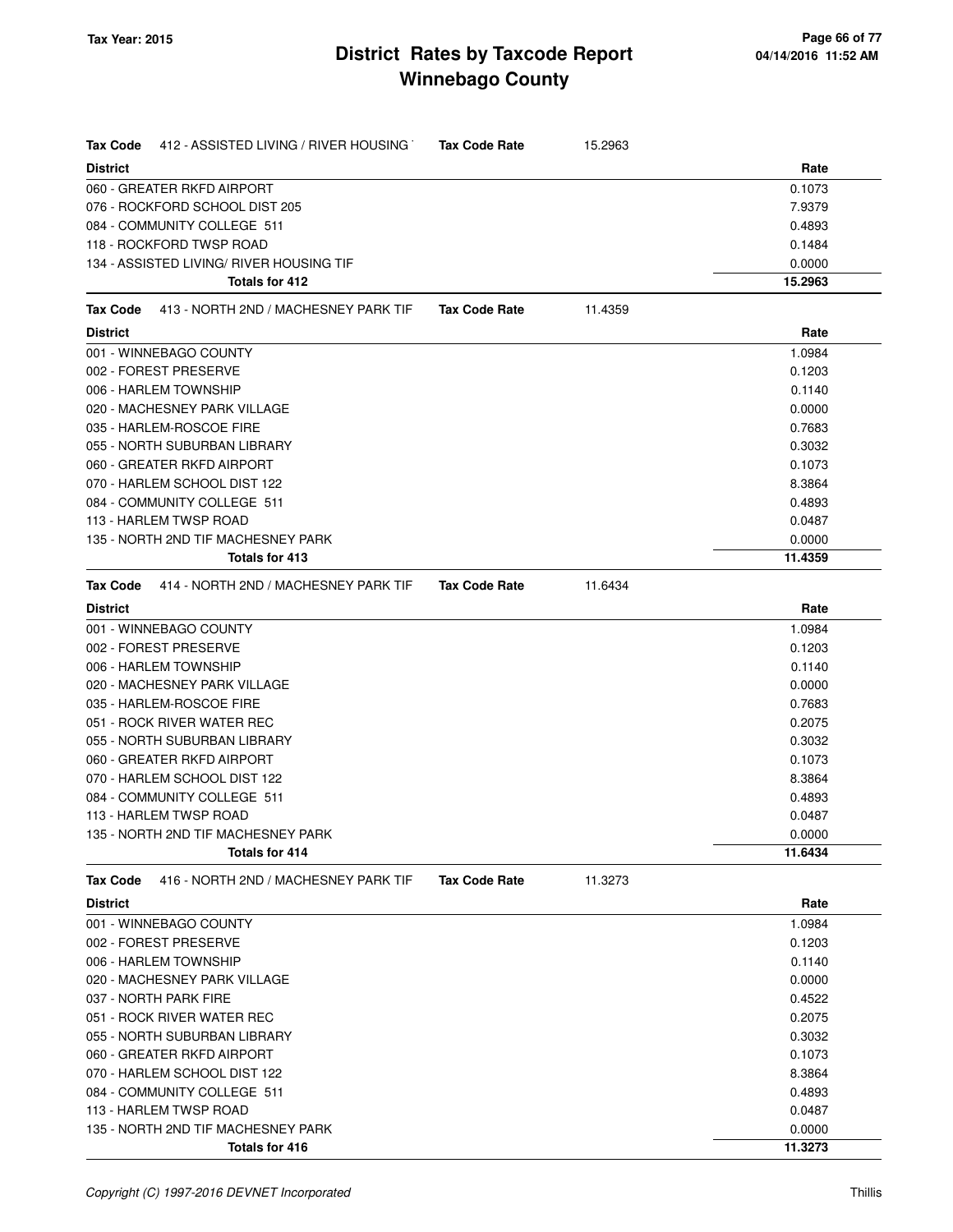| 412 - ASSISTED LIVING / RIVER HOUSING<br>Tax Code       | <b>Tax Code Rate</b> | 15.2963 |         |
|---------------------------------------------------------|----------------------|---------|---------|
| <b>District</b>                                         |                      |         | Rate    |
| 060 - GREATER RKFD AIRPORT                              |                      |         | 0.1073  |
| 076 - ROCKFORD SCHOOL DIST 205                          |                      |         | 7.9379  |
| 084 - COMMUNITY COLLEGE 511                             |                      |         | 0.4893  |
| 118 - ROCKFORD TWSP ROAD                                |                      |         | 0.1484  |
| 134 - ASSISTED LIVING/ RIVER HOUSING TIF                |                      |         | 0.0000  |
| Totals for 412                                          |                      |         | 15.2963 |
| 413 - NORTH 2ND / MACHESNEY PARK TIF<br><b>Tax Code</b> | <b>Tax Code Rate</b> | 11.4359 |         |
| <b>District</b>                                         |                      |         | Rate    |
| 001 - WINNEBAGO COUNTY                                  |                      |         | 1.0984  |
| 002 - FOREST PRESERVE                                   |                      |         | 0.1203  |
| 006 - HARLEM TOWNSHIP                                   |                      |         | 0.1140  |
| 020 - MACHESNEY PARK VILLAGE                            |                      |         | 0.0000  |
| 035 - HARLEM-ROSCOE FIRE                                |                      |         | 0.7683  |
| 055 - NORTH SUBURBAN LIBRARY                            |                      |         | 0.3032  |
| 060 - GREATER RKFD AIRPORT                              |                      |         | 0.1073  |
| 070 - HARLEM SCHOOL DIST 122                            |                      |         | 8.3864  |
| 084 - COMMUNITY COLLEGE 511                             |                      |         | 0.4893  |
| 113 - HARLEM TWSP ROAD                                  |                      |         | 0.0487  |
| 135 - NORTH 2ND TIF MACHESNEY PARK                      |                      |         | 0.0000  |
| Totals for 413                                          |                      |         | 11.4359 |
| 414 - NORTH 2ND / MACHESNEY PARK TIF<br>Tax Code        | <b>Tax Code Rate</b> | 11.6434 |         |
| <b>District</b>                                         |                      |         | Rate    |
| 001 - WINNEBAGO COUNTY                                  |                      |         | 1.0984  |
| 002 - FOREST PRESERVE                                   |                      |         | 0.1203  |
| 006 - HARLEM TOWNSHIP                                   |                      |         | 0.1140  |
| 020 - MACHESNEY PARK VILLAGE                            |                      |         | 0.0000  |
| 035 - HARLEM-ROSCOE FIRE                                |                      |         | 0.7683  |
| 051 - ROCK RIVER WATER REC                              |                      |         | 0.2075  |
| 055 - NORTH SUBURBAN LIBRARY                            |                      |         | 0.3032  |
| 060 - GREATER RKFD AIRPORT                              |                      |         | 0.1073  |
| 070 - HARLEM SCHOOL DIST 122                            |                      |         | 8.3864  |
| 084 - COMMUNITY COLLEGE 511                             |                      |         | 0.4893  |
| 113 - HARLEM TWSP ROAD                                  |                      |         | 0.0487  |
| 135 - NORTH 2ND TIF MACHESNEY PARK                      |                      |         | 0.0000  |
| Totals for 414                                          |                      |         | 11.6434 |
| 416 - NORTH 2ND / MACHESNEY PARK TIF<br><b>Tax Code</b> | <b>Tax Code Rate</b> | 11.3273 |         |
| <b>District</b>                                         |                      |         | Rate    |
| 001 - WINNEBAGO COUNTY                                  |                      |         | 1.0984  |
| 002 - FOREST PRESERVE                                   |                      |         | 0.1203  |
| 006 - HARLEM TOWNSHIP                                   |                      |         | 0.1140  |
| 020 - MACHESNEY PARK VILLAGE                            |                      |         | 0.0000  |
| 037 - NORTH PARK FIRE                                   |                      |         | 0.4522  |
| 051 - ROCK RIVER WATER REC                              |                      |         | 0.2075  |
| 055 - NORTH SUBURBAN LIBRARY                            |                      |         | 0.3032  |
| 060 - GREATER RKFD AIRPORT                              |                      |         | 0.1073  |
| 070 - HARLEM SCHOOL DIST 122                            |                      |         | 8.3864  |
| 084 - COMMUNITY COLLEGE 511                             |                      |         | 0.4893  |
| 113 - HARLEM TWSP ROAD                                  |                      |         | 0.0487  |
| 135 - NORTH 2ND TIF MACHESNEY PARK                      |                      |         | 0.0000  |
| Totals for 416                                          |                      |         | 11.3273 |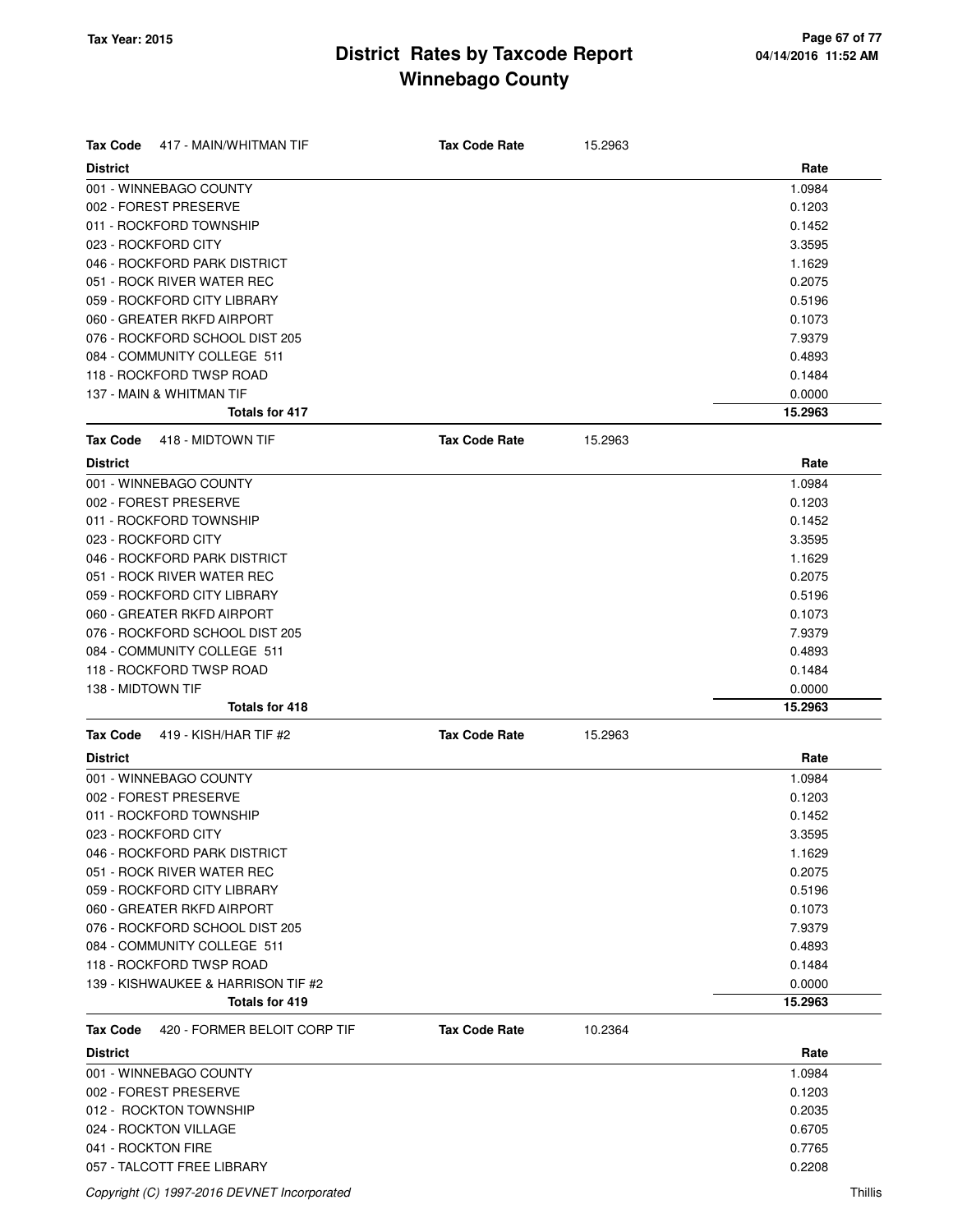| Rate<br><b>District</b><br>1.0984<br>001 - WINNEBAGO COUNTY<br>0.1203<br>011 - ROCKFORD TOWNSHIP<br>0.1452<br>3.3595<br>1.1629<br>051 - ROCK RIVER WATER REC<br>0.2075<br>0.5196<br>060 - GREATER RKFD AIRPORT<br>0.1073<br>076 - ROCKFORD SCHOOL DIST 205<br>7.9379<br>084 - COMMUNITY COLLEGE 511<br>0.4893<br>118 - ROCKFORD TWSP ROAD<br>0.1484<br>137 - MAIN & WHITMAN TIF<br>0.0000<br>Totals for 417<br>15.2963<br><b>Tax Code Rate</b><br>418 - MIDTOWN TIF<br>15.2963<br>Rate<br><b>District</b><br>1.0984<br>0.1203<br>011 - ROCKFORD TOWNSHIP<br>0.1452<br>3.3595<br>1.1629<br>051 - ROCK RIVER WATER REC<br>0.2075<br>059 - ROCKFORD CITY LIBRARY<br>0.5196<br>060 - GREATER RKFD AIRPORT<br>0.1073<br>076 - ROCKFORD SCHOOL DIST 205<br>7.9379<br>084 - COMMUNITY COLLEGE 511<br>0.4893<br>118 - ROCKFORD TWSP ROAD<br>0.1484<br>138 - MIDTOWN TIF<br>0.0000<br>Totals for 418<br>15.2963<br>419 - KISH/HAR TIF #2<br><b>Tax Code Rate</b><br>15.2963<br><b>District</b><br>Rate<br>001 - WINNEBAGO COUNTY<br>1.0984<br>002 - FOREST PRESERVE<br>0.1203<br>011 - ROCKFORD TOWNSHIP<br>0.1452<br>023 - ROCKFORD CITY<br>3.3595<br>046 - ROCKFORD PARK DISTRICT<br>1.1629<br>051 - ROCK RIVER WATER REC<br>0.2075<br>059 - ROCKFORD CITY LIBRARY<br>0.5196<br>060 - GREATER RKFD AIRPORT<br>0.1073<br>076 - ROCKFORD SCHOOL DIST 205<br>7.9379<br>084 - COMMUNITY COLLEGE 511<br>0.4893<br>118 - ROCKFORD TWSP ROAD<br>0.1484<br>139 - KISHWAUKEE & HARRISON TIF #2<br>0.0000<br>Totals for 419<br>15.2963<br><b>Tax Code</b><br>420 - FORMER BELOIT CORP TIF<br><b>Tax Code Rate</b><br>10.2364<br><b>District</b><br>Rate<br>001 - WINNEBAGO COUNTY<br>1.0984<br>002 - FOREST PRESERVE<br>0.1203<br>012 - ROCKTON TOWNSHIP<br>0.2035<br>024 - ROCKTON VILLAGE<br>0.6705<br>041 - ROCKTON FIRE<br>0.7765 | <b>Tax Code</b><br>417 - MAIN/WHITMAN TIF | <b>Tax Code Rate</b> | 15.2963 |        |
|----------------------------------------------------------------------------------------------------------------------------------------------------------------------------------------------------------------------------------------------------------------------------------------------------------------------------------------------------------------------------------------------------------------------------------------------------------------------------------------------------------------------------------------------------------------------------------------------------------------------------------------------------------------------------------------------------------------------------------------------------------------------------------------------------------------------------------------------------------------------------------------------------------------------------------------------------------------------------------------------------------------------------------------------------------------------------------------------------------------------------------------------------------------------------------------------------------------------------------------------------------------------------------------------------------------------------------------------------------------------------------------------------------------------------------------------------------------------------------------------------------------------------------------------------------------------------------------------------------------------------------------------------------------------------------------------------------------------------------------------------------------------------------------------------------------------|-------------------------------------------|----------------------|---------|--------|
|                                                                                                                                                                                                                                                                                                                                                                                                                                                                                                                                                                                                                                                                                                                                                                                                                                                                                                                                                                                                                                                                                                                                                                                                                                                                                                                                                                                                                                                                                                                                                                                                                                                                                                                                                                                                                      |                                           |                      |         |        |
|                                                                                                                                                                                                                                                                                                                                                                                                                                                                                                                                                                                                                                                                                                                                                                                                                                                                                                                                                                                                                                                                                                                                                                                                                                                                                                                                                                                                                                                                                                                                                                                                                                                                                                                                                                                                                      |                                           |                      |         |        |
|                                                                                                                                                                                                                                                                                                                                                                                                                                                                                                                                                                                                                                                                                                                                                                                                                                                                                                                                                                                                                                                                                                                                                                                                                                                                                                                                                                                                                                                                                                                                                                                                                                                                                                                                                                                                                      | 002 - FOREST PRESERVE                     |                      |         |        |
|                                                                                                                                                                                                                                                                                                                                                                                                                                                                                                                                                                                                                                                                                                                                                                                                                                                                                                                                                                                                                                                                                                                                                                                                                                                                                                                                                                                                                                                                                                                                                                                                                                                                                                                                                                                                                      |                                           |                      |         |        |
|                                                                                                                                                                                                                                                                                                                                                                                                                                                                                                                                                                                                                                                                                                                                                                                                                                                                                                                                                                                                                                                                                                                                                                                                                                                                                                                                                                                                                                                                                                                                                                                                                                                                                                                                                                                                                      | 023 - ROCKFORD CITY                       |                      |         |        |
|                                                                                                                                                                                                                                                                                                                                                                                                                                                                                                                                                                                                                                                                                                                                                                                                                                                                                                                                                                                                                                                                                                                                                                                                                                                                                                                                                                                                                                                                                                                                                                                                                                                                                                                                                                                                                      | 046 - ROCKFORD PARK DISTRICT              |                      |         |        |
|                                                                                                                                                                                                                                                                                                                                                                                                                                                                                                                                                                                                                                                                                                                                                                                                                                                                                                                                                                                                                                                                                                                                                                                                                                                                                                                                                                                                                                                                                                                                                                                                                                                                                                                                                                                                                      |                                           |                      |         |        |
|                                                                                                                                                                                                                                                                                                                                                                                                                                                                                                                                                                                                                                                                                                                                                                                                                                                                                                                                                                                                                                                                                                                                                                                                                                                                                                                                                                                                                                                                                                                                                                                                                                                                                                                                                                                                                      | 059 - ROCKFORD CITY LIBRARY               |                      |         |        |
|                                                                                                                                                                                                                                                                                                                                                                                                                                                                                                                                                                                                                                                                                                                                                                                                                                                                                                                                                                                                                                                                                                                                                                                                                                                                                                                                                                                                                                                                                                                                                                                                                                                                                                                                                                                                                      |                                           |                      |         |        |
|                                                                                                                                                                                                                                                                                                                                                                                                                                                                                                                                                                                                                                                                                                                                                                                                                                                                                                                                                                                                                                                                                                                                                                                                                                                                                                                                                                                                                                                                                                                                                                                                                                                                                                                                                                                                                      |                                           |                      |         |        |
|                                                                                                                                                                                                                                                                                                                                                                                                                                                                                                                                                                                                                                                                                                                                                                                                                                                                                                                                                                                                                                                                                                                                                                                                                                                                                                                                                                                                                                                                                                                                                                                                                                                                                                                                                                                                                      |                                           |                      |         |        |
|                                                                                                                                                                                                                                                                                                                                                                                                                                                                                                                                                                                                                                                                                                                                                                                                                                                                                                                                                                                                                                                                                                                                                                                                                                                                                                                                                                                                                                                                                                                                                                                                                                                                                                                                                                                                                      |                                           |                      |         |        |
|                                                                                                                                                                                                                                                                                                                                                                                                                                                                                                                                                                                                                                                                                                                                                                                                                                                                                                                                                                                                                                                                                                                                                                                                                                                                                                                                                                                                                                                                                                                                                                                                                                                                                                                                                                                                                      |                                           |                      |         |        |
|                                                                                                                                                                                                                                                                                                                                                                                                                                                                                                                                                                                                                                                                                                                                                                                                                                                                                                                                                                                                                                                                                                                                                                                                                                                                                                                                                                                                                                                                                                                                                                                                                                                                                                                                                                                                                      |                                           |                      |         |        |
|                                                                                                                                                                                                                                                                                                                                                                                                                                                                                                                                                                                                                                                                                                                                                                                                                                                                                                                                                                                                                                                                                                                                                                                                                                                                                                                                                                                                                                                                                                                                                                                                                                                                                                                                                                                                                      | <b>Tax Code</b>                           |                      |         |        |
|                                                                                                                                                                                                                                                                                                                                                                                                                                                                                                                                                                                                                                                                                                                                                                                                                                                                                                                                                                                                                                                                                                                                                                                                                                                                                                                                                                                                                                                                                                                                                                                                                                                                                                                                                                                                                      |                                           |                      |         |        |
|                                                                                                                                                                                                                                                                                                                                                                                                                                                                                                                                                                                                                                                                                                                                                                                                                                                                                                                                                                                                                                                                                                                                                                                                                                                                                                                                                                                                                                                                                                                                                                                                                                                                                                                                                                                                                      | 001 - WINNEBAGO COUNTY                    |                      |         |        |
|                                                                                                                                                                                                                                                                                                                                                                                                                                                                                                                                                                                                                                                                                                                                                                                                                                                                                                                                                                                                                                                                                                                                                                                                                                                                                                                                                                                                                                                                                                                                                                                                                                                                                                                                                                                                                      | 002 - FOREST PRESERVE                     |                      |         |        |
|                                                                                                                                                                                                                                                                                                                                                                                                                                                                                                                                                                                                                                                                                                                                                                                                                                                                                                                                                                                                                                                                                                                                                                                                                                                                                                                                                                                                                                                                                                                                                                                                                                                                                                                                                                                                                      |                                           |                      |         |        |
|                                                                                                                                                                                                                                                                                                                                                                                                                                                                                                                                                                                                                                                                                                                                                                                                                                                                                                                                                                                                                                                                                                                                                                                                                                                                                                                                                                                                                                                                                                                                                                                                                                                                                                                                                                                                                      | 023 - ROCKFORD CITY                       |                      |         |        |
|                                                                                                                                                                                                                                                                                                                                                                                                                                                                                                                                                                                                                                                                                                                                                                                                                                                                                                                                                                                                                                                                                                                                                                                                                                                                                                                                                                                                                                                                                                                                                                                                                                                                                                                                                                                                                      | 046 - ROCKFORD PARK DISTRICT              |                      |         |        |
|                                                                                                                                                                                                                                                                                                                                                                                                                                                                                                                                                                                                                                                                                                                                                                                                                                                                                                                                                                                                                                                                                                                                                                                                                                                                                                                                                                                                                                                                                                                                                                                                                                                                                                                                                                                                                      |                                           |                      |         |        |
|                                                                                                                                                                                                                                                                                                                                                                                                                                                                                                                                                                                                                                                                                                                                                                                                                                                                                                                                                                                                                                                                                                                                                                                                                                                                                                                                                                                                                                                                                                                                                                                                                                                                                                                                                                                                                      |                                           |                      |         |        |
|                                                                                                                                                                                                                                                                                                                                                                                                                                                                                                                                                                                                                                                                                                                                                                                                                                                                                                                                                                                                                                                                                                                                                                                                                                                                                                                                                                                                                                                                                                                                                                                                                                                                                                                                                                                                                      |                                           |                      |         |        |
|                                                                                                                                                                                                                                                                                                                                                                                                                                                                                                                                                                                                                                                                                                                                                                                                                                                                                                                                                                                                                                                                                                                                                                                                                                                                                                                                                                                                                                                                                                                                                                                                                                                                                                                                                                                                                      |                                           |                      |         |        |
|                                                                                                                                                                                                                                                                                                                                                                                                                                                                                                                                                                                                                                                                                                                                                                                                                                                                                                                                                                                                                                                                                                                                                                                                                                                                                                                                                                                                                                                                                                                                                                                                                                                                                                                                                                                                                      |                                           |                      |         |        |
|                                                                                                                                                                                                                                                                                                                                                                                                                                                                                                                                                                                                                                                                                                                                                                                                                                                                                                                                                                                                                                                                                                                                                                                                                                                                                                                                                                                                                                                                                                                                                                                                                                                                                                                                                                                                                      |                                           |                      |         |        |
|                                                                                                                                                                                                                                                                                                                                                                                                                                                                                                                                                                                                                                                                                                                                                                                                                                                                                                                                                                                                                                                                                                                                                                                                                                                                                                                                                                                                                                                                                                                                                                                                                                                                                                                                                                                                                      |                                           |                      |         |        |
|                                                                                                                                                                                                                                                                                                                                                                                                                                                                                                                                                                                                                                                                                                                                                                                                                                                                                                                                                                                                                                                                                                                                                                                                                                                                                                                                                                                                                                                                                                                                                                                                                                                                                                                                                                                                                      |                                           |                      |         |        |
|                                                                                                                                                                                                                                                                                                                                                                                                                                                                                                                                                                                                                                                                                                                                                                                                                                                                                                                                                                                                                                                                                                                                                                                                                                                                                                                                                                                                                                                                                                                                                                                                                                                                                                                                                                                                                      | <b>Tax Code</b>                           |                      |         |        |
|                                                                                                                                                                                                                                                                                                                                                                                                                                                                                                                                                                                                                                                                                                                                                                                                                                                                                                                                                                                                                                                                                                                                                                                                                                                                                                                                                                                                                                                                                                                                                                                                                                                                                                                                                                                                                      |                                           |                      |         |        |
|                                                                                                                                                                                                                                                                                                                                                                                                                                                                                                                                                                                                                                                                                                                                                                                                                                                                                                                                                                                                                                                                                                                                                                                                                                                                                                                                                                                                                                                                                                                                                                                                                                                                                                                                                                                                                      |                                           |                      |         |        |
|                                                                                                                                                                                                                                                                                                                                                                                                                                                                                                                                                                                                                                                                                                                                                                                                                                                                                                                                                                                                                                                                                                                                                                                                                                                                                                                                                                                                                                                                                                                                                                                                                                                                                                                                                                                                                      |                                           |                      |         |        |
|                                                                                                                                                                                                                                                                                                                                                                                                                                                                                                                                                                                                                                                                                                                                                                                                                                                                                                                                                                                                                                                                                                                                                                                                                                                                                                                                                                                                                                                                                                                                                                                                                                                                                                                                                                                                                      |                                           |                      |         |        |
|                                                                                                                                                                                                                                                                                                                                                                                                                                                                                                                                                                                                                                                                                                                                                                                                                                                                                                                                                                                                                                                                                                                                                                                                                                                                                                                                                                                                                                                                                                                                                                                                                                                                                                                                                                                                                      |                                           |                      |         |        |
|                                                                                                                                                                                                                                                                                                                                                                                                                                                                                                                                                                                                                                                                                                                                                                                                                                                                                                                                                                                                                                                                                                                                                                                                                                                                                                                                                                                                                                                                                                                                                                                                                                                                                                                                                                                                                      |                                           |                      |         |        |
|                                                                                                                                                                                                                                                                                                                                                                                                                                                                                                                                                                                                                                                                                                                                                                                                                                                                                                                                                                                                                                                                                                                                                                                                                                                                                                                                                                                                                                                                                                                                                                                                                                                                                                                                                                                                                      |                                           |                      |         |        |
|                                                                                                                                                                                                                                                                                                                                                                                                                                                                                                                                                                                                                                                                                                                                                                                                                                                                                                                                                                                                                                                                                                                                                                                                                                                                                                                                                                                                                                                                                                                                                                                                                                                                                                                                                                                                                      |                                           |                      |         |        |
|                                                                                                                                                                                                                                                                                                                                                                                                                                                                                                                                                                                                                                                                                                                                                                                                                                                                                                                                                                                                                                                                                                                                                                                                                                                                                                                                                                                                                                                                                                                                                                                                                                                                                                                                                                                                                      |                                           |                      |         |        |
|                                                                                                                                                                                                                                                                                                                                                                                                                                                                                                                                                                                                                                                                                                                                                                                                                                                                                                                                                                                                                                                                                                                                                                                                                                                                                                                                                                                                                                                                                                                                                                                                                                                                                                                                                                                                                      |                                           |                      |         |        |
|                                                                                                                                                                                                                                                                                                                                                                                                                                                                                                                                                                                                                                                                                                                                                                                                                                                                                                                                                                                                                                                                                                                                                                                                                                                                                                                                                                                                                                                                                                                                                                                                                                                                                                                                                                                                                      |                                           |                      |         |        |
|                                                                                                                                                                                                                                                                                                                                                                                                                                                                                                                                                                                                                                                                                                                                                                                                                                                                                                                                                                                                                                                                                                                                                                                                                                                                                                                                                                                                                                                                                                                                                                                                                                                                                                                                                                                                                      |                                           |                      |         |        |
|                                                                                                                                                                                                                                                                                                                                                                                                                                                                                                                                                                                                                                                                                                                                                                                                                                                                                                                                                                                                                                                                                                                                                                                                                                                                                                                                                                                                                                                                                                                                                                                                                                                                                                                                                                                                                      |                                           |                      |         |        |
|                                                                                                                                                                                                                                                                                                                                                                                                                                                                                                                                                                                                                                                                                                                                                                                                                                                                                                                                                                                                                                                                                                                                                                                                                                                                                                                                                                                                                                                                                                                                                                                                                                                                                                                                                                                                                      |                                           |                      |         |        |
|                                                                                                                                                                                                                                                                                                                                                                                                                                                                                                                                                                                                                                                                                                                                                                                                                                                                                                                                                                                                                                                                                                                                                                                                                                                                                                                                                                                                                                                                                                                                                                                                                                                                                                                                                                                                                      |                                           |                      |         |        |
|                                                                                                                                                                                                                                                                                                                                                                                                                                                                                                                                                                                                                                                                                                                                                                                                                                                                                                                                                                                                                                                                                                                                                                                                                                                                                                                                                                                                                                                                                                                                                                                                                                                                                                                                                                                                                      |                                           |                      |         |        |
|                                                                                                                                                                                                                                                                                                                                                                                                                                                                                                                                                                                                                                                                                                                                                                                                                                                                                                                                                                                                                                                                                                                                                                                                                                                                                                                                                                                                                                                                                                                                                                                                                                                                                                                                                                                                                      |                                           |                      |         |        |
|                                                                                                                                                                                                                                                                                                                                                                                                                                                                                                                                                                                                                                                                                                                                                                                                                                                                                                                                                                                                                                                                                                                                                                                                                                                                                                                                                                                                                                                                                                                                                                                                                                                                                                                                                                                                                      |                                           |                      |         |        |
|                                                                                                                                                                                                                                                                                                                                                                                                                                                                                                                                                                                                                                                                                                                                                                                                                                                                                                                                                                                                                                                                                                                                                                                                                                                                                                                                                                                                                                                                                                                                                                                                                                                                                                                                                                                                                      |                                           |                      |         |        |
|                                                                                                                                                                                                                                                                                                                                                                                                                                                                                                                                                                                                                                                                                                                                                                                                                                                                                                                                                                                                                                                                                                                                                                                                                                                                                                                                                                                                                                                                                                                                                                                                                                                                                                                                                                                                                      |                                           |                      |         |        |
|                                                                                                                                                                                                                                                                                                                                                                                                                                                                                                                                                                                                                                                                                                                                                                                                                                                                                                                                                                                                                                                                                                                                                                                                                                                                                                                                                                                                                                                                                                                                                                                                                                                                                                                                                                                                                      |                                           |                      |         |        |
|                                                                                                                                                                                                                                                                                                                                                                                                                                                                                                                                                                                                                                                                                                                                                                                                                                                                                                                                                                                                                                                                                                                                                                                                                                                                                                                                                                                                                                                                                                                                                                                                                                                                                                                                                                                                                      | 057 - TALCOTT FREE LIBRARY                |                      |         | 0.2208 |

Copyright (C) 1997-2016 DEVNET Incorporated Thillis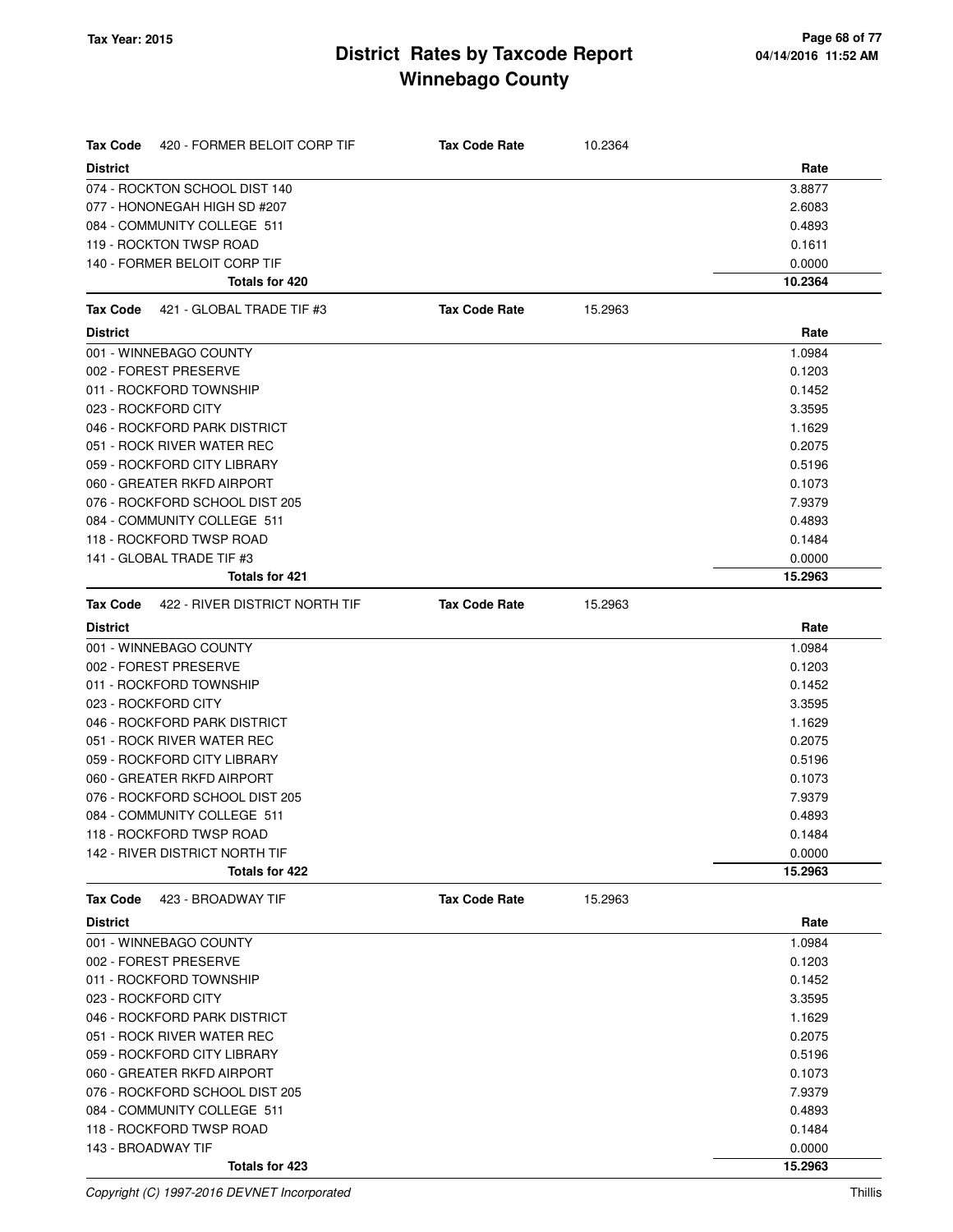| 420 - FORMER BELOIT CORP TIF<br>Tax Code         | <b>Tax Code Rate</b> | 10.2364 |                   |
|--------------------------------------------------|----------------------|---------|-------------------|
| <b>District</b>                                  |                      |         | Rate              |
| 074 - ROCKTON SCHOOL DIST 140                    |                      |         | 3.8877            |
| 077 - HONONEGAH HIGH SD #207                     |                      |         | 2.6083            |
| 084 - COMMUNITY COLLEGE 511                      |                      |         | 0.4893            |
| 119 - ROCKTON TWSP ROAD                          |                      |         | 0.1611            |
| 140 - FORMER BELOIT CORP TIF                     |                      |         | 0.0000            |
| Totals for 420                                   |                      |         | 10.2364           |
| Tax Code<br>421 - GLOBAL TRADE TIF #3            | <b>Tax Code Rate</b> | 15.2963 |                   |
| <b>District</b>                                  |                      |         | Rate              |
| 001 - WINNEBAGO COUNTY                           |                      |         | 1.0984            |
| 002 - FOREST PRESERVE                            |                      |         | 0.1203            |
| 011 - ROCKFORD TOWNSHIP                          |                      |         | 0.1452            |
| 023 - ROCKFORD CITY                              |                      |         | 3.3595            |
| 046 - ROCKFORD PARK DISTRICT                     |                      |         | 1.1629            |
| 051 - ROCK RIVER WATER REC                       |                      |         | 0.2075            |
| 059 - ROCKFORD CITY LIBRARY                      |                      |         | 0.5196            |
| 060 - GREATER RKFD AIRPORT                       |                      |         | 0.1073            |
| 076 - ROCKFORD SCHOOL DIST 205                   |                      |         | 7.9379            |
| 084 - COMMUNITY COLLEGE 511                      |                      |         | 0.4893            |
| 118 - ROCKFORD TWSP ROAD                         |                      |         | 0.1484            |
| 141 - GLOBAL TRADE TIF #3                        |                      |         | 0.0000            |
| <b>Totals for 421</b>                            |                      |         | 15.2963           |
| 422 - RIVER DISTRICT NORTH TIF<br>Tax Code       | <b>Tax Code Rate</b> | 15.2963 |                   |
| <b>District</b>                                  |                      |         | Rate              |
| 001 - WINNEBAGO COUNTY                           |                      |         | 1.0984            |
| 002 - FOREST PRESERVE                            |                      |         | 0.1203            |
| 011 - ROCKFORD TOWNSHIP                          |                      |         | 0.1452            |
| 023 - ROCKFORD CITY                              |                      |         | 3.3595            |
| 046 - ROCKFORD PARK DISTRICT                     |                      |         | 1.1629            |
| 051 - ROCK RIVER WATER REC                       |                      |         | 0.2075            |
| 059 - ROCKFORD CITY LIBRARY                      |                      |         | 0.5196            |
| 060 - GREATER RKFD AIRPORT                       |                      |         | 0.1073            |
| 076 - ROCKFORD SCHOOL DIST 205                   |                      |         | 7.9379            |
| 084 - COMMUNITY COLLEGE 511                      |                      |         | 0.4893            |
| 118 - ROCKFORD TWSP ROAD                         |                      |         | 0.1484            |
| 142 - RIVER DISTRICT NORTH TIF<br>Totals for 422 |                      |         | 0.0000<br>15.2963 |
|                                                  |                      |         |                   |
| 423 - BROADWAY TIF<br><b>Tax Code</b>            | <b>Tax Code Rate</b> | 15.2963 |                   |
| <b>District</b>                                  |                      |         | Rate              |
| 001 - WINNEBAGO COUNTY                           |                      |         | 1.0984            |
| 002 - FOREST PRESERVE                            |                      |         | 0.1203<br>0.1452  |
| 011 - ROCKFORD TOWNSHIP<br>023 - ROCKFORD CITY   |                      |         | 3.3595            |
| 046 - ROCKFORD PARK DISTRICT                     |                      |         | 1.1629            |
| 051 - ROCK RIVER WATER REC                       |                      |         | 0.2075            |
| 059 - ROCKFORD CITY LIBRARY                      |                      |         | 0.5196            |
| 060 - GREATER RKFD AIRPORT                       |                      |         | 0.1073            |
| 076 - ROCKFORD SCHOOL DIST 205                   |                      |         | 7.9379            |
| 084 - COMMUNITY COLLEGE 511                      |                      |         | 0.4893            |
| 118 - ROCKFORD TWSP ROAD                         |                      |         | 0.1484            |
| 143 - BROADWAY TIF                               |                      |         | 0.0000            |
| Totals for 423                                   |                      |         | 15.2963           |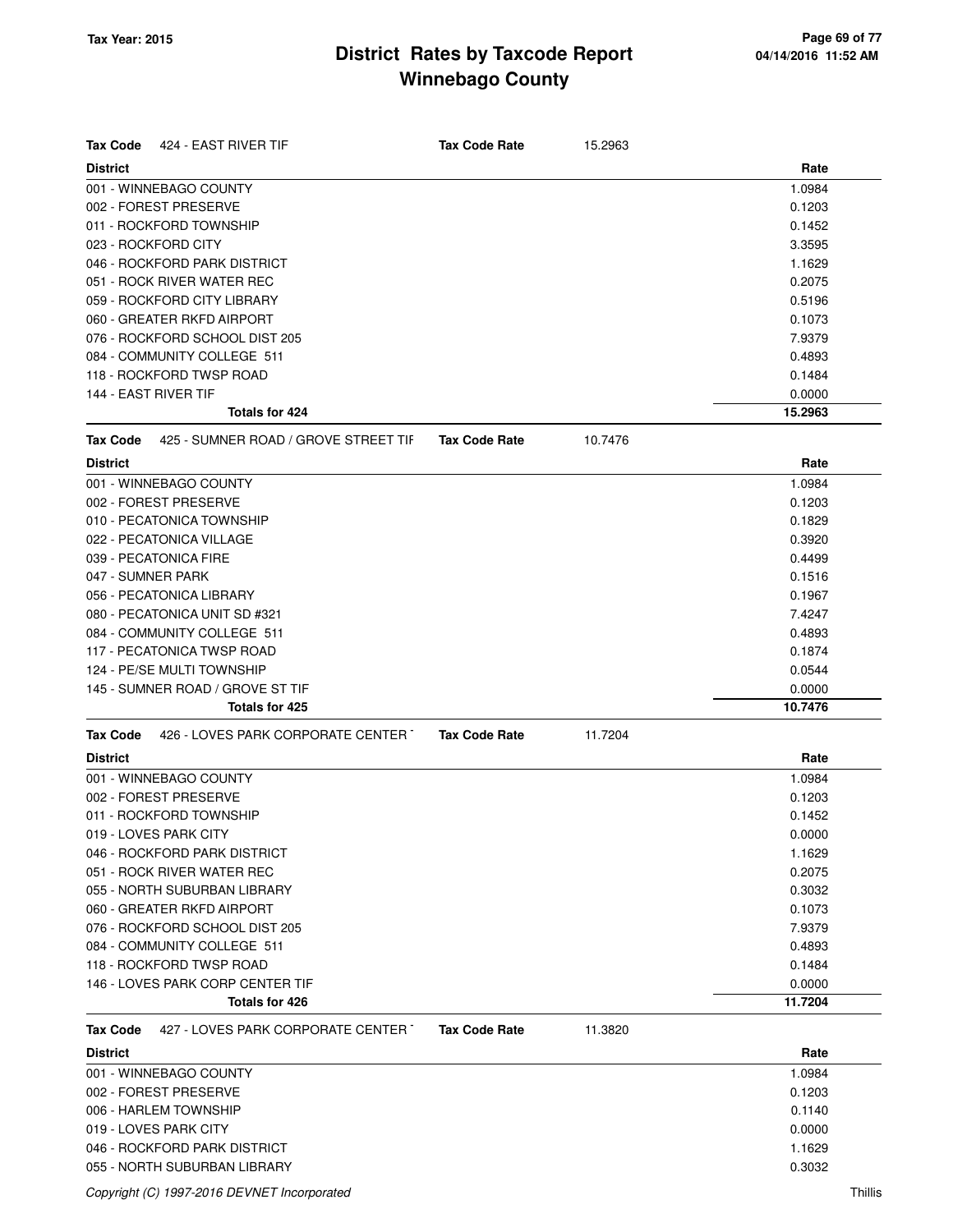| <b>Tax Code</b>      | 424 - EAST RIVER TIF                                    | <b>Tax Code Rate</b> | 15.2963 |                   |
|----------------------|---------------------------------------------------------|----------------------|---------|-------------------|
| <b>District</b>      |                                                         |                      |         | Rate              |
|                      | 001 - WINNEBAGO COUNTY                                  |                      |         | 1.0984            |
|                      | 002 - FOREST PRESERVE                                   |                      |         | 0.1203            |
|                      | 011 - ROCKFORD TOWNSHIP                                 |                      |         | 0.1452            |
|                      | 023 - ROCKFORD CITY                                     |                      |         | 3.3595            |
|                      | 046 - ROCKFORD PARK DISTRICT                            |                      |         | 1.1629            |
|                      | 051 - ROCK RIVER WATER REC                              |                      |         | 0.2075            |
|                      | 059 - ROCKFORD CITY LIBRARY                             |                      |         | 0.5196            |
|                      | 060 - GREATER RKFD AIRPORT                              |                      |         | 0.1073            |
|                      | 076 - ROCKFORD SCHOOL DIST 205                          |                      |         | 7.9379            |
|                      | 084 - COMMUNITY COLLEGE 511                             |                      |         | 0.4893            |
|                      | 118 - ROCKFORD TWSP ROAD                                |                      |         | 0.1484            |
| 144 - EAST RIVER TIF |                                                         |                      |         | 0.0000            |
|                      | Totals for 424                                          |                      |         | 15.2963           |
| Tax Code             | 425 - SUMNER ROAD / GROVE STREET TIF                    | <b>Tax Code Rate</b> | 10.7476 |                   |
| <b>District</b>      |                                                         |                      |         | Rate              |
|                      | 001 - WINNEBAGO COUNTY                                  |                      |         | 1.0984            |
|                      | 002 - FOREST PRESERVE                                   |                      |         | 0.1203            |
|                      | 010 - PECATONICA TOWNSHIP                               |                      |         | 0.1829            |
|                      | 022 - PECATONICA VILLAGE                                |                      |         | 0.3920            |
|                      | 039 - PECATONICA FIRE                                   |                      |         | 0.4499            |
| 047 - SUMNER PARK    |                                                         |                      |         | 0.1516            |
|                      | 056 - PECATONICA LIBRARY                                |                      |         | 0.1967            |
|                      | 080 - PECATONICA UNIT SD #321                           |                      |         | 7.4247            |
|                      | 084 - COMMUNITY COLLEGE 511                             |                      |         | 0.4893            |
|                      | 117 - PECATONICA TWSP ROAD                              |                      |         | 0.1874            |
|                      | 124 - PE/SE MULTI TOWNSHIP                              |                      |         | 0.0544            |
|                      | 145 - SUMNER ROAD / GROVE ST TIF                        |                      |         | 0.0000            |
|                      | <b>Totals for 425</b>                                   |                      |         | 10.7476           |
| Tax Code             | 426 - LOVES PARK CORPORATE CENTER T                     | <b>Tax Code Rate</b> | 11.7204 |                   |
| <b>District</b>      |                                                         |                      |         | Rate              |
|                      | 001 - WINNEBAGO COUNTY                                  |                      |         | 1.0984            |
|                      | 002 - FOREST PRESERVE                                   |                      |         | 0.1203            |
|                      | 011 - ROCKFORD TOWNSHIP                                 |                      |         | 0.1452            |
|                      | 019 - LOVES PARK CITY                                   |                      |         | 0.0000            |
|                      | 046 - ROCKFORD PARK DISTRICT                            |                      |         | 1.1629            |
|                      | 051 - ROCK RIVER WATER REC                              |                      |         | 0.2075            |
|                      | 055 - NORTH SUBURBAN LIBRARY                            |                      |         | 0.3032            |
|                      | 060 - GREATER RKFD AIRPORT                              |                      |         | 0.1073            |
|                      | 076 - ROCKFORD SCHOOL DIST 205                          |                      |         |                   |
|                      |                                                         |                      |         | 7.9379            |
|                      | 084 - COMMUNITY COLLEGE 511<br>118 - ROCKFORD TWSP ROAD |                      |         | 0.4893            |
|                      |                                                         |                      |         | 0.1484            |
|                      | 146 - LOVES PARK CORP CENTER TIF<br>Totals for 426      |                      |         | 0.0000<br>11.7204 |
|                      |                                                         |                      |         |                   |
| Tax Code             | 427 - LOVES PARK CORPORATE CENTER                       | <b>Tax Code Rate</b> | 11.3820 |                   |
| <b>District</b>      |                                                         |                      |         | Rate              |
|                      | 001 - WINNEBAGO COUNTY                                  |                      |         | 1.0984            |
|                      | 002 - FOREST PRESERVE                                   |                      |         | 0.1203            |
|                      | 006 - HARLEM TOWNSHIP                                   |                      |         | 0.1140            |
|                      | 019 - LOVES PARK CITY                                   |                      |         | 0.0000            |
|                      | 046 - ROCKFORD PARK DISTRICT                            |                      |         | 1.1629            |

055 - NORTH SUBURBAN LIBRARY 0.3032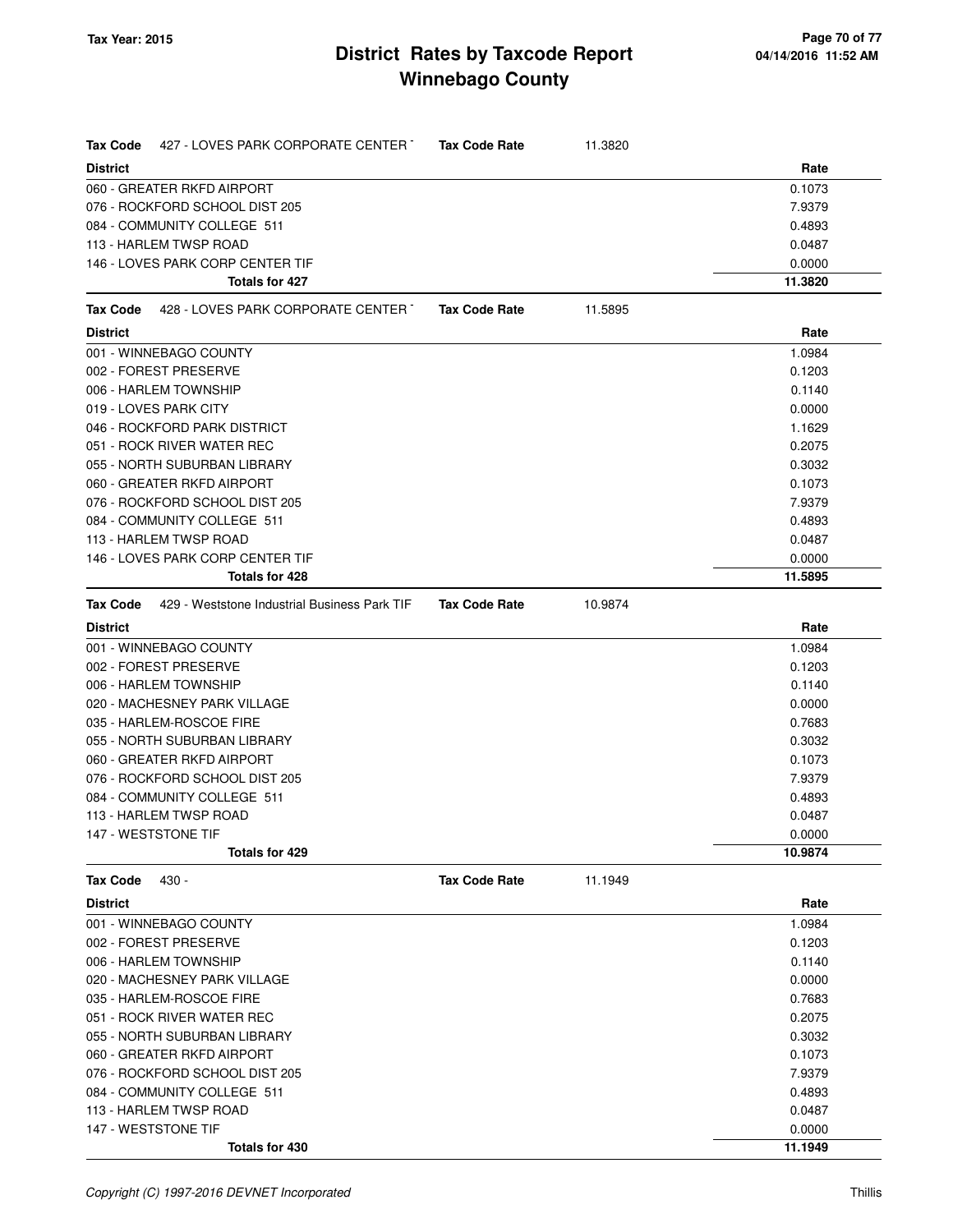| Tax Code        | 427 - LOVES PARK CORPORATE CENTER Tax Code Rate              |                      | 11.3820 |         |
|-----------------|--------------------------------------------------------------|----------------------|---------|---------|
| <b>District</b> |                                                              |                      |         | Rate    |
|                 | 060 - GREATER RKFD AIRPORT                                   |                      |         | 0.1073  |
|                 | 076 - ROCKFORD SCHOOL DIST 205                               |                      |         | 7.9379  |
|                 | 084 - COMMUNITY COLLEGE 511                                  |                      |         | 0.4893  |
|                 | 113 - HARLEM TWSP ROAD                                       |                      |         | 0.0487  |
|                 | 146 - LOVES PARK CORP CENTER TIF                             |                      |         | 0.0000  |
|                 | Totals for 427                                               |                      |         | 11.3820 |
|                 | Tax Code 428 - LOVES PARK CORPORATE CENTER                   | <b>Tax Code Rate</b> | 11.5895 |         |
| <b>District</b> |                                                              |                      |         | Rate    |
|                 | 001 - WINNEBAGO COUNTY                                       |                      |         | 1.0984  |
|                 | 002 - FOREST PRESERVE                                        |                      |         | 0.1203  |
|                 | 006 - HARLEM TOWNSHIP                                        |                      |         | 0.1140  |
|                 | 019 - LOVES PARK CITY                                        |                      |         | 0.0000  |
|                 | 046 - ROCKFORD PARK DISTRICT                                 |                      |         | 1.1629  |
|                 | 051 - ROCK RIVER WATER REC                                   |                      |         | 0.2075  |
|                 | 055 - NORTH SUBURBAN LIBRARY                                 |                      |         | 0.3032  |
|                 | 060 - GREATER RKFD AIRPORT                                   |                      |         | 0.1073  |
|                 | 076 - ROCKFORD SCHOOL DIST 205                               |                      |         | 7.9379  |
|                 | 084 - COMMUNITY COLLEGE 511                                  |                      |         | 0.4893  |
|                 | 113 - HARLEM TWSP ROAD                                       |                      |         | 0.0487  |
|                 | 146 - LOVES PARK CORP CENTER TIF                             |                      |         | 0.0000  |
|                 | Totals for 428                                               |                      |         | 11.5895 |
|                 | <b>Tax Code</b> 429 - Weststone Industrial Business Park TIF | <b>Tax Code Rate</b> | 10.9874 |         |
| <b>District</b> |                                                              |                      |         | Rate    |
|                 | 001 - WINNEBAGO COUNTY                                       |                      |         | 1.0984  |
|                 | 002 - FOREST PRESERVE                                        |                      |         | 0.1203  |
|                 | 006 - HARLEM TOWNSHIP                                        |                      |         | 0.1140  |
|                 | 020 - MACHESNEY PARK VILLAGE                                 |                      |         | 0.0000  |
|                 | 035 - HARLEM-ROSCOE FIRE                                     |                      |         | 0.7683  |
|                 | 055 - NORTH SUBURBAN LIBRARY                                 |                      |         | 0.3032  |
|                 | 060 - GREATER RKFD AIRPORT                                   |                      |         | 0.1073  |
|                 | 076 - ROCKFORD SCHOOL DIST 205                               |                      |         | 7.9379  |
|                 | 084 - COMMUNITY COLLEGE 511                                  |                      |         | 0.4893  |
|                 | 113 - HARLEM TWSP ROAD                                       |                      |         | 0.0487  |
|                 | 147 - WESTSTONE TIF                                          |                      |         | 0.0000  |
|                 | Totals for 429                                               |                      |         | 10.9874 |
| Tax Code        | 430 -                                                        | <b>Tax Code Rate</b> | 11.1949 |         |
| <b>District</b> |                                                              |                      |         | Rate    |
|                 | 001 - WINNEBAGO COUNTY                                       |                      |         | 1.0984  |
|                 | 002 - FOREST PRESERVE                                        |                      |         | 0.1203  |
|                 | 006 - HARLEM TOWNSHIP                                        |                      |         | 0.1140  |
|                 | 020 - MACHESNEY PARK VILLAGE                                 |                      |         | 0.0000  |
|                 | 035 - HARLEM-ROSCOE FIRE                                     |                      |         | 0.7683  |
|                 | 051 - ROCK RIVER WATER REC                                   |                      |         | 0.2075  |
|                 | 055 - NORTH SUBURBAN LIBRARY                                 |                      |         | 0.3032  |
|                 | 060 - GREATER RKFD AIRPORT                                   |                      |         | 0.1073  |
|                 | 076 - ROCKFORD SCHOOL DIST 205                               |                      |         | 7.9379  |
|                 | 084 - COMMUNITY COLLEGE 511                                  |                      |         | 0.4893  |
|                 | 113 - HARLEM TWSP ROAD                                       |                      |         | 0.0487  |
|                 | 147 - WESTSTONE TIF                                          |                      |         | 0.0000  |
|                 | Totals for 430                                               |                      |         | 11.1949 |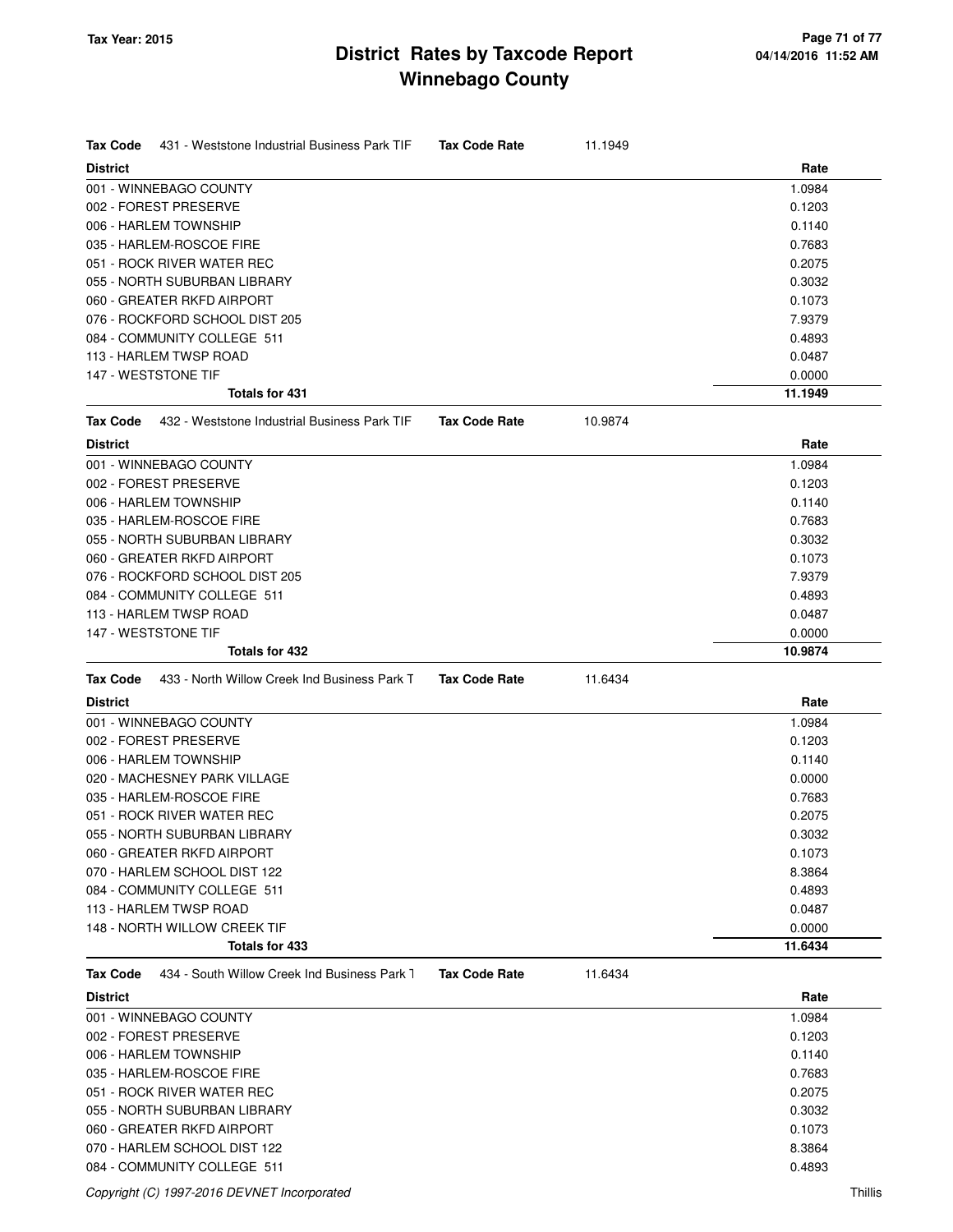| <b>Tax Code</b><br>431 - Weststone Industrial Business Park TIF | <b>Tax Code Rate</b> | 11.1949 |         |
|-----------------------------------------------------------------|----------------------|---------|---------|
| <b>District</b>                                                 |                      |         | Rate    |
| 001 - WINNEBAGO COUNTY                                          |                      |         | 1.0984  |
| 002 - FOREST PRESERVE                                           |                      |         | 0.1203  |
| 006 - HARLEM TOWNSHIP                                           |                      |         | 0.1140  |
| 035 - HARLEM-ROSCOE FIRE                                        |                      |         | 0.7683  |
| 051 - ROCK RIVER WATER REC                                      |                      |         | 0.2075  |
| 055 - NORTH SUBURBAN LIBRARY                                    |                      |         | 0.3032  |
| 060 - GREATER RKFD AIRPORT                                      |                      |         | 0.1073  |
| 076 - ROCKFORD SCHOOL DIST 205                                  |                      |         | 7.9379  |
| 084 - COMMUNITY COLLEGE 511                                     |                      |         | 0.4893  |
| 113 - HARLEM TWSP ROAD                                          |                      |         | 0.0487  |
| 147 - WESTSTONE TIF                                             |                      |         | 0.0000  |
| <b>Totals for 431</b>                                           |                      |         | 11.1949 |
| 432 - Weststone Industrial Business Park TIF<br><b>Tax Code</b> | <b>Tax Code Rate</b> | 10.9874 |         |
| <b>District</b>                                                 |                      |         | Rate    |
| 001 - WINNEBAGO COUNTY                                          |                      |         | 1.0984  |
| 002 - FOREST PRESERVE                                           |                      |         | 0.1203  |
| 006 - HARLEM TOWNSHIP                                           |                      |         | 0.1140  |
| 035 - HARLEM-ROSCOE FIRE                                        |                      |         | 0.7683  |
| 055 - NORTH SUBURBAN LIBRARY                                    |                      |         | 0.3032  |
| 060 - GREATER RKFD AIRPORT                                      |                      |         | 0.1073  |
| 076 - ROCKFORD SCHOOL DIST 205                                  |                      |         | 7.9379  |
| 084 - COMMUNITY COLLEGE 511                                     |                      |         | 0.4893  |
| 113 - HARLEM TWSP ROAD                                          |                      |         | 0.0487  |
| 147 - WESTSTONE TIF                                             |                      |         | 0.0000  |
| Totals for 432                                                  |                      |         | 10.9874 |
| <b>Tax Code</b><br>433 - North Willow Creek Ind Business Park T | <b>Tax Code Rate</b> | 11.6434 |         |
| <b>District</b>                                                 |                      |         | Rate    |
| 001 - WINNEBAGO COUNTY                                          |                      |         | 1.0984  |
| 002 - FOREST PRESERVE                                           |                      |         | 0.1203  |
| 006 - HARLEM TOWNSHIP                                           |                      |         | 0.1140  |
| 020 - MACHESNEY PARK VILLAGE                                    |                      |         | 0.0000  |
| 035 - HARLEM-ROSCOE FIRE                                        |                      |         | 0.7683  |
| 051 - ROCK RIVER WATER REC                                      |                      |         | 0.2075  |
| 055 - NORTH SUBURBAN LIBRARY                                    |                      |         | 0.3032  |
| 060 - GREATER RKFD AIRPORT                                      |                      |         | 0.1073  |
| 070 - HARLEM SCHOOL DIST 122                                    |                      |         | 8.3864  |
| 084 - COMMUNITY COLLEGE 511                                     |                      |         | 0.4893  |
| 113 - HARLEM TWSP ROAD                                          |                      |         | 0.0487  |
| 148 - NORTH WILLOW CREEK TIF                                    |                      |         | 0.0000  |
| <b>Totals for 433</b>                                           |                      |         | 11.6434 |
| 434 - South Willow Creek Ind Business Park 1<br><b>Tax Code</b> | <b>Tax Code Rate</b> | 11.6434 |         |
| <b>District</b>                                                 |                      |         | Rate    |
| 001 - WINNEBAGO COUNTY                                          |                      |         | 1.0984  |
| 002 - FOREST PRESERVE                                           |                      |         | 0.1203  |
| 006 - HARLEM TOWNSHIP                                           |                      |         | 0.1140  |
| 035 - HARLEM-ROSCOE FIRE                                        |                      |         | 0.7683  |
| 051 - ROCK RIVER WATER REC                                      |                      |         | 0.2075  |
| 055 - NORTH SUBURBAN LIBRARY                                    |                      |         | 0.3032  |
| 060 - GREATER RKFD AIRPORT                                      |                      |         |         |
|                                                                 |                      |         | 0.1073  |
| 070 - HARLEM SCHOOL DIST 122                                    |                      |         | 8.3864  |
| 084 - COMMUNITY COLLEGE 511                                     |                      |         | 0.4893  |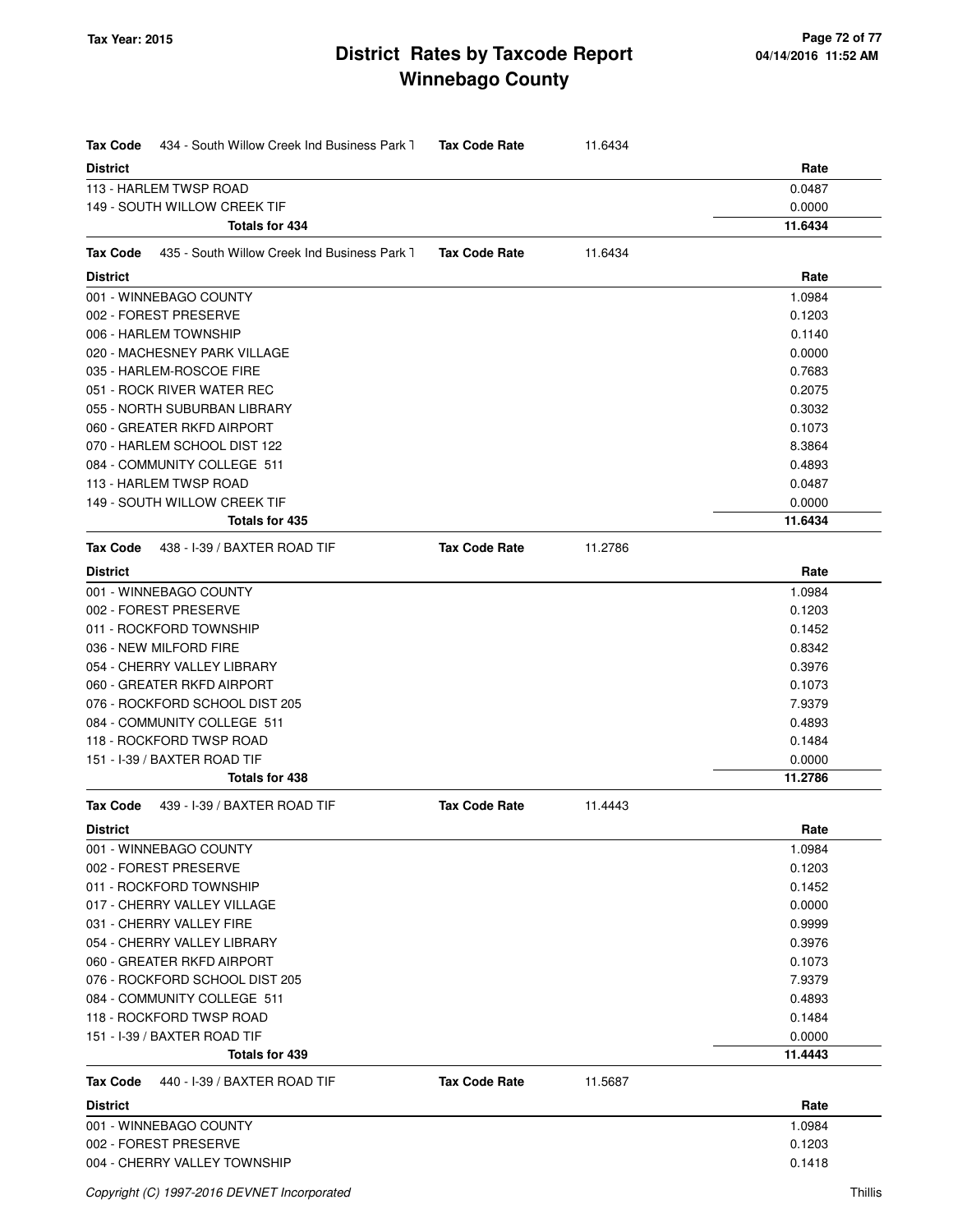| Tax Code<br>434 - South Willow Creek Ind Business Park 1        | <b>Tax Code Rate</b> | 11.6434 |         |
|-----------------------------------------------------------------|----------------------|---------|---------|
| <b>District</b>                                                 |                      |         | Rate    |
| 113 - HARLEM TWSP ROAD                                          |                      |         | 0.0487  |
| 149 - SOUTH WILLOW CREEK TIF                                    |                      |         | 0.0000  |
| <b>Totals for 434</b>                                           |                      |         | 11.6434 |
| <b>Tax Code</b><br>435 - South Willow Creek Ind Business Park 1 | <b>Tax Code Rate</b> | 11.6434 |         |
| <b>District</b>                                                 |                      |         | Rate    |
| 001 - WINNEBAGO COUNTY                                          |                      |         | 1.0984  |
| 002 - FOREST PRESERVE                                           |                      |         | 0.1203  |
| 006 - HARLEM TOWNSHIP                                           |                      |         | 0.1140  |
| 020 - MACHESNEY PARK VILLAGE                                    |                      |         | 0.0000  |
| 035 - HARLEM-ROSCOE FIRE                                        |                      |         | 0.7683  |
| 051 - ROCK RIVER WATER REC                                      |                      |         | 0.2075  |
| 055 - NORTH SUBURBAN LIBRARY                                    |                      |         | 0.3032  |
| 060 - GREATER RKFD AIRPORT                                      |                      |         | 0.1073  |
| 070 - HARLEM SCHOOL DIST 122                                    |                      |         | 8.3864  |
| 084 - COMMUNITY COLLEGE 511                                     |                      |         | 0.4893  |
| 113 - HARLEM TWSP ROAD                                          |                      |         | 0.0487  |
| 149 - SOUTH WILLOW CREEK TIF                                    |                      |         | 0.0000  |
| <b>Totals for 435</b>                                           |                      |         | 11.6434 |
| 438 - I-39 / BAXTER ROAD TIF<br>Tax Code                        | <b>Tax Code Rate</b> | 11.2786 |         |
| <b>District</b>                                                 |                      |         | Rate    |
| 001 - WINNEBAGO COUNTY                                          |                      |         | 1.0984  |
| 002 - FOREST PRESERVE                                           |                      |         | 0.1203  |
| 011 - ROCKFORD TOWNSHIP                                         |                      |         | 0.1452  |
| 036 - NEW MILFORD FIRE                                          |                      |         | 0.8342  |
| 054 - CHERRY VALLEY LIBRARY                                     |                      |         | 0.3976  |
| 060 - GREATER RKFD AIRPORT                                      |                      |         | 0.1073  |
| 076 - ROCKFORD SCHOOL DIST 205                                  |                      |         | 7.9379  |
| 084 - COMMUNITY COLLEGE 511                                     |                      |         | 0.4893  |
| 118 - ROCKFORD TWSP ROAD                                        |                      |         | 0.1484  |
| 151 - I-39 / BAXTER ROAD TIF                                    |                      |         | 0.0000  |
| <b>Totals for 438</b>                                           |                      |         | 11.2786 |
| <b>Tax Code</b><br>439 - I-39 / BAXTER ROAD TIF                 | <b>Tax Code Rate</b> | 11.4443 |         |
| <b>District</b>                                                 |                      |         | Rate    |
| 001 - WINNEBAGO COUNTY                                          |                      |         | 1.0984  |
| 002 - FOREST PRESERVE                                           |                      |         | 0.1203  |
| 011 - ROCKFORD TOWNSHIP                                         |                      |         | 0.1452  |
| 017 - CHERRY VALLEY VILLAGE                                     |                      |         | 0.0000  |
| 031 - CHERRY VALLEY FIRE                                        |                      |         | 0.9999  |
| 054 - CHERRY VALLEY LIBRARY                                     |                      |         | 0.3976  |
| 060 - GREATER RKFD AIRPORT                                      |                      |         | 0.1073  |
| 076 - ROCKFORD SCHOOL DIST 205                                  |                      |         | 7.9379  |
| 084 - COMMUNITY COLLEGE 511                                     |                      |         | 0.4893  |
| 118 - ROCKFORD TWSP ROAD                                        |                      |         | 0.1484  |
| 151 - I-39 / BAXTER ROAD TIF                                    |                      |         | 0.0000  |
| Totals for 439                                                  |                      |         | 11.4443 |
| Tax Code<br>440 - I-39 / BAXTER ROAD TIF                        | <b>Tax Code Rate</b> | 11.5687 |         |
| <b>District</b>                                                 |                      |         | Rate    |
| 001 - WINNEBAGO COUNTY                                          |                      |         | 1.0984  |
| 002 - FOREST PRESERVE                                           |                      |         | 0.1203  |
| 004 - CHERRY VALLEY TOWNSHIP                                    |                      |         | 0.1418  |
|                                                                 |                      |         |         |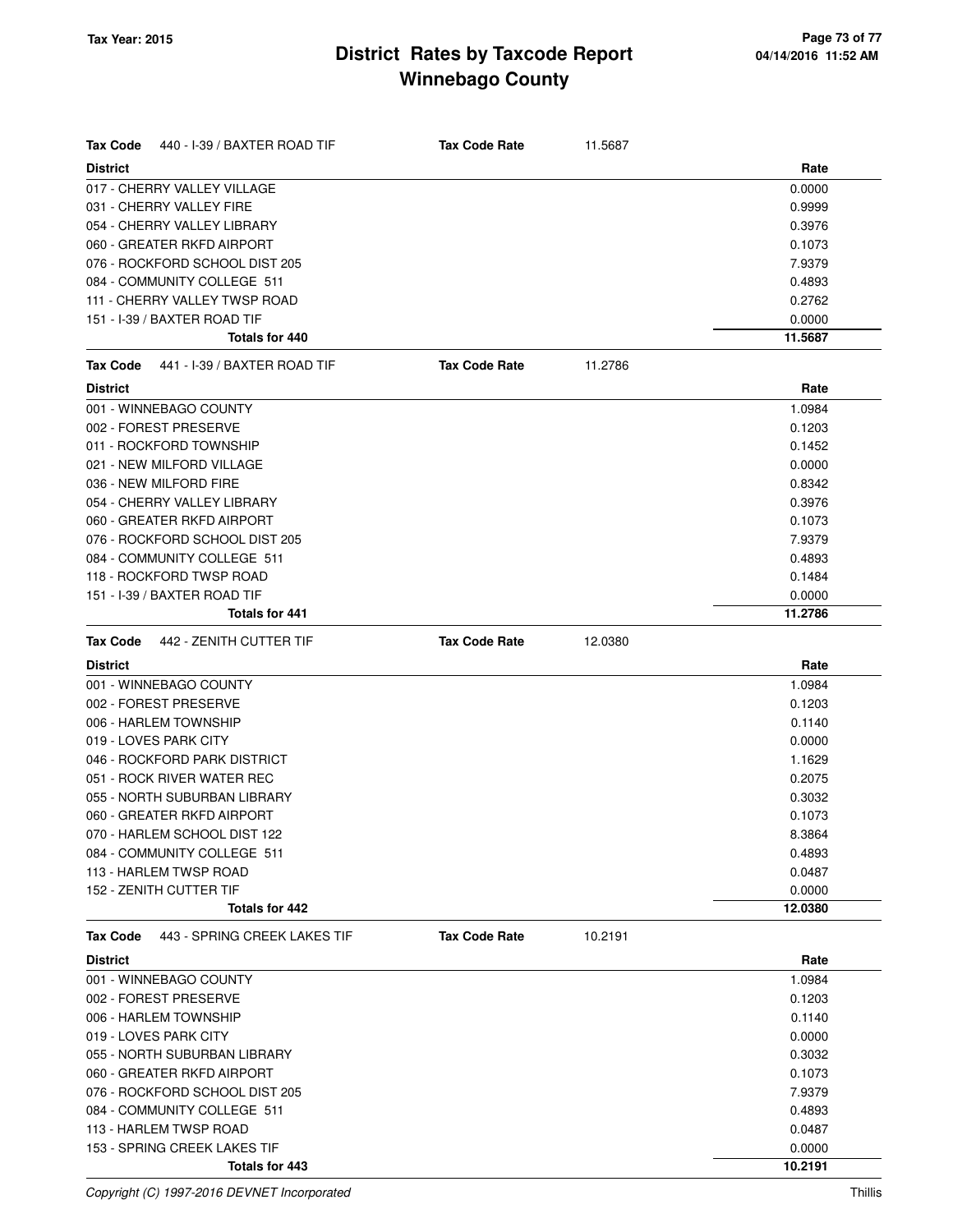| Tax Code                     | 440 - I-39 / BAXTER ROAD TIF   | <b>Tax Code Rate</b> | 11.5687 |         |
|------------------------------|--------------------------------|----------------------|---------|---------|
| <b>District</b>              |                                |                      |         | Rate    |
| 017 - CHERRY VALLEY VILLAGE  |                                |                      |         | 0.0000  |
| 031 - CHERRY VALLEY FIRE     |                                |                      | 0.9999  |         |
| 054 - CHERRY VALLEY LIBRARY  |                                |                      |         | 0.3976  |
| 060 - GREATER RKFD AIRPORT   |                                |                      |         | 0.1073  |
|                              | 076 - ROCKFORD SCHOOL DIST 205 |                      |         | 7.9379  |
|                              | 084 - COMMUNITY COLLEGE 511    |                      |         | 0.4893  |
|                              | 111 - CHERRY VALLEY TWSP ROAD  |                      |         | 0.2762  |
| 151 - I-39 / BAXTER ROAD TIF |                                |                      |         | 0.0000  |
|                              | <b>Totals for 440</b>          |                      |         | 11.5687 |
| <b>Tax Code</b>              | 441 - I-39 / BAXTER ROAD TIF   | <b>Tax Code Rate</b> | 11.2786 |         |
| <b>District</b>              |                                |                      |         | Rate    |
| 001 - WINNEBAGO COUNTY       |                                |                      |         | 1.0984  |
| 002 - FOREST PRESERVE        |                                |                      |         | 0.1203  |
| 011 - ROCKFORD TOWNSHIP      |                                |                      |         | 0.1452  |
| 021 - NEW MILFORD VILLAGE    |                                |                      |         | 0.0000  |
| 036 - NEW MILFORD FIRE       |                                |                      |         | 0.8342  |
| 054 - CHERRY VALLEY LIBRARY  |                                |                      |         | 0.3976  |
| 060 - GREATER RKFD AIRPORT   |                                |                      |         | 0.1073  |
|                              | 076 - ROCKFORD SCHOOL DIST 205 |                      |         | 7.9379  |
|                              | 084 - COMMUNITY COLLEGE 511    |                      |         | 0.4893  |
| 118 - ROCKFORD TWSP ROAD     |                                |                      |         | 0.1484  |
| 151 - I-39 / BAXTER ROAD TIF |                                |                      |         | 0.0000  |
|                              | Totals for 441                 |                      |         | 11.2786 |
| Tax Code                     | 442 - ZENITH CUTTER TIF        | <b>Tax Code Rate</b> | 12.0380 |         |
|                              |                                |                      |         | Rate    |
| <b>District</b>              |                                |                      |         |         |
| 001 - WINNEBAGO COUNTY       |                                |                      |         | 1.0984  |
| 002 - FOREST PRESERVE        |                                |                      |         | 0.1203  |
| 006 - HARLEM TOWNSHIP        |                                |                      |         | 0.1140  |
| 019 - LOVES PARK CITY        |                                |                      |         | 0.0000  |
|                              | 046 - ROCKFORD PARK DISTRICT   |                      |         | 1.1629  |
| 051 - ROCK RIVER WATER REC   |                                |                      |         | 0.2075  |
|                              | 055 - NORTH SUBURBAN LIBRARY   |                      |         | 0.3032  |
| 060 - GREATER RKFD AIRPORT   |                                |                      |         | 0.1073  |
|                              | 070 - HARLEM SCHOOL DIST 122   |                      |         | 8.3864  |
|                              | 084 - COMMUNITY COLLEGE 511    |                      |         | 0.4893  |
| 113 - HARLEM TWSP ROAD       |                                |                      |         | 0.0487  |
| 152 - ZENITH CUTTER TIF      |                                |                      |         | 0.0000  |
|                              | Totals for 442                 |                      |         | 12.0380 |
| <b>Tax Code</b>              | 443 - SPRING CREEK LAKES TIF   | <b>Tax Code Rate</b> | 10.2191 |         |
| <b>District</b>              |                                |                      |         | Rate    |
| 001 - WINNEBAGO COUNTY       |                                |                      |         | 1.0984  |
| 002 - FOREST PRESERVE        |                                |                      |         | 0.1203  |
| 006 - HARLEM TOWNSHIP        |                                |                      |         | 0.1140  |
| 019 - LOVES PARK CITY        |                                |                      |         | 0.0000  |
|                              | 055 - NORTH SUBURBAN LIBRARY   |                      |         | 0.3032  |
| 060 - GREATER RKFD AIRPORT   |                                |                      |         | 0.1073  |
|                              | 076 - ROCKFORD SCHOOL DIST 205 |                      |         | 7.9379  |
|                              | 084 - COMMUNITY COLLEGE 511    |                      |         | 0.4893  |
| 113 - HARLEM TWSP ROAD       |                                |                      |         | 0.0487  |
|                              | 153 - SPRING CREEK LAKES TIF   |                      |         | 0.0000  |

Copyright (C) 1997-2016 DEVNET Incorporated Thillis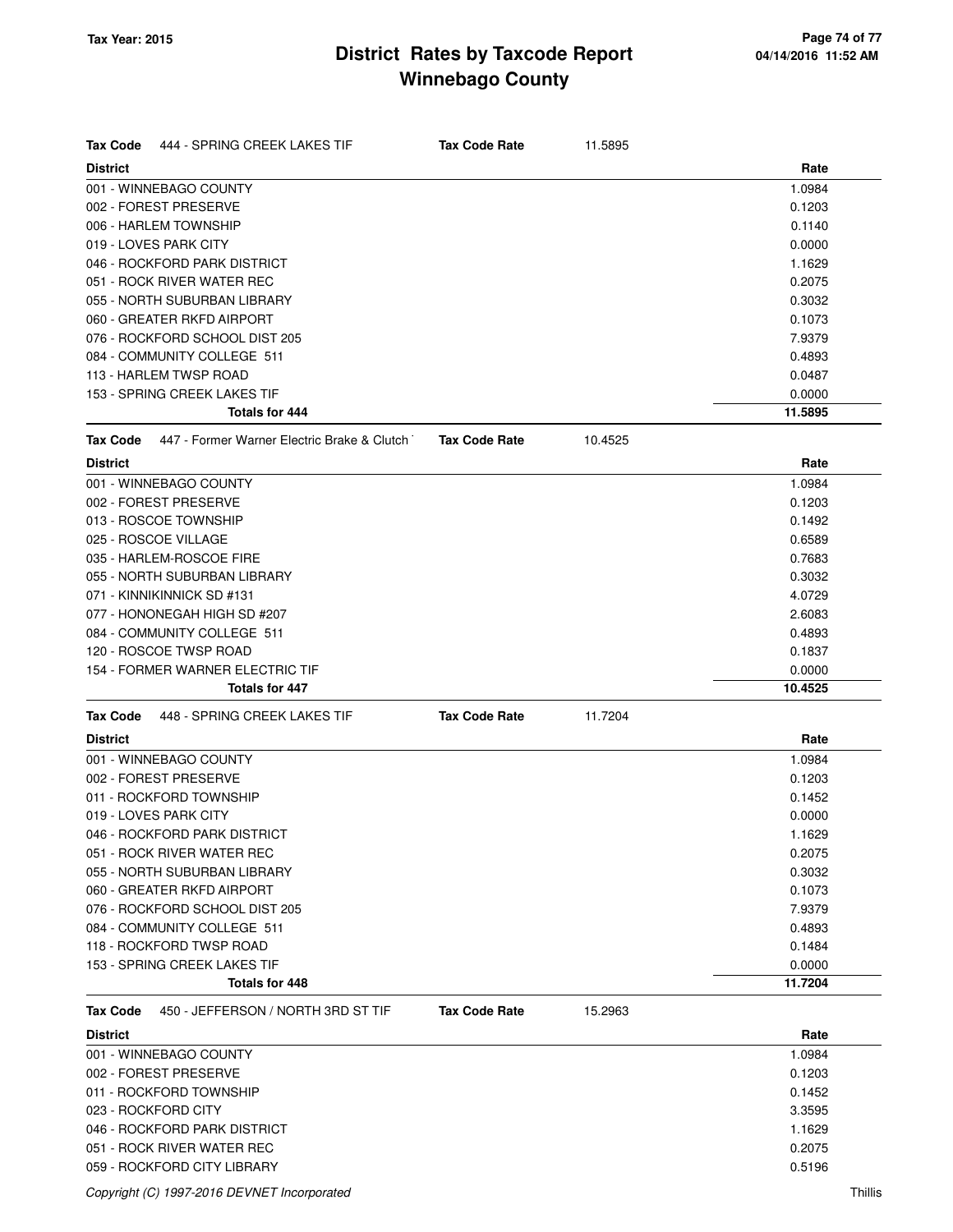| <b>Tax Code</b><br>444 - SPRING CREEK LAKES TIF         | <b>Tax Code Rate</b> | 11.5895 |         |
|---------------------------------------------------------|----------------------|---------|---------|
| <b>District</b>                                         |                      |         | Rate    |
| 001 - WINNEBAGO COUNTY                                  |                      |         | 1.0984  |
| 002 - FOREST PRESERVE                                   |                      |         | 0.1203  |
| 006 - HARLEM TOWNSHIP                                   |                      |         | 0.1140  |
| 019 - LOVES PARK CITY                                   |                      |         | 0.0000  |
| 046 - ROCKFORD PARK DISTRICT                            |                      |         | 1.1629  |
| 051 - ROCK RIVER WATER REC                              |                      |         | 0.2075  |
| 055 - NORTH SUBURBAN LIBRARY                            |                      |         | 0.3032  |
| 060 - GREATER RKFD AIRPORT                              |                      |         | 0.1073  |
| 076 - ROCKFORD SCHOOL DIST 205                          |                      |         | 7.9379  |
| 084 - COMMUNITY COLLEGE 511                             |                      |         | 0.4893  |
| 113 - HARLEM TWSP ROAD                                  |                      |         | 0.0487  |
| 153 - SPRING CREEK LAKES TIF                            |                      |         | 0.0000  |
| <b>Totals for 444</b>                                   |                      |         | 11.5895 |
| 447 - Former Warner Electric Brake & Clutch<br>Tax Code | <b>Tax Code Rate</b> | 10.4525 |         |
| <b>District</b>                                         |                      |         | Rate    |
| 001 - WINNEBAGO COUNTY                                  |                      |         | 1.0984  |
| 002 - FOREST PRESERVE                                   |                      |         | 0.1203  |
| 013 - ROSCOE TOWNSHIP                                   |                      |         | 0.1492  |
| 025 - ROSCOE VILLAGE                                    |                      |         | 0.6589  |
| 035 - HARLEM-ROSCOE FIRE                                |                      |         | 0.7683  |
| 055 - NORTH SUBURBAN LIBRARY                            |                      |         | 0.3032  |
| 071 - KINNIKINNICK SD #131                              |                      |         | 4.0729  |
| 077 - HONONEGAH HIGH SD #207                            |                      |         | 2.6083  |
| 084 - COMMUNITY COLLEGE 511                             |                      |         | 0.4893  |
| 120 - ROSCOE TWSP ROAD                                  |                      |         | 0.1837  |
| 154 - FORMER WARNER ELECTRIC TIF                        |                      |         | 0.0000  |
| Totals for 447                                          |                      |         | 10.4525 |
| Tax Code<br>448 - SPRING CREEK LAKES TIF                | <b>Tax Code Rate</b> | 11.7204 |         |
| <b>District</b>                                         |                      |         | Rate    |
| 001 - WINNEBAGO COUNTY                                  |                      |         | 1.0984  |
| 002 - FOREST PRESERVE                                   |                      |         | 0.1203  |
| 011 - ROCKFORD TOWNSHIP                                 |                      |         | 0.1452  |
| 019 - LOVES PARK CITY                                   |                      |         | 0.0000  |
| 046 - ROCKFORD PARK DISTRICT                            |                      |         | 1.1629  |
| 051 - ROCK RIVER WATER REC                              |                      |         | 0.2075  |
| 055 - NORTH SUBURBAN LIBRARY                            |                      |         | 0.3032  |
| 060 - GREATER RKFD AIRPORT                              |                      |         | 0.1073  |
| 076 - ROCKFORD SCHOOL DIST 205                          |                      |         | 7.9379  |
| 084 - COMMUNITY COLLEGE 511                             |                      |         | 0.4893  |
| 118 - ROCKFORD TWSP ROAD                                |                      |         | 0.1484  |
| 153 - SPRING CREEK LAKES TIF                            |                      |         | 0.0000  |
| Totals for 448                                          |                      |         | 11.7204 |
| 450 - JEFFERSON / NORTH 3RD ST TIF<br>Tax Code          | <b>Tax Code Rate</b> | 15.2963 |         |
| <b>District</b>                                         |                      |         | Rate    |
| 001 - WINNEBAGO COUNTY                                  |                      |         | 1.0984  |
| 002 - FOREST PRESERVE                                   |                      |         | 0.1203  |
| 011 - ROCKFORD TOWNSHIP                                 |                      |         | 0.1452  |
| 023 - ROCKFORD CITY                                     |                      |         | 3.3595  |
| 046 - ROCKFORD PARK DISTRICT                            |                      |         | 1.1629  |
| 051 - ROCK RIVER WATER REC                              |                      |         | 0.2075  |
| 059 - ROCKFORD CITY LIBRARY                             |                      |         | 0.5196  |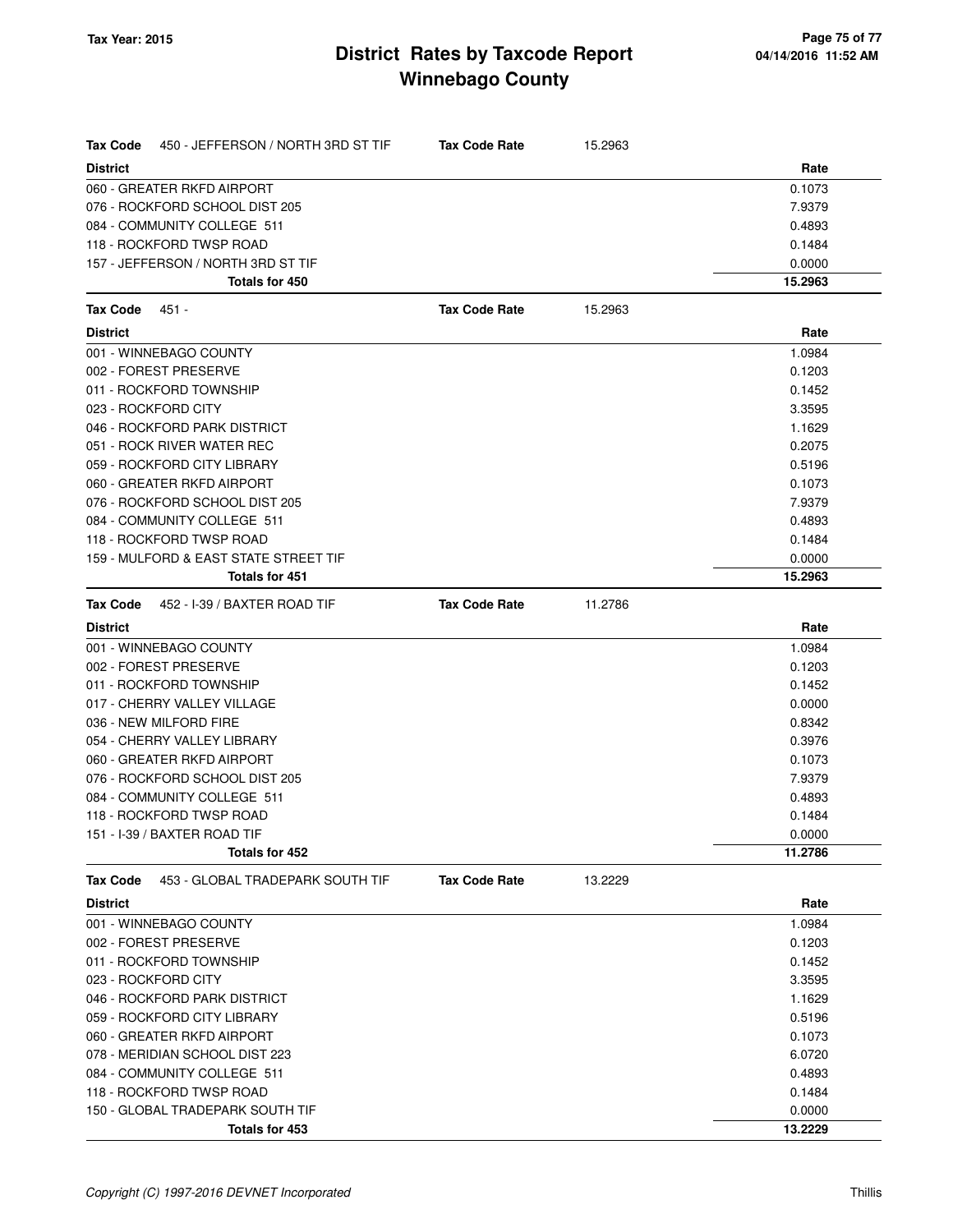| Tax Code        | 450 - JEFFERSON / NORTH 3RD ST TIF    | <b>Tax Code Rate</b> | 15.2963 |         |
|-----------------|---------------------------------------|----------------------|---------|---------|
| <b>District</b> |                                       |                      |         | Rate    |
|                 | 060 - GREATER RKFD AIRPORT            |                      |         | 0.1073  |
|                 | 076 - ROCKFORD SCHOOL DIST 205        |                      |         | 7.9379  |
|                 | 084 - COMMUNITY COLLEGE 511           |                      |         | 0.4893  |
|                 | 118 - ROCKFORD TWSP ROAD              |                      |         | 0.1484  |
|                 | 157 - JEFFERSON / NORTH 3RD ST TIF    |                      |         | 0.0000  |
|                 | Totals for 450                        |                      |         | 15.2963 |
| <b>Tax Code</b> | 451 -                                 | <b>Tax Code Rate</b> | 15.2963 |         |
| <b>District</b> |                                       |                      |         | Rate    |
|                 | 001 - WINNEBAGO COUNTY                |                      |         | 1.0984  |
|                 | 002 - FOREST PRESERVE                 |                      |         | 0.1203  |
|                 | 011 - ROCKFORD TOWNSHIP               |                      |         | 0.1452  |
|                 | 023 - ROCKFORD CITY                   |                      |         | 3.3595  |
|                 | 046 - ROCKFORD PARK DISTRICT          |                      |         | 1.1629  |
|                 | 051 - ROCK RIVER WATER REC            |                      |         | 0.2075  |
|                 | 059 - ROCKFORD CITY LIBRARY           |                      |         | 0.5196  |
|                 | 060 - GREATER RKFD AIRPORT            |                      |         | 0.1073  |
|                 | 076 - ROCKFORD SCHOOL DIST 205        |                      |         | 7.9379  |
|                 | 084 - COMMUNITY COLLEGE 511           |                      |         | 0.4893  |
|                 | 118 - ROCKFORD TWSP ROAD              |                      |         | 0.1484  |
|                 | 159 - MULFORD & EAST STATE STREET TIF |                      |         | 0.0000  |
|                 | <b>Totals for 451</b>                 |                      |         | 15.2963 |
| Tax Code        | 452 - I-39 / BAXTER ROAD TIF          | <b>Tax Code Rate</b> | 11.2786 |         |
| <b>District</b> |                                       |                      |         | Rate    |
|                 | 001 - WINNEBAGO COUNTY                |                      |         | 1.0984  |
|                 | 002 - FOREST PRESERVE                 |                      |         | 0.1203  |
|                 | 011 - ROCKFORD TOWNSHIP               |                      |         | 0.1452  |
|                 | 017 - CHERRY VALLEY VILLAGE           |                      |         | 0.0000  |
|                 | 036 - NEW MILFORD FIRE                |                      |         | 0.8342  |
|                 | 054 - CHERRY VALLEY LIBRARY           |                      |         | 0.3976  |
|                 | 060 - GREATER RKFD AIRPORT            |                      |         | 0.1073  |
|                 | 076 - ROCKFORD SCHOOL DIST 205        |                      |         | 7.9379  |
|                 | 084 - COMMUNITY COLLEGE 511           |                      |         | 0.4893  |
|                 | 118 - ROCKFORD TWSP ROAD              |                      |         | 0.1484  |
|                 | 151 - I-39 / BAXTER ROAD TIF          |                      |         | 0.0000  |
|                 | Totals for 452                        |                      |         | 11.2786 |
| <b>Tax Code</b> | 453 - GLOBAL TRADEPARK SOUTH TIF      | <b>Tax Code Rate</b> | 13.2229 |         |
| <b>District</b> |                                       |                      |         | Rate    |
|                 | 001 - WINNEBAGO COUNTY                |                      |         | 1.0984  |
|                 | 002 - FOREST PRESERVE                 |                      |         | 0.1203  |
|                 | 011 - ROCKFORD TOWNSHIP               |                      |         | 0.1452  |
|                 | 023 - ROCKFORD CITY                   |                      |         | 3.3595  |
|                 | 046 - ROCKFORD PARK DISTRICT          |                      |         | 1.1629  |
|                 | 059 - ROCKFORD CITY LIBRARY           |                      |         | 0.5196  |
|                 | 060 - GREATER RKFD AIRPORT            |                      |         | 0.1073  |
|                 | 078 - MERIDIAN SCHOOL DIST 223        |                      |         | 6.0720  |
|                 | 084 - COMMUNITY COLLEGE 511           |                      |         | 0.4893  |
|                 | 118 - ROCKFORD TWSP ROAD              |                      |         | 0.1484  |
|                 | 150 - GLOBAL TRADEPARK SOUTH TIF      |                      |         | 0.0000  |
|                 | Totals for 453                        |                      |         | 13.2229 |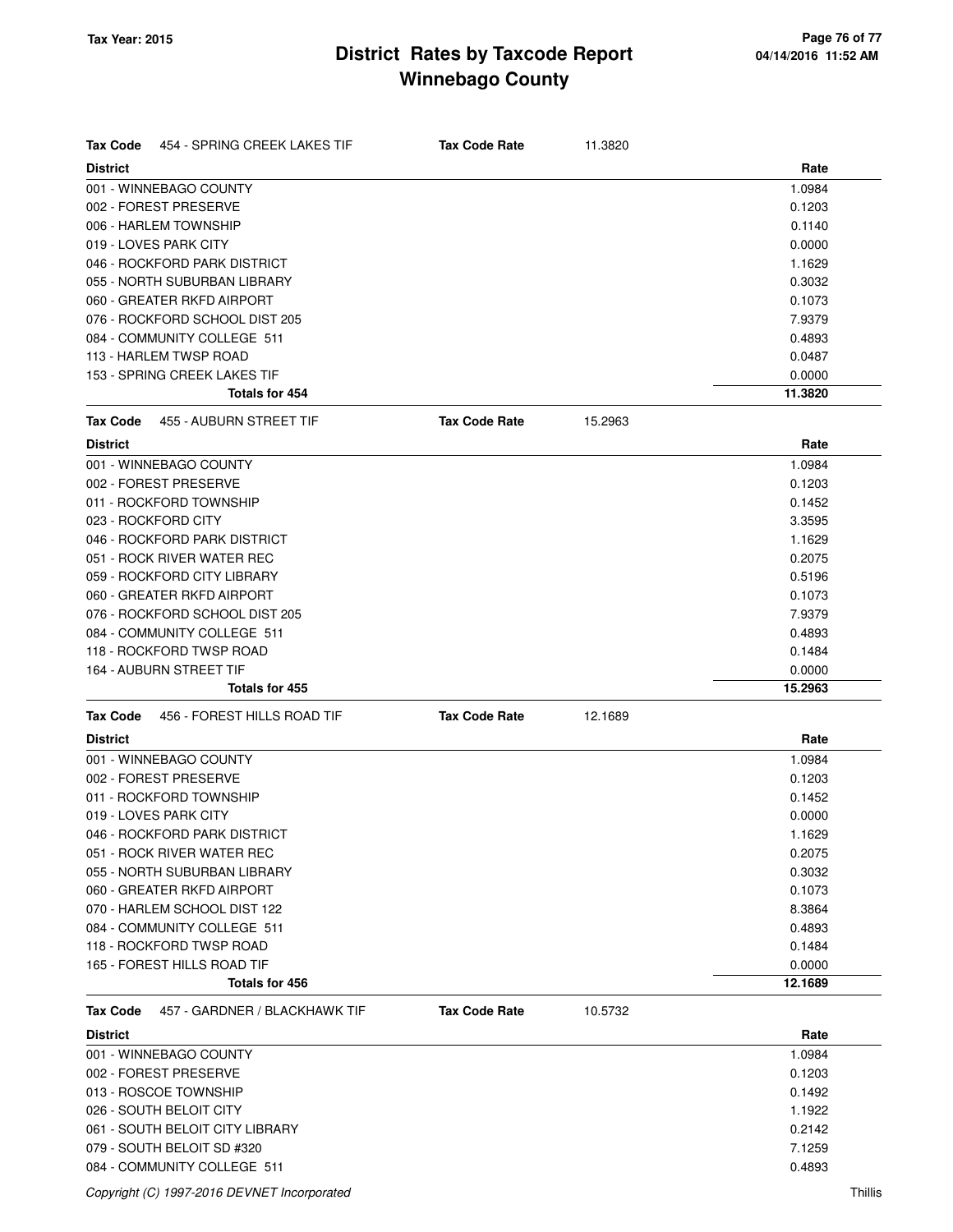| <b>Tax Code</b><br>454 - SPRING CREEK LAKES TIF | <b>Tax Code Rate</b> | 11.3820 |         |
|-------------------------------------------------|----------------------|---------|---------|
| <b>District</b>                                 |                      |         | Rate    |
| 001 - WINNEBAGO COUNTY                          |                      |         | 1.0984  |
| 002 - FOREST PRESERVE                           |                      |         | 0.1203  |
| 006 - HARLEM TOWNSHIP                           |                      |         | 0.1140  |
| 019 - LOVES PARK CITY                           |                      |         | 0.0000  |
| 046 - ROCKFORD PARK DISTRICT                    |                      |         | 1.1629  |
| 055 - NORTH SUBURBAN LIBRARY                    |                      |         | 0.3032  |
| 060 - GREATER RKFD AIRPORT                      |                      |         | 0.1073  |
| 076 - ROCKFORD SCHOOL DIST 205                  |                      |         | 7.9379  |
| 084 - COMMUNITY COLLEGE 511                     |                      |         | 0.4893  |
| 113 - HARLEM TWSP ROAD                          |                      |         | 0.0487  |
| 153 - SPRING CREEK LAKES TIF                    |                      |         | 0.0000  |
| <b>Totals for 454</b>                           |                      |         | 11.3820 |
| <b>Tax Code</b><br>455 - AUBURN STREET TIF      | <b>Tax Code Rate</b> | 15.2963 |         |
| <b>District</b>                                 |                      |         | Rate    |
| 001 - WINNEBAGO COUNTY                          |                      |         | 1.0984  |
| 002 - FOREST PRESERVE                           |                      |         | 0.1203  |
| 011 - ROCKFORD TOWNSHIP                         |                      |         | 0.1452  |
| 023 - ROCKFORD CITY                             |                      |         | 3.3595  |
| 046 - ROCKFORD PARK DISTRICT                    |                      |         | 1.1629  |
| 051 - ROCK RIVER WATER REC                      |                      |         | 0.2075  |
| 059 - ROCKFORD CITY LIBRARY                     |                      |         | 0.5196  |
| 060 - GREATER RKFD AIRPORT                      |                      |         | 0.1073  |
| 076 - ROCKFORD SCHOOL DIST 205                  |                      |         | 7.9379  |
| 084 - COMMUNITY COLLEGE 511                     |                      |         | 0.4893  |
| 118 - ROCKFORD TWSP ROAD                        |                      |         | 0.1484  |
| 164 - AUBURN STREET TIF                         |                      |         | 0.0000  |
| <b>Totals for 455</b>                           |                      |         | 15.2963 |
| <b>Tax Code</b><br>456 - FOREST HILLS ROAD TIF  | <b>Tax Code Rate</b> | 12.1689 |         |
| <b>District</b>                                 |                      |         | Rate    |
| 001 - WINNEBAGO COUNTY                          |                      |         | 1.0984  |
| 002 - FOREST PRESERVE                           |                      |         | 0.1203  |
| 011 - ROCKFORD TOWNSHIP                         |                      |         | 0.1452  |
| 019 - LOVES PARK CITY                           |                      |         | 0.0000  |
| 046 - ROCKFORD PARK DISTRICT                    |                      |         | 1.1629  |
| 051 - ROCK RIVER WATER REC                      |                      |         | 0.2075  |
| 055 - NORTH SUBURBAN LIBRARY                    |                      |         | 0.3032  |
| 060 - GREATER RKFD AIRPORT                      |                      |         | 0.1073  |
| 070 - HARLEM SCHOOL DIST 122                    |                      |         | 8.3864  |
| 084 - COMMUNITY COLLEGE 511                     |                      |         | 0.4893  |
| 118 - ROCKFORD TWSP ROAD                        |                      |         | 0.1484  |
| 165 - FOREST HILLS ROAD TIF                     |                      |         | 0.0000  |
| Totals for 456                                  |                      |         | 12.1689 |
| 457 - GARDNER / BLACKHAWK TIF<br>Tax Code       | <b>Tax Code Rate</b> | 10.5732 |         |
| <b>District</b>                                 |                      |         | Rate    |
| 001 - WINNEBAGO COUNTY                          |                      |         | 1.0984  |
| 002 - FOREST PRESERVE                           |                      |         | 0.1203  |
| 013 - ROSCOE TOWNSHIP                           |                      |         | 0.1492  |
| 026 - SOUTH BELOIT CITY                         |                      |         | 1.1922  |
| 061 - SOUTH BELOIT CITY LIBRARY                 |                      |         | 0.2142  |
| 079 - SOUTH BELOIT SD #320                      |                      |         | 7.1259  |
| 084 - COMMUNITY COLLEGE 511                     |                      |         | 0.4893  |